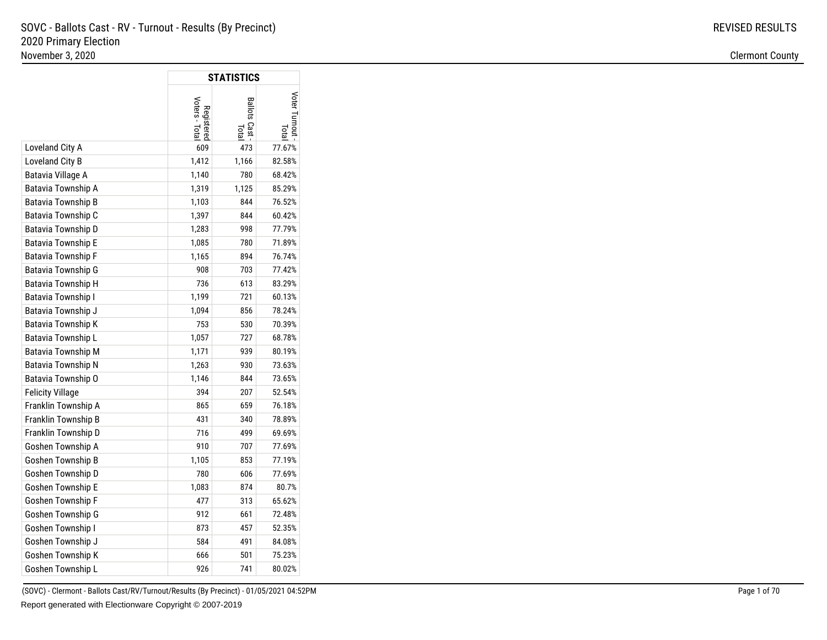$\Box$ 

|                           |                              | <b>STATISTICS</b>            |               |
|---------------------------|------------------------------|------------------------------|---------------|
|                           | Voters - Total<br>Registered | <b>Ballots Cast</b><br>Total | Voter Turnout |
| Loveland City A           | 609                          | 473                          | 77.67%        |
| Loveland City B           | 1,412                        | 1,166                        | 82.58%        |
| Batavia Village A         | 1,140                        | 780                          | 68.42%        |
| Batavia Township A        | 1,319                        | 1,125                        | 85.29%        |
| Batavia Township B        | 1,103                        | 844                          | 76.52%        |
| Batavia Township C        | 1,397                        | 844                          | 60.42%        |
| Batavia Township D        | 1,283                        | 998                          | 77.79%        |
| Batavia Township E        | 1,085                        | 780                          | 71.89%        |
| Batavia Township F        | 1,165                        | 894                          | 76.74%        |
| Batavia Township G        | 908                          | 703                          | 77.42%        |
| Batavia Township H        | 736                          | 613                          | 83.29%        |
| <b>Batavia Township I</b> | 1,199                        | 721                          | 60.13%        |
| Batavia Township J        | 1,094                        | 856                          | 78.24%        |
| Batavia Township K        | 753                          | 530                          | 70.39%        |
| Batavia Township L        | 1,057                        | 727                          | 68.78%        |
| <b>Batavia Township M</b> | 1,171                        | 939                          | 80.19%        |
| Batavia Township N        | 1,263                        | 930                          | 73.63%        |
| Batavia Township O        | 1,146                        | 844                          | 73.65%        |
| <b>Felicity Village</b>   | 394                          | 207                          | 52.54%        |
| Franklin Township A       | 865                          | 659                          | 76.18%        |
| Franklin Township B       | 431                          | 340                          | 78.89%        |
| Franklin Township D       | 716                          | 499                          | 69.69%        |
| Goshen Township A         | 910                          | 707                          | 77.69%        |
| Goshen Township B         | 1,105                        | 853                          | 77.19%        |
| Goshen Township D         | 780                          | 606                          | 77.69%        |
| Goshen Township E         | 1,083                        | 874                          | 80.7%         |
| Goshen Township F         | 477                          | 313                          | 65.62%        |
| Goshen Township G         | 912                          | 661                          | 72.48%        |
| Goshen Township I         | 873                          | 457                          | 52.35%        |
| Goshen Township J         | 584                          | 491                          | 84.08%        |
| Goshen Township K         | 666                          | 501                          | 75.23%        |
| Goshen Township L         | 926                          | 741                          | 80.02%        |

(SOVC) - Clermont - Ballots Cast/RV/Turnout/Results (By Precinct) - 01/05/2021 04:52PMReport generated with Electionware Copyright © 2007-2019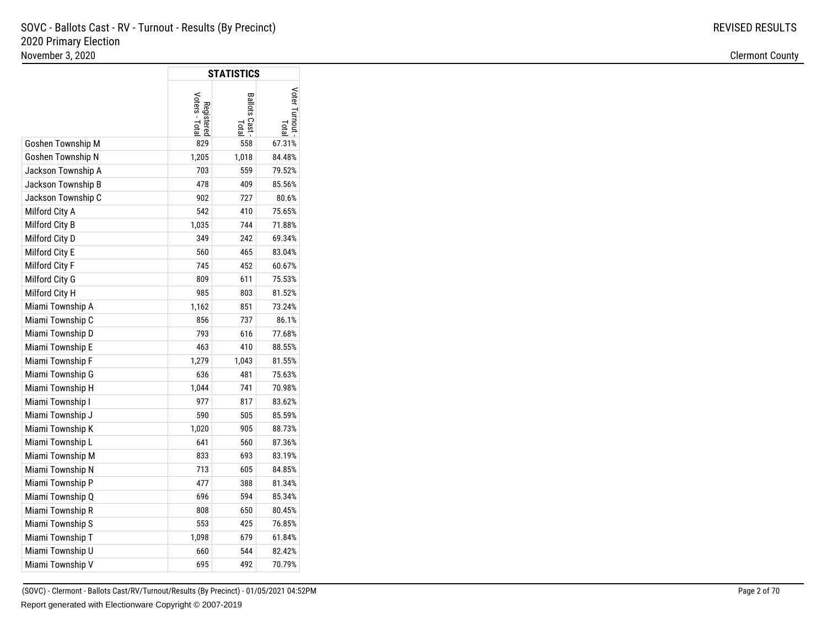|                    |                              | <b>STATISTICS</b>       |                             |
|--------------------|------------------------------|-------------------------|-----------------------------|
|                    | Voters - Total<br>Registered | Ballots Cast -<br>Total | Voter Turnout<br><b>Pip</b> |
| Goshen Township M  | 829                          | 558                     | 67.31%                      |
| Goshen Township N  | 1,205                        | 1,018                   | 84.48%                      |
| Jackson Township A | 703                          | 559                     | 79.52%                      |
| Jackson Township B | 478                          | 409                     | 85.56%                      |
| Jackson Township C | 902                          | 727                     | 80.6%                       |
| Milford City A     | 542                          | 410                     | 75.65%                      |
| Milford City B     | 1,035                        | 744                     | 71.88%                      |
| Milford City D     | 349                          | 242                     | 69.34%                      |
| Milford City E     | 560                          | 465                     | 83.04%                      |
| Milford City F     | 745                          | 452                     | 60.67%                      |
| Milford City G     | 809                          | 611                     | 75.53%                      |
| Milford City H     | 985                          | 803                     | 81.52%                      |
| Miami Township A   | 1,162                        | 851                     | 73.24%                      |
| Miami Township C   | 856                          | 737                     | 86.1%                       |
| Miami Township D   | 793                          | 616                     | 77.68%                      |
| Miami Township E   | 463                          | 410                     | 88.55%                      |
| Miami Township F   | 1,279                        | 1,043                   | 81.55%                      |
| Miami Township G   | 636                          | 481                     | 75.63%                      |
| Miami Township H   | 1,044                        | 741                     | 70.98%                      |
| Miami Township I   | 977                          | 817                     | 83.62%                      |
| Miami Township J   | 590                          | 505                     | 85.59%                      |
| Miami Township K   | 1,020                        | 905                     | 88.73%                      |
| Miami Township L   | 641                          | 560                     | 87.36%                      |
| Miami Township M   | 833                          | 693                     | 83.19%                      |
| Miami Township N   | 713                          | 605                     | 84.85%                      |
| Miami Township P   | 477                          | 388                     | 81.34%                      |
| Miami Township Q   | 696                          | 594                     | 85.34%                      |
| Miami Township R   | 808                          | 650                     | 80.45%                      |
| Miami Township S   | 553                          | 425                     | 76.85%                      |
| Miami Township T   | 1,098                        | 679                     | 61.84%                      |
| Miami Township U   | 660                          | 544                     | 82.42%                      |
| Miami Township V   | 695                          | 492                     | 70.79%                      |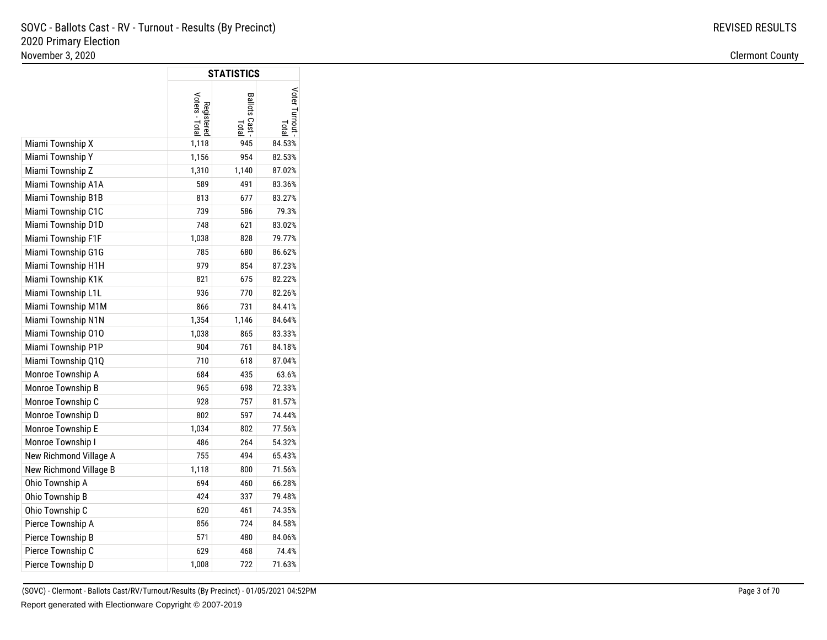|                        |                              | <b>STATISTICS</b>    |                       |
|------------------------|------------------------------|----------------------|-----------------------|
|                        | Voters - Total<br>Registered | Ballots Cast<br>Tota | Voter Turnout<br>lota |
| Miami Township X       | 1,118                        | 945                  | 84.53%                |
| Miami Township Y       | 1,156                        | 954                  | 82.53%                |
| Miami Township Z       | 1,310                        | 1,140                | 87.02%                |
| Miami Township A1A     | 589                          | 491                  | 83.36%                |
| Miami Township B1B     | 813                          | 677                  | 83.27%                |
| Miami Township C1C     | 739                          | 586                  | 79.3%                 |
| Miami Township D1D     | 748                          | 621                  | 83.02%                |
| Miami Township F1F     | 1,038                        | 828                  | 79.77%                |
| Miami Township G1G     | 785                          | 680                  | 86.62%                |
| Miami Township H1H     | 979                          | 854                  | 87.23%                |
| Miami Township K1K     | 821                          | 675                  | 82.22%                |
| Miami Township L1L     | 936                          | 770                  | 82.26%                |
| Miami Township M1M     | 866                          | 731                  | 84.41%                |
| Miami Township N1N     | 1,354                        | 1,146                | 84.64%                |
| Miami Township 010     | 1,038                        | 865                  | 83.33%                |
| Miami Township P1P     | 904                          | 761                  | 84.18%                |
| Miami Township Q1Q     | 710                          | 618                  | 87.04%                |
| Monroe Township A      | 684                          | 435                  | 63.6%                 |
| Monroe Township B      | 965                          | 698                  | 72.33%                |
| Monroe Township C      | 928                          | 757                  | 81.57%                |
| Monroe Township D      | 802                          | 597                  | 74.44%                |
| Monroe Township E      | 1,034                        | 802                  | 77.56%                |
| Monroe Township I      | 486                          | 264                  | 54.32%                |
| New Richmond Village A | 755                          | 494                  | 65.43%                |
| New Richmond Village B | 1,118                        | 800                  | 71.56%                |
| Ohio Township A        | 694                          | 460                  | 66.28%                |
| Ohio Township B        | 424                          | 337                  | 79.48%                |
| Ohio Township C        | 620                          | 461                  | 74.35%                |
| Pierce Township A      | 856                          | 724                  | 84.58%                |
| Pierce Township B      | 571                          | 480                  | 84.06%                |
| Pierce Township C      | 629                          | 468                  | 74.4%                 |
| Pierce Township D      | 1,008                        | 722                  | 71.63%                |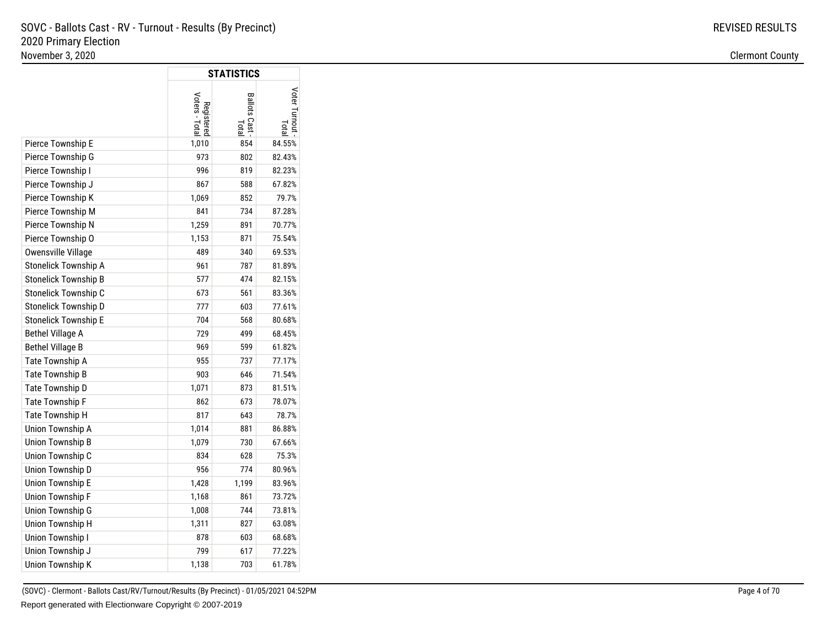|                         |                              | <b>STATISTICS</b>       |                       |
|-------------------------|------------------------------|-------------------------|-----------------------|
|                         | Voters - Total<br>Registered | Ballots Cast -<br>Total | Voter Turnout<br>lota |
| Pierce Township E       | 1,010                        | 854                     | 84.55%                |
| Pierce Township G       | 973                          | 802                     | 82.43%                |
| Pierce Township I       | 996                          | 819                     | 82.23%                |
| Pierce Township J       | 867                          | 588                     | 67.82%                |
| Pierce Township K       | 1,069                        | 852                     | 79.7%                 |
| Pierce Township M       | 841                          | 734                     | 87.28%                |
| Pierce Township N       | 1,259                        | 891                     | 70.77%                |
| Pierce Township O       | 1,153                        | 871                     | 75.54%                |
| Owensville Village      | 489                          | 340                     | 69.53%                |
| Stonelick Township A    | 961                          | 787                     | 81.89%                |
| Stonelick Township B    | 577                          | 474                     | 82.15%                |
| Stonelick Township C    | 673                          | 561                     | 83.36%                |
| Stonelick Township D    | 777                          | 603                     | 77.61%                |
| Stonelick Township E    | 704                          | 568                     | 80.68%                |
| <b>Bethel Village A</b> | 729                          | 499                     | 68.45%                |
| <b>Bethel Village B</b> | 969                          | 599                     | 61.82%                |
| Tate Township A         | 955                          | 737                     | 77.17%                |
| Tate Township B         | 903                          | 646                     | 71.54%                |
| Tate Township D         | 1,071                        | 873                     | 81.51%                |
| Tate Township F         | 862                          | 673                     | 78.07%                |
| Tate Township H         | 817                          | 643                     | 78.7%                 |
| Union Township A        | 1,014                        | 881                     | 86.88%                |
| Union Township B        | 1,079                        | 730                     | 67.66%                |
| Union Township C        | 834                          | 628                     | 75.3%                 |
| Union Township D        | 956                          | 774                     | 80.96%                |
| <b>Union Township E</b> | 1,428                        | 1,199                   | 83.96%                |
| Union Township F        | 1,168                        | 861                     | 73.72%                |
| Union Township G        | 1,008                        | 744                     | 73.81%                |
| Union Township H        | 1,311                        | 827                     | 63.08%                |
| Union Township I        | 878                          | 603                     | 68.68%                |
| Union Township J        | 799                          | 617                     | 77.22%                |
| Union Township K        | 1,138                        | 703                     | 61.78%                |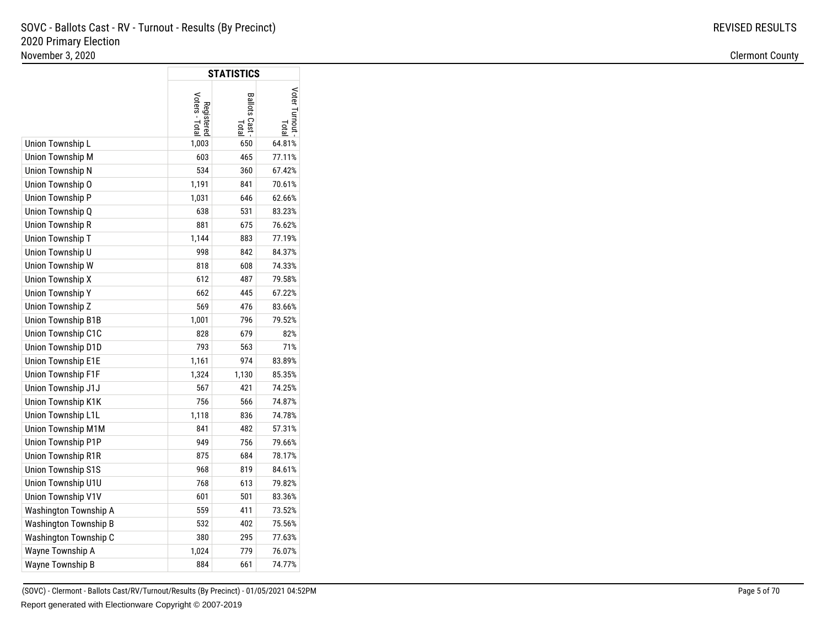|                           |                              | <b>STATISTICS</b>       |               |
|---------------------------|------------------------------|-------------------------|---------------|
|                           | Voters - Total<br>Registered | Ballots Cast -<br>Total | /oter Turnout |
| Union Township L          | 1,003                        | 650                     | 64.81%        |
| Union Township M          | 603                          | 465                     | 77.11%        |
| Union Township N          | 534                          | 360                     | 67.42%        |
| Union Township O          | 1,191                        | 841                     | 70.61%        |
| Union Township P          | 1,031                        | 646                     | 62.66%        |
| Union Township Q          | 638                          | 531                     | 83.23%        |
| Union Township R          | 881                          | 675                     | 76.62%        |
| Union Township T          | 1,144                        | 883                     | 77.19%        |
| Union Township U          | 998                          | 842                     | 84.37%        |
| Union Township W          | 818                          | 608                     | 74.33%        |
| Union Township X          | 612                          | 487                     | 79.58%        |
| <b>Union Township Y</b>   | 662                          | 445                     | 67.22%        |
| Union Township Z          | 569                          | 476                     | 83.66%        |
| <b>Union Township B1B</b> | 1,001                        | 796                     | 79.52%        |
| Union Township C1C        | 828                          | 679                     | 82%           |
| Union Township D1D        | 793                          | 563                     | 71%           |
| <b>Union Township E1E</b> | 1,161                        | 974                     | 83.89%        |
| Union Township F1F        | 1,324                        | 1,130                   | 85.35%        |
| Union Township J1J        | 567                          | 421                     | 74.25%        |
| Union Township K1K        | 756                          | 566                     | 74.87%        |
| Union Township L1L        | 1,118                        | 836                     | 74.78%        |
| Union Township M1M        | 841                          | 482                     | 57.31%        |
| Union Township P1P        | 949                          | 756                     | 79.66%        |
| <b>Union Township R1R</b> | 875                          | 684                     | 78.17%        |
| <b>Union Township S1S</b> | 968                          | 819                     | 84.61%        |
| Union Township U1U        | 768                          | 613                     | 79.82%        |
| Union Township V1V        | 601                          | 501                     | 83.36%        |
| Washington Township A     | 559                          | 411                     | 73.52%        |
| Washington Township B     | 532                          | 402                     | 75.56%        |
| Washington Township C     | 380                          | 295                     | 77.63%        |
| Wayne Township A          | 1,024                        | 779                     | 76.07%        |
| Wayne Township B          | 884                          | 661                     | 74.77%        |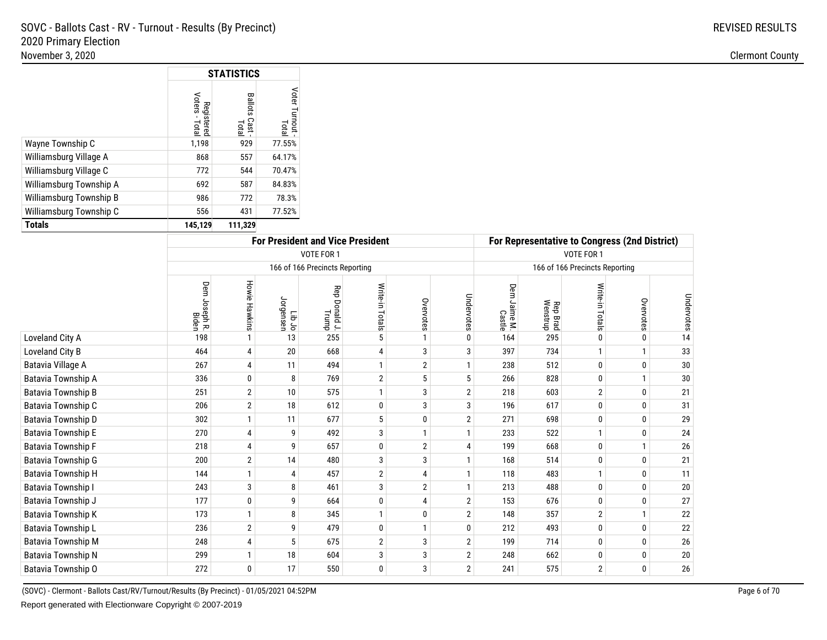|                         |                              | <b>STATISTICS</b>        |                          |
|-------------------------|------------------------------|--------------------------|--------------------------|
|                         | Registered<br>Voters - Total | Ballots<br>Cast<br>Total | Voter Turnout -<br>Total |
| Wayne Township C        | 1,198                        | 929                      | 77.55%                   |
| Williamsburg Village A  | 868                          | 557                      | 64.17%                   |
| Williamsburg Village C  | 772                          | 544                      | 70.47%                   |
| Williamsburg Township A | 692                          | 587                      | 84.83%                   |
| Williamsburg Township B | 986                          | 772                      | 78.3%                    |
| Williamsburg Township C | 556                          | 431                      | 77.52%                   |
| <b>Totals</b>           | 145,129                      | 111,329                  |                          |

|                          | <b>For President and Vice President</b> |                |                        |                                |                 |                |                |                             | For Representative to Congress (2nd District) |                                |              |            |  |  |
|--------------------------|-----------------------------------------|----------------|------------------------|--------------------------------|-----------------|----------------|----------------|-----------------------------|-----------------------------------------------|--------------------------------|--------------|------------|--|--|
|                          |                                         |                |                        | VOTE FOR 1                     |                 |                |                | VOTE FOR 1                  |                                               |                                |              |            |  |  |
|                          |                                         |                |                        | 166 of 166 Precincts Reporting |                 |                |                |                             |                                               | 166 of 166 Precincts Reporting |              |            |  |  |
|                          | Dem Joseph R.<br>Biden                  | Howie Hawkins  | or dil<br>In Jorgensen | Rep<br>Donald J.<br>Trump      | Write-in Totals | Overvotes      | Undervotes     | Dem<br>n Jaime M.<br>Castle | Rep Brad<br>Wenstrup                          | Write-in Totals                | Overvotes    | Undervotes |  |  |
| Loveland City A          | 198                                     |                | 13                     | 255                            | 5               |                | $\Omega$       | 164                         | 295                                           | $\mathbf{0}$                   | 0            | 14         |  |  |
| Loveland City B          | 464                                     | 4              | 20                     | 668                            |                 | 3              | 3              | 397                         | 734                                           |                                |              | 33         |  |  |
| <b>Batavia Village A</b> | 267                                     | 4              | 11                     | 494                            |                 | $\overline{2}$ |                | 238                         | 512                                           | $\mathbf 0$                    | $\Omega$     | 30         |  |  |
| Batavia Township A       | 336                                     | 0              | 8                      | 769                            | $\overline{2}$  | 5              | 5              | 266                         | 828                                           | $\mathbf 0$                    |              | 30         |  |  |
| Batavia Township B       | 251                                     | $\overline{2}$ | 10                     | 575                            |                 | 3              | $\overline{2}$ | 218                         | 603                                           | $\overline{2}$                 | 0            | 21         |  |  |
| Batavia Township C       | 206                                     | $\overline{2}$ | 18                     | 612                            | 0               | 3              | 3              | 196                         | 617                                           | 0                              | $\Omega$     | 31         |  |  |
| Batavia Township D       | 302                                     |                | 11                     | 677                            | 5               | $\mathbf 0$    | $\overline{2}$ | 271                         | 698                                           | $\bf{0}$                       | $\Omega$     | 29         |  |  |
| Batavia Township E       | 270                                     | 4              | 9                      | 492                            | 3               | $\mathbf{1}$   |                | 233                         | 522                                           | $\mathbf{1}$                   | 0            | 24         |  |  |
| Batavia Township F       | 218                                     | 4              | 9                      | 657                            | 0               | $\overline{2}$ | 4              | 199                         | 668                                           | 0                              |              | $26\,$     |  |  |
| Batavia Township G       | 200                                     | $\overline{2}$ | 14                     | 480                            | 3               | 3              |                | 168                         | 514                                           | 0                              | $\Omega$     | 21         |  |  |
| Batavia Township H       | 144                                     |                | 4                      | 457                            | $\overline{2}$  | 4              | 1              | 118                         | 483                                           | $\mathbf{1}$                   | $\Omega$     | 11         |  |  |
| Batavia Township I       | 243                                     | 3              | 8                      | 461                            | 3               | $\overline{2}$ |                | 213                         | 488                                           | $\mathbf 0$                    | $\Omega$     | 20         |  |  |
| Batavia Township J       | 177                                     | 0              | 9                      | 664                            | 0               | 4              | $\overline{2}$ | 153                         | 676                                           | $\mathbf 0$                    | $\Omega$     | 27         |  |  |
| Batavia Township K       | 173                                     |                | 8                      | 345                            |                 | 0              | $\overline{2}$ | 148                         | 357                                           | $\overline{2}$                 |              | 22         |  |  |
| Batavia Township L       | 236                                     | $\overline{2}$ | 9                      | 479                            | 0               | $\mathbf{1}$   | $\mathbf{0}$   | 212                         | 493                                           | 0                              | 0            | 22         |  |  |
| Batavia Township M       | 248                                     | 4              | 5                      | 675                            | $\overline{2}$  | 3              | $\overline{2}$ | 199                         | 714                                           | 0                              | 0            | $26\,$     |  |  |
| Batavia Township N       | 299                                     |                | 18                     | 604                            | 3               | 3              | $\overline{2}$ | 248                         | 662                                           | 0                              | $\mathbf{0}$ | $20\,$     |  |  |
| Batavia Township O       | 272                                     | 0              | 17                     | 550                            | 0               | 3              | $\overline{2}$ | 241                         | 575                                           | $\overline{2}$                 | 0            | 26         |  |  |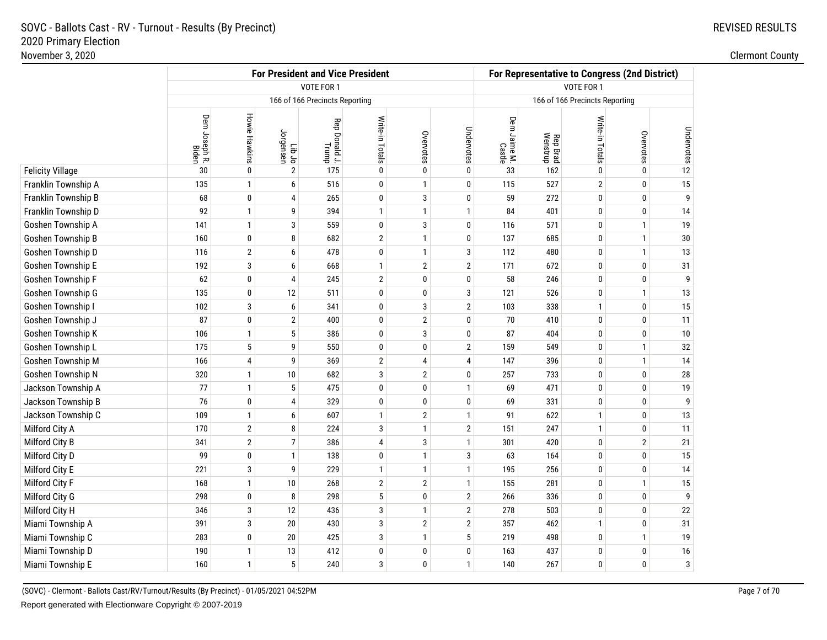|                         |                               |                      |                            | <b>For President and Vice President</b> |                   |                |                | For Representative to Congress (2nd District) |                      |                                |                |            |
|-------------------------|-------------------------------|----------------------|----------------------------|-----------------------------------------|-------------------|----------------|----------------|-----------------------------------------------|----------------------|--------------------------------|----------------|------------|
|                         |                               |                      |                            | VOTE FOR 1                              | <b>VOTE FOR 1</b> |                |                |                                               |                      |                                |                |            |
|                         |                               |                      |                            | 166 of 166 Precincts Reporting          |                   |                |                |                                               |                      | 166 of 166 Precincts Reporting |                |            |
|                         | Dem Joseph R.<br><b>Biden</b> | <b>Howie Hawkins</b> | or diJ<br>Tib Jo<br>Tensen | Rep Donald J.<br>Trump                  | Write-in Totals   | Overvotes      | Undervotes     | Dem Jaime M.<br>Castle                        | Rep Brad<br>Wenstrup | Write-in Totals                | Overvotes      | Undervotes |
| <b>Felicity Village</b> | 30                            | 0                    | $\overline{2}$             | 175                                     | 0                 | 0              | 0              | 33                                            | 162                  | $\mathbf{0}$                   | 0              | 12         |
| Franklin Township A     | 135                           | $\mathbf{1}$         | 6                          | 516                                     | 0                 | $\mathbf{1}$   | 0              | 115                                           | 527                  | $\overline{2}$                 | $\mathbf 0$    | 15         |
| Franklin Township B     | 68                            | $\mathbf 0$          | 4                          | 265                                     | 0                 | $\mathbf{3}$   | 0              | 59                                            | 272                  | 0                              | $\mathbf 0$    | 9          |
| Franklin Township D     | 92                            | $\mathbf{1}$         | 9                          | 394                                     | $\mathbf{1}$      | $\mathbf{1}$   | $\mathbf{1}$   | 84                                            | 401                  | $\bf{0}$                       | $\mathbf 0$    | 14         |
| Goshen Township A       | 141                           | $\mathbf{1}$         | 3                          | 559                                     | 0                 | 3              | 0              | 116                                           | 571                  | 0                              | $\overline{1}$ | 19         |
| Goshen Township B       | 160                           | 0                    | 8                          | 682                                     | $\overline{2}$    | $\mathbf{1}$   | 0              | 137                                           | 685                  | $\pmb{0}$                      | $\overline{1}$ | $30\,$     |
| Goshen Township D       | 116                           | $\overline{2}$       | 6                          | 478                                     | 0                 | $\mathbf{1}$   | 3              | 112                                           | 480                  | 0                              | $\overline{1}$ | 13         |
| Goshen Township E       | 192                           | 3                    | 6                          | 668                                     | $\mathbf{1}$      | $\overline{2}$ | $\overline{2}$ | 171                                           | 672                  | 0                              | $\mathbf 0$    | 31         |
| Goshen Township F       | 62                            | 0                    | $\Delta$                   | 245                                     | $\overline{2}$    | $\pmb{0}$      | 0              | 58                                            | 246                  | $\pmb{0}$                      | $\pmb{0}$      | 9          |
| Goshen Township G       | 135                           | 0                    | 12                         | 511                                     | 0                 | $\pmb{0}$      | 3              | 121                                           | 526                  | 0                              | $\overline{1}$ | 13         |
| Goshen Township I       | 102                           | 3                    | 6                          | 341                                     | 0                 | 3              | $\overline{2}$ | 103                                           | 338                  | $\mathbf{1}$                   | $\bf{0}$       | 15         |
| Goshen Township J       | 87                            | 0                    | 2                          | 400                                     | 0                 | $\overline{2}$ | 0              | 70                                            | 410                  | $\mathbf 0$                    | $\mathbf 0$    | 11         |
| Goshen Township K       | 106                           | $\mathbf{1}$         | 5                          | 386                                     | 0                 | 3              | 0              | 87                                            | 404                  | 0                              | $\mathbf 0$    | 10         |
| Goshen Township L       | 175                           | 5                    | q                          | 550                                     | 0                 | $\pmb{0}$      | $\mathbf{2}$   | 159                                           | 549                  | $\pmb{0}$                      | $\overline{1}$ | $32\,$     |
| Goshen Township M       | 166                           | 4                    | 9                          | 369                                     | $\overline{2}$    | $\overline{4}$ | 4              | 147                                           | 396                  | 0                              | $\overline{1}$ | 14         |
| Goshen Township N       | 320                           | $\mathbf{1}$         | 10                         | 682                                     | 3                 | $\overline{2}$ | 0              | 257                                           | 733                  | $\pmb{0}$                      | $\pmb{0}$      | ${\bf 28}$ |
| Jackson Township A      | 77                            | $\mathbf{1}$         | 5                          | 475                                     | 0                 | $\pmb{0}$      | $\mathbf{1}$   | 69                                            | 471                  | $\mathbf 0$                    | $\mathbf 0$    | $19$       |
| Jackson Township B      | 76                            | 0                    | 4                          | 329                                     | 0                 | $\bf{0}$       | 0              | 69                                            | 331                  | 0                              | $\mathbf 0$    | 9          |
| Jackson Township C      | 109                           | $\mathbf{1}$         | 6                          | 607                                     | $\mathbf{1}$      | $\overline{2}$ | $\mathbf{1}$   | 91                                            | 622                  | $\mathbf{1}$                   | $\pmb{0}$      | 13         |
| Milford City A          | 170                           | $\overline{2}$       | 8                          | 224                                     | 3                 | $\mathbf{1}$   | $\overline{2}$ | 151                                           | 247                  | $\mathbf{1}$                   | $\mathbf 0$    | 11         |
| Milford City B          | 341                           | $\overline{2}$       | 7                          | 386                                     | 4                 | 3              | $\mathbf{1}$   | 301                                           | 420                  | 0                              | $\overline{2}$ | 21         |
| Milford City D          | 99                            | 0                    | $\mathbf{1}$               | 138                                     | 0                 | $\mathbf{1}$   | 3              | 63                                            | 164                  | $\pmb{0}$                      | $\pmb{0}$      | 15         |
| Milford City E          | 221                           | 3                    | 9                          | 229                                     | 1                 | $\mathbf{1}$   | $\mathbf{1}$   | 195                                           | 256                  | 0                              | $\mathbf 0$    | 14         |
| Milford City F          | 168                           | $\mathbf{1}$         | 10                         | 268                                     | $\overline{2}$    | $\sqrt{2}$     | $\mathbf{1}$   | 155                                           | 281                  | $\pmb{0}$                      | $\mathbf{1}$   | 15         |
| Milford City G          | 298                           | 0                    | 8                          | 298                                     | 5                 | $\bf{0}$       | $\mathbf{2}$   | 266                                           | 336                  | 0                              | $\mathbf 0$    | 9          |
| Milford City H          | 346                           | 3                    | 12                         | 436                                     | 3                 | $\mathbf{1}$   | $\mathbf{2}$   | 278                                           | 503                  | 0                              | $\mathbf 0$    | $22\,$     |
| Miami Township A        | 391                           | 3                    | 20                         | 430                                     | 3                 | $\sqrt{2}$     | $\overline{2}$ | 357                                           | 462                  | $\mathbf{1}$                   | $\pmb{0}$      | 31         |
| Miami Township C        | 283                           | 0                    | 20                         | 425                                     | 3                 | $\mathbf{1}$   | 5              | 219                                           | 498                  | 0                              | $\overline{1}$ | 19         |
| Miami Township D        | 190                           | $\mathbf{1}$         | 13                         | 412                                     | $\pmb{0}$         | 0              | 0              | 163                                           | 437                  | 0                              | 0              | $16\,$     |
| Miami Township E        | 160                           | $\mathbf{1}$         | 5                          | 240                                     | 3                 | $\bf{0}$       | $\mathbf{1}$   | 140                                           | 267                  | $\mathbf{0}$                   | $\mathbf{0}$   | $\sqrt{3}$ |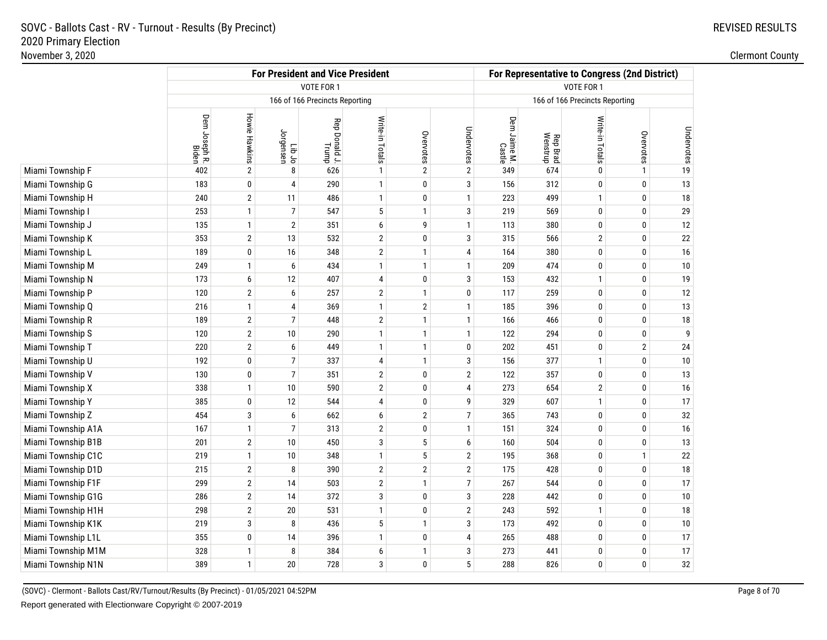|                    | <b>For President and Vice President</b> |                      |                     |                                |                   |                |                |                                | For Representative to Congress (2nd District) |                 |                |            |  |  |
|--------------------|-----------------------------------------|----------------------|---------------------|--------------------------------|-------------------|----------------|----------------|--------------------------------|-----------------------------------------------|-----------------|----------------|------------|--|--|
|                    |                                         |                      |                     | VOTE FOR 1                     | <b>VOTE FOR 1</b> |                |                |                                |                                               |                 |                |            |  |  |
|                    |                                         |                      |                     | 166 of 166 Precincts Reporting |                   |                |                | 166 of 166 Precincts Reporting |                                               |                 |                |            |  |  |
|                    | Dem Joseph R.<br>Biden                  | <b>Howie Hawkins</b> | Jorgensen<br>Lib Jo | Rep Donald J.<br>Trump         | Write-in Totals   | Overvotes      | Undervotes     | Dem Jaime M.<br>Castle         | Rep Brad<br>Wenstrup                          | Write-in Totals | Overvotes      | Undervotes |  |  |
| Miami Township F   | 402                                     | $\sqrt{2}$           | 8                   | 626                            | $\mathbf{1}$      | $\overline{2}$ | $\mathbf 2$    | 349                            | 674                                           | $\mathbf{0}$    | $\mathbf{1}$   | $19$       |  |  |
| Miami Township G   | 183                                     | $\mathbf 0$          | 4                   | 290                            | $\mathbf{1}$      | 0              | 3              | 156                            | 312                                           | 0               | $\mathbf 0$    | 13         |  |  |
| Miami Township H   | 240                                     | $\overline{2}$       | 11                  | 486                            | $\mathbf{1}$      | $\pmb{0}$      | $\mathbf{1}$   | 223                            | 499                                           | $\mathbf{1}$    | $\mathbf 0$    | $18\,$     |  |  |
| Miami Township I   | 253                                     | $\mathbf{1}$         | $\overline{7}$      | 547                            | 5                 | $\mathbf{1}$   | 3              | 219                            | 569                                           | 0               | $\mathbf 0$    | 29         |  |  |
| Miami Township J   | 135                                     | $\mathbf{1}$         | $\overline{2}$      | 351                            | 6                 | 9              | $\mathbf{1}$   | 113                            | 380                                           | $\bf{0}$        | $\mathbf 0$    | 12         |  |  |
| Miami Township K   | 353                                     | $\overline{2}$       | 13                  | 532                            | $\sqrt{2}$        | 0              | 3              | 315                            | 566                                           | $\overline{2}$  | $\mathbf 0$    | $22\,$     |  |  |
| Miami Township L   | 189                                     | $\mathbf 0$          | 16                  | 348                            | $\sqrt{2}$        | $\mathbf{1}$   | 4              | 164                            | 380                                           | 0               | $\mathbf 0$    | $16\,$     |  |  |
| Miami Township M   | 249                                     | $\mathbf{1}$         | 6                   | 434                            | $\mathbf{1}$      | $\mathbf{1}$   | $\mathbf{1}$   | 209                            | 474                                           | 0               | $\mathbf 0$    | $10\,$     |  |  |
| Miami Township N   | 173                                     | 6                    | 12                  | 407                            | $\overline{4}$    | 0              | 3              | 153                            | 432                                           | $\mathbf{1}$    | $\mathbf{0}$   | 19         |  |  |
| Miami Township P   | 120                                     | $\overline{2}$       | 6                   | 257                            | $\mathbf{2}$      | $\mathbf{1}$   | 0              | 117                            | 259                                           | 0               | $\mathbf 0$    | 12         |  |  |
| Miami Township Q   | 216                                     | $\mathbf{1}$         | 4                   | 369                            | $\mathbf{1}$      | $\overline{2}$ | $\mathbf{1}$   | 185                            | 396                                           | 0               | $\mathbf 0$    | 13         |  |  |
| Miami Township R   | 189                                     | $\overline{2}$       | $\overline{7}$      | 448                            | $\mathbf{2}$      | $\mathbf{1}$   | $\mathbf{1}$   | 166                            | 466                                           | 0               | $\mathbf 0$    | 18         |  |  |
| Miami Township S   | 120                                     | $\overline{2}$       | 10                  | 290                            | $\mathbf{1}$      | $\mathbf{1}$   | $\mathbf{1}$   | 122                            | 294                                           | 0               | $\mathbf 0$    | 9          |  |  |
| Miami Township T   | 220                                     | $\overline{2}$       | 6                   | 449                            | $\mathbf{1}$      | $\mathbf{1}$   | 0              | 202                            | 451                                           | 0               | $\overline{2}$ | 24         |  |  |
| Miami Township U   | 192                                     | $\mathbf 0$          | $\overline{7}$      | 337                            | 4                 | $\mathbf{1}$   | 3              | 156                            | 377                                           | $\mathbf{1}$    | $\mathbf 0$    | 10         |  |  |
| Miami Township V   | 130                                     | $\pmb{0}$            | $\overline{7}$      | 351                            | $\sqrt{2}$        | 0              | $\overline{2}$ | 122                            | 357                                           | 0               | $\mathbf 0$    | 13         |  |  |
| Miami Township X   | 338                                     | $\mathbf{1}$         | 10                  | 590                            | $\sqrt{2}$        | 0              | 4              | 273                            | 654                                           | $\overline{2}$  | $\mathbf 0$    | 16         |  |  |
| Miami Township Y   | 385                                     | $\mathbf 0$          | 12                  | 544                            | 4                 | 0              | 9              | 329                            | 607                                           | $\mathbf{1}$    | $\mathbf 0$    | 17         |  |  |
| Miami Township Z   | 454                                     | $\mathbf{3}$         | 6                   | 662                            | 6                 | $\sqrt{2}$     | $\overline{7}$ | 365                            | 743                                           | 0               | $\mathbf 0$    | $32\,$     |  |  |
| Miami Township A1A | 167                                     | $\mathbf{1}$         | $\overline{7}$      | 313                            | $\overline{2}$    | 0              | $\mathbf{1}$   | 151                            | 324                                           | 0               | $\mathbf 0$    | 16         |  |  |
| Miami Township B1B | 201                                     | $\overline{2}$       | 10                  | 450                            | 3                 | $\sqrt{5}$     | 6              | 160                            | 504                                           | 0               | $\mathbf 0$    | 13         |  |  |
| Miami Township C1C | 219                                     | $\mathbf{1}$         | 10                  | 348                            | $\mathbf{1}$      | 5              | $\overline{2}$ | 195                            | 368                                           | $\mathbf{0}$    | $\overline{1}$ | $22\,$     |  |  |
| Miami Township D1D | 215                                     | $\overline{2}$       | 8                   | 390                            | $\boldsymbol{2}$  | $\overline{2}$ | $\overline{2}$ | 175                            | 428                                           | 0               | $\mathbf 0$    | 18         |  |  |
| Miami Township F1F | 299                                     | $\overline{2}$       | 14                  | 503                            | $\sqrt{2}$        | $\mathbf{1}$   | $\overline{7}$ | 267                            | 544                                           | 0               | $\mathbf 0$    | 17         |  |  |
| Miami Township G1G | 286                                     | $\overline{2}$       | 14                  | 372                            | 3                 | 0              | 3              | 228                            | 442                                           | 0               | $\mathbf 0$    | 10         |  |  |
| Miami Township H1H | 298                                     | $\overline{2}$       | 20                  | 531                            | $\mathbf{1}$      | 0              | $\overline{2}$ | 243                            | 592                                           | $\mathbf{1}$    | $\mathbf 0$    | 18         |  |  |
| Miami Township K1K | 219                                     | 3                    | 8                   | 436                            | $\sqrt{5}$        | $\mathbf{1}$   | 3              | 173                            | 492                                           | 0               | $\pmb{0}$      | $10\,$     |  |  |
| Miami Township L1L | 355                                     | $\mathbf 0$          | 14                  | 396                            | $\mathbf{1}$      | 0              | 4              | 265                            | 488                                           | 0               | $\mathbf 0$    | 17         |  |  |
| Miami Township M1M | 328                                     | $\mathbf{1}$         | 8                   | 384                            | 6                 | $\mathbf{1}$   | 3              | 273                            | 441                                           | 0               | $\mathbf 0$    | 17         |  |  |
| Miami Township N1N | 389                                     | $\mathbf{1}$         | 20                  | 728                            | 3                 | 0              | 5              | 288                            | 826                                           | $\mathbf{0}$    | $\mathbf{0}$   | 32         |  |  |

(SOVC) - Clermont - Ballots Cast/RV/Turnout/Results (By Precinct) - 01/05/2021 04:52PMReport generated with Electionware Copyright © 2007-2019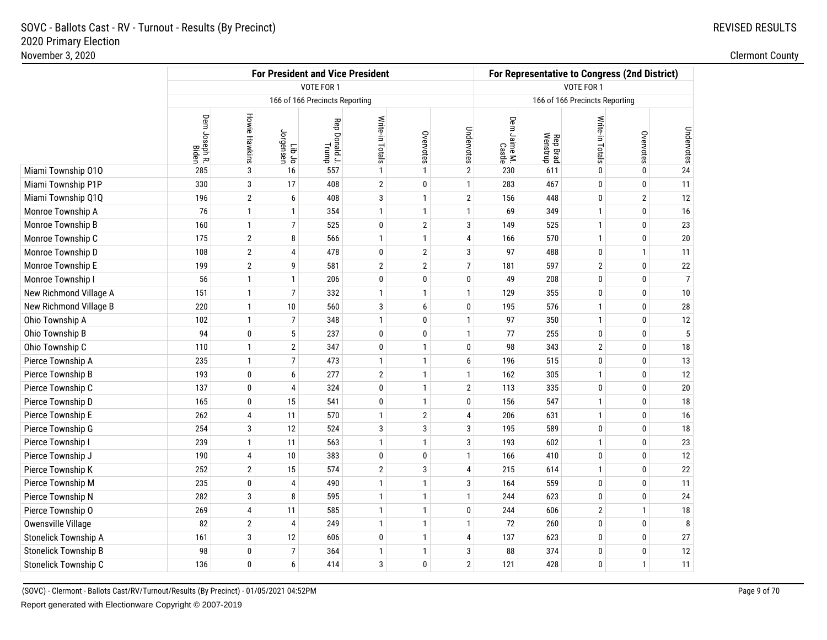|                             |                        |                      |                     | <b>For President and Vice President</b> |                 |                |                | For Representative to Congress (2nd District) |                      |                                |                |                |
|-----------------------------|------------------------|----------------------|---------------------|-----------------------------------------|-----------------|----------------|----------------|-----------------------------------------------|----------------------|--------------------------------|----------------|----------------|
|                             |                        |                      |                     | VOTE FOR 1                              | VOTE FOR 1      |                |                |                                               |                      |                                |                |                |
|                             |                        |                      |                     | 166 of 166 Precincts Reporting          |                 |                |                |                                               |                      | 166 of 166 Precincts Reporting |                |                |
|                             | Dem Joseph R.<br>Biden | <b>Howie Hawkins</b> | Lib Jo<br>Jorgensen | Rep Donald J.<br>Trump                  | Write-in Totals | Overvotes      | Undervotes     | Dem Jaime M.<br>Castle                        | Rep Brad<br>Wenstrup | Write-in Totals                | Overvotes      | Undervotes     |
| Miami Township 010          | 285                    | 3                    | 16                  | 557                                     | 1               | $\mathbf{1}$   | 2              | 230                                           | 611                  | $\mathbf{0}$                   | $\bf{0}$       | 24             |
| Miami Township P1P          | 330                    | 3                    | 17                  | 408                                     | $\overline{2}$  | $\pmb{0}$      | $\mathbf{1}$   | 283                                           | 467                  | $\mathbf 0$                    | $\mathbf 0$    | 11             |
| Miami Township Q1Q          | 196                    | $\overline{2}$       | 6                   | 408                                     | 3               | $\mathbf{1}$   | $\overline{2}$ | 156                                           | 448                  | 0                              | $\overline{2}$ | 12             |
| Monroe Township A           | 76                     | $\mathbf{1}$         | 1                   | 354                                     | $\mathbf{1}$    | $\mathbf{1}$   | $\mathbf{1}$   | 69                                            | 349                  | $\mathbf{1}$                   | $\mathbf 0$    | $16\,$         |
| Monroe Township B           | 160                    | $\mathbf{1}$         | $\overline{7}$      | 525                                     | 0               | $\overline{2}$ | 3              | 149                                           | 525                  | $\mathbf{1}$                   | $\mathbf 0$    | 23             |
| Monroe Township C           | 175                    | $\overline{2}$       | 8                   | 566                                     | $\mathbf{1}$    | $\mathbf{1}$   | 4              | 166                                           | 570                  | $\mathbf{1}$                   | $\mathbf 0$    | $20\,$         |
| Monroe Township D           | 108                    | $\overline{2}$       | 4                   | 478                                     | 0               | $\overline{2}$ | 3              | 97                                            | 488                  | $\mathbf 0$                    | $\overline{1}$ | 11             |
| Monroe Township E           | 199                    | $\overline{2}$       | g                   | 581                                     | $\overline{2}$  | $\overline{2}$ | $\overline{7}$ | 181                                           | 597                  | $\overline{2}$                 | $\mathbf 0$    | $22\,$         |
| Monroe Township I           | 56                     | $\mathbf{1}$         | 1                   | 206                                     | 0               | 0              | 0              | 49                                            | 208                  | $\mathbf 0$                    | $\mathbf 0$    | $\overline{7}$ |
| New Richmond Village A      | 151                    | $\mathbf{1}$         | $\overline{7}$      | 332                                     | $\mathbf{1}$    | $\mathbf{1}$   | $\mathbf{1}$   | 129                                           | 355                  | 0                              | $\mathbf 0$    | $10\,$         |
| New Richmond Village B      | 220                    | $\mathbf{1}$         | 10                  | 560                                     | 3               | 6              | 0              | 195                                           | 576                  | $\mathbf{1}$                   | $\bf{0}$       | $28\,$         |
| Ohio Township A             | 102                    | $\mathbf{1}$         | $\overline{7}$      | 348                                     | $\mathbf{1}$    | 0              | $\mathbf{1}$   | 97                                            | 350                  | $\mathbf{1}$                   | $\mathbf 0$    | 12             |
| Ohio Township B             | 94                     | 0                    | 5                   | 237                                     | $\bf{0}$        | $\bf{0}$       | $\mathbf{1}$   | 77                                            | 255                  | $\bf{0}$                       | $\mathbf 0$    | $5\,$          |
| Ohio Township C             | 110                    | $\mathbf{1}$         | $\overline{2}$      | 347                                     | 0               | $\mathbf{1}$   | 0              | 98                                            | 343                  | $\overline{2}$                 | $\mathbf 0$    | $18\,$         |
| Pierce Township A           | 235                    | $\mathbf{1}$         | $\overline{7}$      | 473                                     | $\mathbf{1}$    | $\mathbf{1}$   | 6              | 196                                           | 515                  | 0                              | $\bf{0}$       | 13             |
| Pierce Township B           | 193                    | 0                    | 6                   | 277                                     | $\overline{2}$  | $\mathbf{1}$   | $\mathbf{1}$   | 162                                           | 305                  | $\mathbf{1}$                   | $\mathbf 0$    | 12             |
| Pierce Township C           | 137                    | 0                    | $\overline{4}$      | 324                                     | 0               | $\mathbf{1}$   | $\overline{2}$ | 113                                           | 335                  | 0                              | $\mathbf 0$    | $20\,$         |
| Pierce Township D           | 165                    | 0                    | 15                  | 541                                     | $\bf{0}$        | $\mathbf{1}$   | 0              | 156                                           | 547                  | $\mathbf{1}$                   | $\mathbf 0$    | 18             |
| Pierce Township E           | 262                    | 4                    | 11                  | 570                                     | $\mathbf{1}$    | $\overline{2}$ | 4              | 206                                           | 631                  | $\mathbf{1}$                   | $\mathbf 0$    | 16             |
| Pierce Township G           | 254                    | 3                    | 12                  | 524                                     | 3               | 3              | 3              | 195                                           | 589                  | 0                              | $\bf{0}$       | $18\,$         |
| Pierce Township I           | 239                    | $\mathbf{1}$         | 11                  | 563                                     | $\mathbf{1}$    | $\mathbf{1}$   | 3              | 193                                           | 602                  | $\mathbf{1}$                   | $\mathbf 0$    | 23             |
| Pierce Township J           | 190                    | 4                    | 10                  | 383                                     | $\pmb{0}$       | $\bf{0}$       | $\mathbf{1}$   | 166                                           | 410                  | 0                              | $\bf{0}$       | 12             |
| Pierce Township K           | 252                    | $\overline{2}$       | 15                  | 574                                     | $\mathbf{2}$    | 3              | 4              | 215                                           | 614                  | $\mathbf{1}$                   | $\mathbf 0$    | $22\,$         |
| Pierce Township M           | 235                    | 0                    | 4                   | 490                                     | $\mathbf{1}$    | $\mathbf{1}$   | 3              | 164                                           | 559                  | $\bf{0}$                       | 0              | 11             |
| Pierce Township N           | 282                    | 3                    | 8                   | 595                                     | $\mathbf{1}$    | $\mathbf{1}$   | $\mathbf{1}$   | 244                                           | 623                  | 0                              | $\bf{0}$       | 24             |
| Pierce Township O           | 269                    | 4                    | 11                  | 585                                     | $\mathbf{1}$    | $\mathbf{1}$   | 0              | 244                                           | 606                  | $\overline{2}$                 | $\mathbf{1}$   | $18\,$         |
| Owensville Village          | 82                     | $\overline{2}$       | 4                   | 249                                     | $\mathbf{1}$    | $\mathbf{1}$   | $\mathbf{1}$   | 72                                            | 260                  | 0                              | $\bf{0}$       | 8              |
| Stonelick Township A        | 161                    | 3                    | 12                  | 606                                     | $\pmb{0}$       | $\mathbf{1}$   | 4              | 137                                           | 623                  | 0                              | $\mathbf 0$    | $27\,$         |
| <b>Stonelick Township B</b> | 98                     | 0                    | $\overline{7}$      | 364                                     | $\mathbf{1}$    | $\mathbf{1}$   | 3              | 88                                            | 374                  | 0                              | $\bf{0}$       | 12             |
| Stonelick Township C        | 136                    | 0                    | 6                   | 414                                     | 3               | $\pmb{0}$      | $\overline{2}$ | 121                                           | 428                  | $\mathbf{0}$                   | $\mathbf{1}$   | 11             |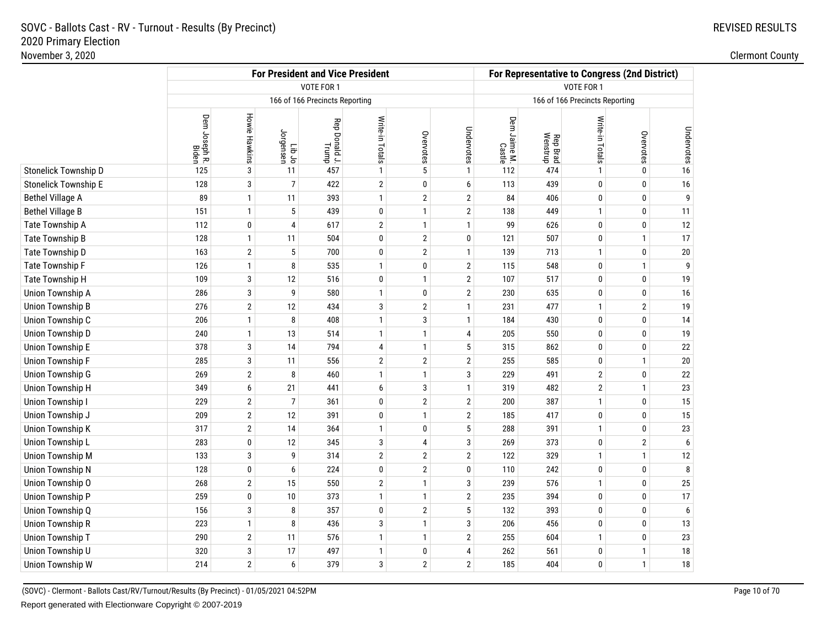|                         |                        |                      |                     | <b>For President and Vice President</b> |                         |                |                         | For Representative to Congress (2nd District) |                      |                                |                |            |  |
|-------------------------|------------------------|----------------------|---------------------|-----------------------------------------|-------------------------|----------------|-------------------------|-----------------------------------------------|----------------------|--------------------------------|----------------|------------|--|
|                         |                        |                      |                     | <b>VOTE FOR 1</b>                       | VOTE FOR 1              |                |                         |                                               |                      |                                |                |            |  |
|                         |                        |                      |                     | 166 of 166 Precincts Reporting          |                         |                |                         |                                               |                      | 166 of 166 Precincts Reporting |                |            |  |
|                         | Dem Joseph R.<br>Biden | <b>Howie Hawkins</b> | ot dil<br>Iordensen | Rep Donald J.<br>Trump                  | Write-in Totals         | Overvotes      | Undervotes              | Dem Jaime M.<br>Castle                        | Rep Brad<br>Wenstrup | Write-in Totals                | Overvotes      | Undervotes |  |
| Stonelick Township D    | 125                    | 3                    | 11                  | 457                                     | $\mathbf{1}$            | 5              | $\mathbf{1}$            | 112                                           | 474                  | $\mathbf{1}$                   | 0              | $16$       |  |
| Stonelick Township E    | 128                    | 3                    | $\overline{7}$      | 422                                     | $\overline{\mathbf{c}}$ | 0              | 6                       | 113                                           | 439                  | 0                              | 0              | $16$       |  |
| Bethel Village A        | 89                     | $\mathbf{1}$         | 11                  | 393                                     | $\mathbf{1}$            | $\overline{2}$ | $\overline{2}$          | 84                                            | 406                  | 0                              | 0              | 9          |  |
| <b>Bethel Village B</b> | 151                    | $\mathbf{1}$         | 5                   | 439                                     | 0                       | $\mathbf{1}$   | $\overline{2}$          | 138                                           | 449                  | $\mathbf{1}$                   | 0              | 11         |  |
| Tate Township A         | 112                    | 0                    | $\overline{4}$      | 617                                     | 2                       | $\mathbf{1}$   | $\mathbf{1}$            | 99                                            | 626                  | 0                              | 0              | 12         |  |
| Tate Township B         | 128                    | $\mathbf{1}$         | 11                  | 504                                     | 0                       | $\overline{2}$ | 0                       | 121                                           | 507                  | 0                              | $\mathbf{1}$   | 17         |  |
| Tate Township D         | 163                    | $\overline{2}$       | 5                   | 700                                     | 0                       | $\overline{2}$ | $\mathbf{1}$            | 139                                           | 713                  | 1                              | 0              | $20\,$     |  |
| Tate Township F         | 126                    | $\mathbf{1}$         | 8                   | 535                                     | $\mathbf{1}$            | 0              | $\overline{2}$          | 115                                           | 548                  | 0                              | $\mathbf{1}$   | 9          |  |
| Tate Township H         | 109                    | 3                    | 12                  | 516                                     | 0                       | $\mathbf{1}$   | $\overline{2}$          | 107                                           | 517                  | $\mathbf{0}$                   | 0              | $19$       |  |
| Union Township A        | 286                    | 3                    | 9                   | 580                                     | $\mathbf{1}$            | 0              | $\overline{2}$          | 230                                           | 635                  | $\mathbf{0}$                   | 0              | 16         |  |
| Union Township B        | 276                    | $\overline{2}$       | 12                  | 434                                     | 3                       | $\overline{2}$ | $\mathbf{1}$            | 231                                           | 477                  | $\mathbf{1}$                   | $\overline{2}$ | 19         |  |
| Union Township C        | 206                    | $\mathbf{1}$         | 8                   | 408                                     | $\mathbf{1}$            | 3              | $\mathbf{1}$            | 184                                           | 430                  | 0                              | 0              | 14         |  |
| Union Township D        | 240                    | $\mathbf{1}$         | 13                  | 514                                     | $\mathbf{1}$            | $\mathbf{1}$   | 4                       | 205                                           | 550                  | 0                              | 0              | $19$       |  |
| Union Township E        | 378                    | 3                    | 14                  | 794                                     | 4                       | $\mathbf{1}$   | 5                       | 315                                           | 862                  | $\mathbf{0}$                   | 0              | $22\,$     |  |
| Union Township F        | 285                    | 3                    | 11                  | 556                                     | 2                       | $\overline{2}$ | $\overline{2}$          | 255                                           | 585                  | 0                              | $\mathbf{1}$   | $20\,$     |  |
| Union Township G        | 269                    | $\overline{2}$       | 8                   | 460                                     | $\mathbf{1}$            | $\mathbf{1}$   | 3                       | 229                                           | 491                  | $\overline{2}$                 | 0              | $22\,$     |  |
| Union Township H        | 349                    | 6                    | 21                  | 441                                     | 6                       | 3              | $\mathbf{1}$            | 319                                           | 482                  | $\overline{2}$                 | $\mathbf{1}$   | $23\,$     |  |
| Union Township I        | 229                    | $\overline{2}$       | $\overline{7}$      | 361                                     | 0                       | $\overline{2}$ | $\overline{2}$          | 200                                           | 387                  | $\mathbf{1}$                   | 0              | $15\,$     |  |
| Union Township J        | 209                    | $\overline{2}$       | 12                  | 391                                     | 0                       | $\mathbf{1}$   | $\overline{2}$          | 185                                           | 417                  | $\mathbf{0}$                   | 0              | 15         |  |
| Union Township K        | 317                    | $\overline{2}$       | 14                  | 364                                     | $\mathbf{1}$            | 0              | 5                       | 288                                           | 391                  | $\mathbf{1}$                   | 0              | 23         |  |
| Union Township L        | 283                    | 0                    | 12                  | 345                                     | 3                       | 4              | 3                       | 269                                           | 373                  | 0                              | $\overline{2}$ | 6          |  |
| Union Township M        | 133                    | 3                    | 9                   | 314                                     | $\overline{\mathbf{c}}$ | $\overline{2}$ | $\overline{2}$          | 122                                           | 329                  | $\mathbf{1}$                   | $\mathbf{1}$   | 12         |  |
| Union Township N        | 128                    | 0                    | 6                   | 224                                     | 0                       | $\overline{2}$ | 0                       | 110                                           | 242                  | $\mathbf{0}$                   | 0              | 8          |  |
| Union Township O        | 268                    | $\overline{2}$       | 15                  | 550                                     | $\overline{2}$          | $\mathbf{1}$   | 3                       | 239                                           | 576                  | $\mathbf{1}$                   | 0              | 25         |  |
| Union Township P        | 259                    | $\mathbf 0$          | 10                  | 373                                     | $\mathbf{1}$            | $\mathbf{1}$   | $\overline{2}$          | 235                                           | 394                  | $\mathbf{0}$                   | 0              | 17         |  |
| Union Township Q        | 156                    | 3                    | 8                   | 357                                     | 0                       | $\overline{2}$ | 5                       | 132                                           | 393                  | $\mathbf{0}$                   | 0              | 6          |  |
| Union Township R        | 223                    | $\mathbf{1}$         | 8                   | 436                                     | 3                       | $\mathbf{1}$   | 3                       | 206                                           | 456                  | 0                              | 0              | $13$       |  |
| Union Township T        | 290                    | $\overline{2}$       | 11                  | 576                                     | $\mathbf{1}$            | $\mathbf{1}$   | $\overline{\mathbf{c}}$ | 255                                           | 604                  | $\mathbf{1}$                   | 0              | $23\,$     |  |
| Union Township U        | 320                    | 3                    | 17                  | 497                                     | $\mathbf{1}$            | 0              | 4                       | 262                                           | 561                  | $\mathbf{0}$                   | $\mathbf{1}$   | 18         |  |
| Union Township W        | 214                    | $\overline{2}$       | 6                   | 379                                     | 3                       | $\overline{2}$ | $\overline{2}$          | 185                                           | 404                  | 0                              | $\mathbf{1}$   | $18\,$     |  |
|                         |                        |                      |                     |                                         |                         |                |                         |                                               |                      |                                |                |            |  |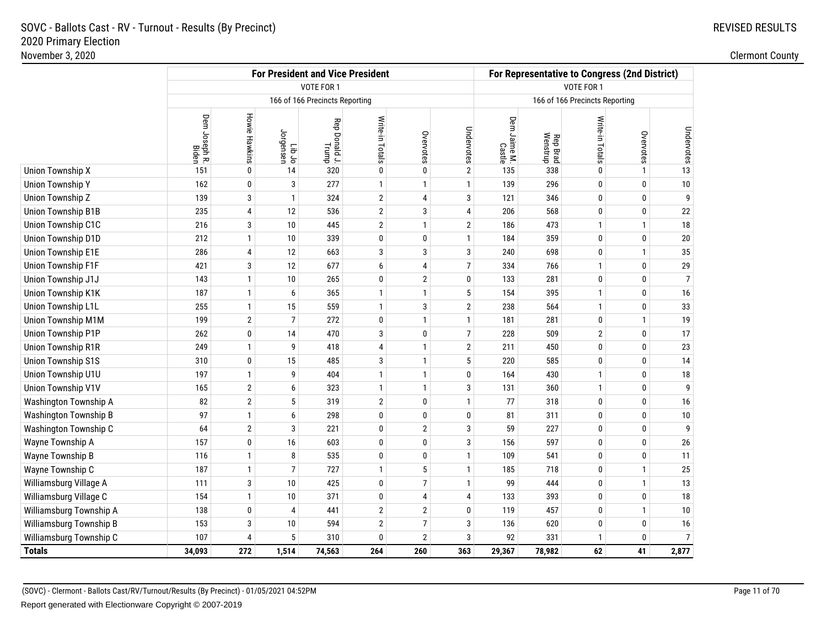|                           |                               |                      |                 | <b>For President and Vice President</b> |                         |                 |                | For Representative to Congress (2nd District) |                      |                                |              |                |  |
|---------------------------|-------------------------------|----------------------|-----------------|-----------------------------------------|-------------------------|-----------------|----------------|-----------------------------------------------|----------------------|--------------------------------|--------------|----------------|--|
|                           |                               |                      |                 | VOTE FOR 1                              |                         |                 |                | VOTE FOR 1                                    |                      |                                |              |                |  |
|                           |                               |                      |                 | 166 of 166 Precincts Reporting          |                         |                 |                |                                               |                      | 166 of 166 Precincts Reporting |              |                |  |
|                           | Dem Joseph R.<br><b>Biden</b> | <b>Howie Hawkins</b> | ot dil<br>In Jo | Rep Donald J.<br>Trump                  | Write-in Totals         | Overvotes       | Undervotes     | Dem Jaime M.<br>Castle                        | Rep Brad<br>Wenstrup | Write-in Totals                | Overvotes    | Undervotes     |  |
| Union Township X          | 151                           | 0                    | 14              | 320                                     | 0                       | $\pmb{0}$       | $\overline{2}$ | 135                                           | 338                  | $\pmb{0}$                      | $\mathbf{1}$ | 13             |  |
| <b>Union Township Y</b>   | 162                           | 0                    | 3               | 277                                     | $\mathbf{1}$            | $\mathbf{1}$    | $\mathbf{1}$   | 139                                           | 296                  | $\mathbf 0$                    | 0            | 10             |  |
| Union Township Z          | 139                           | 3                    | $\mathbf{1}$    | 324                                     | $\boldsymbol{2}$        | $\sqrt{4}$      | 3              | 121                                           | 346                  | $\mathbf 0$                    | 0            | 9              |  |
| <b>Union Township B1B</b> | 235                           | 4                    | 12              | 536                                     | $\sqrt{2}$              | 3               | 4              | 206                                           | 568                  | 0                              | 0            | 22             |  |
| Union Township C1C        | 216                           | $\sqrt{3}$           | 10              | 445                                     | $\overline{2}$          | $\mathbf{1}$    | $\overline{2}$ | 186                                           | 473                  | $\mathbf{1}$                   | $\mathbf{1}$ | $18\,$         |  |
| Union Township D1D        | 212                           | $\mathbf{1}$         | 10              | 339                                     | 0                       | $\pmb{0}$       | $\mathbf{1}$   | 184                                           | 359                  | $\mathbf 0$                    | 0            | $20\,$         |  |
| Union Township E1E        | 286                           | 4                    | 12              | 663                                     | 3                       | 3               | 3              | 240                                           | 698                  | $\bf{0}$                       | 1            | 35             |  |
| Union Township F1F        | 421                           | 3                    | 12              | 677                                     | 6                       | $\overline{4}$  | $\overline{7}$ | 334                                           | 766                  | $\mathbf{1}$                   | 0            | 29             |  |
| Union Township J1J        | 143                           | $\mathbf{1}$         | 10              | 265                                     | 0                       | $\mathbf{2}$    | 0              | 133                                           | 281                  | $\mathbf 0$                    | 0            | $\overline{7}$ |  |
| Union Township K1K        | 187                           | $\mathbf{1}$         | 6               | 365                                     | 1                       | $\mathbf{1}$    | 5              | 154                                           | 395                  | $\mathbf{1}$                   | 0            | 16             |  |
| Union Township L1L        | 255                           | $\mathbf{1}$         | 15              | 559                                     | $\mathbf{1}$            | 3               | $\overline{2}$ | 238                                           | 564                  | $\mathbf{1}$                   | 0            | 33             |  |
| Union Township M1M        | 199                           | $\overline{2}$       | $\overline{7}$  | 272                                     | 0                       | $\mathbf{1}$    | $\mathbf{1}$   | 181                                           | 281                  | $\pmb{0}$                      | $\mathbf{1}$ | 19             |  |
| Union Township P1P        | 262                           | $\bf{0}$             | 14              | 470                                     | 3                       | $\pmb{0}$       | $\overline{7}$ | 228                                           | 509                  | $\overline{2}$                 | 0            | 17             |  |
| <b>Union Township R1R</b> | 249                           | $\mathbf{1}$         | 9               | 418                                     | 4                       | $\mathbf{1}$    | $\overline{2}$ | 211                                           | 450                  | $\mathbf 0$                    | 0            | 23             |  |
| <b>Union Township S1S</b> | 310                           | 0                    | 15              | 485                                     | 3                       | $\mathbf{1}$    | 5              | 220                                           | 585                  | $\mathbf 0$                    | 0            | 14             |  |
| Union Township U1U        | 197                           | $\mathbf{1}$         | 9               | 404                                     | $\mathbf{1}$            | $\mathbf{1}$    | 0              | 164                                           | 430                  | $\mathbf{1}$                   | 0            | 18             |  |
| Union Township V1V        | 165                           | $\mathbf{2}$         | 6               | 323                                     | $\mathbf{1}$            | $\mathbf{1}$    | 3              | 131                                           | 360                  | $\mathbf{1}$                   | 0            | 9              |  |
| Washington Township A     | 82                            | $\overline{2}$       | 5               | 319                                     | $\overline{2}$          | 0               | $\mathbf{1}$   | 77                                            | 318                  | 0                              | 0            | 16             |  |
| Washington Township B     | 97                            | $\mathbf{1}$         | 6               | 298                                     | 0                       | $\mathbf 0$     | 0              | 81                                            | 311                  | $\mathbf 0$                    | $\mathbf{0}$ | 10             |  |
| Washington Township C     | 64                            | $\sqrt{2}$           | 3               | 221                                     | 0                       | $\mathbf{2}$    | 3              | 59                                            | 227                  | $\mathbf 0$                    | 0            | 9              |  |
| Wayne Township A          | 157                           | 0                    | 16              | 603                                     | 0                       | $\pmb{0}$       | 3              | 156                                           | 597                  | $\pmb{0}$                      | 0            | $26\,$         |  |
| Wayne Township B          | 116                           | $\mathbf{1}$         | 8               | 535                                     | 0                       | $\mathbf 0$     | $\mathbf{1}$   | 109                                           | 541                  | $\bf{0}$                       | $\mathbf{0}$ | 11             |  |
| Wayne Township C          | 187                           | $\mathbf{1}$         | 7               | 727                                     | $\mathbf{1}$            | $5\phantom{.0}$ | $\mathbf{1}$   | 185                                           | 718                  | $\mathbf{0}$                   | $\mathbf{1}$ | 25             |  |
| Williamsburg Village A    | 111                           | 3                    | 10              | 425                                     | 0                       | $\overline{7}$  | $\mathbf{1}$   | 99                                            | 444                  | $\mathbf 0$                    | $\mathbf{1}$ | 13             |  |
| Williamsburg Village C    | 154                           | $\mathbf{1}$         | 10              | 371                                     | 0                       | 4               | 4              | 133                                           | 393                  | $\mathbf 0$                    | 0            | $18\,$         |  |
| Williamsburg Township A   | 138                           | 0                    | 4               | 441                                     | $\overline{2}$          | $\overline{2}$  | 0              | 119                                           | 457                  | $\mathbf 0$                    | $\mathbf{1}$ | 10             |  |
| Williamsburg Township B   | 153                           | 3                    | 10              | 594                                     | $\overline{\mathbf{c}}$ | $\overline{7}$  | 3              | 136                                           | 620                  | 0                              | 0            | 16             |  |
| Williamsburg Township C   | 107                           | $\overline{4}$       | 5               | 310                                     | $\bf{0}$                | $\overline{2}$  | 3              | 92                                            | 331                  | $\mathbf{1}$                   | 0            | $\overline{7}$ |  |
| <b>Totals</b>             | 34,093                        | 272                  | 1,514           | 74,563                                  | 264                     | 260             | 363            | 29,367                                        | 78,982               | 62                             | 41           | 2,877          |  |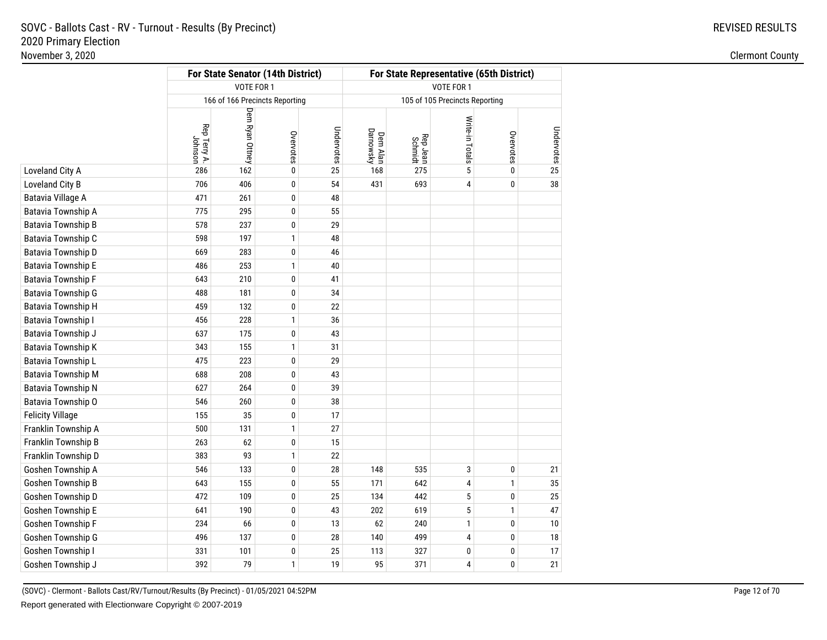REVISED RESULTS

|                         |                         |                                | For State Senator (14th District) |            | For State Representative (65th District) |                     |                                |           |            |  |  |  |
|-------------------------|-------------------------|--------------------------------|-----------------------------------|------------|------------------------------------------|---------------------|--------------------------------|-----------|------------|--|--|--|
|                         |                         | VOTE FOR 1                     |                                   |            | VOTE FOR 1                               |                     |                                |           |            |  |  |  |
|                         |                         | 166 of 166 Precincts Reporting |                                   |            |                                          |                     | 105 of 105 Precincts Reporting |           |            |  |  |  |
|                         | Rep Terry A.<br>Johnson | Dem Ryan Ottney                | Overvotes                         | Undervotes | Dem Alan<br>Darnowsky                    | Rep Jean<br>Schmidt | Write-in Totals                | Overvotes | Undervotes |  |  |  |
| Loveland City A         | 286                     | 162                            | $\mathbf 0$                       | 25         | 168                                      | 275                 | 5                              | 0         | 25         |  |  |  |
| Loveland City B         | 706                     | 406                            | 0                                 | 54         | 431                                      | 693                 | 4                              | 0         | 38         |  |  |  |
| Batavia Village A       | 471                     | 261                            | $\pmb{0}$                         | 48         |                                          |                     |                                |           |            |  |  |  |
| Batavia Township A      | 775                     | 295                            | 0                                 | 55         |                                          |                     |                                |           |            |  |  |  |
| Batavia Township B      | 578                     | 237                            | $\pmb{0}$                         | 29         |                                          |                     |                                |           |            |  |  |  |
| Batavia Township C      | 598                     | 197                            | $\mathbf{1}$                      | 48         |                                          |                     |                                |           |            |  |  |  |
| Batavia Township D      | 669                     | 283                            | 0                                 | 46         |                                          |                     |                                |           |            |  |  |  |
| Batavia Township E      | 486                     | 253                            | $\mathbf{1}$                      | 40         |                                          |                     |                                |           |            |  |  |  |
| Batavia Township F      | 643                     | 210                            | $\pmb{0}$                         | 41         |                                          |                     |                                |           |            |  |  |  |
| Batavia Township G      | 488                     | 181                            | 0                                 | 34         |                                          |                     |                                |           |            |  |  |  |
| Batavia Township H      | 459                     | 132                            | $\pmb{0}$                         | 22         |                                          |                     |                                |           |            |  |  |  |
| Batavia Township I      | 456                     | 228                            | $\mathbf{1}$                      | 36         |                                          |                     |                                |           |            |  |  |  |
| Batavia Township J      | 637                     | 175                            | $\pmb{0}$                         | 43         |                                          |                     |                                |           |            |  |  |  |
| Batavia Township K      | 343                     | 155                            | $\mathbf{1}$                      | 31         |                                          |                     |                                |           |            |  |  |  |
| Batavia Township L      | 475                     | 223                            | 0                                 | 29         |                                          |                     |                                |           |            |  |  |  |
| Batavia Township M      | 688                     | 208                            | 0                                 | 43         |                                          |                     |                                |           |            |  |  |  |
| Batavia Township N      | 627                     | 264                            | 0                                 | 39         |                                          |                     |                                |           |            |  |  |  |
| Batavia Township O      | 546                     | 260                            | 0                                 | 38         |                                          |                     |                                |           |            |  |  |  |
| <b>Felicity Village</b> | 155                     | 35                             | 0                                 | 17         |                                          |                     |                                |           |            |  |  |  |
| Franklin Township A     | 500                     | 131                            | $\mathbf{1}$                      | 27         |                                          |                     |                                |           |            |  |  |  |
| Franklin Township B     | 263                     | 62                             | $\pmb{0}$                         | 15         |                                          |                     |                                |           |            |  |  |  |
| Franklin Township D     | 383                     | 93                             | $\mathbf{1}$                      | 22         |                                          |                     |                                |           |            |  |  |  |
| Goshen Township A       | 546                     | 133                            | 0                                 | 28         | 148                                      | 535                 | 3                              | 0         | 21         |  |  |  |
| Goshen Township B       | 643                     | 155                            | 0                                 | 55         | 171                                      | 642                 | 4                              | 1         | 35         |  |  |  |
| Goshen Township D       | 472                     | 109                            | 0                                 | 25         | 134                                      | 442                 | 5                              | 0         | 25         |  |  |  |
| Goshen Township E       | 641                     | 190                            | $\pmb{0}$                         | 43         | 202                                      | 619                 | 5                              | 1         | 47         |  |  |  |
| Goshen Township F       | 234                     | 66                             | 0                                 | 13         | 62                                       | 240                 | 1                              | 0         | 10         |  |  |  |
| Goshen Township G       | 496                     | 137                            | 0                                 | 28         | 140                                      | 499                 | 4                              | 0         | 18         |  |  |  |
| Goshen Township I       | 331                     | 101                            | $\pmb{0}$                         | 25         | 113                                      | 327                 | 0                              | 0         | 17         |  |  |  |
| Goshen Township J       | 392                     | 79                             | $\mathbf{1}$                      | 19         | 95                                       | 371                 | 4                              | 0         | 21         |  |  |  |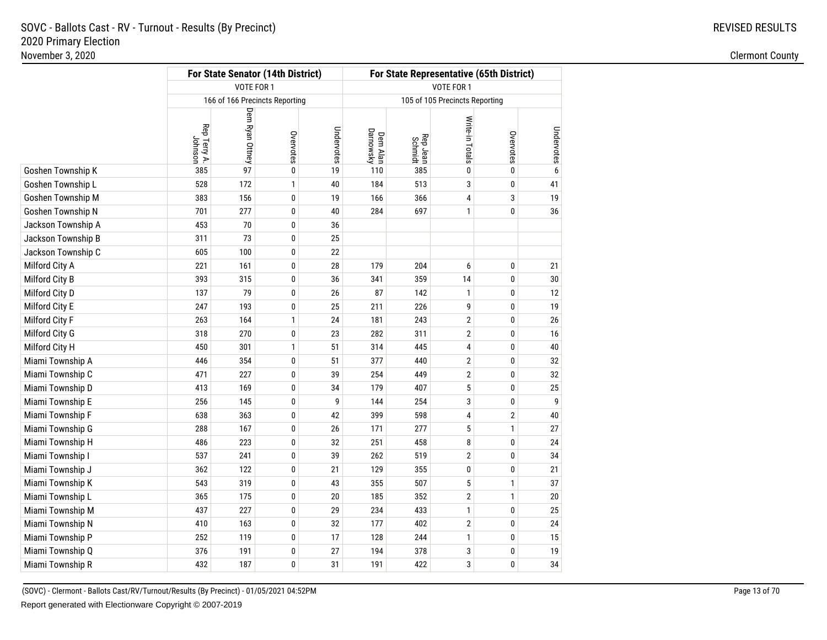|                    | For State Senator (14th District) | For State Representative (65th District) |                                |            |                       |                     |                                |                |            |  |  |  |
|--------------------|-----------------------------------|------------------------------------------|--------------------------------|------------|-----------------------|---------------------|--------------------------------|----------------|------------|--|--|--|
|                    |                                   | VOTE FOR 1                               |                                |            | VOTE FOR 1            |                     |                                |                |            |  |  |  |
|                    |                                   |                                          | 166 of 166 Precincts Reporting |            |                       |                     | 105 of 105 Precincts Reporting |                |            |  |  |  |
|                    | Rep Terry A.<br>Johnson           | Dem Ryan Ottney                          | Overvotes                      | Undervotes | Dem Alan<br>Darnowsky | Rep Jean<br>Schmidt | Write-in Totals                | Overvotes      | Undervotes |  |  |  |
| Goshen Township K  | 385                               | 97                                       | $\pmb{0}$                      | 19         | 110                   | 385                 | $\pmb{0}$                      | $\pmb{0}$      |            |  |  |  |
| Goshen Township L  | 528                               | 172                                      | 1                              | 40         | 184                   | 513                 | 3                              | $\bf{0}$       | 41         |  |  |  |
| Goshen Township M  | 383                               | 156                                      | 0                              | 19         | 166                   | 366                 | 4                              | 3              | 19         |  |  |  |
| Goshen Township N  | 701                               | 277                                      | 0                              | 40         | 284                   | 697                 | $\mathbf{1}$                   | 0              | 36         |  |  |  |
| Jackson Township A | 453                               | 70                                       | 0                              | 36         |                       |                     |                                |                |            |  |  |  |
| Jackson Township B | 311                               | 73                                       | 0                              | 25         |                       |                     |                                |                |            |  |  |  |
| Jackson Township C | 605                               | 100                                      | 0                              | 22         |                       |                     |                                |                |            |  |  |  |
| Milford City A     | 221                               | 161                                      | 0                              | 28         | 179                   | 204                 | 6                              | 0              | 21         |  |  |  |
| Milford City B     | 393                               | 315                                      | 0                              | 36         | 341                   | 359                 | 14                             | 0              | 30         |  |  |  |
| Milford City D     | 137                               | 79                                       | 0                              | 26         | 87                    | 142                 | $\mathbf{1}$                   | $\bf{0}$       | 12         |  |  |  |
| Milford City E     | 247                               | 193                                      | 0                              | 25         | 211                   | 226                 | 9                              | 0              | 19         |  |  |  |
| Milford City F     | 263                               | 164                                      | $\mathbf{1}$                   | 24         | 181                   | 243                 | $\sqrt{2}$                     | 0              | 26         |  |  |  |
| Milford City G     | 318                               | 270                                      | 0                              | 23         | 282                   | 311                 | $\overline{2}$                 | $\bf{0}$       | 16         |  |  |  |
| Milford City H     | 450                               | 301                                      | $\mathbf{1}$                   | 51         | 314                   | 445                 | 4                              | 0              | 40         |  |  |  |
| Miami Township A   | 446                               | 354                                      | 0                              | 51         | 377                   | 440                 | $\overline{2}$                 | 0              | 32         |  |  |  |
| Miami Township C   | 471                               | 227                                      | 0                              | 39         | 254                   | 449                 | $\overline{2}$                 | $\bf{0}$       | 32         |  |  |  |
| Miami Township D   | 413                               | 169                                      | 0                              | 34         | 179                   | 407                 | 5                              | 0              | 25         |  |  |  |
| Miami Township E   | 256                               | 145                                      | 0                              | 9          | 144                   | 254                 | 3                              | 0              | 9          |  |  |  |
| Miami Township F   | 638                               | 363                                      | 0                              | 42         | 399                   | 598                 | 4                              | $\overline{2}$ | 40         |  |  |  |
| Miami Township G   | 288                               | 167                                      | 0                              | 26         | 171                   | 277                 | $\sqrt{5}$                     | $\mathbf{1}$   | 27         |  |  |  |
| Miami Township H   | 486                               | 223                                      | 0                              | 32         | 251                   | 458                 | 8                              | 0              | 24         |  |  |  |
| Miami Township I   | 537                               | 241                                      | 0                              | 39         | 262                   | 519                 | $\overline{2}$                 | $\bf{0}$       | 34         |  |  |  |
| Miami Township J   | 362                               | 122                                      | 0                              | 21         | 129                   | 355                 | 0                              | 0              | 21         |  |  |  |
| Miami Township K   | 543                               | 319                                      | 0                              | 43         | 355                   | 507                 | 5                              | $\mathbf{1}$   | 37         |  |  |  |
| Miami Township L   | 365                               | 175                                      | 0                              | 20         | 185                   | 352                 | $\overline{2}$                 | $\mathbf{1}$   | 20         |  |  |  |
| Miami Township M   | 437                               | 227                                      | 0                              | 29         | 234                   | 433                 | $\mathbf{1}$                   | 0              | 25         |  |  |  |
| Miami Township N   | 410                               | 163                                      | 0                              | 32         | 177                   | 402                 | $\boldsymbol{2}$               | $\bf{0}$       | $24\,$     |  |  |  |
| Miami Township P   | 252                               | 119                                      | 0                              | 17         | 128                   | 244                 | $\mathbf{1}$                   | $\pmb{0}$      | 15         |  |  |  |
| Miami Township Q   | 376                               | 191                                      | 0                              | 27         | 194                   | 378                 | 3                              | $\pmb{0}$      | 19         |  |  |  |
| Miami Township R   | 432                               | 187                                      | 0                              | 31         | 191                   | 422                 | 3                              | 0              | 34         |  |  |  |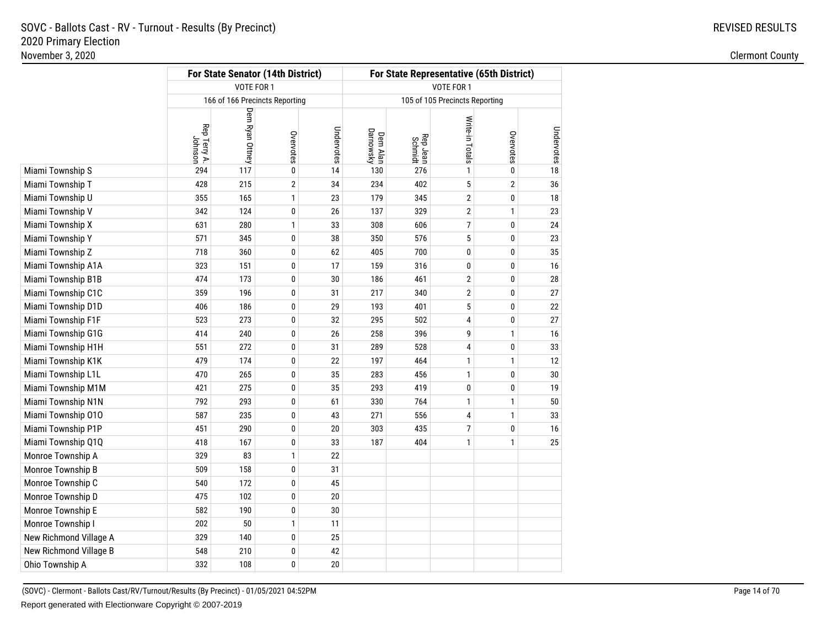REVISED RESULTS

|                        |                         |                 | For State Senator (14th District) |            | For State Representative (65th District) |                     |                                |                |            |  |  |  |
|------------------------|-------------------------|-----------------|-----------------------------------|------------|------------------------------------------|---------------------|--------------------------------|----------------|------------|--|--|--|
|                        |                         | VOTE FOR 1      |                                   |            | VOTE FOR 1                               |                     |                                |                |            |  |  |  |
|                        |                         |                 | 166 of 166 Precincts Reporting    |            |                                          |                     | 105 of 105 Precincts Reporting |                |            |  |  |  |
|                        | Rep Terry A.<br>Johnson | Dem Ryan Ottney | Overvotes                         | Undervotes | Dem Alan<br>Darnowsky                    | Rep Jean<br>Schmidt | Write-in Totals                | Overvotes      | Undervotes |  |  |  |
| Miami Township S       | 294                     | 117             | 0                                 | 14         | 130                                      | 276                 | 1                              | 0              | 18         |  |  |  |
| Miami Township T       | 428                     | 215             | $\overline{2}$                    | 34         | 234                                      | 402                 | 5                              | $\overline{2}$ | 36         |  |  |  |
| Miami Township U       | 355                     | 165             | 1                                 | 23         | 179                                      | 345                 | 2                              | 0              | 18         |  |  |  |
| Miami Township V       | 342                     | 124             | 0                                 | 26         | 137                                      | 329                 | $\overline{2}$                 | 1              | 23         |  |  |  |
| Miami Township X       | 631                     | 280             | 1                                 | 33         | 308                                      | 606                 | 7                              | 0              | 24         |  |  |  |
| Miami Township Y       | 571                     | 345             | 0                                 | 38         | 350                                      | 576                 | 5                              | 0              | 23         |  |  |  |
| Miami Township Z       | 718                     | 360             | 0                                 | 62         | 405                                      | 700                 | 0                              | 0              | 35         |  |  |  |
| Miami Township A1A     | 323                     | 151             | 0                                 | 17         | 159                                      | 316                 | 0                              | 0              | 16         |  |  |  |
| Miami Township B1B     | 474                     | 173             | 0                                 | 30         | 186                                      | 461                 | 2                              | 0              | 28         |  |  |  |
| Miami Township C1C     | 359                     | 196             | 0                                 | 31         | 217                                      | 340                 | 2                              | 0              | 27         |  |  |  |
| Miami Township D1D     | 406                     | 186             | 0                                 | 29         | 193                                      | 401                 | 5                              | 0              | 22         |  |  |  |
| Miami Township F1F     | 523                     | 273             | 0                                 | 32         | 295                                      | 502                 | 4                              | 0              | 27         |  |  |  |
| Miami Township G1G     | 414                     | 240             | 0                                 | 26         | 258                                      | 396                 | 9                              | 1              | 16         |  |  |  |
| Miami Township H1H     | 551                     | 272             | 0                                 | 31         | 289                                      | 528                 | 4                              | 0              | 33         |  |  |  |
| Miami Township K1K     | 479                     | 174             | 0                                 | 22         | 197                                      | 464                 | 1                              | 1              | 12         |  |  |  |
| Miami Township L1L     | 470                     | 265             | 0                                 | 35         | 283                                      | 456                 | 1                              | 0              | 30         |  |  |  |
| Miami Township M1M     | 421                     | 275             | 0                                 | 35         | 293                                      | 419                 | 0                              | 0              | 19         |  |  |  |
| Miami Township N1N     | 792                     | 293             | 0                                 | 61         | 330                                      | 764                 | 1                              | 1              | 50         |  |  |  |
| Miami Township 010     | 587                     | 235             | 0                                 | 43         | 271                                      | 556                 | 4                              | 1              | 33         |  |  |  |
| Miami Township P1P     | 451                     | 290             | 0                                 | 20         | 303                                      | 435                 | 7                              | 0              | 16         |  |  |  |
| Miami Township Q1Q     | 418                     | 167             | 0                                 | 33         | 187                                      | 404                 | 1                              | 1              | 25         |  |  |  |
| Monroe Township A      | 329                     | 83              | 1                                 | 22         |                                          |                     |                                |                |            |  |  |  |
| Monroe Township B      | 509                     | 158             | 0                                 | 31         |                                          |                     |                                |                |            |  |  |  |
| Monroe Township C      | 540                     | 172             | 0                                 | 45         |                                          |                     |                                |                |            |  |  |  |
| Monroe Township D      | 475                     | 102             | 0                                 | 20         |                                          |                     |                                |                |            |  |  |  |
| Monroe Township E      | 582                     | 190             | 0                                 | 30         |                                          |                     |                                |                |            |  |  |  |
| Monroe Township I      | 202                     | 50              | 1                                 | 11         |                                          |                     |                                |                |            |  |  |  |
| New Richmond Village A | 329                     | 140             | 0                                 | 25         |                                          |                     |                                |                |            |  |  |  |
| New Richmond Village B | 548                     | 210             | 0                                 | 42         |                                          |                     |                                |                |            |  |  |  |
| Ohio Township A        | 332                     | 108             | 0                                 | 20         |                                          |                     |                                |                |            |  |  |  |
|                        |                         |                 |                                   |            |                                          |                     |                                |                |            |  |  |  |

(SOVC) - Clermont - Ballots Cast/RV/Turnout/Results (By Precinct) - 01/05/2021 04:52PMReport generated with Electionware Copyright © 2007-2019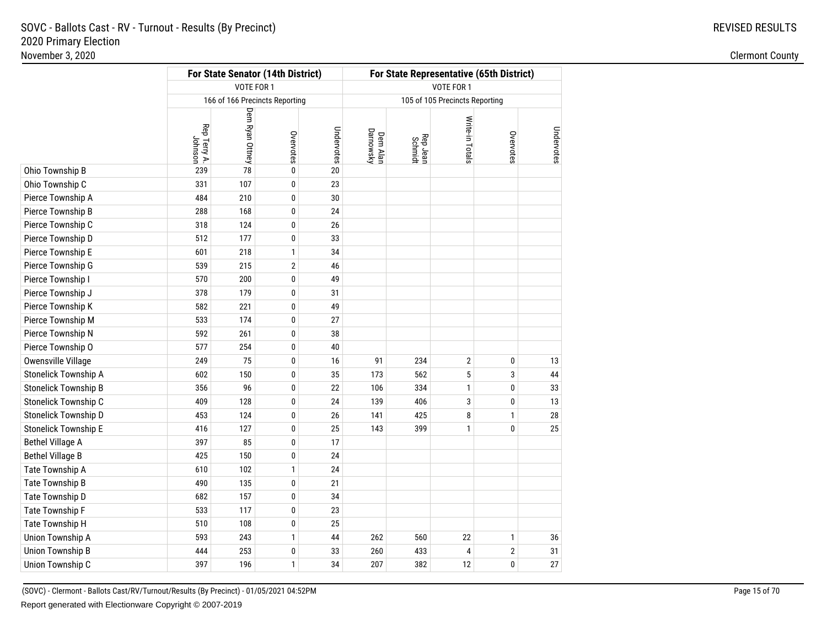REVISED RESULTS

|                             |                         |                 | For State Senator (14th District) |            | For State Representative (65th District)<br><b>VOTE FOR 1</b> |                     |                                |                         |            |  |  |  |
|-----------------------------|-------------------------|-----------------|-----------------------------------|------------|---------------------------------------------------------------|---------------------|--------------------------------|-------------------------|------------|--|--|--|
|                             |                         | VOTE FOR 1      |                                   |            |                                                               |                     |                                |                         |            |  |  |  |
|                             |                         |                 | 166 of 166 Precincts Reporting    |            |                                                               |                     | 105 of 105 Precincts Reporting |                         |            |  |  |  |
|                             | Rep Terry A.<br>Johnson | Dem Ryan Ottney | Overvotes                         | Undervotes | Dem Alan<br>Darnowsky                                         | Rep Jean<br>Schmidt | Write-in Totals                | Overvotes               | Undervotes |  |  |  |
| Ohio Township B             | 239                     | 78              | $\pmb{0}$                         | 20         |                                                               |                     |                                |                         |            |  |  |  |
| Ohio Township C             | 331                     | 107             | $\pmb{0}$                         | 23         |                                                               |                     |                                |                         |            |  |  |  |
| Pierce Township A           | 484                     | 210             | $\pmb{0}$                         | 30         |                                                               |                     |                                |                         |            |  |  |  |
| Pierce Township B           | 288                     | 168             | $\bf{0}$                          | 24         |                                                               |                     |                                |                         |            |  |  |  |
| Pierce Township C           | 318                     | 124             | 0                                 | 26         |                                                               |                     |                                |                         |            |  |  |  |
| Pierce Township D           | 512                     | 177             | $\pmb{0}$                         | 33         |                                                               |                     |                                |                         |            |  |  |  |
| Pierce Township E           | 601                     | 218             | 1                                 | 34         |                                                               |                     |                                |                         |            |  |  |  |
| Pierce Township G           | 539                     | 215             | $\overline{2}$                    | 46         |                                                               |                     |                                |                         |            |  |  |  |
| Pierce Township I           | 570                     | 200             | 0                                 | 49         |                                                               |                     |                                |                         |            |  |  |  |
| Pierce Township J           | 378                     | 179             | $\pmb{0}$                         | 31         |                                                               |                     |                                |                         |            |  |  |  |
| Pierce Township K           | 582                     | 221             | $\pmb{0}$                         | 49         |                                                               |                     |                                |                         |            |  |  |  |
| Pierce Township M           | 533                     | 174             | 0                                 | 27         |                                                               |                     |                                |                         |            |  |  |  |
| Pierce Township N           | 592                     | 261             | $\pmb{0}$                         | 38         |                                                               |                     |                                |                         |            |  |  |  |
| Pierce Township O           | 577                     | 254             | $\pmb{0}$                         | 40         |                                                               |                     |                                |                         |            |  |  |  |
| Owensville Village          | 249                     | 75              | 0                                 | 16         | 91                                                            | 234                 | $\boldsymbol{2}$               | $\pmb{0}$               | 13         |  |  |  |
| Stonelick Township A        | 602                     | 150             | $\pmb{0}$                         | 35         | 173                                                           | 562                 | 5                              | 3                       | 44         |  |  |  |
| <b>Stonelick Township B</b> | 356                     | 96              | 0                                 | 22         | 106                                                           | 334                 | $\mathbf{1}$                   | $\bf{0}$                | 33         |  |  |  |
| Stonelick Township C        | 409                     | 128             | $\pmb{0}$                         | 24         | 139                                                           | 406                 | 3                              | 0                       | 13         |  |  |  |
| Stonelick Township D        | 453                     | 124             | $\pmb{0}$                         | 26         | 141                                                           | 425                 | 8                              | $\mathbf{1}$            | 28         |  |  |  |
| <b>Stonelick Township E</b> | 416                     | 127             | 0                                 | 25         | 143                                                           | 399                 | $\mathbf{1}$                   | 0                       | 25         |  |  |  |
| <b>Bethel Village A</b>     | 397                     | 85              | $\pmb{0}$                         | 17         |                                                               |                     |                                |                         |            |  |  |  |
| <b>Bethel Village B</b>     | 425                     | 150             | $\pmb{0}$                         | 24         |                                                               |                     |                                |                         |            |  |  |  |
| Tate Township A             | 610                     | 102             | 1                                 | 24         |                                                               |                     |                                |                         |            |  |  |  |
| Tate Township B             | 490                     | 135             | $\pmb{0}$                         | 21         |                                                               |                     |                                |                         |            |  |  |  |
| Tate Township D             | 682                     | 157             | 0                                 | 34         |                                                               |                     |                                |                         |            |  |  |  |
| Tate Township F             | 533                     | 117             | $\pmb{0}$                         | 23         |                                                               |                     |                                |                         |            |  |  |  |
| Tate Township H             | 510                     | 108             | $\pmb{0}$                         | 25         |                                                               |                     |                                |                         |            |  |  |  |
| Union Township A            | 593                     | 243             | $\mathbf{1}$                      | 44         | 262                                                           | 560                 | 22                             | 1                       | 36         |  |  |  |
| <b>Union Township B</b>     | 444                     | 253             | 0                                 | 33         | 260                                                           | 433                 | $\overline{\mathbf{4}}$        | $\overline{\mathbf{c}}$ | 31         |  |  |  |
| Union Township C            | 397                     | 196             | 1                                 | 34         | 207                                                           | 382                 | 12                             | 0                       | 27         |  |  |  |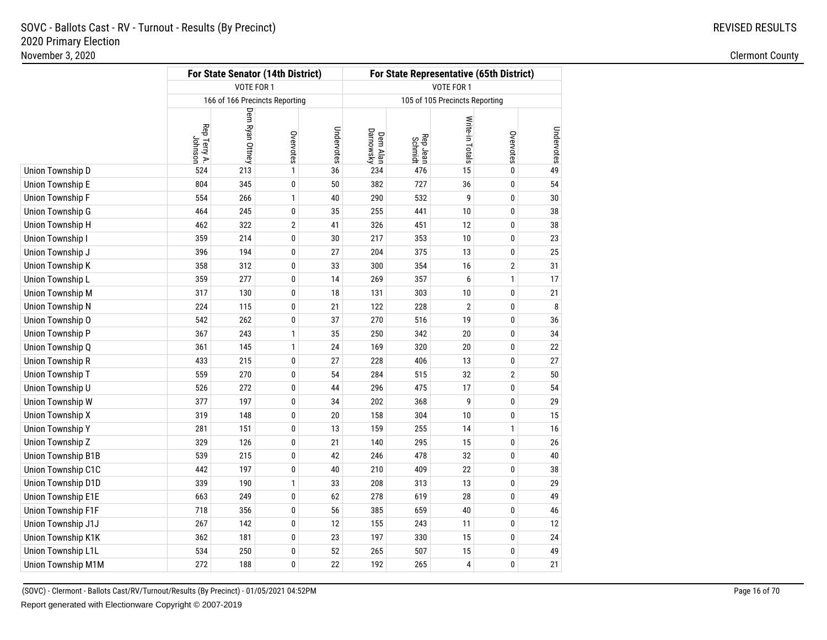REVISED RESULTS

|                    |                         |                                | For State Senator (14th District) |            | For State Representative (65th District) |                     |                                |                |            |  |  |  |
|--------------------|-------------------------|--------------------------------|-----------------------------------|------------|------------------------------------------|---------------------|--------------------------------|----------------|------------|--|--|--|
|                    |                         | VOTE FOR 1                     |                                   |            | VOTE FOR 1                               |                     |                                |                |            |  |  |  |
|                    |                         | 166 of 166 Precincts Reporting |                                   |            |                                          |                     | 105 of 105 Precincts Reporting |                |            |  |  |  |
|                    | Rep Terry A.<br>Johnson | Dem Ryan Ottney                | Overvotes                         | Undervotes | Dem Alan<br>Darnowsky                    | Rep Jean<br>Schmidt | Write-in Totals                | Overvotes      | Undervotes |  |  |  |
| Union Township D   | 524                     | 213                            | $\mathbf{1}$                      | 36         | 234                                      | 476                 | 15                             | $\mathbf{0}$   | 49         |  |  |  |
| Union Township E   | 804                     | 345                            | $\pmb{0}$                         | 50         | 382                                      | 727                 | 36                             | 0              | 54         |  |  |  |
| Union Township F   | 554                     | 266                            | 1                                 | 40         | 290                                      | 532                 | 9                              | 0              | 30         |  |  |  |
| Union Township G   | 464                     | 245                            | 0                                 | 35         | 255                                      | 441                 | 10                             | 0              | 38         |  |  |  |
| Union Township H   | 462                     | 322                            | $\boldsymbol{2}$                  | 41         | 326                                      | 451                 | 12                             | 0              | 38         |  |  |  |
| Union Township I   | 359                     | 214                            | 0                                 | $30\,$     | 217                                      | 353                 | 10                             | 0              | 23         |  |  |  |
| Union Township J   | 396                     | 194                            | 0                                 | 27         | 204                                      | 375                 | 13                             | 0              | 25         |  |  |  |
| Union Township K   | 358                     | 312                            | $\pmb{0}$                         | 33         | 300                                      | 354                 | 16                             | $\overline{2}$ | 31         |  |  |  |
| Union Township L   | 359                     | 277                            | 0                                 | 14         | 269                                      | 357                 | 6                              | $\mathbf{1}$   | 17         |  |  |  |
| Union Township M   | 317                     | 130                            | 0                                 | 18         | 131                                      | 303                 | 10                             | 0              | 21         |  |  |  |
| Union Township N   | 224                     | 115                            | 0                                 | 21         | 122                                      | 228                 | $\overline{2}$                 | 0              | 8          |  |  |  |
| Union Township O   | 542                     | 262                            | 0                                 | 37         | 270                                      | 516                 | 19                             | 0              | 36         |  |  |  |
| Union Township P   | 367                     | 243                            | 1                                 | 35         | 250                                      | 342                 | 20                             | 0              | 34         |  |  |  |
| Union Township Q   | 361                     | 145                            | 1                                 | 24         | 169                                      | 320                 | 20                             | 0              | 22         |  |  |  |
| Union Township R   | 433                     | 215                            | 0                                 | 27         | 228                                      | 406                 | 13                             | 0              | $27\,$     |  |  |  |
| Union Township T   | 559                     | 270                            | 0                                 | 54         | 284                                      | 515                 | 32                             | $\overline{2}$ | 50         |  |  |  |
| Union Township U   | 526                     | 272                            | 0                                 | 44         | 296                                      | 475                 | 17                             | 0              | 54         |  |  |  |
| Union Township W   | 377                     | 197                            | 0                                 | 34         | 202                                      | 368                 | 9                              | 0              | 29         |  |  |  |
| Union Township X   | 319                     | 148                            | 0                                 | 20         | 158                                      | 304                 | 10                             | $\mathbf{0}$   | 15         |  |  |  |
| Union Township Y   | 281                     | 151                            | 0                                 | 13         | 159                                      | 255                 | 14                             | $\mathbf{1}$   | 16         |  |  |  |
| Union Township Z   | 329                     | 126                            | 0                                 | 21         | 140                                      | 295                 | 15                             | 0              | 26         |  |  |  |
| Union Township B1B | 539                     | 215                            | 0                                 | 42         | 246                                      | 478                 | 32                             | 0              | 40         |  |  |  |
| Union Township C1C | 442                     | 197                            | 0                                 | 40         | 210                                      | 409                 | 22                             | 0              | 38         |  |  |  |
| Union Township D1D | 339                     | 190                            | 1                                 | 33         | 208                                      | 313                 | 13                             | 0              | 29         |  |  |  |
| Union Township E1E | 663                     | 249                            | 0                                 | 62         | 278                                      | 619                 | 28                             | 0              | 49         |  |  |  |
| Union Township F1F | 718                     | 356                            | 0                                 | 56         | 385                                      | 659                 | 40                             | 0              | 46         |  |  |  |
| Union Township J1J | 267                     | 142                            | 0                                 | 12         | 155                                      | 243                 | 11                             | 0              | 12         |  |  |  |
| Union Township K1K | 362                     | 181                            | 0                                 | 23         | 197                                      | 330                 | 15                             | 0              | 24         |  |  |  |
| Union Township L1L | 534                     | 250                            | 0                                 | 52         | 265                                      | 507                 | 15                             | 0              | 49         |  |  |  |
| Union Township M1M | 272                     | 188                            | 0                                 | 22         | 192                                      | 265                 | $\overline{4}$                 | 0              | 21         |  |  |  |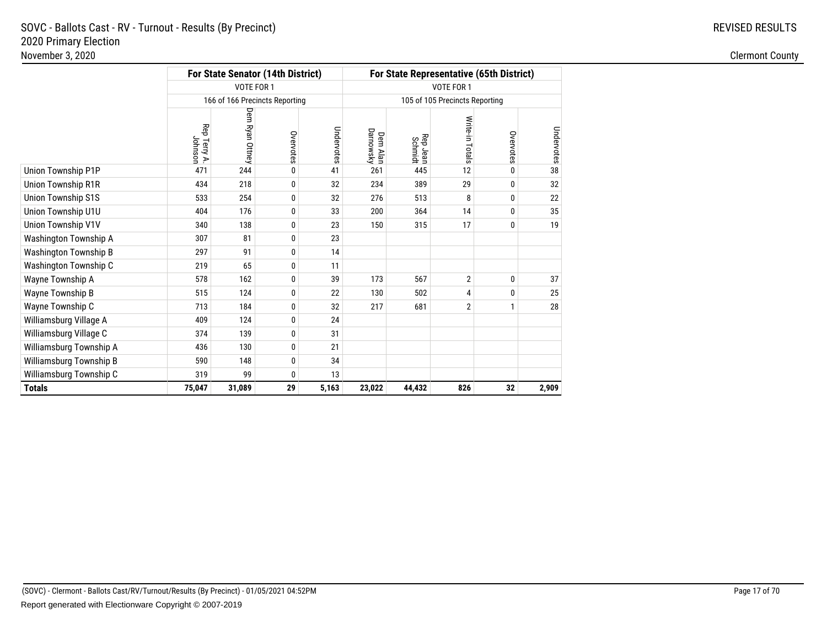| <b>REVISED RESULTS</b> |
|------------------------|
|                        |

|                              |                        |                 | For State Senator (14th District) |            | For State Representative (65th District) |                     |                                |              |            |  |  |  |
|------------------------------|------------------------|-----------------|-----------------------------------|------------|------------------------------------------|---------------------|--------------------------------|--------------|------------|--|--|--|
|                              |                        | VOTE FOR 1      |                                   |            |                                          |                     | VOTE FOR 1                     |              |            |  |  |  |
|                              |                        |                 | 166 of 166 Precincts Reporting    |            |                                          |                     | 105 of 105 Precincts Reporting |              |            |  |  |  |
|                              | Rep Terry A<br>Johnson | Dem Ryan Ottney | Overvotes                         | Undervotes | Dem Alan<br>Darnowsky                    | Rep Jean<br>Schmidt | Write-in Totals                | Overvotes    | Undervotes |  |  |  |
| Union Township P1P           | 471                    | 244             | 0                                 | 41         | 261                                      | 445                 | 12                             | 0            | 38         |  |  |  |
| Union Township R1R           | 434                    | 218             | 0                                 | 32         | 234                                      | 389                 | 29                             | 0            | 32         |  |  |  |
| <b>Union Township S1S</b>    | 533                    | 254             | 0                                 | 32         | 276                                      | 513                 | 8                              | $\mathbf{0}$ | 22         |  |  |  |
| Union Township U1U           | 404                    | 176             | 0                                 | 33         | 200                                      | 364                 | 14                             | $\mathbf{0}$ | 35         |  |  |  |
| Union Township V1V           | 340                    | 138             | 0                                 | 23         | 150                                      | 315                 | 17                             | 0            | 19         |  |  |  |
| Washington Township A        | 307                    | 81              | 0                                 | 23         |                                          |                     |                                |              |            |  |  |  |
| <b>Washington Township B</b> | 297                    | 91              | 0                                 | 14         |                                          |                     |                                |              |            |  |  |  |
| Washington Township C        | 219                    | 65              | 0                                 | 11         |                                          |                     |                                |              |            |  |  |  |
| Wayne Township A             | 578                    | 162             | 0                                 | 39         | 173                                      | 567                 | $\overline{2}$                 | 0            | 37         |  |  |  |
| Wayne Township B             | 515                    | 124             | 0                                 | 22         | 130                                      | 502                 | 4                              | $\mathbf{0}$ | 25         |  |  |  |
| Wayne Township C             | 713                    | 184             | 0                                 | 32         | 217                                      | 681                 | $\overline{2}$                 | $\mathbf{1}$ | 28         |  |  |  |
| Williamsburg Village A       | 409                    | 124             | 0                                 | 24         |                                          |                     |                                |              |            |  |  |  |
| Williamsburg Village C       | 374                    | 139             | 0                                 | 31         |                                          |                     |                                |              |            |  |  |  |
| Williamsburg Township A      | 436                    | 130             | 0                                 | 21         |                                          |                     |                                |              |            |  |  |  |
| Williamsburg Township B      | 590                    | 148             | 0                                 | 34         |                                          |                     |                                |              |            |  |  |  |
| Williamsburg Township C      | 319                    | 99              | 0                                 | 13         |                                          |                     |                                |              |            |  |  |  |
| <b>Totals</b>                | 75,047                 | 31,089          | 29                                | 5,163      | 23,022                                   | 44,432              | 826                            | 32           | 2,909      |  |  |  |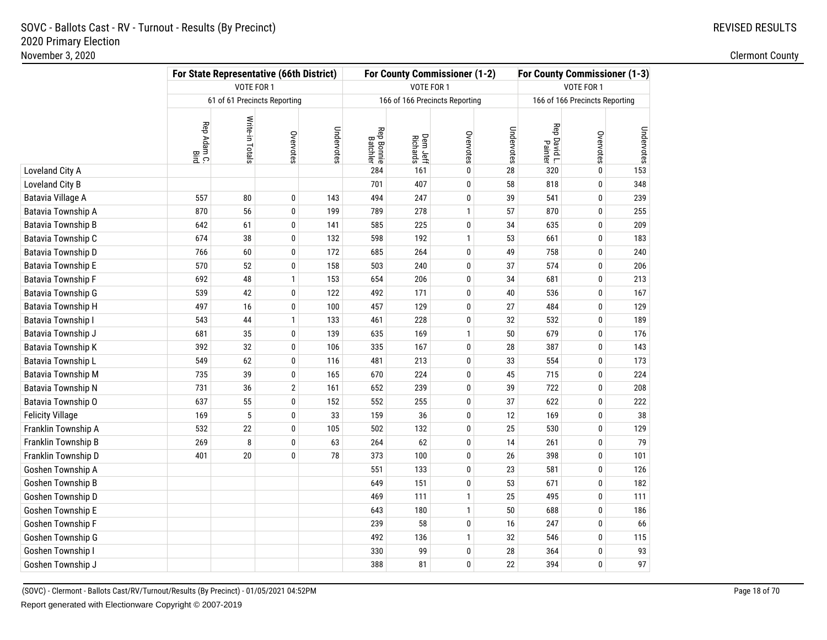|                         | For State Representative (66th District) |                              |              |            |                               |                      | For County Commissioner (1-2)  |            | <b>For County Commissioner (1-3)</b> |                                |            |  |
|-------------------------|------------------------------------------|------------------------------|--------------|------------|-------------------------------|----------------------|--------------------------------|------------|--------------------------------------|--------------------------------|------------|--|
|                         |                                          | VOTE FOR 1                   |              |            |                               | VOTE FOR 1           |                                |            | VOTE FOR 1                           |                                |            |  |
|                         |                                          | 61 of 61 Precincts Reporting |              |            |                               |                      | 166 of 166 Precincts Reporting |            |                                      | 166 of 166 Precincts Reporting |            |  |
|                         | Rep Adam C.<br>Bird                      | Write-in Totals              | Overvotes    | Undervotes | <b>Rep Bonnie</b><br>Batchler | Dem Jeff<br>Richards | Overvotes                      | Undervotes | Rep David L.<br>Painter              | Overvotes                      | Undervotes |  |
| Loveland City A         |                                          |                              |              |            | 284                           | 161                  | $\pmb{0}$                      | 28         | 320                                  | $\mathbf 0$                    | 153        |  |
| Loveland City B         |                                          |                              |              |            | 701                           | 407                  | $\pmb{0}$                      | 58         | 818                                  | $\pmb{0}$                      | 348        |  |
| Batavia Village A       | 557                                      | 80                           | $\pmb{0}$    | 143        | 494                           | 247                  | $\pmb{0}$                      | 39         | 541                                  | $\pmb{0}$                      | 239        |  |
| Batavia Township A      | 870                                      | 56                           | $\mathbf 0$  | 199        | 789                           | 278                  | $\mathbf{1}$                   | 57         | 870                                  | $\pmb{0}$                      | 255        |  |
| Batavia Township B      | 642                                      | 61                           | 0            | 141        | 585                           | 225                  | $\pmb{0}$                      | 34         | 635                                  | $\pmb{0}$                      | 209        |  |
| Batavia Township C      | 674                                      | 38                           | $\pmb{0}$    | 132        | 598                           | 192                  | $\mathbf{1}$                   | 53         | 661                                  | $\pmb{0}$                      | 183        |  |
| Batavia Township D      | 766                                      | 60                           | 0            | 172        | 685                           | 264                  | $\pmb{0}$                      | 49         | 758                                  | $\pmb{0}$                      | 240        |  |
| Batavia Township E      | 570                                      | 52                           | 0            | 158        | 503                           | 240                  | $\pmb{0}$                      | 37         | 574                                  | $\pmb{0}$                      | 206        |  |
| Batavia Township F      | 692                                      | 48                           | 1            | 153        | 654                           | 206                  | $\pmb{0}$                      | 34         | 681                                  | $\pmb{0}$                      | 213        |  |
| Batavia Township G      | 539                                      | 42                           | $\pmb{0}$    | 122        | 492                           | 171                  | $\pmb{0}$                      | 40         | 536                                  | $\pmb{0}$                      | 167        |  |
| Batavia Township H      | 497                                      | 16                           | 0            | 100        | 457                           | 129                  | $\pmb{0}$                      | 27         | 484                                  | $\pmb{0}$                      | 129        |  |
| Batavia Township I      | 543                                      | 44                           | $\mathbf{1}$ | 133        | 461                           | 228                  | $\pmb{0}$                      | 32         | 532                                  | $\pmb{0}$                      | 189        |  |
| Batavia Township J      | 681                                      | 35                           | $\pmb{0}$    | 139        | 635                           | 169                  | $\mathbf{1}$                   | 50         | 679                                  | $\pmb{0}$                      | 176        |  |
| Batavia Township K      | 392                                      | 32                           | 0            | 106        | 335                           | 167                  | $\pmb{0}$                      | 28         | 387                                  | $\mathbf 0$                    | 143        |  |
| Batavia Township L      | 549                                      | 62                           | 0            | 116        | 481                           | 213                  | $\pmb{0}$                      | 33         | 554                                  | $\pmb{0}$                      | 173        |  |
| Batavia Township M      | 735                                      | 39                           | $\pmb{0}$    | 165        | 670                           | 224                  | $\pmb{0}$                      | 45         | 715                                  | $\pmb{0}$                      | 224        |  |
| Batavia Township N      | 731                                      | 36                           | $\sqrt{2}$   | 161        | 652                           | 239                  | $\mathbf 0$                    | 39         | 722                                  | $\mathbf 0$                    | 208        |  |
| Batavia Township O      | 637                                      | 55                           | 0            | 152        | 552                           | 255                  | $\pmb{0}$                      | 37         | 622                                  | $\pmb{0}$                      | 222        |  |
| <b>Felicity Village</b> | 169                                      | 5                            | $\pmb{0}$    | 33         | 159                           | 36                   | $\pmb{0}$                      | 12         | 169                                  | $\pmb{0}$                      | 38         |  |
| Franklin Township A     | 532                                      | 22                           | 0            | 105        | 502                           | 132                  | $\pmb{0}$                      | 25         | 530                                  | $\pmb{0}$                      | 129        |  |
| Franklin Township B     | 269                                      | 8                            | 0            | 63         | 264                           | 62                   | $\pmb{0}$                      | 14         | 261                                  | $\pmb{0}$                      | 79         |  |
| Franklin Township D     | 401                                      | 20                           | $\mathbf 0$  | 78         | 373                           | 100                  | $\bf{0}$                       | 26         | 398                                  | $\pmb{0}$                      | 101        |  |
| Goshen Township A       |                                          |                              |              |            | 551                           | 133                  | $\pmb{0}$                      | 23         | 581                                  | $\pmb{0}$                      | 126        |  |
| Goshen Township B       |                                          |                              |              |            | 649                           | 151                  | $\pmb{0}$                      | 53         | 671                                  | $\pmb{0}$                      | 182        |  |
| Goshen Township D       |                                          |                              |              |            | 469                           | 111                  | $\mathbf{1}$                   | 25         | 495                                  | $\pmb{0}$                      | 111        |  |
| Goshen Township E       |                                          |                              |              |            | 643                           | 180                  | $\mathbf{1}$                   | 50         | 688                                  | $\pmb{0}$                      | 186        |  |
| Goshen Township F       |                                          |                              |              |            | 239                           | 58                   | $\mathbf 0$                    | 16         | 247                                  | $\mathbf 0$                    | 66         |  |
| Goshen Township G       |                                          |                              |              |            | 492                           | 136                  | $\mathbf{1}$                   | 32         | 546                                  | 0                              | 115        |  |
| Goshen Township I       |                                          |                              |              |            | 330                           | 99                   | $\pmb{0}$                      | 28         | 364                                  | $\pmb{0}$                      | 93         |  |
| Goshen Township J       |                                          |                              |              |            | 388                           | 81                   | $\bf{0}$                       | 22         | 394                                  | 0                              | 97         |  |

(SOVC) - Clermont - Ballots Cast/RV/Turnout/Results (By Precinct) - 01/05/2021 04:52PMReport generated with Electionware Copyright © 2007-2019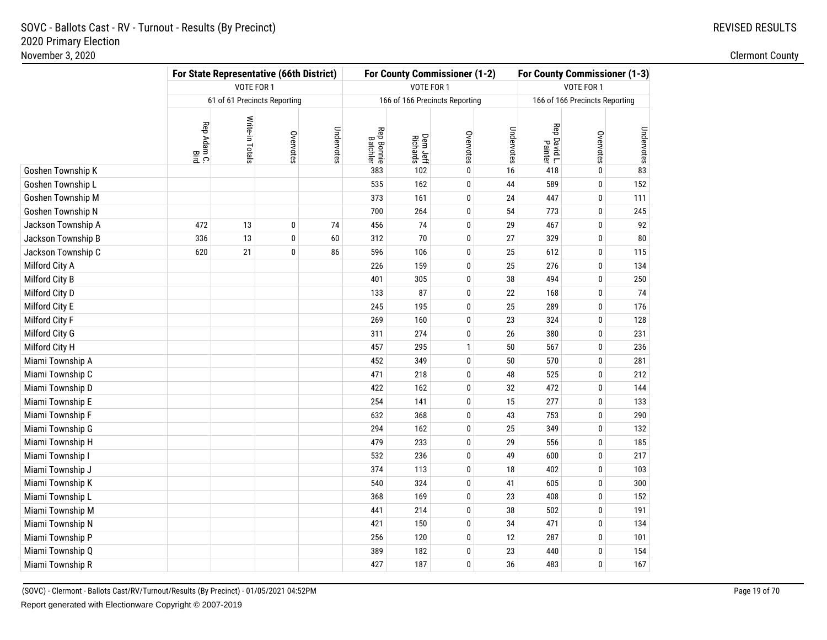|                    | For State Representative (66th District) |                              |           |            |                               |                      | For County Commissioner (1-2)  | For County Commissioner (1-3) |                         |                                |            |  |
|--------------------|------------------------------------------|------------------------------|-----------|------------|-------------------------------|----------------------|--------------------------------|-------------------------------|-------------------------|--------------------------------|------------|--|
|                    |                                          | VOTE FOR 1                   |           |            |                               | VOTE FOR 1           |                                |                               | VOTE FOR 1              |                                |            |  |
|                    |                                          | 61 of 61 Precincts Reporting |           |            |                               |                      | 166 of 166 Precincts Reporting |                               |                         | 166 of 166 Precincts Reporting |            |  |
|                    | Rep Adam C.<br>Bird                      | Write-in Totals              | Overvotes | Undervotes | <b>Rep Bonnie</b><br>Batchler | Dem Jeff<br>Richards | Overvotes                      | Undervotes                    | Rep David L.<br>Painter | Overvotes                      | Undervotes |  |
| Goshen Township K  |                                          |                              |           |            | 383                           | 102                  | $\bf{0}$                       | 16                            | 418                     | $\pmb{0}$                      | 83         |  |
| Goshen Township L  |                                          |                              |           |            | 535                           | 162                  | 0                              | 44                            | 589                     | $\mathbf 0$                    | 152        |  |
| Goshen Township M  |                                          |                              |           |            | 373                           | 161                  | 0                              | 24                            | 447                     | $\bf{0}$                       | 111        |  |
| Goshen Township N  |                                          |                              |           |            | 700                           | 264                  | $\bf{0}$                       | 54                            | 773                     | $\mathbf 0$                    | 245        |  |
| Jackson Township A | 472                                      | 13                           | 0         | 74         | 456                           | 74                   | 0                              | 29                            | 467                     | $\pmb{0}$                      | 92         |  |
| Jackson Township B | 336                                      | 13                           | 0         | 60         | 312                           | 70                   | $\bf{0}$                       | 27                            | 329                     | $\pmb{0}$                      | ${\bf 80}$ |  |
| Jackson Township C | 620                                      | 21                           | 0         | 86         | 596                           | 106                  | $\bf{0}$                       | 25                            | 612                     | $\pmb{0}$                      | 115        |  |
| Milford City A     |                                          |                              |           |            | 226                           | 159                  | 0                              | 25                            | 276                     | $\bf{0}$                       | 134        |  |
| Milford City B     |                                          |                              |           |            | 401                           | 305                  | $\bf{0}$                       | 38                            | 494                     | $\pmb{0}$                      | 250        |  |
| Milford City D     |                                          |                              |           |            | 133                           | 87                   | 0                              | 22                            | 168                     | $\pmb{0}$                      | 74         |  |
| Milford City E     |                                          |                              |           |            | 245                           | 195                  | $\bf{0}$                       | 25                            | 289                     | $\pmb{0}$                      | 176        |  |
| Milford City F     |                                          |                              |           |            | 269                           | 160                  | $\mathbf{0}$                   | 23                            | 324                     | $\mathbf 0$                    | 128        |  |
| Milford City G     |                                          |                              |           |            | 311                           | 274                  | 0                              | 26                            | 380                     | $\bf{0}$                       | 231        |  |
| Milford City H     |                                          |                              |           |            | 457                           | 295                  | $\mathbf{1}$                   | 50                            | 567                     | $\pmb{0}$                      | 236        |  |
| Miami Township A   |                                          |                              |           |            | 452                           | 349                  | $\bf{0}$                       | 50                            | 570                     | $\pmb{0}$                      | 281        |  |
| Miami Township C   |                                          |                              |           |            | 471                           | 218                  | 0                              | 48                            | 525                     | $\bf{0}$                       | 212        |  |
| Miami Township D   |                                          |                              |           |            | 422                           | 162                  | $\bf{0}$                       | 32                            | 472                     | $\pmb{0}$                      | 144        |  |
| Miami Township E   |                                          |                              |           |            | 254                           | 141                  | $\bf{0}$                       | 15                            | 277                     | $\pmb{0}$                      | 133        |  |
| Miami Township F   |                                          |                              |           |            | 632                           | 368                  | $\bf{0}$                       | 43                            | 753                     | $\pmb{0}$                      | 290        |  |
| Miami Township G   |                                          |                              |           |            | 294                           | 162                  | $\bf{0}$                       | 25                            | 349                     | $\pmb{0}$                      | 132        |  |
| Miami Township H   |                                          |                              |           |            | 479                           | 233                  | $\bf{0}$                       | 29                            | 556                     | $\pmb{0}$                      | 185        |  |
| Miami Township I   |                                          |                              |           |            | 532                           | 236                  | $\bf{0}$                       | 49                            | 600                     | $\pmb{0}$                      | 217        |  |
| Miami Township J   |                                          |                              |           |            | 374                           | 113                  | $\bf{0}$                       | 18                            | 402                     | $\pmb{0}$                      | 103        |  |
| Miami Township K   |                                          |                              |           |            | 540                           | 324                  | $\pmb{0}$                      | 41                            | 605                     | $\pmb{0}$                      | 300        |  |
| Miami Township L   |                                          |                              |           |            | 368                           | 169                  | $\pmb{0}$                      | 23                            | 408                     | $\pmb{0}$                      | 152        |  |
| Miami Township M   |                                          |                              |           |            | 441                           | 214                  | $\pmb{0}$                      | 38                            | 502                     | $\pmb{0}$                      | 191        |  |
| Miami Township N   |                                          |                              |           |            | 421                           | 150                  | $\pmb{0}$                      | 34                            | 471                     | $\pmb{0}$                      | 134        |  |
| Miami Township P   |                                          |                              |           |            | 256                           | 120                  | $\pmb{0}$                      | 12                            | 287                     | $\pmb{0}$                      | 101        |  |
| Miami Township Q   |                                          |                              |           |            | 389                           | 182                  | 0                              | 23                            | 440                     | $\pmb{0}$                      | 154        |  |
| Miami Township R   |                                          |                              |           |            | 427                           | 187                  | $\pmb{0}$                      | 36                            | 483                     | $\pmb{0}$                      | 167        |  |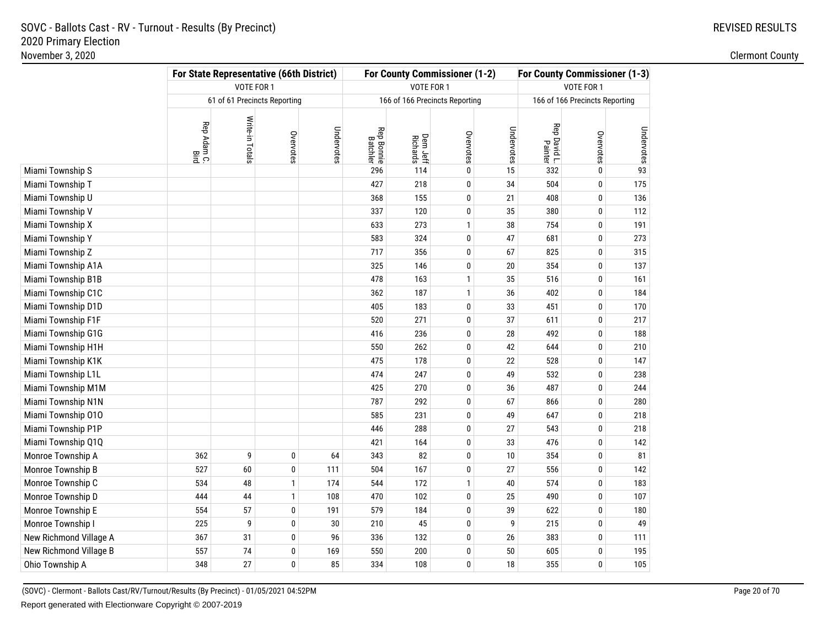|                        |                     | <b>For State Representative (66th District)</b> |              |            |                               |                      | For County Commissioner (1-2)  |            | For County Commissioner (1-3) |                                |            |  |
|------------------------|---------------------|-------------------------------------------------|--------------|------------|-------------------------------|----------------------|--------------------------------|------------|-------------------------------|--------------------------------|------------|--|
|                        |                     | VOTE FOR 1                                      |              |            |                               | VOTE FOR 1           |                                |            | VOTE FOR 1                    |                                |            |  |
|                        |                     | 61 of 61 Precincts Reporting                    |              |            |                               |                      | 166 of 166 Precincts Reporting |            |                               | 166 of 166 Precincts Reporting |            |  |
|                        | Rep Adam C.<br>Bird | Write-in Totals                                 | Overvotes    | Undervotes | <b>Rep Bonnie</b><br>Batchler | Dem Jeff<br>Richards | Overvotes                      | Undervotes | Rep David L.<br>Painter       | Overvotes                      | Undervotes |  |
| Miami Township S       |                     |                                                 |              |            | 296                           | 114                  | $\bf{0}$                       | 15         | 332                           | $\mathbf 0$                    | 93         |  |
| Miami Township T       |                     |                                                 |              |            | 427                           | 218                  | $\bf{0}$                       | 34         | 504                           | $\pmb{0}$                      | 175        |  |
| Miami Township U       |                     |                                                 |              |            | 368                           | 155                  | $\pmb{0}$                      | 21         | 408                           | $\pmb{0}$                      | 136        |  |
| Miami Township V       |                     |                                                 |              |            | 337                           | 120                  | 0                              | 35         | 380                           | $\pmb{0}$                      | 112        |  |
| Miami Township X       |                     |                                                 |              |            | 633                           | 273                  | $\mathbf{1}$                   | 38         | 754                           | $\pmb{0}$                      | 191        |  |
| Miami Township Y       |                     |                                                 |              |            | 583                           | 324                  | $\mathbf{0}$                   | 47         | 681                           | $\mathbf 0$                    | 273        |  |
| Miami Township Z       |                     |                                                 |              |            | 717                           | 356                  | 0                              | 67         | 825                           | $\mathbf 0$                    | 315        |  |
| Miami Township A1A     |                     |                                                 |              |            | 325                           | 146                  | $\pmb{0}$                      | 20         | 354                           | $\pmb{0}$                      | 137        |  |
| Miami Township B1B     |                     |                                                 |              |            | 478                           | 163                  | $\mathbf{1}$                   | 35         | 516                           | $\pmb{0}$                      | 161        |  |
| Miami Township C1C     |                     |                                                 |              |            | 362                           | 187                  | $\mathbf{1}$                   | 36         | 402                           | $\mathbf 0$                    | 184        |  |
| Miami Township D1D     |                     |                                                 |              |            | 405                           | 183                  | $\bf{0}$                       | 33         | 451                           | $\pmb{0}$                      | 170        |  |
| Miami Township F1F     |                     |                                                 |              |            | 520                           | 271                  | $\pmb{0}$                      | 37         | 611                           | $\pmb{0}$                      | 217        |  |
| Miami Township G1G     |                     |                                                 |              |            | 416                           | 236                  | 0                              | 28         | 492                           | $\mathbf 0$                    | 188        |  |
| Miami Township H1H     |                     |                                                 |              |            | 550                           | 262                  | $\pmb{0}$                      | 42         | 644                           | $\pmb{0}$                      | 210        |  |
| Miami Township K1K     |                     |                                                 |              |            | 475                           | 178                  | $\pmb{0}$                      | 22         | 528                           | $\pmb{0}$                      | 147        |  |
| Miami Township L1L     |                     |                                                 |              |            | 474                           | 247                  | 0                              | 49         | 532                           | $\mathbf 0$                    | 238        |  |
| Miami Township M1M     |                     |                                                 |              |            | 425                           | 270                  | $\pmb{0}$                      | 36         | 487                           | $\pmb{0}$                      | 244        |  |
| Miami Township N1N     |                     |                                                 |              |            | 787                           | 292                  | $\bf{0}$                       | 67         | 866                           | $\mathbf 0$                    | 280        |  |
| Miami Township 010     |                     |                                                 |              |            | 585                           | 231                  | 0                              | 49         | 647                           | $\mathbf 0$                    | 218        |  |
| Miami Township P1P     |                     |                                                 |              |            | 446                           | 288                  | $\pmb{0}$                      | 27         | 543                           | $\pmb{0}$                      | 218        |  |
| Miami Township Q1Q     |                     |                                                 |              |            | 421                           | 164                  | $\bf{0}$                       | 33         | 476                           | $\mathbf 0$                    | 142        |  |
| Monroe Township A      | 362                 | 9                                               | 0            | 64         | 343                           | 82                   | 0                              | 10         | 354                           | $\pmb{0}$                      | 81         |  |
| Monroe Township B      | 527                 | 60                                              | 0            | 111        | 504                           | 167                  | $\pmb{0}$                      | 27         | 556                           | $\pmb{0}$                      | 142        |  |
| Monroe Township C      | 534                 | 48                                              | $\mathbf{1}$ | 174        | 544                           | 172                  | $\mathbf{1}$                   | 40         | 574                           | $\pmb{0}$                      | 183        |  |
| Monroe Township D      | 444                 | 44                                              | $\mathbf{1}$ | 108        | 470                           | 102                  | 0                              | 25         | 490                           | $\pmb{0}$                      | 107        |  |
| Monroe Township E      | 554                 | 57                                              | 0            | 191        | 579                           | 184                  | $\bf{0}$                       | 39         | 622                           | $\pmb{0}$                      | 180        |  |
| Monroe Township I      | 225                 | 9                                               | 0            | 30         | 210                           | 45                   | $\pmb{0}$                      | 9          | 215                           | $\pmb{0}$                      | 49         |  |
| New Richmond Village A | 367                 | 31                                              | 0            | 96         | 336                           | 132                  | 0                              | 26         | 383                           | $\bf{0}$                       | 111        |  |
| New Richmond Village B | 557                 | 74                                              | 0            | 169        | 550                           | 200                  | $\bf{0}$                       | 50         | 605                           | $\pmb{0}$                      | 195        |  |
| Ohio Township A        | 348                 | 27                                              | 0            | 85         | 334                           | 108                  | $\mathbf{0}$                   | 18         | 355                           | $\pmb{0}$                      | 105        |  |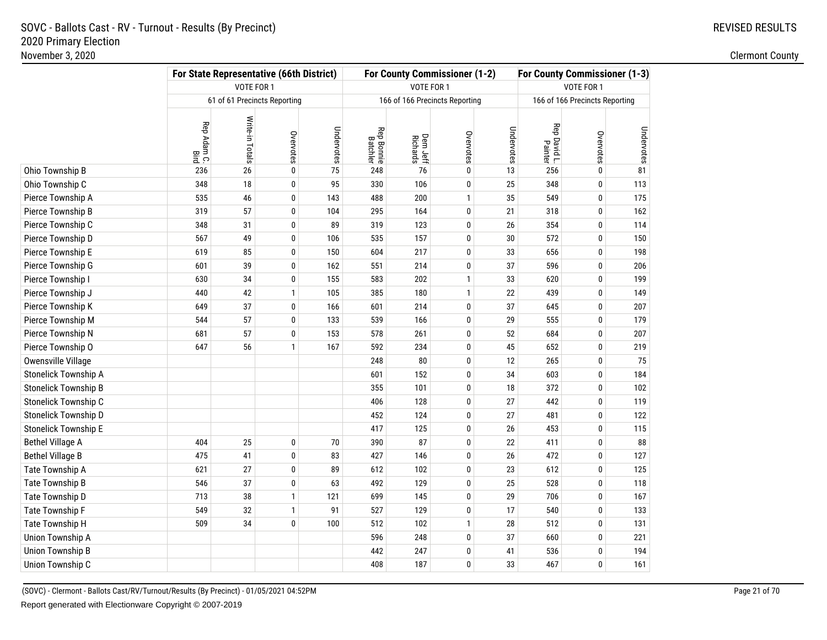|                             | For State Representative (66th District) |                              |              |            |                               | For County Commissioner (1-2) | For County Commissioner (1-3)  |            |                         |                                |            |
|-----------------------------|------------------------------------------|------------------------------|--------------|------------|-------------------------------|-------------------------------|--------------------------------|------------|-------------------------|--------------------------------|------------|
|                             |                                          | VOTE FOR 1                   |              |            |                               | VOTE FOR 1                    |                                |            |                         | VOTE FOR 1                     |            |
|                             |                                          | 61 of 61 Precincts Reporting |              |            |                               |                               | 166 of 166 Precincts Reporting |            |                         | 166 of 166 Precincts Reporting |            |
|                             | Rep Adam C.<br>Bird                      | Write-in Totals              | Overvotes    | Undervotes | <b>Rep Bonnie</b><br>Batchler | Dem Jeff<br>Richards          | Overvotes                      | Undervotes | Rep David L.<br>Painter | Overvotes                      | Undervotes |
| Ohio Township B             | 236                                      | 26                           | 0            | 75         | 248                           | 76                            | 0                              | 13         | 256                     | $\bf{0}$                       | 81         |
| Ohio Township C             | 348                                      | 18                           | 0            | 95         | 330                           | 106                           | $\bf{0}$                       | 25         | 348                     | 0                              | 113        |
| Pierce Township A           | 535                                      | 46                           | 0            | 143        | 488                           | 200                           | $\mathbf{1}$                   | 35         | 549                     | 0                              | 175        |
| Pierce Township B           | 319                                      | 57                           | 0            | 104        | 295                           | 164                           | 0                              | 21         | 318                     | 0                              | 162        |
| Pierce Township C           | 348                                      | 31                           | 0            | 89         | 319                           | 123                           | $\bf{0}$                       | 26         | 354                     | 0                              | 114        |
| Pierce Township D           | 567                                      | 49                           | 0            | 106        | 535                           | 157                           | $\pmb{0}$                      | 30         | 572                     | $\bf{0}$                       | 150        |
| Pierce Township E           | 619                                      | 85                           | 0            | 150        | 604                           | 217                           | 0                              | 33         | 656                     | $\bf{0}$                       | 198        |
| Pierce Township G           | 601                                      | 39                           | 0            | 162        | 551                           | 214                           | $\bf{0}$                       | 37         | 596                     | 0                              | 206        |
| Pierce Township I           | 630                                      | 34                           | 0            | 155        | 583                           | 202                           | $\mathbf{1}$                   | 33         | 620                     | $\pmb{0}$                      | 199        |
| Pierce Township J           | 440                                      | 42                           | $\mathbf{1}$ | 105        | 385                           | 180                           | $\mathbf{1}$                   | 22         | 439                     | $\bf{0}$                       | 149        |
| Pierce Township K           | 649                                      | 37                           | 0            | 166        | 601                           | 214                           | $\bf{0}$                       | 37         | 645                     | $\pmb{0}$                      | 207        |
| Pierce Township M           | 544                                      | 57                           | 0            | 133        | 539                           | 166                           | $\pmb{0}$                      | 29         | 555                     | $\pmb{0}$                      | 179        |
| Pierce Township N           | 681                                      | 57                           | 0            | 153        | 578                           | 261                           | 0                              | 52         | 684                     | $\pmb{0}$                      | 207        |
| Pierce Township O           | 647                                      | 56                           | $\mathbf{1}$ | 167        | 592                           | 234                           | $\bf{0}$                       | 45         | 652                     | $\pmb{0}$                      | 219        |
| Owensville Village          |                                          |                              |              |            | 248                           | 80                            | $\pmb{0}$                      | 12         | 265                     | $\pmb{0}$                      | 75         |
| Stonelick Township A        |                                          |                              |              |            | 601                           | 152                           | 0                              | 34         | 603                     | $\pmb{0}$                      | 184        |
| <b>Stonelick Township B</b> |                                          |                              |              |            | 355                           | 101                           | $\bf{0}$                       | 18         | 372                     | $\pmb{0}$                      | 102        |
| Stonelick Township C        |                                          |                              |              |            | 406                           | 128                           | $\pmb{0}$                      | 27         | 442                     | $\bf{0}$                       | 119        |
| Stonelick Township D        |                                          |                              |              |            | 452                           | 124                           | 0                              | 27         | 481                     | $\bf{0}$                       | 122        |
| <b>Stonelick Township E</b> |                                          |                              |              |            | 417                           | 125                           | $\bf{0}$                       | 26         | 453                     | $\pmb{0}$                      | 115        |
| <b>Bethel Village A</b>     | 404                                      | 25                           | 0            | 70         | 390                           | 87                            | $\pmb{0}$                      | 22         | 411                     | $\bf{0}$                       | 88         |
| <b>Bethel Village B</b>     | 475                                      | 41                           | 0            | 83         | 427                           | 146                           | 0                              | 26         | 472                     | $\bf{0}$                       | 127        |
| Tate Township A             | 621                                      | 27                           | 0            | 89         | 612                           | 102                           | $\bf{0}$                       | 23         | 612                     | $\pmb{0}$                      | 125        |
| Tate Township B             | 546                                      | 37                           | 0            | 63         | 492                           | 129                           | $\pmb{0}$                      | 25         | 528                     | $\pmb{0}$                      | 118        |
| Tate Township D             | 713                                      | 38                           | $\mathbf{1}$ | 121        | 699                           | 145                           | 0                              | 29         | 706                     | 0                              | 167        |
| Tate Township F             | 549                                      | 32                           | $\mathbf{1}$ | 91         | 527                           | 129                           | $\pmb{0}$                      | 17         | 540                     | $\pmb{0}$                      | 133        |
| Tate Township H             | 509                                      | 34                           | 0            | 100        | 512                           | 102                           | $\mathbf{1}$                   | 28         | 512                     | $\pmb{0}$                      | 131        |
| Union Township A            |                                          |                              |              |            | 596                           | 248                           | 0                              | 37         | 660                     | 0                              | 221        |
| <b>Union Township B</b>     |                                          |                              |              |            | 442                           | 247                           | $\bf{0}$                       | 41         | 536                     | $\pmb{0}$                      | 194        |
| Union Township C            |                                          |                              |              |            | 408                           | 187                           | $\pmb{0}$                      | 33         | 467                     | 0                              | 161        |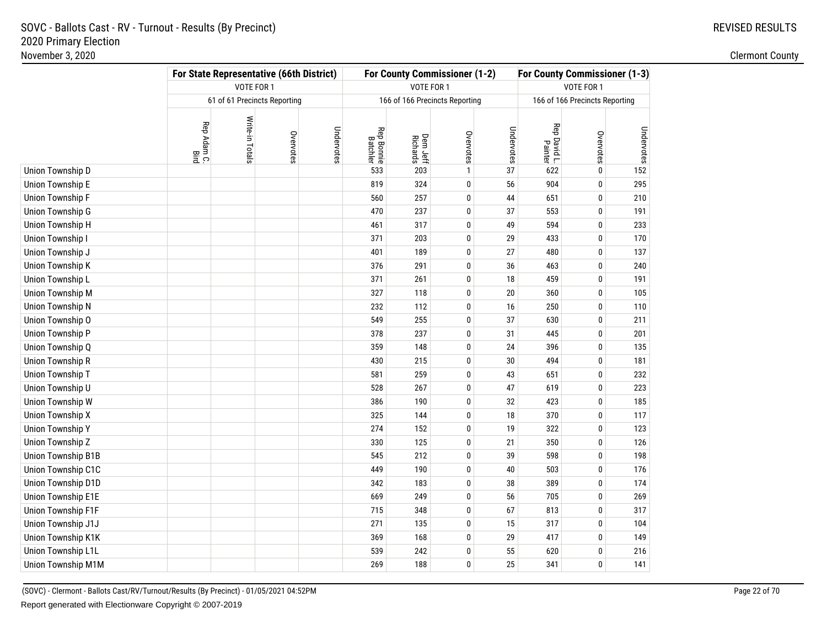|                         | For State Representative (66th District) |                 |                              |            |                               |                      | For County Commissioner (1-2)  |            | For County Commissioner (1-3) |                                |            |  |
|-------------------------|------------------------------------------|-----------------|------------------------------|------------|-------------------------------|----------------------|--------------------------------|------------|-------------------------------|--------------------------------|------------|--|
|                         |                                          | VOTE FOR 1      |                              |            |                               | VOTE FOR 1           |                                |            | VOTE FOR 1                    |                                |            |  |
|                         |                                          |                 | 61 of 61 Precincts Reporting |            |                               |                      | 166 of 166 Precincts Reporting |            |                               | 166 of 166 Precincts Reporting |            |  |
|                         | Rep Adam C.<br>Bird                      | Write-in Totals | Overvotes                    | Undervotes | <b>Rep Bonnie</b><br>Batchler | Dem Jeff<br>Richards | Overvotes                      | Undervotes | Rep David L.<br>Painter       | Overvotes                      | Undervotes |  |
| Union Township D        |                                          |                 |                              |            | 533                           | 203                  | $\mathbf{1}$                   | 37         | 622                           | $\pmb{0}$                      | 152        |  |
| <b>Union Township E</b> |                                          |                 |                              |            | 819                           | 324                  | $\pmb{0}$                      | 56         | 904                           | $\pmb{0}$                      | 295        |  |
| Union Township F        |                                          |                 |                              |            | 560                           | 257                  | $\pmb{0}$                      | 44         | 651                           | $\pmb{0}$                      | 210        |  |
| <b>Union Township G</b> |                                          |                 |                              |            | 470                           | 237                  | $\bf{0}$                       | 37         | 553                           | $\pmb{0}$                      | 191        |  |
| <b>Union Township H</b> |                                          |                 |                              |            | 461                           | 317                  | $\mathbf{0}$                   | 49         | 594                           | $\pmb{0}$                      | 233        |  |
| Union Township I        |                                          |                 |                              |            | 371                           | 203                  | $\mathbf{0}$                   | 29         | 433                           | $\pmb{0}$                      | 170        |  |
| Union Township J        |                                          |                 |                              |            | 401                           | 189                  | 0                              | 27         | 480                           | $\bf{0}$                       | 137        |  |
| Union Township K        |                                          |                 |                              |            | 376                           | 291                  | 0                              | 36         | 463                           | $\bf{0}$                       | 240        |  |
| Union Township L        |                                          |                 |                              |            | 371                           | 261                  | $\bf{0}$                       | 18         | 459                           | $\pmb{0}$                      | 191        |  |
| Union Township M        |                                          |                 |                              |            | 327                           | 118                  | $\pmb{0}$                      | 20         | 360                           | $\pmb{0}$                      | 105        |  |
| <b>Union Township N</b> |                                          |                 |                              |            | 232                           | 112                  | 0                              | 16         | 250                           | $\pmb{0}$                      | 110        |  |
| Union Township O        |                                          |                 |                              |            | 549                           | 255                  | 0                              | 37         | 630                           | $\mathbf 0$                    | 211        |  |
| Union Township P        |                                          |                 |                              |            | 378                           | 237                  | 0                              | 31         | 445                           | $\mathbf 0$                    | 201        |  |
| Union Township Q        |                                          |                 |                              |            | 359                           | 148                  | 0                              | 24         | 396                           | $\mathbf 0$                    | 135        |  |
| <b>Union Township R</b> |                                          |                 |                              |            | 430                           | 215                  | 0                              | 30         | 494                           | $\mathbf 0$                    | 181        |  |
| Union Township T        |                                          |                 |                              |            | 581                           | 259                  | 0                              | 43         | 651                           | $\pmb{0}$                      | 232        |  |
| Union Township U        |                                          |                 |                              |            | 528                           | 267                  | 0                              | 47         | 619                           | $\pmb{0}$                      | 223        |  |
| Union Township W        |                                          |                 |                              |            | 386                           | 190                  | 0                              | 32         | 423                           | $\pmb{0}$                      | 185        |  |
| <b>Union Township X</b> |                                          |                 |                              |            | 325                           | 144                  | 0                              | 18         | 370                           | $\mathbf 0$                    | 117        |  |
| <b>Union Township Y</b> |                                          |                 |                              |            | 274                           | 152                  | 0                              | 19         | 322                           | $\mathbf 0$                    | 123        |  |
| <b>Union Township Z</b> |                                          |                 |                              |            | 330                           | 125                  | 0                              | 21         | 350                           | $\mathbf 0$                    | 126        |  |
| Union Township B1B      |                                          |                 |                              |            | 545                           | 212                  | 0                              | 39         | 598                           | $\bf{0}$                       | 198        |  |
| Union Township C1C      |                                          |                 |                              |            | 449                           | 190                  | $\pmb{0}$                      | 40         | 503                           | $\pmb{0}$                      | 176        |  |
| Union Township D1D      |                                          |                 |                              |            | 342                           | 183                  | $\pmb{0}$                      | 38         | 389                           | $\pmb{0}$                      | 174        |  |
| Union Township E1E      |                                          |                 |                              |            | 669                           | 249                  | 0                              | 56         | 705                           | $\pmb{0}$                      | 269        |  |
| Union Township F1F      |                                          |                 |                              |            | 715                           | 348                  | 0                              | 67         | 813                           | $\pmb{0}$                      | 317        |  |
| Union Township J1J      |                                          |                 |                              |            | 271                           | 135                  | 0                              | 15         | 317                           | $\mathbf 0$                    | 104        |  |
| Union Township K1K      |                                          |                 |                              |            | 369                           | 168                  | 0                              | 29         | 417                           | 0                              | 149        |  |
| Union Township L1L      |                                          |                 |                              |            | 539                           | 242                  | $\mathbf{0}$                   | 55         | 620                           | $\bf{0}$                       | 216        |  |
| Union Township M1M      |                                          |                 |                              |            | 269                           | 188                  | $\mathbf{0}$                   | 25         | 341                           | $\mathbf 0$                    | 141        |  |

(SOVC) - Clermont - Ballots Cast/RV/Turnout/Results (By Precinct) - 01/05/2021 04:52PMReport generated with Electionware Copyright © 2007-2019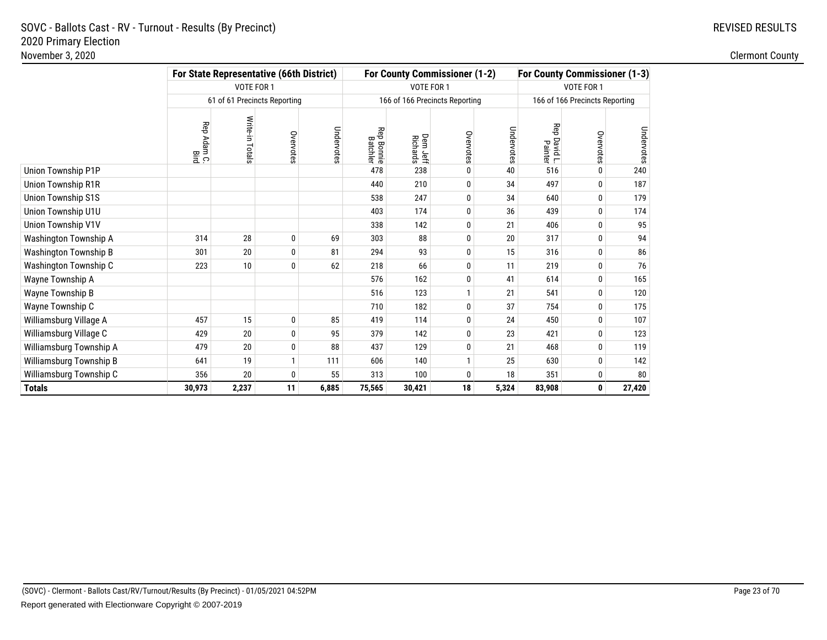|                           | For State Representative (66th District) |                              |              | For County Commissioner (1-2) |                               | <b>For County Commissioner (1-3)</b> |                                |            |                         |                                |            |
|---------------------------|------------------------------------------|------------------------------|--------------|-------------------------------|-------------------------------|--------------------------------------|--------------------------------|------------|-------------------------|--------------------------------|------------|
|                           |                                          | VOTE FOR 1                   |              |                               |                               | VOTE FOR 1                           |                                |            |                         | VOTE FOR 1                     |            |
|                           |                                          | 61 of 61 Precincts Reporting |              |                               |                               |                                      | 166 of 166 Precincts Reporting |            |                         | 166 of 166 Precincts Reporting |            |
|                           | Rep Adam C.<br>Bird                      | Write-in Totals              | Overvotes    | Undervotes                    | <b>Rep Bonnie</b><br>Batchler | Dem Jeff<br>Richards                 | Overvotes                      | Undervotes | Rep David L.<br>Painter | Overvotes                      | Undervotes |
| Union Township P1P        |                                          |                              |              |                               | 478                           | 238                                  | 0                              | 40         | 516                     | 0                              | 240        |
| <b>Union Township R1R</b> |                                          |                              |              |                               | 440                           | 210                                  | 0                              | 34         | 497                     | 0                              | 187        |
| <b>Union Township S1S</b> |                                          |                              |              |                               | 538                           | 247                                  | $\mathbf{0}$                   | 34         | 640                     | 0                              | 179        |
| Union Township U1U        |                                          |                              |              |                               | 403                           | 174                                  | $\mathbf{0}$                   | 36         | 439                     | 0                              | 174        |
| Union Township V1V        |                                          |                              |              |                               | 338                           | 142                                  | 0                              | 21         | 406                     | 0                              | 95         |
| Washington Township A     | 314                                      | 28                           | 0            | 69                            | 303                           | 88                                   | 0                              | 20         | 317                     | $\bf{0}$                       | 94         |
| Washington Township B     | 301                                      | 20                           | 0            | 81                            | 294                           | 93                                   | 0                              | 15         | 316                     | 0                              | 86         |
| Washington Township C     | 223                                      | 10                           | 0            | 62                            | 218                           | 66                                   | 0                              | 11         | 219                     | 0                              | 76         |
| Wayne Township A          |                                          |                              |              |                               | 576                           | 162                                  | 0                              | 41         | 614                     | 0                              | 165        |
| Wayne Township B          |                                          |                              |              |                               | 516                           | 123                                  |                                | 21         | 541                     | 0                              | 120        |
| Wayne Township C          |                                          |                              |              |                               | 710                           | 182                                  | $\mathbf{0}$                   | 37         | 754                     | 0                              | 175        |
| Williamsburg Village A    | 457                                      | 15                           | $\pmb{0}$    | 85                            | 419                           | 114                                  | 0                              | 24         | 450                     | 0                              | 107        |
| Williamsburg Village C    | 429                                      | 20                           | 0            | 95                            | 379                           | 142                                  | 0                              | 23         | 421                     | 0                              | 123        |
| Williamsburg Township A   | 479                                      | 20                           | 0            | 88                            | 437                           | 129                                  | 0                              | 21         | 468                     | 0                              | 119        |
| Williamsburg Township B   | 641                                      | 19                           | $\mathbf{1}$ | 111                           | 606                           | 140                                  | 1                              | 25         | 630                     | 0                              | 142        |
| Williamsburg Township C   | 356                                      | 20                           | 0            | 55                            | 313                           | 100                                  | 0                              | 18         | 351                     | 0                              | 80         |
| <b>Totals</b>             | 30,973                                   | 2,237                        | 11           | 6,885                         | 75,565                        | 30,421                               | 18                             | 5,324      | 83,908                  | 0                              | 27,420     |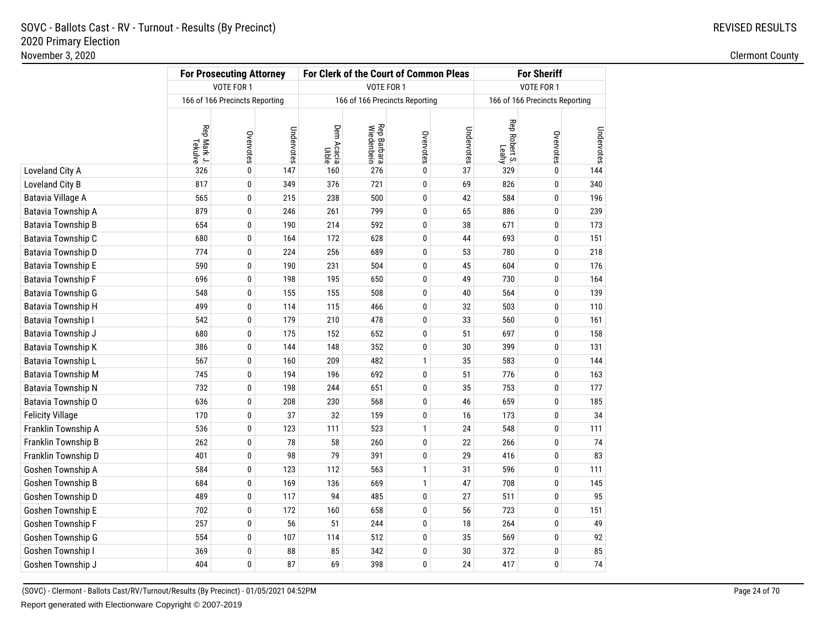|                          | <b>For Prosecuting Attorney</b> |                                |            |                     | For Clerk of the Court of Common Pleas | <b>For Sheriff</b>             |            |                        |                                |            |
|--------------------------|---------------------------------|--------------------------------|------------|---------------------|----------------------------------------|--------------------------------|------------|------------------------|--------------------------------|------------|
|                          |                                 | VOTE FOR 1                     |            |                     | VOTE FOR 1                             |                                |            |                        | VOTE FOR 1                     |            |
|                          |                                 | 166 of 166 Precincts Reporting |            |                     |                                        | 166 of 166 Precincts Reporting |            |                        | 166 of 166 Precincts Reporting |            |
|                          | Rep Mark J.<br>Tekulve          | Overvotes                      | Undervotes | Dem Acacia<br>Uible | <b>Rep Barbara</b><br>Wiedenbein       | Overvotes                      | Undervotes | Rep Robert S.<br>Leahy | Overvotes                      | Undervotes |
| Loveland City A          | 326                             | 0                              | 147        | 160                 | 276                                    | 0                              | 37         | 329                    | 0                              | 144        |
| Loveland City B          | 817                             | 0                              | 349        | 376                 | 721                                    | 0                              | 69         | 826                    | 0                              | 340        |
| <b>Batavia Village A</b> | 565                             | 0                              | 215        | 238                 | 500                                    | $\pmb{0}$                      | 42         | 584                    | $\mathbf 0$                    | 196        |
| Batavia Township A       | 879                             | 0                              | 246        | 261                 | 799                                    | $\mathbf{0}$                   | 65         | 886                    | 0                              | 239        |
| Batavia Township B       | 654                             | 0                              | 190        | 214                 | 592                                    | 0                              | 38         | 671                    | 0                              | 173        |
| Batavia Township C       | 680                             | 0                              | 164        | 172                 | 628                                    | $\pmb{0}$                      | 44         | 693                    | $\mathbf 0$                    | 151        |
| Batavia Township D       | 774                             | $\mathbf{0}$                   | 224        | 256                 | 689                                    | $\mathbf{0}$                   | 53         | 780                    | 0                              | 218        |
| Batavia Township E       | 590                             | 0                              | 190        | 231                 | 504                                    | $\mathbf{0}$                   | 45         | 604                    | 0                              | 176        |
| Batavia Township F       | 696                             | 0                              | 198        | 195                 | 650                                    | $\pmb{0}$                      | 49         | 730                    | 0                              | 164        |
| Batavia Township G       | 548                             | $\mathbf{0}$                   | 155        | 155                 | 508                                    | $\mathbf{0}$                   | 40         | 564                    | 0                              | 139        |
| Batavia Township H       | 499                             | 0                              | 114        | 115                 | 466                                    | $\mathbf{0}$                   | 32         | 503                    | 0                              | 110        |
| Batavia Township I       | 542                             | $\pmb{0}$                      | 179        | 210                 | 478                                    | $\bf{0}$                       | 33         | 560                    | 0                              | 161        |
| Batavia Township J       | 680                             | 0                              | 175        | 152                 | 652                                    | 0                              | 51         | 697                    | $\mathbf{0}$                   | 158        |
| Batavia Township K       | 386                             | 0                              | 144        | 148                 | 352                                    | $\mathbf{0}$                   | 30         | 399                    | 0                              | 131        |
| Batavia Township L       | 567                             | 0                              | 160        | 209                 | 482                                    | $\mathbf{1}$                   | 35         | 583                    | 0                              | 144        |
| Batavia Township M       | 745                             | 0                              | 194        | 196                 | 692                                    | $\bf{0}$                       | 51         | 776                    | 0                              | 163        |
| Batavia Township N       | 732                             | 0                              | 198        | 244                 | 651                                    | $\mathbf{0}$                   | 35         | 753                    | 0                              | 177        |
| Batavia Township O       | 636                             | 0                              | 208        | 230                 | 568                                    | 0                              | 46         | 659                    | 0                              | 185        |
| <b>Felicity Village</b>  | 170                             | 0                              | 37         | 32                  | 159                                    | $\bf{0}$                       | 16         | 173                    | 0                              | 34         |
| Franklin Township A      | 536                             | 0                              | 123        | 111                 | 523                                    | $\mathbf{1}$                   | 24         | 548                    | 0                              | 111        |
| Franklin Township B      | 262                             | 0                              | 78         | 58                  | 260                                    | 0                              | 22         | 266                    | 0                              | 74         |
| Franklin Township D      | 401                             | 0                              | 98         | 79                  | 391                                    | $\bf{0}$                       | 29         | 416                    | 0                              | 83         |
| Goshen Township A        | 584                             | 0                              | 123        | 112                 | 563                                    | $\mathbf{1}$                   | 31         | 596                    | 0                              | 111        |
| Goshen Township B        | 684                             | 0                              | 169        | 136                 | 669                                    | $\mathbf{1}$                   | 47         | 708                    | 0                              | 145        |
| Goshen Township D        | 489                             | 0                              | 117        | 94                  | 485                                    | $\bf{0}$                       | 27         | 511                    | 0                              | 95         |
| Goshen Township E        | 702                             | 0                              | 172        | 160                 | 658                                    | 0                              | 56         | 723                    | $\mathbf{0}$                   | 151        |
| Goshen Township F        | 257                             | 0                              | 56         | 51                  | 244                                    | $\mathbf{0}$                   | 18         | 264                    | 0                              | 49         |
| Goshen Township G        | 554                             | 0                              | 107        | 114                 | 512                                    | 0                              | 35         | 569                    | 0                              | 92         |
| Goshen Township I        | 369                             | 0                              | 88         | 85                  | 342                                    | 0                              | 30         | 372                    | 0                              | 85         |
| Goshen Township J        | 404                             | 0                              | 87         | 69                  | 398                                    | $\mathbf{0}$                   | 24         | 417                    | $\mathbf{0}$                   | 74         |

(SOVC) - Clermont - Ballots Cast/RV/Turnout/Results (By Precinct) - 01/05/2021 04:52PMReport generated with Electionware Copyright © 2007-2019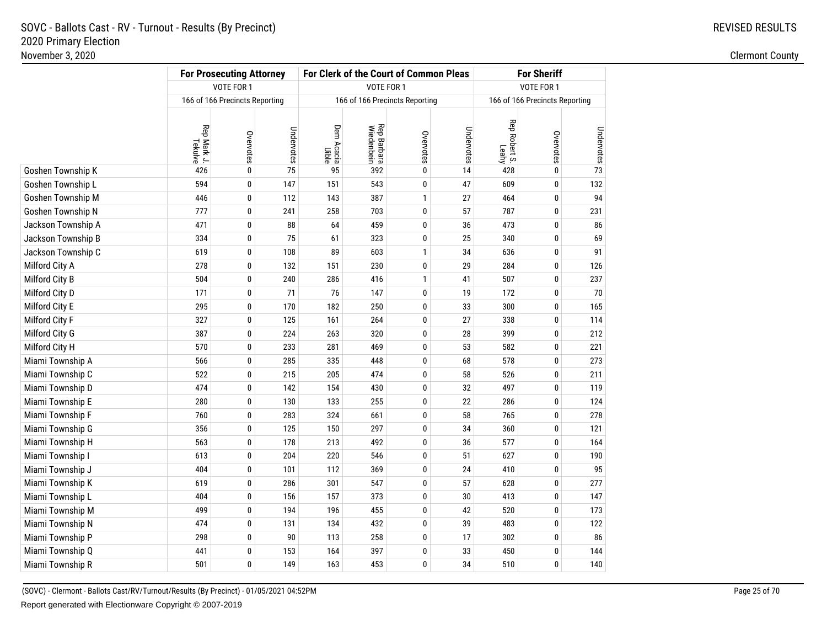|                    | <b>For Prosecuting Attorney</b> |                                |            |                     | For Clerk of the Court of Common Pleas |                                | <b>For Sheriff</b> |                        |                                |            |
|--------------------|---------------------------------|--------------------------------|------------|---------------------|----------------------------------------|--------------------------------|--------------------|------------------------|--------------------------------|------------|
|                    |                                 | <b>VOTE FOR 1</b>              |            |                     | <b>VOTE FOR 1</b>                      |                                |                    |                        | VOTE FOR 1                     |            |
|                    |                                 | 166 of 166 Precincts Reporting |            |                     |                                        | 166 of 166 Precincts Reporting |                    |                        | 166 of 166 Precincts Reporting |            |
|                    | Rep Mark J.<br>Tekulve          | Overvotes                      | Undervotes | Dem Acacia<br>Uible | <b>Rep Barbara</b><br>Wiedenbein       | Overvotes                      | Undervotes         | Rep Robert S.<br>Leahy | Overvotes                      | Undervotes |
| Goshen Township K  | 426                             | $\pmb{0}$                      | 75         | 95                  | 392                                    | $\bf{0}$                       | 14                 | 428                    | $\pmb{0}$                      | 73         |
| Goshen Township L  | 594                             | 0                              | 147        | 151                 | 543                                    | 0                              | 47                 | 609                    | 0                              | 132        |
| Goshen Township M  | 446                             | 0                              | 112        | 143                 | 387                                    | $\mathbf{1}$                   | 27                 | 464                    | $\bf{0}$                       | 94         |
| Goshen Township N  | 777                             | 0                              | 241        | 258                 | 703                                    | $\bf{0}$                       | 57                 | 787                    | 0                              | 231        |
| Jackson Township A | 471                             | 0                              | 88         | 64                  | 459                                    | 0                              | 36                 | 473                    | 0                              | 86         |
| Jackson Township B | 334                             | 0                              | 75         | 61                  | 323                                    | $\pmb{0}$                      | 25                 | 340                    | $\bf{0}$                       | 69         |
| Jackson Township C | 619                             | 0                              | 108        | 89                  | 603                                    | $\mathbf{1}$                   | 34                 | 636                    | 0                              | 91         |
| Milford City A     | 278                             | 0                              | 132        | 151                 | 230                                    | 0                              | 29                 | 284                    | 0                              | 126        |
| Milford City B     | 504                             | 0                              | 240        | 286                 | 416                                    | $\mathbf{1}$                   | 41                 | 507                    | $\pmb{0}$                      | 237        |
| Milford City D     | 171                             | 0                              | 71         | 76                  | 147                                    | 0                              | 19                 | 172                    | 0                              | 70         |
| Milford City E     | 295                             | 0                              | 170        | 182                 | 250                                    | $\pmb{0}$                      | 33                 | 300                    | $\bf{0}$                       | 165        |
| Milford City F     | 327                             | 0                              | 125        | 161                 | 264                                    | $\bf{0}$                       | 27                 | 338                    | $\bf{0}$                       | 114        |
| Milford City G     | 387                             | 0                              | 224        | 263                 | 320                                    | 0                              | 28                 | 399                    | 0                              | 212        |
| Milford City H     | 570                             | 0                              | 233        | 281                 | 469                                    | $\pmb{0}$                      | 53                 | 582                    | $\bf{0}$                       | 221        |
| Miami Township A   | 566                             | 0                              | 285        | 335                 | 448                                    | $\bf{0}$                       | 68                 | 578                    | $\bf{0}$                       | 273        |
| Miami Township C   | 522                             | $\pmb{0}$                      | 215        | 205                 | 474                                    | $\pmb{0}$                      | 58                 | 526                    | 0                              | 211        |
| Miami Township D   | 474                             | 0                              | 142        | 154                 | 430                                    | $\bf{0}$                       | 32                 | 497                    | $\bf{0}$                       | 119        |
| Miami Township E   | 280                             | 0                              | 130        | 133                 | 255                                    | 0                              | 22                 | 286                    | $\bf{0}$                       | 124        |
| Miami Township F   | 760                             | 0                              | 283        | 324                 | 661                                    | $\pmb{0}$                      | 58                 | 765                    | $\bf{0}$                       | 278        |
| Miami Township G   | 356                             | 0                              | 125        | 150                 | 297                                    | 0                              | 34                 | 360                    | $\bf{0}$                       | 121        |
| Miami Township H   | 563                             | 0                              | 178        | 213                 | 492                                    | 0                              | 36                 | 577                    | $\bf{0}$                       | 164        |
| Miami Township I   | 613                             | 0                              | 204        | 220                 | 546                                    | $\pmb{0}$                      | 51                 | 627                    | $\mathbf{0}$                   | 190        |
| Miami Township J   | 404                             | 0                              | 101        | 112                 | 369                                    | 0                              | 24                 | 410                    | $\bf{0}$                       | 95         |
| Miami Township K   | 619                             | $\pmb{0}$                      | 286        | 301                 | 547                                    | $\pmb{0}$                      | 57                 | 628                    | $\mathbf 0$                    | 277        |
| Miami Township L   | 404                             | 0                              | 156        | 157                 | 373                                    | 0                              | 30                 | 413                    | $\bf{0}$                       | 147        |
| Miami Township M   | 499                             | 0                              | 194        | 196                 | 455                                    | 0                              | 42                 | 520                    | $\bf{0}$                       | 173        |
| Miami Township N   | 474                             | $\pmb{0}$                      | 131        | 134                 | 432                                    | $\pmb{0}$                      | 39                 | 483                    | $\pmb{0}$                      | 122        |
| Miami Township P   | 298                             | 0                              | 90         | 113                 | 258                                    | 0                              | 17                 | 302                    | $\bf{0}$                       | 86         |
| Miami Township Q   | 441                             | 0                              | 153        | 164                 | 397                                    | 0                              | 33                 | 450                    | 0                              | 144        |
| Miami Township R   | 501                             | 0                              | 149        | 163                 | 453                                    | $\mathbf{0}$                   | 34                 | 510                    | $\mathbf{0}$                   | 140        |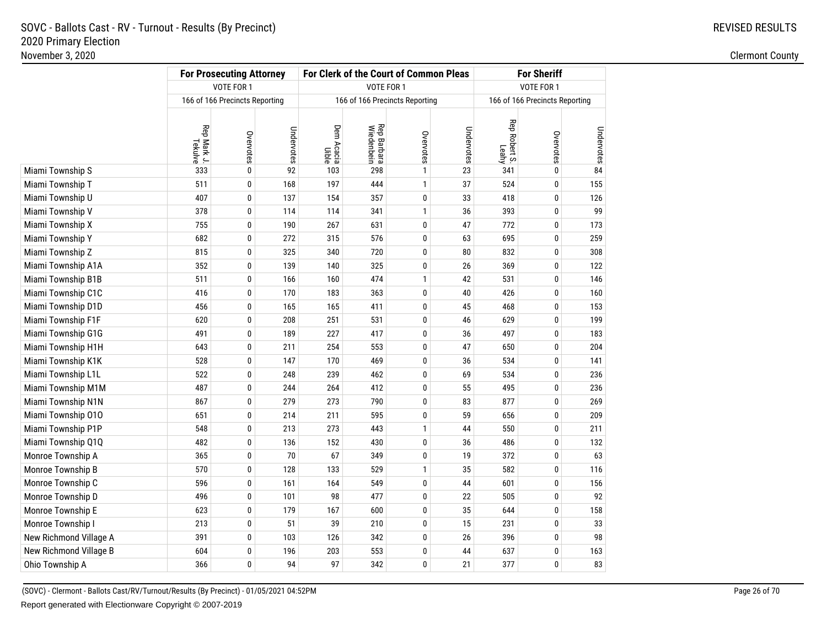|                        | <b>For Prosecuting Attorney</b> |                                |            |                     | For Clerk of the Court of Common Pleas |                                | <b>For Sheriff</b> |                        |                                |            |
|------------------------|---------------------------------|--------------------------------|------------|---------------------|----------------------------------------|--------------------------------|--------------------|------------------------|--------------------------------|------------|
|                        |                                 | VOTE FOR 1                     |            |                     |                                        | VOTE FOR 1                     |                    |                        | VOTE FOR 1                     |            |
|                        |                                 | 166 of 166 Precincts Reporting |            |                     |                                        | 166 of 166 Precincts Reporting |                    |                        | 166 of 166 Precincts Reporting |            |
|                        | Rep Mark J.<br>Tekulve          | Overvotes                      | Undervotes | Dem Acacia<br>Uible | <b>Rep Barbara</b><br>Wiedenbein       | Overvotes                      | Undervotes         | Rep Robert S.<br>Leahy | Overvotes                      | Undervotes |
| Miami Township S       | 333                             | $\pmb{0}$                      | 92         | 103                 | 298                                    | $\mathbf{1}$                   | 23                 | 341                    | $\mathbf{0}$                   | 84         |
| Miami Township T       | 511                             | 0                              | 168        | 197                 | 444                                    | 1                              | 37                 | 524                    | 0                              | 155        |
| Miami Township U       | 407                             | 0                              | 137        | 154                 | 357                                    | $\pmb{0}$                      | 33                 | 418                    | 0                              | 126        |
| Miami Township V       | 378                             | 0                              | 114        | 114                 | 341                                    | $\mathbf{1}$                   | 36                 | 393                    | 0                              | 99         |
| Miami Township X       | 755                             | 0                              | 190        | 267                 | 631                                    | 0                              | 47                 | 772                    | 0                              | 173        |
| Miami Township Y       | 682                             | $\pmb{0}$                      | 272        | 315                 | 576                                    | $\pmb{0}$                      | 63                 | 695                    | 0                              | 259        |
| Miami Township Z       | 815                             | 0                              | 325        | 340                 | 720                                    | 0                              | 80                 | 832                    | 0                              | 308        |
| Miami Township A1A     | 352                             | 0                              | 139        | 140                 | 325                                    | 0                              | 26                 | 369                    | 0                              | 122        |
| Miami Township B1B     | 511                             | 0                              | 166        | 160                 | 474                                    | $\mathbf{1}$                   | 42                 | 531                    | $\mathbf{0}$                   | 146        |
| Miami Township C1C     | 416                             | 0                              | 170        | 183                 | 363                                    | 0                              | 40                 | 426                    | 0                              | 160        |
| Miami Township D1D     | 456                             | 0                              | 165        | 165                 | 411                                    | $\pmb{0}$                      | 45                 | 468                    | 0                              | 153        |
| Miami Township F1F     | 620                             | 0                              | 208        | 251                 | 531                                    | 0                              | 46                 | 629                    | $\mathbf{0}$                   | 199        |
| Miami Township G1G     | 491                             | 0                              | 189        | 227                 | 417                                    | 0                              | 36                 | 497                    | 0                              | 183        |
| Miami Township H1H     | 643                             | 0                              | 211        | 254                 | 553                                    | $\pmb{0}$                      | 47                 | 650                    | 0                              | 204        |
| Miami Township K1K     | 528                             | 0                              | 147        | 170                 | 469                                    | 0                              | 36                 | 534                    | 0                              | 141        |
| Miami Township L1L     | 522                             | $\pmb{0}$                      | 248        | 239                 | 462                                    | $\mathbf 0$                    | 69                 | 534                    | 0                              | 236        |
| Miami Township M1M     | 487                             | 0                              | 244        | 264                 | 412                                    | $\mathbf 0$                    | 55                 | 495                    | $\mathbf{0}$                   | 236        |
| Miami Township N1N     | 867                             | 0                              | 279        | 273                 | 790                                    | 0                              | 83                 | 877                    | $\mathbf 0$                    | 269        |
| Miami Township 010     | 651                             | 0                              | 214        | 211                 | 595                                    | $\pmb{0}$                      | 59                 | 656                    | 0                              | 209        |
| Miami Township P1P     | 548                             | 0                              | 213        | 273                 | 443                                    | $\mathbf{1}$                   | 44                 | 550                    | 0                              | 211        |
| Miami Township Q1Q     | 482                             | 0                              | 136        | 152                 | 430                                    | 0                              | 36                 | 486                    | 0                              | 132        |
| Monroe Township A      | 365                             | 0                              | 70         | 67                  | 349                                    | $\pmb{0}$                      | 19                 | 372                    | 0                              | 63         |
| Monroe Township B      | 570                             | 0                              | 128        | 133                 | 529                                    | $\mathbf{1}$                   | 35                 | 582                    | 0                              | 116        |
| Monroe Township C      | 596                             | $\pmb{0}$                      | 161        | 164                 | 549                                    | $\pmb{0}$                      | 44                 | 601                    | $\mathbf 0$                    | 156        |
| Monroe Township D      | 496                             | 0                              | 101        | 98                  | 477                                    | 0                              | 22                 | 505                    | $\mathbf 0$                    | 92         |
| Monroe Township E      | 623                             | 0                              | 179        | 167                 | 600                                    | 0                              | 35                 | 644                    | 0                              | 158        |
| Monroe Township I      | 213                             | $\pmb{0}$                      | 51         | 39                  | 210                                    | $\pmb{0}$                      | 15                 | 231                    | $\mathbf 0$                    | 33         |
| New Richmond Village A | 391                             | 0                              | 103        | 126                 | 342                                    | 0                              | 26                 | 396                    | 0                              | 98         |
| New Richmond Village B | 604                             | 0                              | 196        | 203                 | 553                                    | 0                              | 44                 | 637                    | 0                              | 163        |
| Ohio Township A        | 366                             | $\pmb{0}$                      | 94         | 97                  | 342                                    | $\pmb{0}$                      | 21                 | 377                    | 0                              | 83         |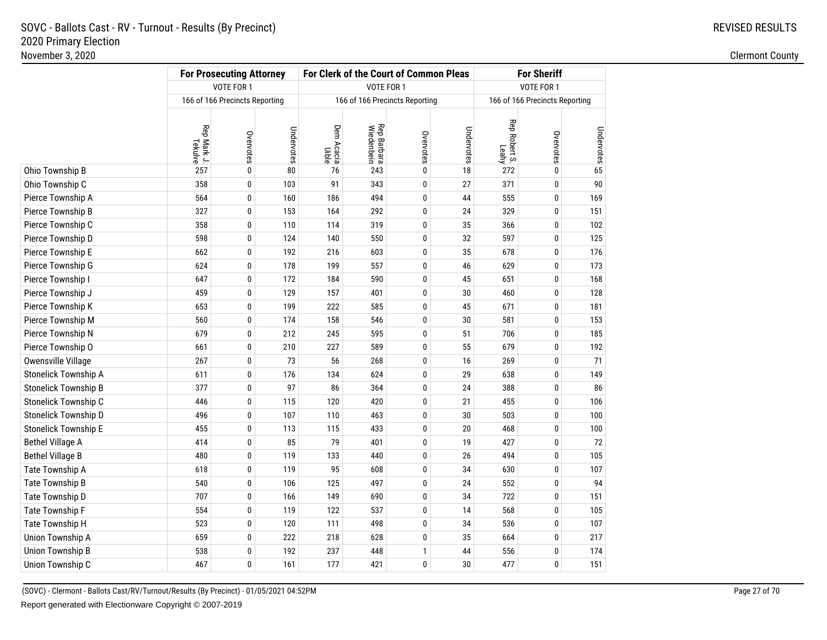|                             | <b>For Prosecuting Attorney</b> |                                |            |                     | For Clerk of the Court of Common Pleas |                                | <b>For Sheriff</b> |                        |                                |            |
|-----------------------------|---------------------------------|--------------------------------|------------|---------------------|----------------------------------------|--------------------------------|--------------------|------------------------|--------------------------------|------------|
|                             |                                 | <b>VOTE FOR 1</b>              |            |                     | <b>VOTE FOR 1</b>                      |                                |                    |                        | VOTE FOR 1                     |            |
|                             |                                 | 166 of 166 Precincts Reporting |            |                     |                                        | 166 of 166 Precincts Reporting |                    |                        | 166 of 166 Precincts Reporting |            |
|                             | Rep Mark J.<br>Tekulve          | Overvotes                      | Undervotes | Dem Acacia<br>Uible | <b>Rep Barbara</b><br>Wiedenbein       | Overvotes                      | Undervotes         | Rep Robert S.<br>Leahy | Overvotes                      | Undervotes |
| Ohio Township B             | 257                             | $\pmb{0}$                      | 80         | 76                  | 243                                    | $\pmb{0}$                      | 18                 | 272                    | $\pmb{0}$                      | 65         |
| Ohio Township C             | 358                             | 0                              | 103        | 91                  | 343                                    | 0                              | 27                 | 371                    | 0                              | 90         |
| Pierce Township A           | 564                             | 0                              | 160        | 186                 | 494                                    | $\pmb{0}$                      | 44                 | 555                    | 0                              | 169        |
| Pierce Township B           | 327                             | 0                              | 153        | 164                 | 292                                    | 0                              | 24                 | 329                    | 0                              | 151        |
| Pierce Township C           | 358                             | 0                              | 110        | 114                 | 319                                    | 0                              | 35                 | 366                    | 0                              | 102        |
| Pierce Township D           | 598                             | 0                              | 124        | 140                 | 550                                    | $\pmb{0}$                      | 32                 | 597                    | $\bf{0}$                       | 125        |
| Pierce Township E           | 662                             | 0                              | 192        | 216                 | 603                                    | 0                              | 35                 | 678                    | 0                              | 176        |
| Pierce Township G           | 624                             | 0                              | 178        | 199                 | 557                                    | 0                              | 46                 | 629                    | 0                              | 173        |
| Pierce Township I           | 647                             | 0                              | 172        | 184                 | 590                                    | $\pmb{0}$                      | 45                 | 651                    | $\pmb{0}$                      | 168        |
| Pierce Township J           | 459                             | 0                              | 129        | 157                 | 401                                    | 0                              | 30                 | 460                    | 0                              | 128        |
| Pierce Township K           | 653                             | $\pmb{0}$                      | 199        | 222                 | 585                                    | $\pmb{0}$                      | 45                 | 671                    | $\mathbf 0$                    | 181        |
| Pierce Township M           | 560                             | 0                              | 174        | 158                 | 546                                    | $\mathbf 0$                    | 30                 | 581                    | $\mathbf 0$                    | 153        |
| Pierce Township N           | 679                             | 0                              | 212        | 245                 | 595                                    | 0                              | 51                 | 706                    | 0                              | 185        |
| Pierce Township O           | 661                             | 0                              | 210        | 227                 | 589                                    | $\pmb{0}$                      | 55                 | 679                    | $\mathbf 0$                    | 192        |
| Owensville Village          | 267                             | 0                              | 73         | 56                  | 268                                    | $\mathbf 0$                    | 16                 | 269                    | $\mathbf 0$                    | 71         |
| Stonelick Township A        | 611                             | $\pmb{0}$                      | 176        | 134                 | 624                                    | $\pmb{0}$                      | 29                 | 638                    | 0                              | 149        |
| <b>Stonelick Township B</b> | 377                             | 0                              | 97         | 86                  | 364                                    | $\mathbf 0$                    | 24                 | 388                    | $\mathbf 0$                    | 86         |
| Stonelick Township C        | 446                             | 0                              | 115        | 120                 | 420                                    | 0                              | 21                 | 455                    | $\mathbf 0$                    | 106        |
| Stonelick Township D        | 496                             | 0                              | 107        | 110                 | 463                                    | $\pmb{0}$                      | 30                 | 503                    | $\bf{0}$                       | 100        |
| <b>Stonelick Township E</b> | 455                             | 0                              | 113        | 115                 | 433                                    | 0                              | 20                 | 468                    | $\bf{0}$                       | 100        |
| <b>Bethel Village A</b>     | 414                             | 0                              | 85         | 79                  | 401                                    | 0                              | 19                 | 427                    | 0                              | 72         |
| <b>Bethel Village B</b>     | 480                             | 0                              | 119        | 133                 | 440                                    | $\pmb{0}$                      | 26                 | 494                    | $\mathbf{0}$                   | 105        |
| Tate Township A             | 618                             | 0                              | 119        | 95                  | 608                                    | 0                              | 34                 | 630                    | $\bf{0}$                       | 107        |
| Tate Township B             | 540                             | $\pmb{0}$                      | 106        | 125                 | 497                                    | $\pmb{0}$                      | 24                 | 552                    | $\bf{0}$                       | 94         |
| Tate Township D             | 707                             | 0                              | 166        | 149                 | 690                                    | 0                              | 34                 | 722                    | $\bf{0}$                       | 151        |
| Tate Township F             | 554                             | 0                              | 119        | 122                 | 537                                    | 0                              | 14                 | 568                    | $\bf{0}$                       | 105        |
| Tate Township H             | 523                             | $\pmb{0}$                      | 120        | 111                 | 498                                    | $\bf{0}$                       | 34                 | 536                    | $\pmb{0}$                      | 107        |
| Union Township A            | 659                             | 0                              | 222        | 218                 | 628                                    | 0                              | 35                 | 664                    | $\bf{0}$                       | 217        |
| <b>Union Township B</b>     | 538                             | 0                              | 192        | 237                 | 448                                    | $\mathbf{1}$                   | 44                 | 556                    | 0                              | 174        |
| Union Township C            | 467                             | 0                              | 161        | 177                 | 421                                    | $\bf{0}$                       | 30                 | 477                    | $\pmb{0}$                      | 151        |

(SOVC) - Clermont - Ballots Cast/RV/Turnout/Results (By Precinct) - 01/05/2021 04:52PMReport generated with Electionware Copyright © 2007-2019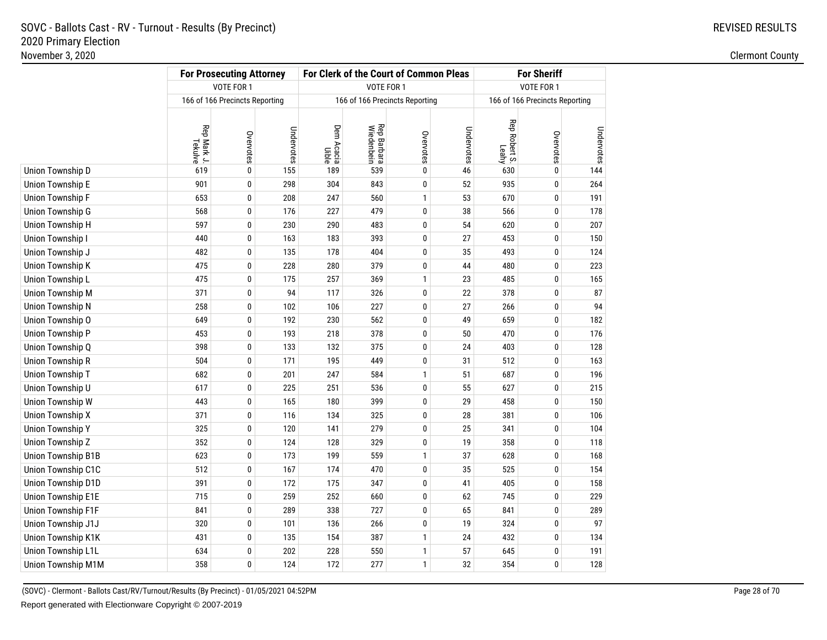|                           | <b>For Prosecuting Attorney</b> |                                |            |                     | For Clerk of the Court of Common Pleas |                                | <b>For Sheriff</b> |                        |                                |            |
|---------------------------|---------------------------------|--------------------------------|------------|---------------------|----------------------------------------|--------------------------------|--------------------|------------------------|--------------------------------|------------|
|                           |                                 | VOTE FOR 1                     |            |                     | VOTE FOR 1                             |                                |                    |                        | VOTE FOR 1                     |            |
|                           |                                 | 166 of 166 Precincts Reporting |            |                     |                                        | 166 of 166 Precincts Reporting |                    |                        | 166 of 166 Precincts Reporting |            |
|                           | Rep Mark J.<br>Tekulve          | Overvotes                      | Undervotes | Dem Acacia<br>Uible | <b>Rep Barbara</b><br>Wiedenbein       | Overvotes                      | Undervotes         | Rep Robert S.<br>Leahy | Overvotes                      | Undervotes |
| Union Township D          | 619                             | 0                              | 155        | 189                 | 539                                    | $\bf{0}$                       | 46                 | 630                    | 0                              | 144        |
| <b>Union Township E</b>   | 901                             | 0                              | 298        | 304                 | 843                                    | $\mathbf{0}$                   | 52                 | 935                    | 0                              | 264        |
| Union Township F          | 653                             | 0                              | 208        | 247                 | 560                                    | $\mathbf{1}$                   | 53                 | 670                    | 0                              | 191        |
| <b>Union Township G</b>   | 568                             | 0                              | 176        | 227                 | 479                                    | 0                              | 38                 | 566                    | $\pmb{0}$                      | 178        |
| Union Township H          | 597                             | 0                              | 230        | 290                 | 483                                    | 0                              | 54                 | 620                    | $\pmb{0}$                      | 207        |
| Union Township I          | 440                             | 0                              | 163        | 183                 | 393                                    | 0                              | 27                 | 453                    | 0                              | 150        |
| Union Township J          | 482                             | 0                              | 135        | 178                 | 404                                    | 0                              | 35                 | 493                    | 0                              | 124        |
| Union Township K          | 475                             | 0                              | 228        | 280                 | 379                                    | $\pmb{0}$                      | 44                 | 480                    | $\pmb{0}$                      | 223        |
| Union Township L          | 475                             | 0                              | 175        | 257                 | 369                                    | $\mathbf{1}$                   | 23                 | 485                    | $\pmb{0}$                      | 165        |
| <b>Union Township M</b>   | 371                             | 0                              | 94         | 117                 | 326                                    | 0                              | 22                 | 378                    | 0                              | 87         |
| <b>Union Township N</b>   | 258                             | 0                              | 102        | 106                 | 227                                    | 0                              | 27                 | 266                    | 0                              | 94         |
| Union Township O          | 649                             | 0                              | 192        | 230                 | 562                                    | 0                              | 49                 | 659                    | $\pmb{0}$                      | 182        |
| Union Township P          | 453                             | 0                              | 193        | 218                 | 378                                    | $\mathbf{0}$                   | 50                 | 470                    | $\bf{0}$                       | 176        |
| Union Township Q          | 398                             | 0                              | 133        | 132                 | 375                                    | $\mathbf{0}$                   | 24                 | 403                    | 0                              | 128        |
| <b>Union Township R</b>   | 504                             | 0                              | 171        | 195                 | 449                                    | 0                              | 31                 | 512                    | 0                              | 163        |
| Union Township T          | 682                             | 0                              | 201        | 247                 | 584                                    | $\mathbf{1}$                   | 51                 | 687                    | $\pmb{0}$                      | 196        |
| Union Township U          | 617                             | 0                              | 225        | 251                 | 536                                    | 0                              | 55                 | 627                    | $\bf{0}$                       | 215        |
| Union Township W          | 443                             | 0                              | 165        | 180                 | 399                                    | 0                              | 29                 | 458                    | 0                              | 150        |
| Union Township X          | 371                             | $\pmb{0}$                      | 116        | 134                 | 325                                    | $\bf{0}$                       | 28                 | 381                    | $\bf{0}$                       | 106        |
| <b>Union Township Y</b>   | 325                             | 0                              | 120        | 141                 | 279                                    | $\bf{0}$                       | 25                 | 341                    | $\pmb{0}$                      | 104        |
| Union Township Z          | 352                             | 0                              | 124        | 128                 | 329                                    | $\mathbf{0}$                   | 19                 | 358                    | $\bf{0}$                       | 118        |
| <b>Union Township B1B</b> | 623                             | 0                              | 173        | 199                 | 559                                    | $\mathbf{1}$                   | 37                 | 628                    | 0                              | 168        |
| Union Township C1C        | 512                             | $\pmb{0}$                      | 167        | 174                 | 470                                    | $\bf{0}$                       | 35                 | 525                    | $\bf{0}$                       | 154        |
| Union Township D1D        | 391                             | 0                              | 172        | 175                 | 347                                    | $\pmb{0}$                      | 41                 | 405                    | $\pmb{0}$                      | 158        |
| Union Township E1E        | 715                             | 0                              | 259        | 252                 | 660                                    | 0                              | 62                 | 745                    | 0                              | 229        |
| Union Township F1F        | 841                             | 0                              | 289        | 338                 | 727                                    | 0                              | 65                 | 841                    | 0                              | 289        |
| Union Township J1J        | 320                             | $\pmb{0}$                      | 101        | 136                 | 266                                    | $\bf{0}$                       | 19                 | 324                    | $\mathbf 0$                    | 97         |
| Union Township K1K        | 431                             | 0                              | 135        | 154                 | 387                                    | $\mathbf{1}$                   | 24                 | 432                    | 0                              | 134        |
| Union Township L1L        | 634                             | 0                              | 202        | 228                 | 550                                    | $\mathbf{1}$                   | 57                 | 645                    | 0                              | 191        |
| Union Township M1M        | 358                             | 0                              | 124        | 172                 | 277                                    | $\mathbf{1}$                   | 32                 | 354                    | 0                              | 128        |

(SOVC) - Clermont - Ballots Cast/RV/Turnout/Results (By Precinct) - 01/05/2021 04:52PMReport generated with Electionware Copyright © 2007-2019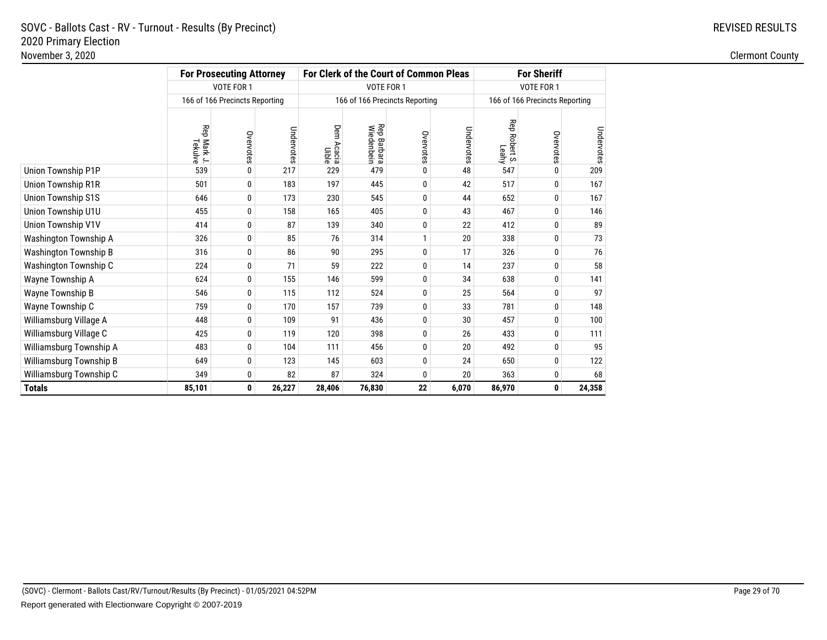# REVISED RESULTS

|                           |                        | <b>For Prosecuting Attorney</b> |            |                        |                                  | For Clerk of the Court of Common Pleas |            |                                  | <b>For Sheriff</b>             |            |
|---------------------------|------------------------|---------------------------------|------------|------------------------|----------------------------------|----------------------------------------|------------|----------------------------------|--------------------------------|------------|
|                           | VOTE FOR 1             |                                 |            |                        | VOTE FOR 1                       |                                        |            |                                  | VOTE FOR 1                     |            |
|                           |                        | 166 of 166 Precincts Reporting  |            |                        |                                  | 166 of 166 Precincts Reporting         |            |                                  | 166 of 166 Precincts Reporting |            |
|                           | Rep Mark J.<br>Tekulve | Overvotes                       | Undervotes | Dem<br>Acacia<br>Uible | <b>Rep Barbara</b><br>Wiedenbein | Overvotes                              | Undervotes | Rep<br><b>Robert S.</b><br>Leahy | Overvotes                      | Undervotes |
| Union Township P1P        | 539                    | 0                               | 217        | 229                    | 479                              | 0                                      | 48         | 547                              | 0                              | 209        |
| Union Township R1R        | 501                    | 0                               | 183        | 197                    | 445                              | 0                                      | 42         | 517                              | 0                              | 167        |
| <b>Union Township S1S</b> | 646                    | 0                               | 173        | 230                    | 545                              | 0                                      | 44         | 652                              | 0                              | 167        |
| Union Township U1U        | 455                    | 0                               | 158        | 165                    | 405                              | 0                                      | 43         | 467                              | 0                              | 146        |
| Union Township V1V        | 414                    | $\mathbf{0}$                    | 87         | 139                    | 340                              | 0                                      | 22         | 412                              | 0                              | 89         |
| Washington Township A     | 326                    | 0                               | 85         | 76                     | 314                              |                                        | 20         | 338                              | 0                              | 73         |
| Washington Township B     | 316                    | 0                               | 86         | 90                     | 295                              | 0                                      | 17         | 326                              | 0                              | 76         |
| Washington Township C     | 224                    | 0                               | 71         | 59                     | 222                              | 0                                      | 14         | 237                              | 0                              | 58         |
| Wayne Township A          | 624                    | 0                               | 155        | 146                    | 599                              | 0                                      | 34         | 638                              | 0                              | 141        |
| Wayne Township B          | 546                    | 0                               | 115        | 112                    | 524                              | 0                                      | 25         | 564                              | 0                              | 97         |
| Wayne Township C          | 759                    | 0                               | 170        | 157                    | 739                              | 0                                      | 33         | 781                              | 0                              | 148        |
| Williamsburg Village A    | 448                    | 0                               | 109        | 91                     | 436                              | 0                                      | 30         | 457                              | 0                              | 100        |
| Williamsburg Village C    | 425                    | 0                               | 119        | 120                    | 398                              | 0                                      | 26         | 433                              | 0                              | 111        |
| Williamsburg Township A   | 483                    | 0                               | 104        | 111                    | 456                              | 0                                      | 20         | 492                              | 0                              | 95         |
| Williamsburg Township B   | 649                    | 0                               | 123        | 145                    | 603                              | 0                                      | 24         | 650                              | 0                              | 122        |
| Williamsburg Township C   | 349                    | 0                               | 82         | 87                     | 324                              | 0                                      | 20         | 363                              | 0                              | 68         |
| <b>Totals</b>             | 85,101                 | 0                               | 26,227     | 28,406                 | 76,830                           | 22                                     | 6,070      | 86,970                           | 0                              | 24,358     |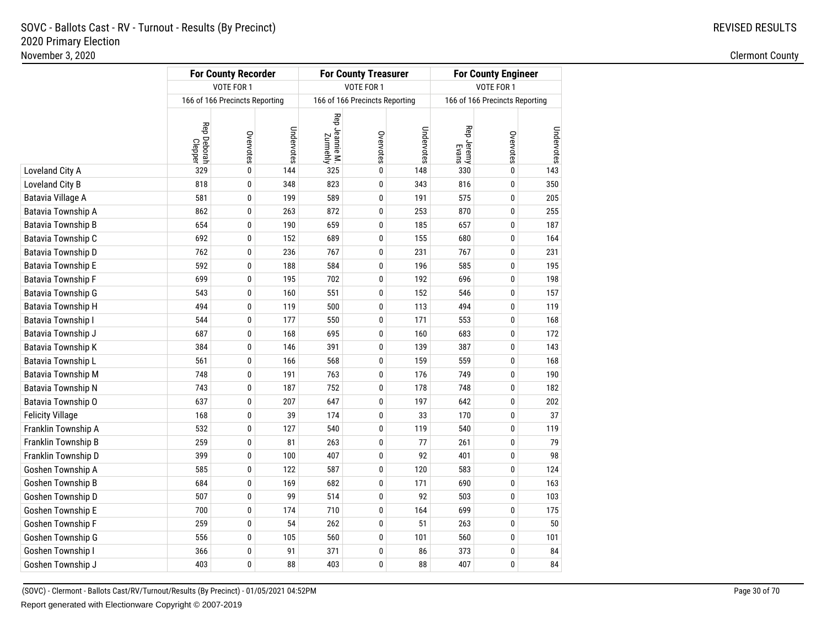|                                 |                                | <b>For County Recorder</b> |            |                            | <b>For County Treasurer</b>    |            |                     | <b>For County Engineer</b>     |            |
|---------------------------------|--------------------------------|----------------------------|------------|----------------------------|--------------------------------|------------|---------------------|--------------------------------|------------|
|                                 |                                | VOTE FOR 1                 |            |                            | VOTE FOR 1                     |            |                     | VOTE FOR 1                     |            |
|                                 | 166 of 166 Precincts Reporting |                            |            |                            | 166 of 166 Precincts Reporting |            |                     | 166 of 166 Precincts Reporting |            |
|                                 | Rep Deborah<br>Clepper         | Overvotes                  | Undervotes | Rep Jeannie M.<br>Zurmehly | Overvotes                      | Undervotes | Rep Jeremy<br>Evans | Overvotes                      | Undervotes |
| Loveland City A                 | 329                            | $\mathbf{0}$               | 144        | 325                        | 0                              | 148        | 330                 | 0                              | 143        |
| Loveland City B                 | 818                            | 0                          | 348        | 823                        | 0                              | 343        | 816                 | 0                              | 350        |
| Batavia Village A               | 581                            | 0                          | 199        | 589                        | 0                              | 191        | 575                 | 0                              | 205        |
| Batavia Township A              | 862                            | $\mathbf{0}$               | 263        | 872                        | 0                              | 253        | 870                 | 0                              | 255        |
| Batavia Township B              | 654                            | $\mathbf{0}$               | 190        | 659                        | 0                              | 185        | 657                 | 0                              | 187        |
| Batavia Township C              | 692                            | 0                          | 152        | 689                        | 0                              | 155        | 680                 | 0                              | 164        |
| Batavia Township D              | 762                            | $\mathbf{0}$               | 236        | 767                        | 0                              | 231        | 767                 | 0                              | 231        |
| Batavia Township E              | 592                            | $\mathbf{0}$               | 188        | 584                        | 0                              | 196        | 585                 | 0                              | 195        |
| Batavia Township F              | 699                            | 0                          | 195        | 702                        | 0                              | 192        | 696                 | 0                              | 198        |
| Batavia Township G              | 543                            | $\mathbf{0}$               | 160        | 551                        | 0                              | 152        | 546                 | 0                              | 157        |
| Batavia Township H              | 494                            | $\mathbf{0}$               | 119        | 500                        | 0                              | 113        | 494                 | 0                              | 119        |
| Batavia Township I              | 544                            | $\mathbf{0}$               | 177        | 550                        | 0                              | 171        | 553                 | 0                              | 168        |
| Batavia Township <mark>J</mark> | 687                            | 0                          | 168        | 695                        | 0                              | 160        | 683                 | 0                              | 172        |
| Batavia Township K              | 384                            | $\mathbf{0}$               | 146        | 391                        | 0                              | 139        | 387                 | 0                              | 143        |
| Batavia Township L              | 561                            | $\mathbf{0}$               | 166        | 568                        | 0                              | 159        | 559                 | 0                              | 168        |
| Batavia Township M              | 748                            | $\mathbf{0}$               | 191        | 763                        | 0                              | 176        | 749                 | 0                              | 190        |
| Batavia Township N              | 743                            | $\bf{0}$                   | 187        | 752                        | 0                              | 178        | 748                 | 0                              | 182        |
| Batavia Township O              | 637                            | $\bf{0}$                   | 207        | 647                        | 0                              | 197        | 642                 | 0                              | 202        |
| <b>Felicity Village</b>         | 168                            | $\mathbf{0}$               | 39         | 174                        | 0                              | 33         | 170                 | 0                              | 37         |
| Franklin Township A             | 532                            | 0                          | 127        | 540                        | 0                              | 119        | 540                 | 0                              | 119        |
| Franklin Township B             | 259                            | 0                          | 81         | 263                        | 0                              | 77         | 261                 | 0                              | 79         |
| Franklin Township D             | 399                            | $\bf{0}$                   | 100        | 407                        | 0                              | 92         | 401                 | 0                              | 98         |
| Goshen Township A               | 585                            | 0                          | 122        | 587                        | 0                              | 120        | 583                 | 0                              | 124        |
| Goshen Township B               | 684                            | $\mathbf{0}$               | 169        | 682                        | 0                              | 171        | 690                 | 0                              | 163        |
| Goshen Township D               | 507                            | 0                          | 99         | 514                        | 0                              | 92         | 503                 | 0                              | 103        |
| Goshen Township E               | 700                            | 0                          | 174        | 710                        | 0                              | 164        | 699                 | 0                              | 175        |
| Goshen Township F               | 259                            | $\bf{0}$                   | 54         | 262                        | 0                              | 51         | 263                 | 0                              | 50         |
| Goshen Township G               | 556                            | 0                          | 105        | 560                        | 0                              | 101        | 560                 | 0                              | 101        |
| Goshen Township I               | 366                            | 0                          | 91         | 371                        | 0                              | 86         | 373                 | 0                              | 84         |
| Goshen Township J               | 403                            | 0                          | 88         | 403                        | 0                              | 88         | 407                 | 0                              | 84         |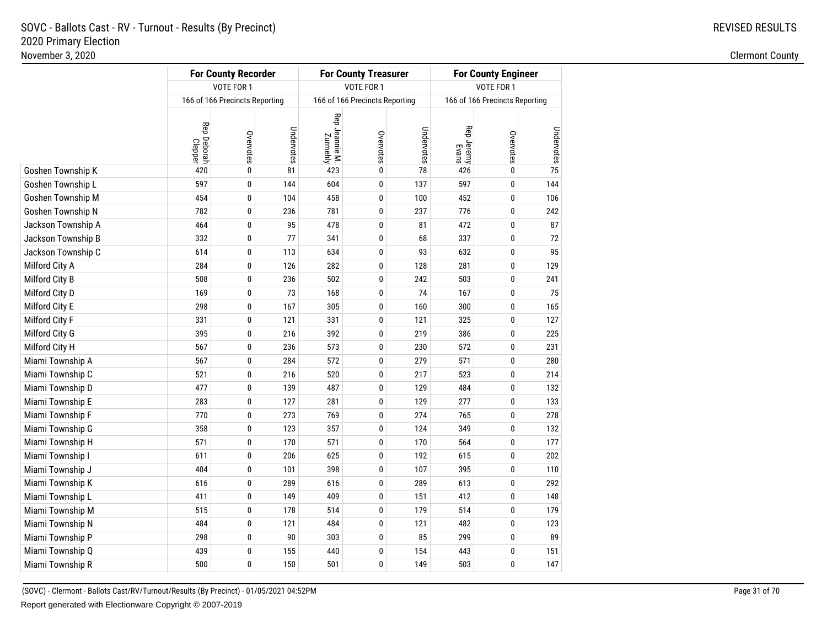|                    |                        | <b>For County Recorder</b>     |            |                            | <b>For County Treasurer</b>    |            |                     | <b>For County Engineer</b>     |            |
|--------------------|------------------------|--------------------------------|------------|----------------------------|--------------------------------|------------|---------------------|--------------------------------|------------|
|                    |                        | VOTE FOR 1                     |            |                            | VOTE FOR 1                     |            |                     | VOTE FOR 1                     |            |
|                    |                        | 166 of 166 Precincts Reporting |            |                            | 166 of 166 Precincts Reporting |            |                     | 166 of 166 Precincts Reporting |            |
|                    | Rep Deborah<br>Clepper | Overvotes                      | Undervotes | Rep Jeannie M.<br>Zurmehly | Overvotes                      | Undervotes | Rep Jeremy<br>Evans | Overvotes                      | Undervotes |
| Goshen Township K  | 420                    | $\pmb{0}$                      | 81         | 423                        | $\pmb{0}$                      | 78         | 426                 | 0                              | 75         |
| Goshen Township L  | 597                    | 0                              | 144        | 604                        | $\bf{0}$                       | 137        | 597                 | 0                              | 144        |
| Goshen Township M  | 454                    | 0                              | 104        | 458                        | $\bf{0}$                       | 100        | 452                 | 0                              | 106        |
| Goshen Township N  | 782                    | 0                              | 236        | 781                        | 0                              | 237        | 776                 | 0                              | 242        |
| Jackson Township A | 464                    | 0                              | 95         | 478                        | $\pmb{0}$                      | 81         | 472                 | 0                              | 87         |
| Jackson Township B | 332                    | 0                              | 77         | 341                        | $\bf{0}$                       | 68         | 337                 | 0                              | 72         |
| Jackson Township C | 614                    | 0                              | 113        | 634                        | 0                              | 93         | 632                 | 0                              | 95         |
| Milford City A     | 284                    | 0                              | 126        | 282                        | $\pmb{0}$                      | 128        | 281                 | 0                              | 129        |
| Milford City B     | 508                    | $\pmb{0}$                      | 236        | 502                        | $\pmb{0}$                      | 242        | 503                 | 0                              | 241        |
| Milford City D     | 169                    | 0                              | 73         | 168                        | $\bf{0}$                       | 74         | 167                 | 0                              | 75         |
| Milford City E     | 298                    | 0                              | 167        | 305                        | 0                              | 160        | 300                 | 0                              | 165        |
| Milford City F     | 331                    | $\pmb{0}$                      | 121        | 331                        | $\pmb{0}$                      | 121        | 325                 | 0                              | 127        |
| Milford City G     | 395                    | 0                              | 216        | 392                        | $\pmb{0}$                      | 219        | 386                 | 0                              | 225        |
| Milford City H     | 567                    | 0                              | 236        | 573                        | 0                              | 230        | 572                 | 0                              | 231        |
| Miami Township A   | 567                    | 0                              | 284        | 572                        | 0                              | 279        | 571                 | 0                              | 280        |
| Miami Township C   | 521                    | 0                              | 216        | 520                        | $\pmb{0}$                      | 217        | 523                 | 0                              | 214        |
| Miami Township D   | 477                    | 0                              | 139        | 487                        | $\pmb{0}$                      | 129        | 484                 | 0                              | 132        |
| Miami Township E   | 283                    | 0                              | 127        | 281                        | 0                              | 129        | 277                 | 0                              | 133        |
| Miami Township F   | 770                    | 0                              | 273        | 769                        | 0                              | 274        | 765                 | 0                              | 278        |
| Miami Township G   | 358                    | 0                              | 123        | 357                        | $\pmb{0}$                      | 124        | 349                 | 0                              | 132        |
| Miami Township H   | 571                    | 0                              | 170        | 571                        | $\pmb{0}$                      | 170        | 564                 | 0                              | 177        |
| Miami Township I   | 611                    | 0                              | 206        | 625                        | 0                              | 192        | 615                 | 0                              | 202        |
| Miami Township J   | 404                    | 0                              | 101        | 398                        | 0                              | 107        | 395                 | 0                              | 110        |
| Miami Township K   | 616                    | 0                              | 289        | 616                        | $\pmb{0}$                      | 289        | 613                 | 0                              | 292        |
| Miami Township L   | 411                    | 0                              | 149        | 409                        | $\mathbf 0$                    | 151        | 412                 | 0                              | 148        |
| Miami Township M   | 515                    | 0                              | 178        | 514                        | 0                              | 179        | 514                 | 0                              | 179        |
| Miami Township N   | 484                    | 0                              | 121        | 484                        | 0                              | 121        | 482                 | 0                              | 123        |
| Miami Township P   | 298                    | 0                              | 90         | 303                        | $\pmb{0}$                      | 85         | 299                 | 0                              | 89         |
| Miami Township Q   | 439                    | 0                              | 155        | 440                        | $\mathbf 0$                    | 154        | 443                 | 0                              | 151        |
| Miami Township R   | 500                    | 0                              | 150        | 501                        | 0                              | 149        | 503                 | 0                              | 147        |
|                    |                        |                                |            |                            |                                |            |                     |                                |            |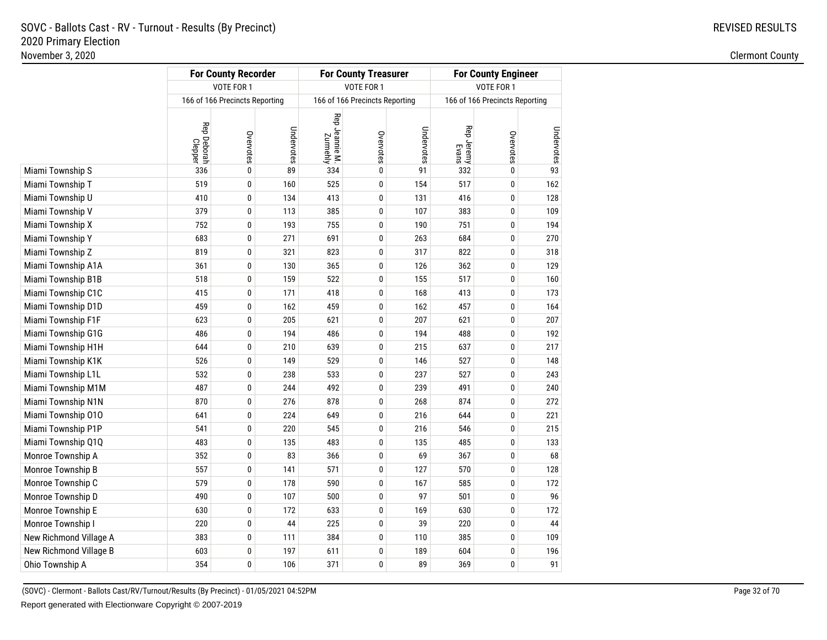|                        |                        | <b>For County Recorder</b>     |            |                            | <b>For County Treasurer</b>    |            |                     | <b>For County Engineer</b>     |            |
|------------------------|------------------------|--------------------------------|------------|----------------------------|--------------------------------|------------|---------------------|--------------------------------|------------|
|                        |                        | VOTE FOR 1                     |            |                            | VOTE FOR 1                     |            |                     | VOTE FOR 1                     |            |
|                        |                        | 166 of 166 Precincts Reporting |            |                            | 166 of 166 Precincts Reporting |            |                     | 166 of 166 Precincts Reporting |            |
|                        | Rep Deborah<br>Clepper | Overvotes                      | Undervotes | Rep Jeannie M.<br>Zurmehly | Overvotes                      | Undervotes | Rep Jeremy<br>Evans | Overvotes                      | Undervotes |
| Miami Township S       | 336                    | $\bf{0}$                       | 89         | 334                        | 0                              | 91         | 332                 | 0                              | 93         |
| Miami Township T       | 519                    | $\mathbf 0$                    | 160        | 525                        | 0                              | 154        | 517                 | 0                              | 162        |
| Miami Township U       | 410                    | $\mathbf 0$                    | 134        | 413                        | 0                              | 131        | 416                 | 0                              | 128        |
| Miami Township V       | 379                    | 0                              | 113        | 385                        | 0                              | 107        | 383                 | 0                              | 109        |
| Miami Township X       | 752                    | 0                              | 193        | 755                        | 0                              | 190        | 751                 | 0                              | 194        |
| Miami Township Y       | 683                    | 0                              | 271        | 691                        | 0                              | 263        | 684                 | 0                              | 270        |
| Miami Township Z       | 819                    | $\mathbf{0}$                   | 321        | 823                        | 0                              | 317        | 822                 | 0                              | 318        |
| Miami Township A1A     | 361                    | 0                              | 130        | 365                        | 0                              | 126        | 362                 | 0                              | 129        |
| Miami Township B1B     | 518                    | 0                              | 159        | 522                        | 0                              | 155        | 517                 | 0                              | 160        |
| Miami Township C1C     | 415                    | $\mathbf{0}$                   | 171        | 418                        | 0                              | 168        | 413                 | 0                              | 173        |
| Miami Township D1D     | 459                    | 0                              | 162        | 459                        | 0                              | 162        | 457                 | 0                              | 164        |
| Miami Township F1F     | 623                    | 0                              | 205        | 621                        | 0                              | 207        | 621                 | 0                              | 207        |
| Miami Township G1G     | 486                    | $\mathbf{0}$                   | 194        | 486                        | 0                              | 194        | 488                 | 0                              | 192        |
| Miami Township H1H     | 644                    | $\mathbf{0}$                   | 210        | 639                        | 0                              | 215        | 637                 | 0                              | 217        |
| Miami Township K1K     | 526                    | 0                              | 149        | 529                        | 0                              | 146        | 527                 | 0                              | 148        |
| Miami Township L1L     | 532                    | $\mathbf{0}$                   | 238        | 533                        | 0                              | 237        | 527                 | 0                              | 243        |
| Miami Township M1M     | 487                    | 0                              | 244        | 492                        | 0                              | 239        | 491                 | 0                              | 240        |
| Miami Township N1N     | 870                    | 0                              | 276        | 878                        | 0                              | 268        | 874                 | 0                              | 272        |
| Miami Township 010     | 641                    | $\mathbf{0}$                   | 224        | 649                        | 0                              | 216        | 644                 | 0                              | 221        |
| Miami Township P1P     | 541                    | $\mathbf{0}$                   | 220        | 545                        | 0                              | 216        | 546                 | 0                              | 215        |
| Miami Township Q1Q     | 483                    | 0                              | 135        | 483                        | 0                              | 135        | 485                 | 0                              | 133        |
| Monroe Township A      | 352                    | $\mathbf{0}$                   | 83         | 366                        | 0                              | 69         | 367                 | 0                              | 68         |
| Monroe Township B      | 557                    | $\mathbf{0}$                   | 141        | 571                        | 0                              | 127        | 570                 | 0                              | 128        |
| Monroe Township C      | 579                    | 0                              | 178        | 590                        | 0                              | 167        | 585                 | 0                              | 172        |
| Monroe Township D      | 490                    | $\mathbf{0}$                   | 107        | 500                        | 0                              | 97         | 501                 | 0                              | 96         |
| Monroe Township E      | 630                    | $\mathbf{0}$                   | 172        | 633                        | 0                              | 169        | 630                 | 0                              | 172        |
| Monroe Township I      | 220                    | $\mathbf{0}$                   | 44         | 225                        | 0                              | 39         | 220                 | 0                              | 44         |
| New Richmond Village A | 383                    | $\mathbf 0$                    | 111        | 384                        | 0                              | 110        | 385                 | 0                              | 109        |
| New Richmond Village B | 603                    | $\mathbf{0}$                   | 197        | 611                        | 0                              | 189        | 604                 | 0                              | 196        |
| Ohio Township A        | 354                    | 0                              | 106        | 371                        | 0                              | 89         | 369                 | 0                              | 91         |
|                        |                        |                                |            |                            |                                |            |                     |                                |            |

(SOVC) - Clermont - Ballots Cast/RV/Turnout/Results (By Precinct) - 01/05/2021 04:52PMReport generated with Electionware Copyright © 2007-2019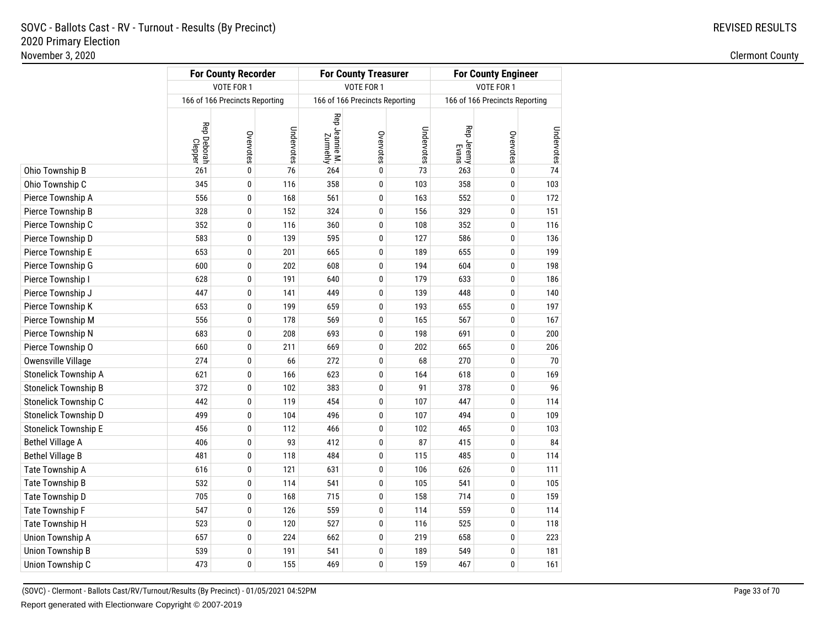|                         | 166 of 166 Precincts Reporting | VOTE FOR 1  |            |                            | VOTE FOR 1                     |            |                     | VOTE FOR 1                     |            |
|-------------------------|--------------------------------|-------------|------------|----------------------------|--------------------------------|------------|---------------------|--------------------------------|------------|
|                         |                                |             |            |                            |                                |            |                     |                                |            |
|                         |                                |             |            |                            | 166 of 166 Precincts Reporting |            |                     | 166 of 166 Precincts Reporting |            |
|                         | Rep Deborah<br>Clepper         | Overvotes   | Undervotes | Rep Jeannie M.<br>Zurmehly | Overvotes                      | Undervotes | Rep Jeremy<br>Evans | Overvotes                      | Undervotes |
| Ohio Township B         | 261                            | $\pmb{0}$   | 76         | 264                        | 0                              | 73         | 263                 | 0                              | 74         |
| Ohio Township C         | 345                            | $\pmb{0}$   | 116        | 358                        | 0                              | 103        | 358                 | 0                              | 103        |
| Pierce Township A       | 556                            | $\mathbf 0$ | 168        | 561                        | 0                              | 163        | 552                 | 0                              | 172        |
| Pierce Township B       | 328                            | 0           | 152        | 324                        | 0                              | 156        | 329                 | 0                              | 151        |
| Pierce Township C       | 352                            | 0           | 116        | 360                        | 0                              | 108        | 352                 | 0                              | 116        |
| Pierce Township D       | 583                            | $\pmb{0}$   | 139        | 595                        | 0                              | 127        | 586                 | 0                              | 136        |
| Pierce Township E       | 653                            | 0           | 201        | 665                        | 0                              | 189        | 655                 | 0                              | 199        |
| Pierce Township G       | 600                            | 0           | 202        | 608                        | 0                              | 194        | 604                 | 0                              | 198        |
| Pierce Township I       | 628                            | 0           | 191        | 640                        | 0                              | 179        | 633                 | 0                              | 186        |
| Pierce Township J       | 447                            | 0           | 141        | 449                        | 0                              | 139        | 448                 | 0                              | 140        |
| Pierce Township K       | 653                            | 0           | 199        | 659                        | 0                              | 193        | 655                 | 0                              | 197        |
| Pierce Township M       | 556                            | 0           | 178        | 569                        | 0                              | 165        | 567                 | 0                              | 167        |
| Pierce Township N       | 683                            | 0           | 208        | 693                        | 0                              | 198        | 691                 | 0                              | 200        |
| Pierce Township O       | 660                            | 0           | 211        | 669                        | 0                              | 202        | 665                 | 0                              | 206        |
| Owensville Village      | 274                            | 0           | 66         | 272                        | 0                              | 68         | 270                 | 0                              | 70         |
| Stonelick Township A    | 621                            | 0           | 166        | 623                        | 0                              | 164        | 618                 | 0                              | 169        |
| Stonelick Township B    | 372                            | 0           | 102        | 383                        | 0                              | 91         | 378                 | 0                              | 96         |
| Stonelick Township C    | 442                            | 0           | 119        | 454                        | 0                              | 107        | 447                 | 0                              | 114        |
| Stonelick Township D    | 499                            | 0           | 104        | 496                        | 0                              | 107        | 494                 | 0                              | 109        |
| Stonelick Township E    | 456                            | 0           | 112        | 466                        | 0                              | 102        | 465                 | 0                              | 103        |
| <b>Bethel Village A</b> | 406                            | 0           | 93         | 412                        | 0                              | 87         | 415                 | 0                              | 84         |
| <b>Bethel Village B</b> | 481                            | 0           | 118        | 484                        | 0                              | 115        | 485                 | 0                              | 114        |
| Tate Township A         | 616                            | 0           | 121        | 631                        | 0                              | 106        | 626                 | 0                              | 111        |
| Tate Township B         | 532                            | 0           | 114        | 541                        | 0                              | 105        | 541                 | 0                              | 105        |
| Tate Township D         | 705                            | 0           | 168        | 715                        | 0                              | 158        | 714                 | 0                              | 159        |
| Tate Township F         | 547                            | 0           | 126        | 559                        | 0                              | 114        | 559                 | 0                              | 114        |
| Tate Township H         | 523                            | 0           | 120        | 527                        | 0                              | 116        | 525                 | 0                              | 118        |
| Union Township A        | 657                            | 0           | 224        | 662                        | 0                              | 219        | 658                 | 0                              | 223        |
| Union Township B        | 539                            | 0           | 191        | 541                        | 0                              | 189        | 549                 | 0                              | 181        |
| Union Township C        | 473                            | 0           | 155        | 469                        | 0                              | 159        | 467                 | 0                              | 161        |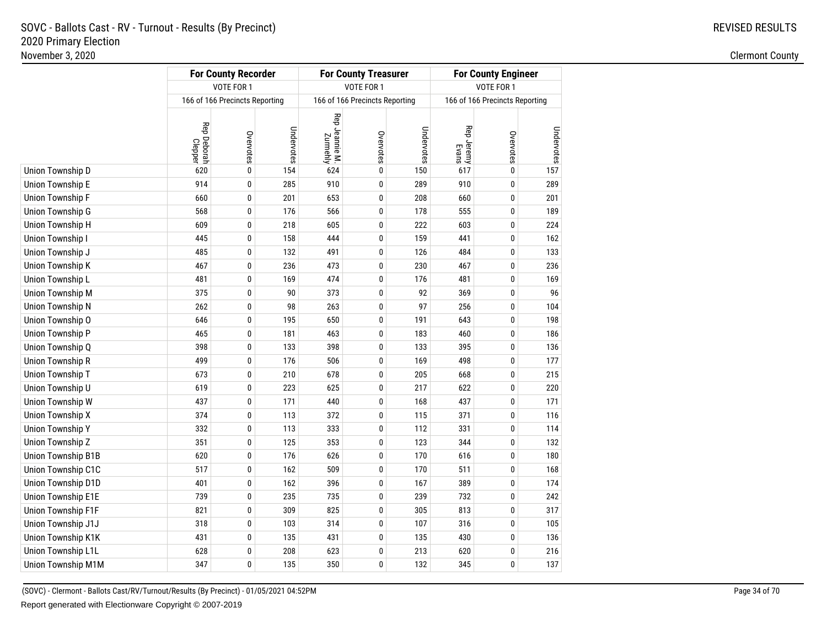|                    |                        | <b>For County Recorder</b>     |            |                            | <b>For County Treasurer</b>    |            | <b>For County Engineer</b> |                                |            |
|--------------------|------------------------|--------------------------------|------------|----------------------------|--------------------------------|------------|----------------------------|--------------------------------|------------|
|                    |                        | VOTE FOR 1                     |            |                            | VOTE FOR 1                     |            |                            | VOTE FOR 1                     |            |
|                    |                        | 166 of 166 Precincts Reporting |            |                            | 166 of 166 Precincts Reporting |            |                            | 166 of 166 Precincts Reporting |            |
|                    | Rep Deborah<br>Clepper | Overvotes                      | Undervotes | Rep Jeannie M.<br>Zurmehly | Overvotes                      | Undervotes | Rep Jeremy<br>Evans        | Overvotes                      | Undervotes |
| Union Township D   | 620                    | $\mathbf{0}$                   | 154        | 624                        | 0                              | 150        | 617                        | 0                              | 157        |
| Union Township E   | 914                    | 0                              | 285        | 910                        | 0                              | 289        | 910                        | 0                              | 289        |
| Union Township F   | 660                    | 0                              | 201        | 653                        | 0                              | 208        | 660                        | 0                              | 201        |
| Union Township G   | 568                    | $\mathbf{0}$                   | 176        | 566                        | 0                              | 178        | 555                        | 0                              | 189        |
| Union Township H   | 609                    | 0                              | 218        | 605                        | 0                              | 222        | 603                        | 0                              | 224        |
| Union Township I   | 445                    | 0                              | 158        | 444                        | 0                              | 159        | 441                        | 0                              | 162        |
| Union Township J   | 485                    | $\mathbf{0}$                   | 132        | 491                        | 0                              | 126        | 484                        | 0                              | 133        |
| Union Township K   | 467                    | $\mathbf{0}$                   | 236        | 473                        | 0                              | 230        | 467                        | 0                              | 236        |
| Union Township L   | 481                    | 0                              | 169        | 474                        | 0                              | 176        | 481                        | 0                              | 169        |
| Union Township M   | 375                    | $\mathbf{0}$                   | 90         | 373                        | 0                              | 92         | 369                        | 0                              | 96         |
| Union Township N   | 262                    | $\mathbf{0}$                   | 98         | 263                        | 0                              | 97         | 256                        | 0                              | 104        |
| Union Township O   | 646                    | 0                              | 195        | 650                        | 0                              | 191        | 643                        | 0                              | 198        |
| Union Township P   | 465                    | 0                              | 181        | 463                        | 0                              | 183        | 460                        | 0                              | 186        |
| Union Township Q   | 398                    | $\mathbf{0}$                   | 133        | 398                        | 0                              | 133        | 395                        | 0                              | 136        |
| Union Township R   | 499                    | $\mathbf{0}$                   | 176        | 506                        | 0                              | 169        | 498                        | 0                              | 177        |
| Union Township T   | 673                    | $\mathbf{0}$                   | 210        | 678                        | 0                              | 205        | 668                        | 0                              | 215        |
| Union Township U   | 619                    | 0                              | 223        | 625                        | 0                              | 217        | 622                        | 0                              | 220        |
| Union Township W   | 437                    | 0                              | 171        | 440                        | 0                              | 168        | 437                        | 0                              | 171        |
| Union Township X   | 374                    | $\mathbf{0}$                   | 113        | 372                        | 0                              | 115        | 371                        | 0                              | 116        |
| Union Township Y   | 332                    | 0                              | 113        | 333                        | 0                              | 112        | 331                        | 0                              | 114        |
| Union Township Z   | 351                    | 0                              | 125        | 353                        | 0                              | 123        | 344                        | 0                              | 132        |
| Union Township B1B | 620                    | $\mathbf{0}$                   | 176        | 626                        | 0                              | 170        | 616                        | 0                              | 180        |
| Union Township C1C | 517                    | 0                              | 162        | 509                        | $\mathbf{0}$                   | 170        | 511                        | 0                              | 168        |
| Union Township D1D | 401                    | 0                              | 162        | 396                        | 0                              | 167        | 389                        | 0                              | 174        |
| Union Township E1E | 739                    | 0                              | 235        | 735                        | 0                              | 239        | 732                        | 0                              | 242        |
| Union Township F1F | 821                    | 0                              | 309        | 825                        | 0                              | 305        | 813                        | 0                              | 317        |
| Union Township J1J | 318                    | 0                              | 103        | 314                        | 0                              | 107        | 316                        | 0                              | 105        |
| Union Township K1K | 431                    | 0                              | 135        | 431                        | 0                              | 135        | 430                        | 0                              | 136        |
| Union Township L1L | 628                    | 0                              | 208        | 623                        | 0                              | 213        | 620                        | 0                              | 216        |
| Union Township M1M | 347                    |                                |            |                            |                                |            |                            |                                |            |

<sup>(</sup>SOVC) - Clermont - Ballots Cast/RV/Turnout/Results (By Precinct) - 01/05/2021 04:52PMReport generated with Electionware Copyright © 2007-2019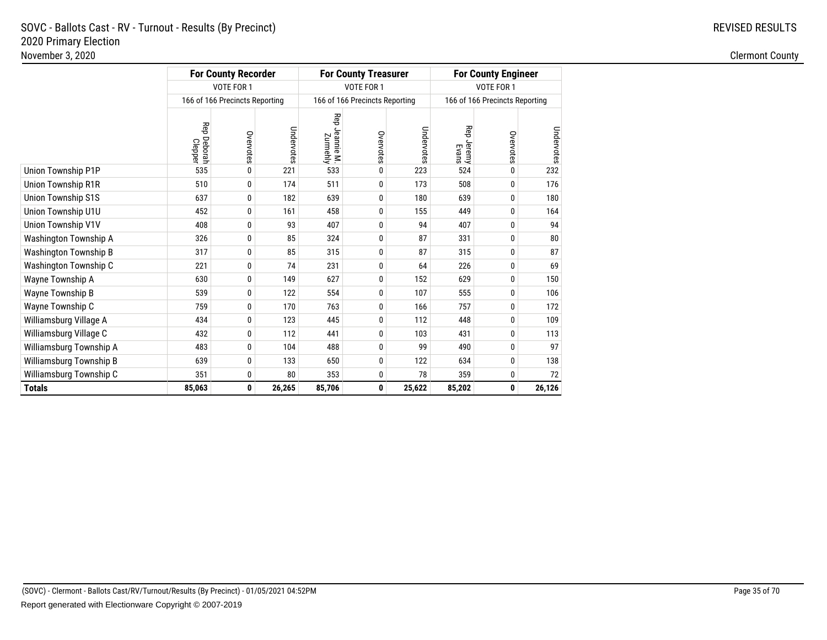|                              |                        | <b>For County Recorder</b>     |            |                            | <b>For County Treasurer</b>    |            | <b>For County Engineer</b> |                                |            |  |
|------------------------------|------------------------|--------------------------------|------------|----------------------------|--------------------------------|------------|----------------------------|--------------------------------|------------|--|
|                              |                        | VOTE FOR 1                     |            |                            | VOTE FOR 1                     |            |                            | VOTE FOR 1                     |            |  |
|                              |                        | 166 of 166 Precincts Reporting |            |                            | 166 of 166 Precincts Reporting |            |                            | 166 of 166 Precincts Reporting |            |  |
|                              | Rep Deborah<br>Clepper | Overvotes                      | Undervotes | Rep Jeannie M.<br>Zurmehly | Overvotes                      | Undervotes | Rep Jeremy<br>Evans        | Overvotes                      | Undervotes |  |
| Union Township P1P           | 535                    | 0                              | 221        | 533                        | 0                              | 223        | 524                        | 0                              | 232        |  |
| Union Township R1R           | 510                    | 0                              | 174        | 511                        | 0                              | 173        | 508                        | 0                              | 176        |  |
| <b>Union Township S1S</b>    | 637                    | 0                              | 182        | 639                        | 0                              | 180        | 639                        | 0                              | 180        |  |
| Union Township U1U           | 452                    | 0                              | 161        | 458                        | 0                              | 155        | 449                        | 0                              | 164        |  |
| Union Township V1V           | 408                    | 0                              | 93         | 407                        | $\mathbf{0}$                   | 94         | 407                        | 0                              | 94         |  |
| Washington Township A        | 326                    | 0                              | 85         | 324                        | 0                              | 87         | 331                        | 0                              | 80         |  |
| <b>Washington Township B</b> | 317                    | 0                              | 85         | 315                        | 0                              | 87         | 315                        | 0                              | 87         |  |
| Washington Township C        | 221                    | 0                              | 74         | 231                        | 0                              | 64         | 226                        | 0                              | 69         |  |
| Wayne Township A             | 630                    | 0                              | 149        | 627                        | 0                              | 152        | 629                        | 0                              | 150        |  |
| Wayne Township B             | 539                    | 0                              | 122        | 554                        | 0                              | 107        | 555                        | 0                              | 106        |  |
| Wayne Township C             | 759                    | 0                              | 170        | 763                        | 0                              | 166        | 757                        | 0                              | 172        |  |
| Williamsburg Village A       | 434                    | 0                              | 123        | 445                        | 0                              | 112        | 448                        | 0                              | 109        |  |
| Williamsburg Village C       | 432                    | 0                              | 112        | 441                        | 0                              | 103        | 431                        | 0                              | 113        |  |
| Williamsburg Township A      | 483                    | 0                              | 104        | 488                        | $\mathbf{0}$                   | 99         | 490                        | 0                              | 97         |  |
| Williamsburg Township B      | 639                    | 0                              | 133        | 650                        | 0                              | 122        | 634                        | 0                              | 138        |  |
| Williamsburg Township C      | 351                    | 0                              | 80         | 353                        | 0                              | 78         | 359                        | 0                              | 72         |  |
| <b>Totals</b>                | 85,063                 | 0                              | 26,265     | 85,706                     | 0                              | 25,622     | 85,202                     | 0                              | 26,126     |  |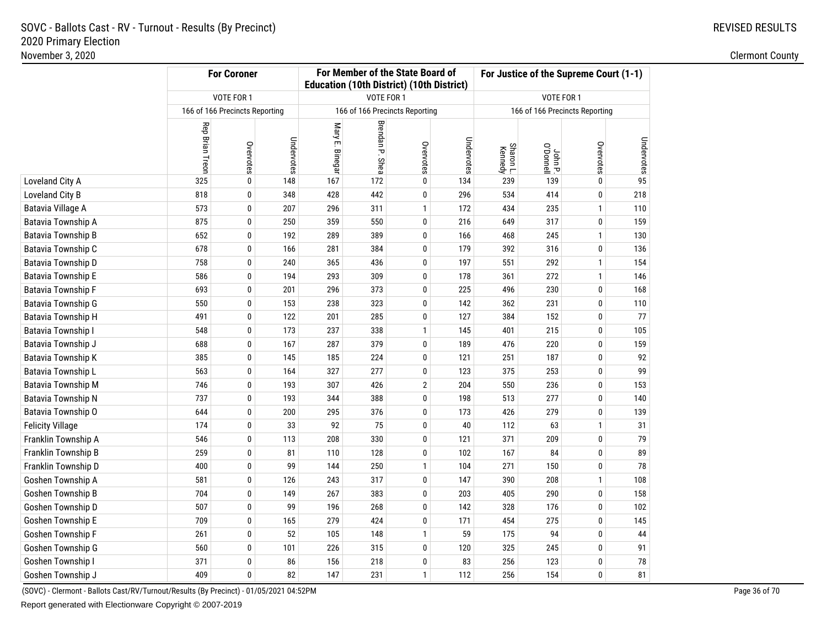## REVISED RESULTS

|                           |                 | <b>For Coroner</b>             |            |                 |                 | For Member of the State Board of<br><b>Education (10th District) (10th District)</b> |            | For Justice of the Supreme Court (1-1) |                                |              |            |
|---------------------------|-----------------|--------------------------------|------------|-----------------|-----------------|--------------------------------------------------------------------------------------|------------|----------------------------------------|--------------------------------|--------------|------------|
|                           |                 | VOTE FOR 1                     |            |                 | VOTE FOR 1      |                                                                                      |            |                                        | VOTE FOR 1                     |              |            |
|                           |                 | 166 of 166 Precincts Reporting |            |                 |                 | 166 of 166 Precincts Reporting                                                       |            |                                        | 166 of 166 Precincts Reporting |              |            |
|                           | Rep Brian Treon | Overvotes                      | Undervotes | Mary E. Binegar | Brendan P. Shea | Overvotes                                                                            | Undervotes | Sharon L.<br>Kennedy                   | John P.<br>Ponnell             | Overvotes    | Undervotes |
| Loveland City A           | 325             | $\pmb{0}$                      | 148        | 167             | 172             | 0                                                                                    | 134        | 239                                    | 139                            | 0            | 95         |
| Loveland City B           | 818             | 0                              | 348        | 428             | 442             | 0                                                                                    | 296        | 534                                    | 414                            | 0            | 218        |
| Batavia Village A         | 573             | 0                              | 207        | 296             | 311             | $\mathbf{1}$                                                                         | 172        | 434                                    | 235                            | $\mathbf{1}$ | 110        |
| Batavia Township A        | 875             | 0                              | 250        | 359             | 550             | $\bf{0}$                                                                             | 216        | 649                                    | 317                            | 0            | 159        |
| <b>Batavia Township B</b> | 652             | 0                              | 192        | 289             | 389             | $\bf{0}$                                                                             | 166        | 468                                    | 245                            | $\mathbf{1}$ | 130        |
| Batavia Township C        | 678             | 0                              | 166        | 281             | 384             | 0                                                                                    | 179        | 392                                    | 316                            | 0            | 136        |
| Batavia Township D        | 758             | $\pmb{0}$                      | 240        | 365             | 436             | 0                                                                                    | 197        | 551                                    | 292                            | 1            | 154        |
| Batavia Township E        | 586             | 0                              | 194        | 293             | 309             | 0                                                                                    | 178        | 361                                    | 272                            | $\mathbf{1}$ | 146        |
| Batavia Township F        | 693             | 0                              | 201        | 296             | 373             | 0                                                                                    | 225        | 496                                    | 230                            | 0            | 168        |
| Batavia Township G        | 550             | 0                              | 153        | 238             | 323             | $\pmb{0}$                                                                            | 142        | 362                                    | 231                            | 0            | 110        |
| <b>Batavia Township H</b> | 491             | 0                              | 122        | 201             | 285             | $\bf{0}$                                                                             | 127        | 384                                    | 152                            | 0            | 77         |
| Batavia Township I        | 548             | 0                              | 173        | 237             | 338             | $\mathbf{1}$                                                                         | 145        | 401                                    | 215                            | 0            | 105        |
| Batavia Township J        | 688             | 0                              | 167        | 287             | 379             | 0                                                                                    | 189        | 476                                    | 220                            | 0            | 159        |
| Batavia Township K        | 385             | 0                              | 145        | 185             | 224             | 0                                                                                    | 121        | 251                                    | 187                            | 0            | 92         |
| Batavia Township L        | 563             | 0                              | 164        | 327             | 277             | $\pmb{0}$                                                                            | 123        | 375                                    | 253                            | 0            | 99         |
| Batavia Township M        | 746             | $\pmb{0}$                      | 193        | 307             | 426             | $\overline{2}$                                                                       | 204        | 550                                    | 236                            | 0            | 153        |
| Batavia Township N        | 737             | $\pmb{0}$                      | 193        | 344             | 388             | $\pmb{0}$                                                                            | 198        | 513                                    | 277                            | 0            | 140        |
| Batavia Township O        | 644             | $\pmb{0}$                      | 200        | 295             | 376             | $\pmb{0}$                                                                            | 173        | 426                                    | 279                            | 0            | 139        |
| <b>Felicity Village</b>   | 174             | 0                              | 33         | 92              | 75              | 0                                                                                    | 40         | 112                                    | 63                             | $\mathbf{1}$ | 31         |
| Franklin Township A       | 546             | 0                              | 113        | 208             | 330             | 0                                                                                    | 121        | 371                                    | 209                            | 0            | 79         |
| Franklin Township B       | 259             | 0                              | 81         | 110             | 128             | 0                                                                                    | 102        | 167                                    | 84                             | 0            | 89         |
| Franklin Township D       | 400             | 0                              | 99         | 144             | 250             | $\mathbf{1}$                                                                         | 104        | 271                                    | 150                            | 0            | 78         |
| Goshen Township A         | 581             | 0                              | 126        | 243             | 317             | 0                                                                                    | 147        | 390                                    | 208                            | 1            | 108        |
| Goshen Township B         | 704             | 0                              | 149        | 267             | 383             | 0                                                                                    | 203        | 405                                    | 290                            | 0            | 158        |
| Goshen Township D         | 507             | 0                              | 99         | 196             | 268             | 0                                                                                    | 142        | 328                                    | 176                            | 0            | 102        |
| Goshen Township E         | 709             | $\pmb{0}$                      | 165        | 279             | 424             | 0                                                                                    | 171        | 454                                    | 275                            | 0            | 145        |
| Goshen Township F         | 261             | 0                              | 52         | 105             | 148             | $\mathbf{1}$                                                                         | 59         | 175                                    | 94                             | 0            | 44         |
| Goshen Township G         | 560             | 0                              | 101        | 226             | 315             | 0                                                                                    | 120        | 325                                    | 245                            | 0            | 91         |
| Goshen Township I         | 371             | 0                              | 86         | 156             | 218             | 0                                                                                    | 83         | 256                                    | 123                            | 0            | 78         |
| Goshen Township J         | 409             | 0                              | 82         | 147             | 231             | $\mathbf{1}$                                                                         | 112        | 256                                    | 154                            | 0            | 81         |

(SOVC) - Clermont - Ballots Cast/RV/Turnout/Results (By Precinct) - 01/05/2021 04:52PM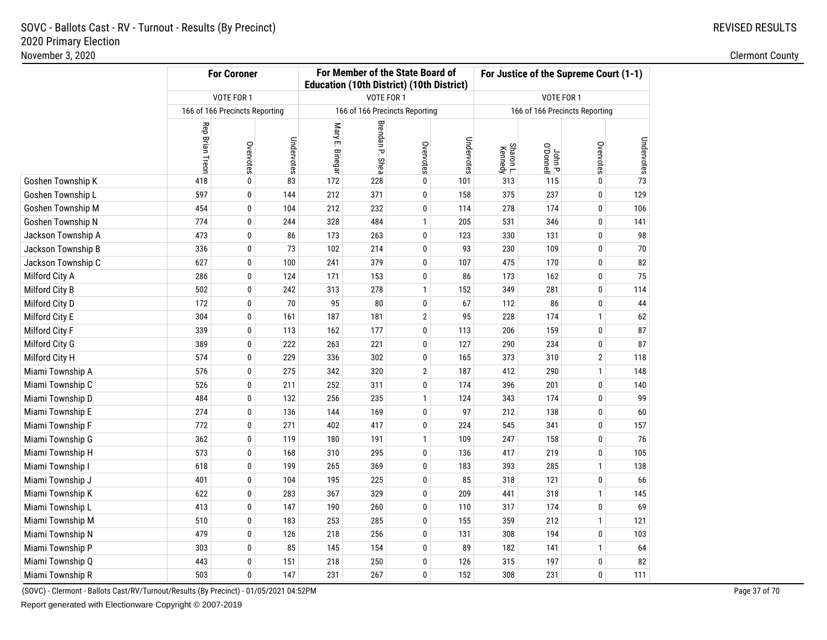# REVISED RESULTS

|                    |                 | <b>For Coroner</b>             |            |                 |                 | For Member of the State Board of<br><b>Education (10th District) (10th District)</b> |            | For Justice of the Supreme Court (1-1) |                                |                |            |
|--------------------|-----------------|--------------------------------|------------|-----------------|-----------------|--------------------------------------------------------------------------------------|------------|----------------------------------------|--------------------------------|----------------|------------|
|                    |                 | VOTE FOR 1                     |            |                 |                 | VOTE FOR 1                                                                           |            |                                        | VOTE FOR 1                     |                |            |
|                    |                 | 166 of 166 Precincts Reporting |            |                 |                 | 166 of 166 Precincts Reporting                                                       |            |                                        | 166 of 166 Precincts Reporting |                |            |
|                    | Rep Brian Treon | Overvotes                      | Undervotes | Mary E. Binegar | Brendan P. Shea | Overvotes                                                                            | Undervotes | Sharon L.<br>Kennedy                   | John P.<br>O'Donnell           | Overvotes      | Undervotes |
| Goshen Township K  | 418             | 0                              | 83         | 172             | 228             | $\bf{0}$                                                                             | 101        | 313                                    | 115                            | 0              | 73         |
| Goshen Township L  | 597             | 0                              | 144        | 212             | 371             | 0                                                                                    | 158        | 375                                    | 237                            | 0              | 129        |
| Goshen Township M  | 454             | 0                              | 104        | 212             | 232             | 0                                                                                    | 114        | 278                                    | 174                            | 0              | 106        |
| Goshen Township N  | 774             | 0                              | 244        | 328             | 484             | $\mathbf{1}$                                                                         | 205        | 531                                    | 346                            | 0              | 141        |
| Jackson Township A | 473             | 0                              | 86         | 173             | 263             | 0                                                                                    | 123        | 330                                    | 131                            | 0              | 98         |
| Jackson Township B | 336             | 0                              | 73         | 102             | 214             | $\pmb{0}$                                                                            | 93         | 230                                    | 109                            | 0              | 70         |
| Jackson Township C | 627             | 0                              | 100        | 241             | 379             | $\pmb{0}$                                                                            | 107        | 475                                    | 170                            | 0              | 82         |
| Milford City A     | 286             | $\pmb{0}$                      | 124        | 171             | 153             | $\pmb{0}$                                                                            | 86         | 173                                    | 162                            | 0              | 75         |
| Milford City B     | 502             | 0                              | 242        | 313             | 278             | $\mathbf{1}$                                                                         | 152        | 349                                    | 281                            | 0              | 114        |
| Milford City D     | 172             | 0                              | 70         | 95              | 80              | 0                                                                                    | 67         | 112                                    | 86                             | 0              | 44         |
| Milford City E     | 304             | 0                              | 161        | 187             | 181             | $\mathbf{2}$                                                                         | 95         | 228                                    | 174                            | 1              | 62         |
| Milford City F     | 339             | $\bf{0}$                       | 113        | 162             | 177             | 0                                                                                    | 113        | 206                                    | 159                            | 0              | 87         |
| Milford City G     | 389             | $\bf{0}$                       | 222        | 263             | 221             | $\pmb{0}$                                                                            | 127        | 290                                    | 234                            | 0              | 87         |
| Milford City H     | 574             | $\bf{0}$                       | 229        | 336             | 302             | $\pmb{0}$                                                                            | 165        | 373                                    | 310                            | $\overline{2}$ | 118        |
| Miami Township A   | 576             | $\pmb{0}$                      | 275        | 342             | 320             | $\overline{2}$                                                                       | 187        | 412                                    | 290                            | $\mathbf{1}$   | 148        |
| Miami Township C   | 526             | 0                              | 211        | 252             | 311             | $\bf{0}$                                                                             | 174        | 396                                    | 201                            | 0              | 140        |
| Miami Township D   | 484             | 0                              | 132        | 256             | 235             | $\mathbf{1}$                                                                         | 124        | 343                                    | 174                            | 0              | 99         |
| Miami Township E   | 274             | 0                              | 136        | 144             | 169             | 0                                                                                    | 97         | 212                                    | 138                            | 0              | 60         |
| Miami Township F   | 772             | 0                              | 271        | 402             | 417             | 0                                                                                    | 224        | 545                                    | 341                            | 0              | 157        |
| Miami Township G   | 362             | 0                              | 119        | 180             | 191             | $\mathbf{1}$                                                                         | 109        | 247                                    | 158                            | 0              | 76         |
| Miami Township H   | 573             | 0                              | 168        | 310             | 295             | $\pmb{0}$                                                                            | 136        | 417                                    | 219                            | 0              | 105        |
| Miami Township I   | 618             | 0                              | 199        | 265             | 369             | 0                                                                                    | 183        | 393                                    | 285                            | 1              | 138        |
| Miami Township J   | 401             | 0                              | 104        | 195             | 225             | 0                                                                                    | 85         | 318                                    | 121                            | 0              | 66         |
| Miami Township K   | 622             | 0                              | 283        | 367             | 329             | 0                                                                                    | 209        | 441                                    | 318                            | $\mathbf{1}$   | 145        |
| Miami Township L   | 413             | 0                              | 147        | 190             | 260             | 0                                                                                    | 110        | 317                                    | 174                            | 0              | 69         |
| Miami Township M   | 510             | $\pmb{0}$                      | 183        | 253             | 285             | 0                                                                                    | 155        | 359                                    | 212                            | $\mathbf{1}$   | 121        |
| Miami Township N   | 479             | 0                              | 126        | 218             | 256             | 0                                                                                    | 131        | 308                                    | 194                            | 0              | 103        |
| Miami Township P   | 303             | 0                              | 85         | 145             | 154             | 0                                                                                    | 89         | 182                                    | 141                            | $\mathbf{1}$   | 64         |
| Miami Township Q   | 443             | 0                              | 151        | 218             | 250             | 0                                                                                    | 126        | 315                                    | 197                            | 0              | 82         |
| Miami Township R   | 503             | 0                              | 147        | 231             | 267             | 0                                                                                    | 152        | 308                                    | 231                            | 0              | 111        |

(SOVC) - Clermont - Ballots Cast/RV/Turnout/Results (By Precinct) - 01/05/2021 04:52PM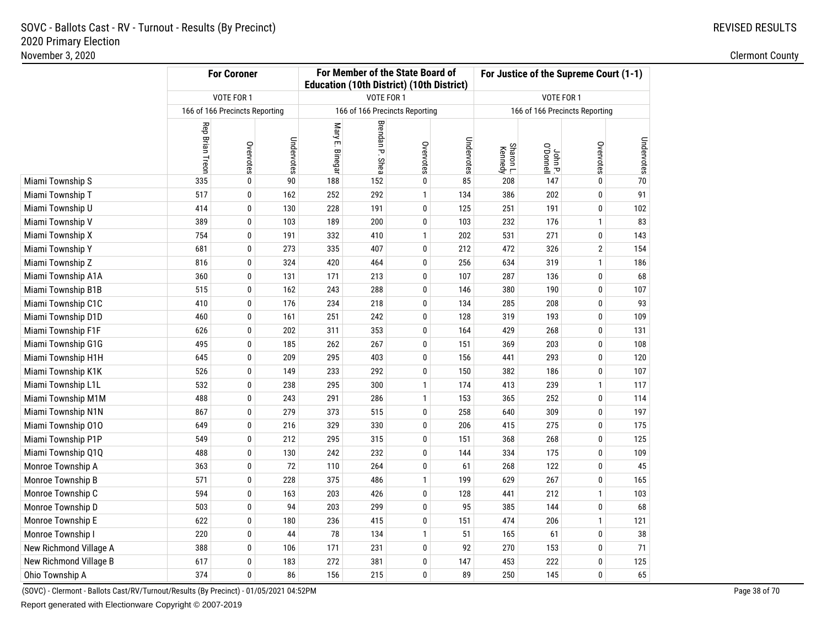# REVISED RESULTS

|                        | <b>For Coroner</b> |                                |            |                 |                 | For Member of the State Board of<br><b>Education (10th District) (10th District)</b> |            | For Justice of the Supreme Court (1-1) |                                |              |            |
|------------------------|--------------------|--------------------------------|------------|-----------------|-----------------|--------------------------------------------------------------------------------------|------------|----------------------------------------|--------------------------------|--------------|------------|
|                        |                    | VOTE FOR 1                     |            |                 |                 | VOTE FOR 1                                                                           |            |                                        | VOTE FOR 1                     |              |            |
|                        |                    | 166 of 166 Precincts Reporting |            |                 |                 | 166 of 166 Precincts Reporting                                                       |            |                                        | 166 of 166 Precincts Reporting |              |            |
|                        | Rep Brian Treon    | Overvotes                      | Undervotes | Mary E. Binegar | Brendan P. Shea | Overvotes                                                                            | Undervotes | Sharon L.<br>Kennedy                   | John P.<br>Ponnell             | Overvotes    | Undervotes |
| Miami Township S       | 335                | 0                              | 90         | 188             | 152             | 0                                                                                    | 85         | 208                                    | 147                            | 0            | 70         |
| Miami Township T       | 517                | 0                              | 162        | 252             | 292             | $\mathbf{1}$                                                                         | 134        | 386                                    | 202                            | 0            | 91         |
| Miami Township U       | 414                | 0                              | 130        | 228             | 191             | 0                                                                                    | 125        | 251                                    | 191                            | 0            | 102        |
| Miami Township V       | 389                | 0                              | 103        | 189             | 200             | 0                                                                                    | 103        | 232                                    | 176                            | 1            | 83         |
| Miami Township X       | 754                | 0                              | 191        | 332             | 410             | $\mathbf{1}$                                                                         | 202        | 531                                    | 271                            | 0            | 143        |
| Miami Township Y       | 681                | 0                              | 273        | 335             | 407             | 0                                                                                    | 212        | 472                                    | 326                            | 2            | 154        |
| Miami Township Z       | 816                | 0                              | 324        | 420             | 464             | 0                                                                                    | 256        | 634                                    | 319                            | $\mathbf{1}$ | 186        |
| Miami Township A1A     | 360                | 0                              | 131        | 171             | 213             | 0                                                                                    | 107        | 287                                    | 136                            | 0            | 68         |
| Miami Township B1B     | 515                | 0                              | 162        | 243             | 288             | 0                                                                                    | 146        | 380                                    | 190                            | 0            | 107        |
| Miami Township C1C     | 410                | 0                              | 176        | 234             | 218             | 0                                                                                    | 134        | 285                                    | 208                            | 0            | 93         |
| Miami Township D1D     | 460                | 0                              | 161        | 251             | 242             | 0                                                                                    | 128        | 319                                    | 193                            | 0            | 109        |
| Miami Township F1F     | 626                | 0                              | 202        | 311             | 353             | 0                                                                                    | 164        | 429                                    | 268                            | 0            | 131        |
| Miami Township G1G     | 495                | 0                              | 185        | 262             | 267             | 0                                                                                    | 151        | 369                                    | 203                            | 0            | 108        |
| Miami Township H1H     | 645                | 0                              | 209        | 295             | 403             | 0                                                                                    | 156        | 441                                    | 293                            | 0            | 120        |
| Miami Township K1K     | 526                | 0                              | 149        | 233             | 292             | 0                                                                                    | 150        | 382                                    | 186                            | 0            | 107        |
| Miami Township L1L     | 532                | 0                              | 238        | 295             | 300             | $\mathbf{1}$                                                                         | 174        | 413                                    | 239                            | $\mathbf{1}$ | 117        |
| Miami Township M1M     | 488                | 0                              | 243        | 291             | 286             | $\mathbf{1}$                                                                         | 153        | 365                                    | 252                            | 0            | 114        |
| Miami Township N1N     | 867                | 0                              | 279        | 373             | 515             | 0                                                                                    | 258        | 640                                    | 309                            | 0            | 197        |
| Miami Township 010     | 649                | 0                              | 216        | 329             | 330             | 0                                                                                    | 206        | 415                                    | 275                            | 0            | 175        |
| Miami Township P1P     | 549                | 0                              | 212        | 295             | 315             | 0                                                                                    | 151        | 368                                    | 268                            | 0            | 125        |
| Miami Township Q1Q     | 488                | 0                              | 130        | 242             | 232             | 0                                                                                    | 144        | 334                                    | 175                            | 0            | 109        |
| Monroe Township A      | 363                | 0                              | 72         | 110             | 264             | 0                                                                                    | 61         | 268                                    | 122                            | 0            | 45         |
| Monroe Township B      | 571                | 0                              | 228        | 375             | 486             | 1                                                                                    | 199        | 629                                    | 267                            | 0            | 165        |
| Monroe Township C      | 594                | 0                              | 163        | 203             | 426             | 0                                                                                    | 128        | 441                                    | 212                            | $\mathbf{1}$ | 103        |
| Monroe Township D      | 503                | 0                              | 94         | 203             | 299             | 0                                                                                    | 95         | 385                                    | 144                            | 0            | 68         |
| Monroe Township E      | 622                | 0                              | 180        | 236             | 415             | 0                                                                                    | 151        | 474                                    | 206                            | $\mathbf{1}$ | 121        |
| Monroe Township I      | 220                | 0                              | 44         | 78              | 134             | $\mathbf{1}$                                                                         | 51         | 165                                    | 61                             | 0            | 38         |
| New Richmond Village A | 388                | 0                              | 106        | 171             | 231             | 0                                                                                    | 92         | 270                                    | 153                            | 0            | 71         |
| New Richmond Village B | 617                | 0                              | 183        | 272             | 381             | 0                                                                                    | 147        | 453                                    | 222                            | 0            | 125        |
| Ohio Township A        | 374                | 0                              | 86         | 156             | 215             | 0                                                                                    | 89         | 250                                    | 145                            | 0            | 65         |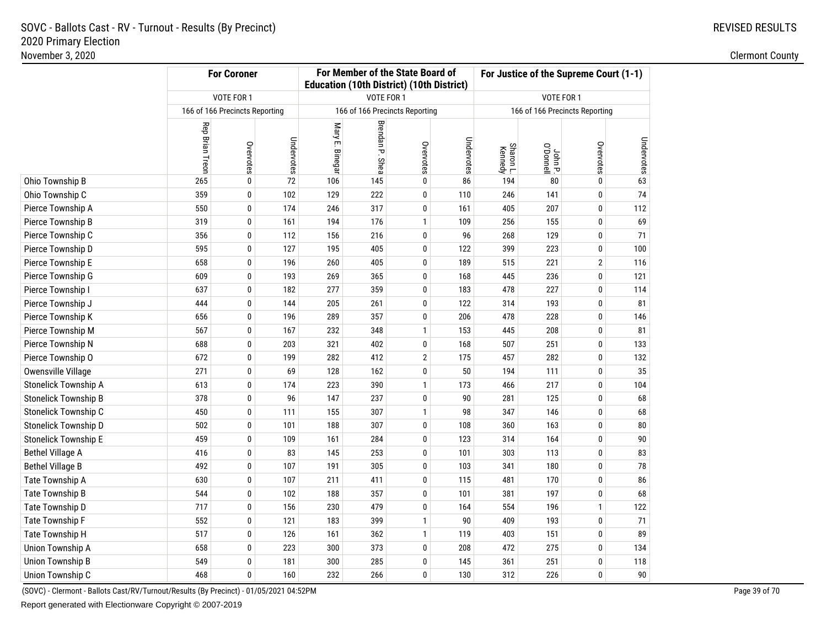# REVISED RESULTS

|                             |                                | <b>For Coroner</b> |            | For Member of the State Board of<br><b>Education (10th District) (10th District)</b> |                 |                                |            | For Justice of the Supreme Court (1-1) |                                |              |            |
|-----------------------------|--------------------------------|--------------------|------------|--------------------------------------------------------------------------------------|-----------------|--------------------------------|------------|----------------------------------------|--------------------------------|--------------|------------|
|                             |                                | VOTE FOR 1         |            |                                                                                      | VOTE FOR 1      |                                |            |                                        | VOTE FOR 1                     |              |            |
|                             | 166 of 166 Precincts Reporting |                    |            |                                                                                      |                 | 166 of 166 Precincts Reporting |            |                                        | 166 of 166 Precincts Reporting |              |            |
|                             | Rep Brian Treon                | Overvotes          | Undervotes | Mary E. Binegar                                                                      | Brendan P. Shea | Overvotes                      | Undervotes | Sharon L.<br>Kennedy                   | John P.<br>Ponnell             | Overvotes    | Undervotes |
| Ohio Township B             | 265                            | 0                  | $72\,$     | 106                                                                                  | 145             | 0                              | 86         | 194                                    | 80                             | 0            | 63         |
| Ohio Township C             | 359                            | 0                  | 102        | 129                                                                                  | 222             | 0                              | 110        | 246                                    | 141                            | 0            | 74         |
| Pierce Township A           | 550                            | 0                  | 174        | 246                                                                                  | 317             | 0                              | 161        | 405                                    | 207                            | 0            | 112        |
| Pierce Township B           | 319                            | 0                  | 161        | 194                                                                                  | 176             | $\mathbf{1}$                   | 109        | 256                                    | 155                            | 0            | 69         |
| Pierce Township C           | 356                            | 0                  | 112        | 156                                                                                  | 216             | 0                              | 96         | 268                                    | 129                            | 0            | 71         |
| Pierce Township D           | 595                            | 0                  | 127        | 195                                                                                  | 405             | 0                              | 122        | 399                                    | 223                            | 0            | 100        |
| Pierce Township E           | 658                            | 0                  | 196        | 260                                                                                  | 405             | 0                              | 189        | 515                                    | 221                            | 2            | 116        |
| Pierce Township G           | 609                            | 0                  | 193        | 269                                                                                  | 365             | 0                              | 168        | 445                                    | 236                            | 0            | 121        |
| Pierce Township I           | 637                            | 0                  | 182        | 277                                                                                  | 359             | 0                              | 183        | 478                                    | 227                            | 0            | 114        |
| Pierce Township J           | 444                            | 0                  | 144        | 205                                                                                  | 261             | 0                              | 122        | 314                                    | 193                            | 0            | 81         |
| Pierce Township K           | 656                            | 0                  | 196        | 289                                                                                  | 357             | $\pmb{0}$                      | 206        | 478                                    | 228                            | 0            | 146        |
| Pierce Township M           | 567                            | 0                  | 167        | 232                                                                                  | 348             | $\mathbf{1}$                   | 153        | 445                                    | 208                            | 0            | 81         |
| Pierce Township N           | 688                            | 0                  | 203        | 321                                                                                  | 402             | 0                              | 168        | 507                                    | 251                            | 0            | 133        |
| Pierce Township O           | 672                            | 0                  | 199        | 282                                                                                  | 412             | $\overline{2}$                 | 175        | 457                                    | 282                            | 0            | 132        |
| Owensville Village          | 271                            | 0                  | 69         | 128                                                                                  | 162             | 0                              | 50         | 194                                    | 111                            | 0            | 35         |
| Stonelick Township A        | 613                            | 0                  | 174        | 223                                                                                  | 390             | $\mathbf{1}$                   | 173        | 466                                    | 217                            | 0            | 104        |
| Stonelick Township B        | 378                            | 0                  | 96         | 147                                                                                  | 237             | 0                              | 90         | 281                                    | 125                            | 0            | 68         |
| Stonelick Township C        | 450                            | 0                  | 111        | 155                                                                                  | 307             | $\mathbf{1}$                   | 98         | 347                                    | 146                            | 0            | 68         |
| Stonelick Township D        | 502                            | 0                  | 101        | 188                                                                                  | 307             | 0                              | 108        | 360                                    | 163                            | 0            | 80         |
| <b>Stonelick Township E</b> | 459                            | 0                  | 109        | 161                                                                                  | 284             | 0                              | 123        | 314                                    | 164                            | 0            | 90         |
| <b>Bethel Village A</b>     | 416                            | 0                  | 83         | 145                                                                                  | 253             | 0                              | 101        | 303                                    | 113                            | 0            | 83         |
| <b>Bethel Village B</b>     | 492                            | 0                  | 107        | 191                                                                                  | 305             | 0                              | 103        | 341                                    | 180                            | 0            | 78         |
| Tate Township A             | 630                            | 0                  | 107        | 211                                                                                  | 411             | 0                              | 115        | 481                                    | 170                            | 0            | 86         |
| Tate Township B             | 544                            | 0                  | 102        | 188                                                                                  | 357             | 0                              | 101        | 381                                    | 197                            | 0            | 68         |
| Tate Township D             | 717                            | 0                  | 156        | 230                                                                                  | 479             | 0                              | 164        | 554                                    | 196                            | $\mathbf{1}$ | 122        |
| Tate Township F             | 552                            | 0                  | 121        | 183                                                                                  | 399             | $\mathbf{1}$                   | 90         | 409                                    | 193                            | 0            | 71         |
| Tate Township H             | 517                            | 0                  | 126        | 161                                                                                  | 362             | $\mathbf{1}$                   | 119        | 403                                    | 151                            | 0            | 89         |
| Union Township A            | 658                            | 0                  | 223        | 300                                                                                  | 373             | 0                              | 208        | 472                                    | 275                            | 0            | 134        |
| <b>Union Township B</b>     | 549                            | 0                  | 181        | 300                                                                                  | 285             | 0                              | 145        | 361                                    | 251                            | 0            | 118        |
| Union Township C            | 468                            | 0                  | 160        | 232                                                                                  | 266             | 0                              | 130        | 312                                    | 226                            | 0            | 90         |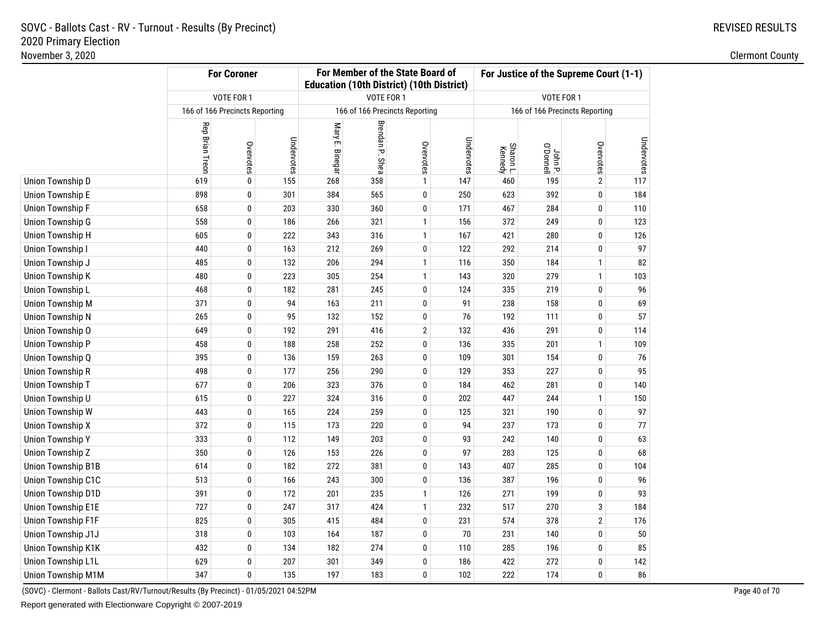# REVISED RESULTS

|                           |                        | <b>For Coroner</b>             |            | For Member of the State Board of<br><b>Education (10th District) (10th District)</b> |                 |                                |            | For Justice of the Supreme Court (1-1) |                                |                |            |
|---------------------------|------------------------|--------------------------------|------------|--------------------------------------------------------------------------------------|-----------------|--------------------------------|------------|----------------------------------------|--------------------------------|----------------|------------|
|                           |                        | VOTE FOR 1                     |            |                                                                                      | VOTE FOR 1      |                                |            |                                        | VOTE FOR 1                     |                |            |
|                           |                        | 166 of 166 Precincts Reporting |            |                                                                                      |                 | 166 of 166 Precincts Reporting |            |                                        | 166 of 166 Precincts Reporting |                |            |
|                           | <b>Rep Brian Treon</b> | Overvotes                      | Undervotes | Mary E. Binegar                                                                      | Brendan P. Shea | Overvotes                      | Undervotes | Sharon L.<br>Kennedy                   | John P.<br>O'Donnell           | Overvotes      | Undervotes |
| Union Township D          | 619                    | 0                              | 155        | 268                                                                                  | 358             | $\mathbf{1}$                   | 147        | 460                                    | 195                            | $\mathbf{2}$   | 117        |
| <b>Union Township E</b>   | 898                    | 0                              | 301        | 384                                                                                  | 565             | 0                              | 250        | 623                                    | 392                            | 0              | 184        |
| <b>Union Township F</b>   | 658                    | 0                              | 203        | 330                                                                                  | 360             | 0                              | 171        | 467                                    | 284                            | 0              | 110        |
| Union Township G          | 558                    | 0                              | 186        | 266                                                                                  | 321             | $\mathbf{1}$                   | 156        | 372                                    | 249                            | 0              | 123        |
| Union Township H          | 605                    | 0                              | 222        | 343                                                                                  | 316             | $\mathbf{1}$                   | 167        | 421                                    | 280                            | 0              | 126        |
| Union Township I          | 440                    | 0                              | 163        | 212                                                                                  | 269             | 0                              | 122        | 292                                    | 214                            | 0              | 97         |
| Union Township J          | 485                    | 0                              | 132        | 206                                                                                  | 294             | $\mathbf{1}$                   | 116        | 350                                    | 184                            | 1              | 82         |
| Union Township K          | 480                    | 0                              | 223        | 305                                                                                  | 254             | $\mathbf{1}$                   | 143        | 320                                    | 279                            | $\mathbf{1}$   | 103        |
| Union Township L          | 468                    | 0                              | 182        | 281                                                                                  | 245             | 0                              | 124        | 335                                    | 219                            | 0              | 96         |
| <b>Union Township M</b>   | 371                    | 0                              | 94         | 163                                                                                  | 211             | 0                              | 91         | 238                                    | 158                            | 0              | 69         |
| <b>Union Township N</b>   | 265                    | 0                              | 95         | 132                                                                                  | 152             | 0                              | 76         | 192                                    | 111                            | 0              | 57         |
| Union Township O          | 649                    | 0                              | 192        | 291                                                                                  | 416             | $\overline{2}$                 | 132        | 436                                    | 291                            | 0              | 114        |
| Union Township P          | 458                    | 0                              | 188        | 258                                                                                  | 252             | 0                              | 136        | 335                                    | 201                            | 1              | 109        |
| Union Township Q          | 395                    | 0                              | 136        | 159                                                                                  | 263             | 0                              | 109        | 301                                    | 154                            | 0              | 76         |
| <b>Union Township R</b>   | 498                    | 0                              | 177        | 256                                                                                  | 290             | 0                              | 129        | 353                                    | 227                            | 0              | 95         |
| <b>Union Township T</b>   | 677                    | 0                              | 206        | 323                                                                                  | 376             | 0                              | 184        | 462                                    | 281                            | 0              | 140        |
| Union Township U          | 615                    | $\pmb{0}$                      | 227        | 324                                                                                  | 316             | 0                              | 202        | 447                                    | 244                            | 1              | 150        |
| Union Township W          | 443                    | 0                              | 165        | 224                                                                                  | 259             | 0                              | 125        | 321                                    | 190                            | 0              | 97         |
| <b>Union Township X</b>   | 372                    | 0                              | 115        | 173                                                                                  | 220             | 0                              | 94         | 237                                    | 173                            | 0              | 77         |
| <b>Union Township Y</b>   | 333                    | 0                              | 112        | 149                                                                                  | 203             | 0                              | 93         | 242                                    | 140                            | 0              | 63         |
| Union Township Z          | 350                    | 0                              | 126        | 153                                                                                  | 226             | 0                              | 97         | 283                                    | 125                            | 0              | 68         |
| <b>Union Township B1B</b> | 614                    | 0                              | 182        | 272                                                                                  | 381             | 0                              | 143        | 407                                    | 285                            | 0              | 104        |
| Union Township C1C        | 513                    | 0                              | 166        | 243                                                                                  | 300             | 0                              | 136        | 387                                    | 196                            | 0              | 96         |
| Union Township D1D        | 391                    | 0                              | 172        | 201                                                                                  | 235             | $\mathbf{1}$                   | 126        | 271                                    | 199                            | 0              | 93         |
| Union Township E1E        | 727                    | 0                              | 247        | 317                                                                                  | 424             | $\mathbf{1}$                   | 232        | 517                                    | 270                            | 3              | 184        |
| Union Township F1F        | 825                    | 0                              | 305        | 415                                                                                  | 484             | 0                              | 231        | 574                                    | 378                            | $\overline{2}$ | 176        |
| Union Township J1J        | 318                    | 0                              | 103        | 164                                                                                  | 187             | 0                              | 70         | 231                                    | 140                            | 0              | 50         |
| Union Township K1K        | 432                    | 0                              | 134        | 182                                                                                  | 274             | 0                              | 110        | 285                                    | 196                            | 0              | 85         |
| Union Township L1L        | 629                    | 0                              | 207        | 301                                                                                  | 349             | 0                              | 186        | 422                                    | 272                            | 0              | 142        |
| Union Township M1M        | 347                    | 0                              | 135        | 197                                                                                  | 183             | 0                              | 102        | 222                                    | 174                            | 0              | 86         |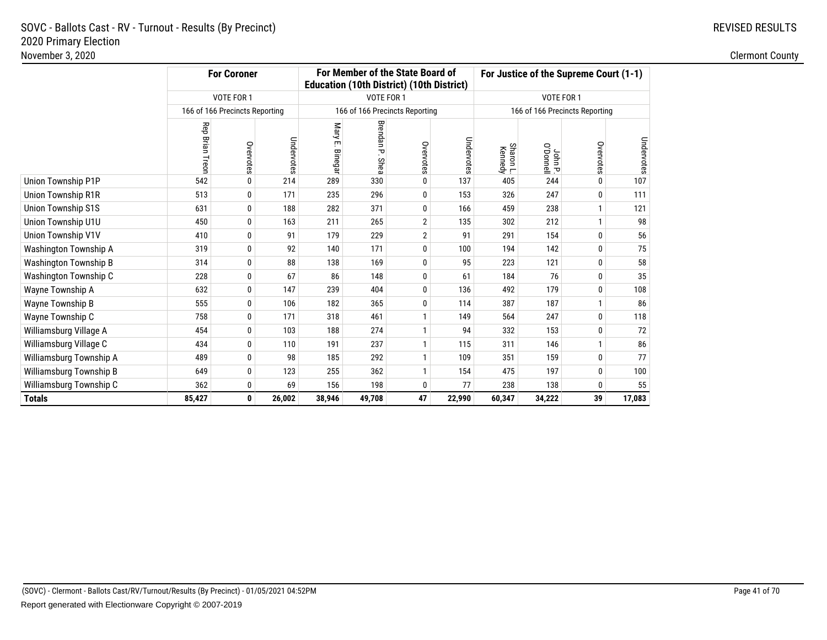|                              | <b>For Coroner</b> |                                |            |                          | For Member of the State Board of<br><b>Education (10th District) (10th District)</b> |           |            |                      |                    | For Justice of the Supreme Court (1-1) |            |
|------------------------------|--------------------|--------------------------------|------------|--------------------------|--------------------------------------------------------------------------------------|-----------|------------|----------------------|--------------------|----------------------------------------|------------|
|                              |                    | <b>VOTE FOR 1</b>              |            |                          | VOTE FOR 1                                                                           |           |            |                      | VOTE FOR 1         |                                        |            |
|                              |                    | 166 of 166 Precincts Reporting |            |                          | 166 of 166 Precincts Reporting                                                       |           |            |                      |                    | 166 of 166 Precincts Reporting         |            |
|                              | Rep Brian Treon    | Overvotes                      | Undervotes | Mary<br>ŗm,<br>. Binegar | Brendan P.<br>Shea                                                                   | Overvotes | Undervotes | Sharon L.<br>Kennedy | John P.<br>Ponnell | Overvotes                              | Undervotes |
| Union Township P1P           | 542                | $\mathbf{0}$                   | 214        | 289                      | 330                                                                                  | 0         | 137        | 405                  | 244                | 0                                      | 107        |
| <b>Union Township R1R</b>    | 513                | 0                              | 171        | 235                      | 296                                                                                  | 0         | 153        | 326                  | 247                | 0                                      | 111        |
| <b>Union Township S1S</b>    | 631                | 0                              | 188        | 282                      | 371                                                                                  | 0         | 166        | 459                  | 238                | 1                                      | 121        |
| Union Township U1U           | 450                | 0                              | 163        | 211                      | 265                                                                                  | 2         | 135        | 302                  | 212                | $\mathbf{1}$                           | 98         |
| Union Township V1V           | 410                | 0                              | 91         | 179                      | 229                                                                                  | 2         | 91         | 291                  | 154                | 0                                      | 56         |
| Washington Township A        | 319                | 0                              | 92         | 140                      | 171                                                                                  | 0         | 100        | 194                  | 142                | 0                                      | 75         |
| <b>Washington Township B</b> | 314                | 0                              | 88         | 138                      | 169                                                                                  | 0         | 95         | 223                  | 121                | 0                                      | 58         |
| Washington Township C        | 228                | 0                              | 67         | 86                       | 148                                                                                  | 0         | 61         | 184                  | 76                 | 0                                      | 35         |
| Wayne Township A             | 632                | 0                              | 147        | 239                      | 404                                                                                  | 0         | 136        | 492                  | 179                | 0                                      | 108        |
| Wayne Township B             | 555                | 0                              | 106        | 182                      | 365                                                                                  | 0         | 114        | 387                  | 187                | $\mathbf{1}$                           | 86         |
| Wayne Township C             | 758                | 0                              | 171        | 318                      | 461                                                                                  |           | 149        | 564                  | 247                | 0                                      | 118        |
| Williamsburg Village A       | 454                | 0                              | 103        | 188                      | 274                                                                                  |           | 94         | 332                  | 153                | 0                                      | 72         |
| Williamsburg Village C       | 434                | 0                              | 110        | 191                      | 237                                                                                  |           | 115        | 311                  | 146                | $\mathbf{1}$                           | 86         |
| Williamsburg Township A      | 489                | 0                              | 98         | 185                      | 292                                                                                  |           | 109        | 351                  | 159                | 0                                      | 77         |
| Williamsburg Township B      | 649                | 0                              | 123        | 255                      | 362                                                                                  |           | 154        | 475                  | 197                | 0                                      | 100        |
| Williamsburg Township C      | 362                | 0                              | 69         | 156                      | 198                                                                                  | 0         | 77         | 238                  | 138                | 0                                      | 55         |
| <b>Totals</b>                | 85,427             | 0                              | 26,002     | 38,946                   | 49,708                                                                               | 47        | 22,990     | 60,347               | 34,222             | 39                                     | 17,083     |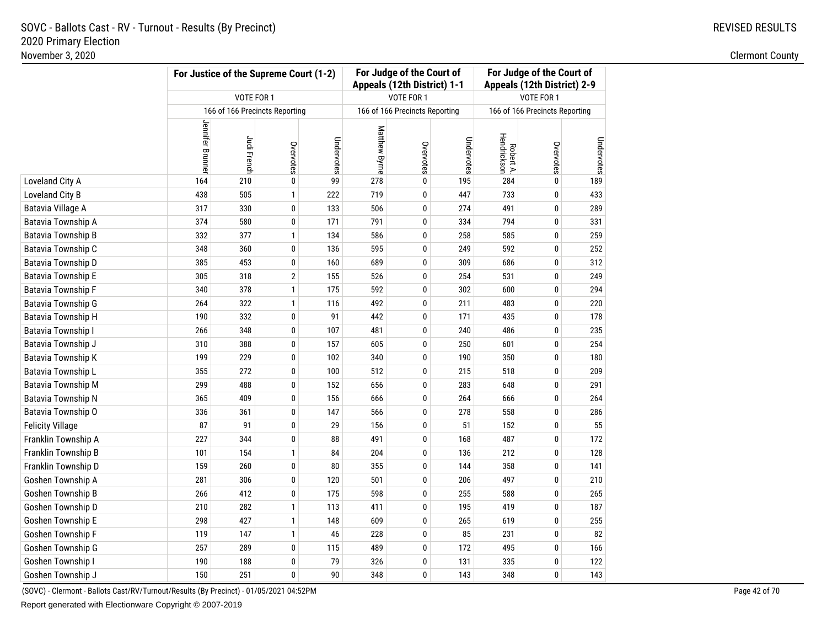### **For Judge of the Court of For Judge of the Court ofFor Justice of the Supreme Court (1-2)Appeals (12th District) 1-1 Appeals (12th District) 2-9**VOTE FOR 1 VOTE FOR 1 VOTE FOR 1 166 of 166 Precincts Reporting166 of 166 Precincts Reporting 166 of 166 Precincts Reporting Jennifer Brunner Jennifer Brunner Matthew Byrne Matthew Byrne Robert A. Hendrickson Judi French Undervotes Undervotes Undervotes Overvotes Overvotes Overvotes Loveland City AA 164 210 0 99 278 0 195 284 0 189 Loveland City BB 1 222 719 0 447 733 0 433 Batavia Village AA 317 330 0 133 506 0 274 491 0 289 Batavia Township AA 374 580 0 171 791 0 334 794 0 331 Batavia Township BB 332 377 1 134 586 0 258 585 0 259 Batavia Township CC 348 360 0 136 595 0 249 592 0 252 Batavia Township DD 385 453 0 160 689 0 309 686 0 312 Batavia Township E <sup>305</sup> <sup>318</sup> <sup>2</sup> <sup>155</sup> <sup>526</sup> <sup>0</sup> <sup>254</sup> <sup>531</sup> <sup>0</sup> <sup>249</sup> Batavia Township F <sup>340</sup> <sup>378</sup> <sup>1</sup> <sup>175</sup> <sup>592</sup> <sup>0</sup> <sup>302</sup> <sup>600</sup> <sup>0</sup> <sup>294</sup> Batavia Township G <sup>264</sup> <sup>322</sup> <sup>1</sup> <sup>116</sup> <sup>492</sup> <sup>0</sup> <sup>211</sup> <sup>483</sup> <sup>0</sup> <sup>220</sup> Batavia Township H <sup>190</sup> <sup>332</sup> <sup>0</sup> <sup>91</sup> <sup>442</sup> <sup>0</sup> <sup>171</sup> <sup>435</sup> <sup>0</sup> <sup>178</sup> Batavia Township I 266 <sup>348</sup> <sup>0</sup> <sup>107</sup> <sup>481</sup> <sup>0</sup> <sup>240</sup> <sup>486</sup> <sup>0</sup> <sup>235</sup> Batavia Township J <sup>310</sup> <sup>388</sup> <sup>0</sup> <sup>157</sup> <sup>605</sup> <sup>0</sup> <sup>250</sup> <sup>601</sup> <sup>0</sup> <sup>254</sup> Batavia Township K <sup>199</sup> <sup>229</sup> <sup>0</sup> <sup>102</sup> <sup>340</sup> <sup>0</sup> <sup>190</sup> <sup>350</sup> <sup>0</sup> <sup>180</sup> Batavia Township LL 355 272 0 100 512 0 215 518 0 209 Batavia Township M <sup>299</sup> <sup>488</sup> <sup>0</sup> <sup>152</sup> <sup>656</sup> <sup>0</sup> <sup>283</sup> <sup>648</sup> <sup>0</sup> <sup>291</sup> Batavia Township NN 365 409 0 156 666 0 264 666 0 264 Batavia Township O <sup>336</sup> <sup>361</sup> <sup>0</sup> <sup>147</sup> <sup>566</sup> <sup>0</sup> <sup>278</sup> <sup>558</sup> <sup>0</sup> <sup>286</sup> Felicity Village <sup>87</sup> <sup>91</sup> <sup>0</sup> <sup>29</sup> <sup>156</sup> <sup>0</sup> <sup>51</sup> <sup>152</sup> <sup>0</sup> <sup>55</sup> Franklin Township AA 227 344 0 88 491 0 168 487 0 172 Franklin Township B**B** 101 154 1 84 204 0 136 212 0 128 Franklin Township D <sup>159</sup> <sup>260</sup> <sup>0</sup> <sup>80</sup> <sup>355</sup> <sup>0</sup> <sup>144</sup> <sup>358</sup> <sup>0</sup> <sup>141</sup> Goshen Township AA 281 280 0 120 501 0 206 497 0 210 Goshen Township B**B** 266 412 0 175 598 0 255 588 0 265 Goshen Township DD 210 282 1 113 411 0 195 419 0 187 Goshen Township E <sup>298</sup> <sup>427</sup> <sup>1</sup> <sup>148</sup> <sup>609</sup> <sup>0</sup> <sup>265</sup> <sup>619</sup> <sup>0</sup> <sup>255</sup> Goshen Township FF 119 147 1 46 228 0 85 231 0 82 Goshen Township G**G** 257 289 0 115 489 0 172 495 0 166 Goshen Township I 190 <sup>188</sup> <sup>0</sup> <sup>79</sup> <sup>326</sup> <sup>0</sup> <sup>131</sup> <sup>335</sup> <sup>0</sup> <sup>122</sup> Goshen Township J<sup>150</sup> <sup>251</sup> <sup>0</sup> <sup>90</sup> <sup>348</sup> <sup>0</sup> <sup>143</sup> <sup>348</sup> <sup>0</sup> <sup>143</sup>

(SOVC) - Clermont - Ballots Cast/RV/Turnout/Results (By Precinct) - 01/05/2021 04:52PM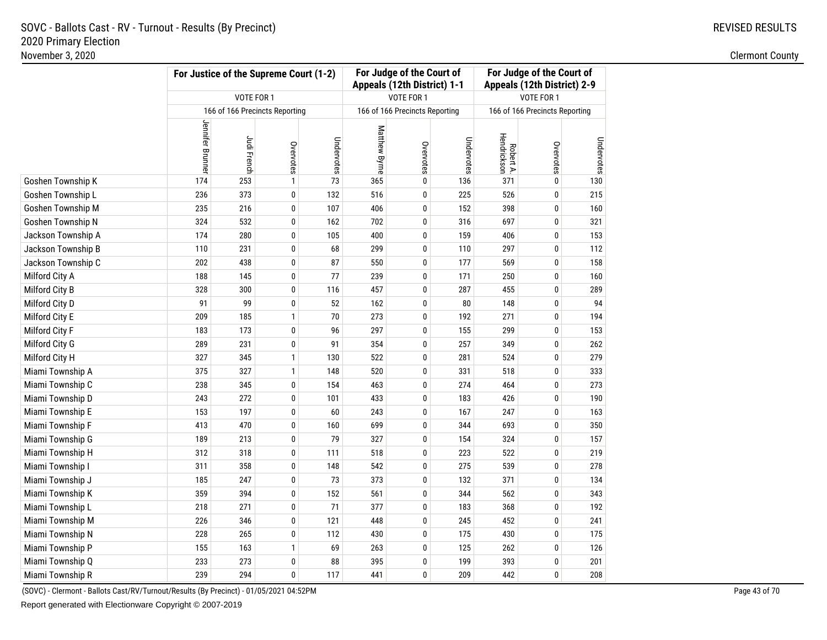|                    | For Justice of the Supreme Court (1-2) |                                |              | For Judge of the Court of<br>Appeals (12th District) 1-1 |               | For Judge of the Court of<br>Appeals (12th District) 2-9 |            |                          |                                |            |
|--------------------|----------------------------------------|--------------------------------|--------------|----------------------------------------------------------|---------------|----------------------------------------------------------|------------|--------------------------|--------------------------------|------------|
|                    |                                        | VOTE FOR 1                     |              |                                                          |               | VOTE FOR 1                                               |            |                          | VOTE FOR 1                     |            |
|                    |                                        | 166 of 166 Precincts Reporting |              |                                                          |               | 166 of 166 Precincts Reporting                           |            |                          | 166 of 166 Precincts Reporting |            |
|                    | <b>Jennifer Brunner</b>                | Judi French                    | Overvotes    | Undervotes                                               | Matthew Byrne | Overvotes                                                | Undervotes | Robert A.<br>Hendrickson | Overvotes                      | Undervotes |
| Goshen Township K  | 174                                    | 253                            | $\mathbf{1}$ | 73                                                       | 365           | 0                                                        | 136        | 371                      | 0                              | 130        |
| Goshen Township L  | 236                                    | 373                            | 0            | 132                                                      | 516           | 0                                                        | 225        | 526                      | 0                              | 215        |
| Goshen Township M  | 235                                    | 216                            | 0            | 107                                                      | 406           | 0                                                        | 152        | 398                      | 0                              | 160        |
| Goshen Township N  | 324                                    | 532                            | $\pmb{0}$    | 162                                                      | 702           | $\mathbf 0$                                              | 316        | 697                      | $\mathbf 0$                    | 321        |
| Jackson Township A | 174                                    | 280                            | 0            | 105                                                      | 400           | 0                                                        | 159        | 406                      | 0                              | 153        |
| Jackson Township B | 110                                    | 231                            | 0            | 68                                                       | 299           | 0                                                        | 110        | 297                      | 0                              | 112        |
| Jackson Township C | 202                                    | 438                            | 0            | 87                                                       | 550           | 0                                                        | 177        | 569                      | 0                              | 158        |
| Milford City A     | 188                                    | 145                            | 0            | 77                                                       | 239           | 0                                                        | 171        | 250                      | 0                              | 160        |
| Milford City B     | 328                                    | 300                            | 0            | 116                                                      | 457           | 0                                                        | 287        | 455                      | 0                              | 289        |
| Milford City D     | 91                                     | 99                             | 0            | 52                                                       | 162           | 0                                                        | 80         | 148                      | 0                              | 94         |
| Milford City E     | 209                                    | 185                            | $\mathbf{1}$ | 70                                                       | 273           | 0                                                        | 192        | 271                      | 0                              | 194        |
| Milford City F     | 183                                    | 173                            | 0            | 96                                                       | 297           | 0                                                        | 155        | 299                      | 0                              | 153        |
| Milford City G     | 289                                    | 231                            | 0            | 91                                                       | 354           | 0                                                        | 257        | 349                      | 0                              | 262        |
| Milford City H     | 327                                    | 345                            | $\mathbf{1}$ | 130                                                      | 522           | 0                                                        | 281        | 524                      | 0                              | 279        |
| Miami Township A   | 375                                    | 327                            | $\mathbf{1}$ | 148                                                      | 520           | 0                                                        | 331        | 518                      | 0                              | 333        |
| Miami Township C   | 238                                    | 345                            | 0            | 154                                                      | 463           | 0                                                        | 274        | 464                      | 0                              | 273        |
| Miami Township D   | 243                                    | 272                            | 0            | 101                                                      | 433           | 0                                                        | 183        | 426                      | 0                              | 190        |
| Miami Township E   | 153                                    | 197                            | 0            | 60                                                       | 243           | 0                                                        | 167        | 247                      | 0                              | 163        |
| Miami Township F   | 413                                    | 470                            | 0            | 160                                                      | 699           | 0                                                        | 344        | 693                      | 0                              | 350        |
| Miami Township G   | 189                                    | 213                            | 0            | 79                                                       | 327           | 0                                                        | 154        | 324                      | 0                              | 157        |
| Miami Township H   | 312                                    | 318                            | 0            | 111                                                      | 518           | 0                                                        | 223        | 522                      | 0                              | 219        |
| Miami Township I   | 311                                    | 358                            | 0            | 148                                                      | 542           | 0                                                        | 275        | 539                      | 0                              | 278        |
| Miami Township J   | 185                                    | 247                            | 0            | 73                                                       | 373           | 0                                                        | 132        | 371                      | 0                              | 134        |
| Miami Township K   | 359                                    | 394                            | 0            | 152                                                      | 561           | 0                                                        | 344        | 562                      | 0                              | 343        |
| Miami Township L   | 218                                    | 271                            | 0            | 71                                                       | 377           | 0                                                        | 183        | 368                      | 0                              | 192        |
| Miami Township M   | 226                                    | 346                            | 0            | 121                                                      | 448           | 0                                                        | 245        | 452                      | 0                              | 241        |
| Miami Township N   | 228                                    | 265                            | 0            | 112                                                      | 430           | 0                                                        | 175        | 430                      | 0                              | 175        |
| Miami Township P   | 155                                    | 163                            | $\mathbf{1}$ | 69                                                       | 263           | 0                                                        | 125        | 262                      | 0                              | 126        |
| Miami Township Q   | 233                                    | 273                            | 0            | 88                                                       | 395           | 0                                                        | 199        | 393                      | $\pmb{0}$                      | 201        |
| Miami Township R   | 239                                    | 294                            | 0            | 117                                                      | 441           | 0                                                        | 209        | 442                      | $\mathbf 0$                    | 208        |

(SOVC) - Clermont - Ballots Cast/RV/Turnout/Results (By Precinct) - 01/05/2021 04:52PM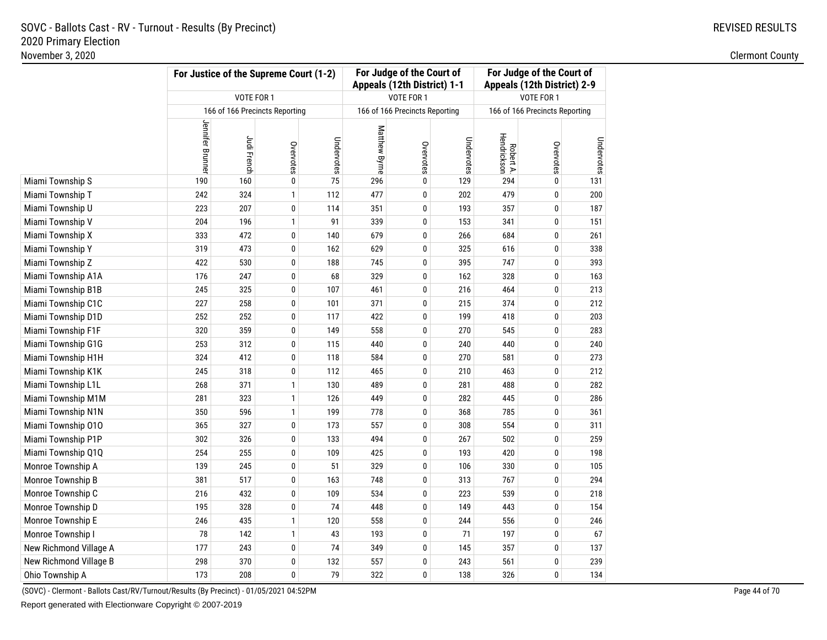| November 3, 2020       |                  |                                                      |                                |            |               |                                                          |            |                          |                                                          |            | <b>Clermont County</b> |
|------------------------|------------------|------------------------------------------------------|--------------------------------|------------|---------------|----------------------------------------------------------|------------|--------------------------|----------------------------------------------------------|------------|------------------------|
|                        |                  | For Justice of the Supreme Court (1-2)<br>VOTE FOR 1 |                                |            |               | For Judge of the Court of<br>Appeals (12th District) 1-1 |            |                          | For Judge of the Court of<br>Appeals (12th District) 2-9 |            |                        |
|                        |                  |                                                      |                                |            |               | VOTE FOR 1                                               |            |                          | VOTE FOR 1                                               |            |                        |
|                        |                  |                                                      | 166 of 166 Precincts Reporting |            |               | 166 of 166 Precincts Reporting                           |            |                          | 166 of 166 Precincts Reporting                           |            |                        |
|                        | Jennifer Brunner | Judi French                                          | Overvotes                      | Undervotes | Matthew Byrne | Overvotes                                                | Undervotes | Robert A.<br>Hendrickson | Overvotes                                                | Undervotes |                        |
| Miami Township S       | 190              | 160                                                  | $\bf{0}$                       | 75         | 296           | 0                                                        | 129        | 294                      | 0                                                        | 131        |                        |
| Miami Township T       | 242              | 324                                                  | $\mathbf{1}$                   | 112        | 477           | $\bf{0}$                                                 | 202        | 479                      | $\bf{0}$                                                 | 200        |                        |
| Miami Township U       | 223              | 207                                                  | $\bf{0}$                       | 114        | 351           | 0                                                        | 193        | 357                      | 0                                                        | 187        |                        |
| Miami Township V       | 204              | 196                                                  | $\mathbf{1}$                   | 91         | 339           | $\pmb{0}$                                                | 153        | 341                      | 0                                                        | 151        |                        |
| Miami Township X       | 333              | 472                                                  | $\pmb{0}$                      | 140        | 679           | $\pmb{0}$                                                | 266        | 684                      | 0                                                        | 261        |                        |
| Miami Township Y       | 319              | 473                                                  | $\pmb{0}$                      | 162        | 629           | 0                                                        | 325        | 616                      | 0                                                        | 338        |                        |
| Miami Township Z       | 422              | 530                                                  | $\pmb{0}$                      | 188        | 745           | 0                                                        | 395        | 747                      | 0                                                        | 393        |                        |
| Miami Township A1A     | 176              | 247                                                  | $\pmb{0}$                      | 68         | 329           | 0                                                        | 162        | 328                      | 0                                                        | 163        |                        |
| Miami Township B1B     | 245              | 325                                                  | 0                              | 107        | 461           | 0                                                        | 216        | 464                      | 0                                                        | 213        |                        |
| Miami Township C1C     | 227              | 258                                                  | 0                              | 101        | 371           | 0                                                        | 215        | 374                      | 0                                                        | 212        |                        |
| Miami Township D1D     | 252              | 252                                                  | $\pmb{0}$                      | 117        | 422           | 0                                                        | 199        | 418                      | 0                                                        | 203        |                        |
| Miami Township F1F     | 320              | 359                                                  | $\bf{0}$                       | 149        | 558           | 0                                                        | 270        | 545                      | 0                                                        | 283        |                        |
| Miami Township G1G     | 253              | 312                                                  | $\bf{0}$                       | 115        | 440           | 0                                                        | 240        | 440                      | $\bf{0}$                                                 | 240        |                        |
| Miami Township H1H     | 324              | 412                                                  | $\pmb{0}$                      | 118        | 584           | 0                                                        | 270        | 581                      | $\bf{0}$                                                 | 273        |                        |
| Miami Township K1K     | 245              | 318                                                  | $\bf{0}$                       | 112        | 465           | 0                                                        | 210        | 463                      | 0                                                        | 212        |                        |
| Miami Township L1L     | 268              | 371                                                  | $\mathbf{1}$                   | 130        | 489           | 0                                                        | 281        | 488                      | 0                                                        | 282        |                        |
| Miami Township M1M     | 281              | 323                                                  | $\mathbf{1}$                   | 126        | 449           | $\mathbf 0$                                              | 282        | 445                      | 0                                                        | 286        |                        |
| Miami Township N1N     | 350              | 596                                                  | $\mathbf{1}$                   | 199        | 778           | 0                                                        | 368        | 785                      | 0                                                        | 361        |                        |
| Miami Township 010     | 365              | 327                                                  | $\pmb{0}$                      | 173        | 557           | 0                                                        | 308        | 554                      | 0                                                        | 311        |                        |
| Miami Township P1P     | 302              | 326                                                  | $\mathbf 0$                    | 133        | 494           | 0                                                        | 267        | 502                      | 0                                                        | 259        |                        |
| Miami Township Q1Q     | 254              | 255                                                  | $\mathbf 0$                    | 109        | 425           | 0                                                        | 193        | 420                      | 0                                                        | 198        |                        |
| Monroe Township A      | 139              | 245                                                  | $\mathbf 0$                    | 51         | 329           | $\pmb{0}$                                                | 106        | 330                      | 0                                                        | 105        |                        |
| Monroe Township B      | 381              | 517                                                  | $\bf{0}$                       | 163        | 748           | 0                                                        | 313        | 767                      | 0                                                        | 294        |                        |
| Monroe Township C      | 216              | 432                                                  | $\pmb{0}$                      | 109        | 534           | $\pmb{0}$                                                | 223        | 539                      | $\bf{0}$                                                 | 218        |                        |
| Monroe Township D      | 195              | 328                                                  | $\pmb{0}$                      | 74         | 448           | 0                                                        | 149        | 443                      | $\pmb{0}$                                                | 154        |                        |
| Monroe Township E      | 246              | 435                                                  | $\mathbf{1}$                   | 120        | 558           | 0                                                        | 244        | 556                      | 0                                                        | 246        |                        |
| Monroe Township I      | 78               | 142                                                  | $\mathbf{1}$                   | 43         | 193           | 0                                                        | 71         | 197                      | 0                                                        | 67         |                        |
| New Richmond Village A | 177              | 243                                                  | 0                              | 74         | 349           | 0                                                        | 145        | 357                      | 0                                                        | 137        |                        |
| New Richmond Village B | 298              | 370                                                  | $\pmb{0}$                      | 132        | 557           | 0                                                        | 243        | 561                      | 0                                                        | 239        |                        |
| Ohio Township A        | 173              | 208                                                  | $\bf{0}$                       | 79         | 322           | 0                                                        | 138        | 326                      | 0                                                        | 134        |                        |

(SOVC) - Clermont - Ballots Cast/RV/Turnout/Results (By Precinct) - 01/05/2021 04:52PM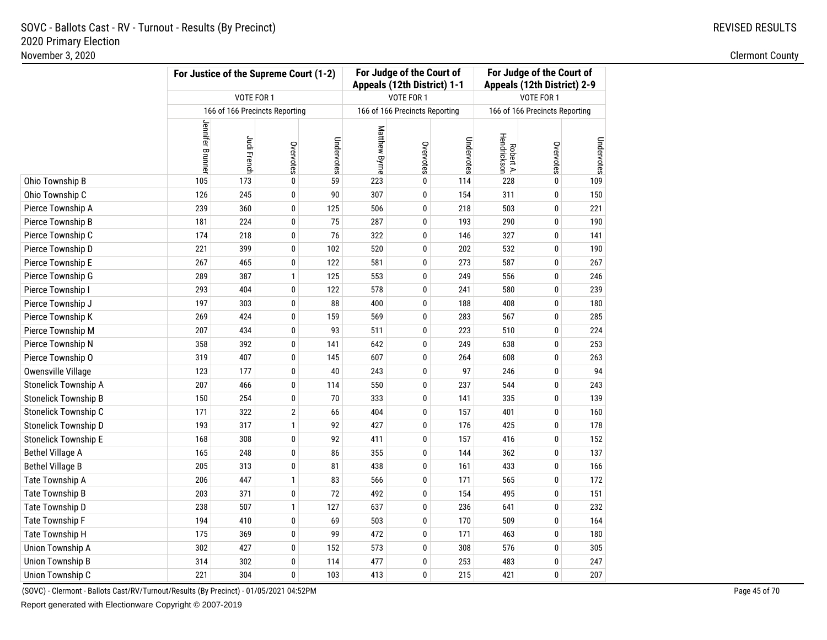| November 3, 2020        |                  |                                                      |                                |            |               |                                                          |            |                          |                                                          |            | <b>Clermont County</b> |
|-------------------------|------------------|------------------------------------------------------|--------------------------------|------------|---------------|----------------------------------------------------------|------------|--------------------------|----------------------------------------------------------|------------|------------------------|
|                         |                  | For Justice of the Supreme Court (1-2)<br>VOTE FOR 1 |                                |            |               | For Judge of the Court of<br>Appeals (12th District) 1-1 |            |                          | For Judge of the Court of<br>Appeals (12th District) 2-9 |            |                        |
|                         |                  |                                                      |                                |            |               | VOTE FOR 1                                               |            |                          | VOTE FOR 1                                               |            |                        |
|                         |                  |                                                      | 166 of 166 Precincts Reporting |            |               | 166 of 166 Precincts Reporting                           |            |                          | 166 of 166 Precincts Reporting                           |            |                        |
|                         | Jennifer Brunner | Judi French                                          | Overvotes                      | Undervotes | Matthew Byrne | Overvotes                                                | Undervotes | Robert A.<br>Hendrickson | Overvotes                                                | Undervotes |                        |
| Ohio Township B         | 105              | 173                                                  | $\pmb{0}$                      | 59         | 223           | 0                                                        | 114        | 228                      | 0                                                        | 109        |                        |
| Ohio Township C         | 126              | 245                                                  | $\bf{0}$                       | 90         | 307           | $\bf{0}$                                                 | 154        | 311                      | $\bf{0}$                                                 | 150        |                        |
| Pierce Township A       | 239              | 360                                                  | $\bf{0}$                       | 125        | 506           | 0                                                        | 218        | 503                      | 0                                                        | 221        |                        |
| Pierce Township B       | 181              | 224                                                  | $\mathbf 0$                    | 75         | 287           | $\pmb{0}$                                                | 193        | 290                      | 0                                                        | 190        |                        |
| Pierce Township C       | 174              | 218                                                  | $\pmb{0}$                      | 76         | 322           | $\pmb{0}$                                                | 146        | 327                      | 0                                                        | 141        |                        |
| Pierce Township D       | 221              | 399                                                  | $\pmb{0}$                      | 102        | 520           | 0                                                        | 202        | 532                      | 0                                                        | 190        |                        |
| Pierce Township E       | 267              | 465                                                  | $\pmb{0}$                      | 122        | 581           | 0                                                        | 273        | 587                      | 0                                                        | 267        |                        |
| Pierce Township G       | 289              | 387                                                  | $\mathbf{1}$                   | 125        | 553           | 0                                                        | 249        | 556                      | 0                                                        | 246        |                        |
| Pierce Township I       | 293              | 404                                                  | $\pmb{0}$                      | 122        | 578           | 0                                                        | 241        | 580                      | 0                                                        | 239        |                        |
| Pierce Township J       | 197              | 303                                                  | $\bf{0}$                       | 88         | 400           | 0                                                        | 188        | 408                      | 0                                                        | 180        |                        |
| Pierce Township K       | 269              | 424                                                  | $\bf{0}$                       | 159        | 569           | 0                                                        | 283        | 567                      | 0                                                        | 285        |                        |
| Pierce Township M       | 207              | 434                                                  | $\bf{0}$                       | 93         | 511           | 0                                                        | 223        | 510                      | 0                                                        | 224        |                        |
| Pierce Township N       | 358              | 392                                                  | $\bf{0}$                       | 141        | 642           | 0                                                        | 249        | 638                      | $\bf{0}$                                                 | 253        |                        |
| Pierce Township O       | 319              | 407                                                  | $\pmb{0}$                      | 145        | 607           | 0                                                        | 264        | 608                      | $\bf{0}$                                                 | 263        |                        |
| Owensville Village      | 123              | 177                                                  | $\bf{0}$                       | 40         | 243           | 0                                                        | 97         | 246                      | 0                                                        | 94         |                        |
| Stonelick Township A    | 207              | 466                                                  | $\pmb{0}$                      | 114        | 550           | 0                                                        | 237        | 544                      | 0                                                        | 243        |                        |
| Stonelick Township B    | 150              | 254                                                  | $\mathbf 0$                    | 70         | 333           | 0                                                        | 141        | 335                      | 0                                                        | 139        |                        |
| Stonelick Township C    | 171              | 322                                                  | $\overline{2}$                 | 66         | 404           | 0                                                        | 157        | 401                      | 0                                                        | 160        |                        |
| Stonelick Township D    | 193              | 317                                                  | $\mathbf{1}$                   | 92         | 427           | $\bf{0}$                                                 | 176        | 425                      | 0                                                        | 178        |                        |
| Stonelick Township E    | 168              | 308                                                  | $\mathbf 0$                    | 92         | 411           | $\bf{0}$                                                 | 157        | 416                      | 0                                                        | 152        |                        |
| <b>Bethel Village A</b> | 165              | 248                                                  | $\mathbf 0$                    | 86         | 355           | 0                                                        | 144        | 362                      | 0                                                        | 137        |                        |
| <b>Bethel Village B</b> | 205              | 313                                                  | $\mathbf 0$                    | 81         | 438           | $\pmb{0}$                                                | 161        | 433                      | 0                                                        | 166        |                        |
| Tate Township A         | 206              | 447                                                  | $\mathbf{1}$                   | 83         | 566           | 0                                                        | 171        | 565                      | 0                                                        | 172        |                        |
| <b>Tate Township B</b>  | 203              | 371                                                  | $\pmb{0}$                      | 72         | 492           | $\pmb{0}$                                                | 154        | 495                      | $\bf{0}$                                                 | 151        |                        |
| Tate Township D         | 238              | 507                                                  | $\mathbf{1}$                   | 127        | 637           | 0                                                        | 236        | 641                      | $\pmb{0}$                                                | 232        |                        |
| Tate Township F         | 194              | 410                                                  | $\bf{0}$                       | 69         | 503           | 0                                                        | 170        | 509                      | 0                                                        | 164        |                        |
| Tate Township H         | 175              | 369                                                  | 0                              | 99         | 472           | 0                                                        | 171        | 463                      | 0                                                        | 180        |                        |
| Union Township A        | 302              | 427                                                  | $\bf{0}$                       | 152        | 573           | 0                                                        | 308        | 576                      | 0                                                        | 305        |                        |
| Union Township B        | 314              | 302                                                  | $\bf{0}$                       | 114        | 477           | 0                                                        | 253        | 483                      | 0                                                        | 247        |                        |
| Union Township C        | 221              | 304                                                  | $\bf{0}$                       | 103        | 413           | 0                                                        | 215        | 421                      | 0                                                        | 207        |                        |

(SOVC) - Clermont - Ballots Cast/RV/Turnout/Results (By Precinct) - 01/05/2021 04:52PM

Report generated with Electionware Copyright © 2007-2019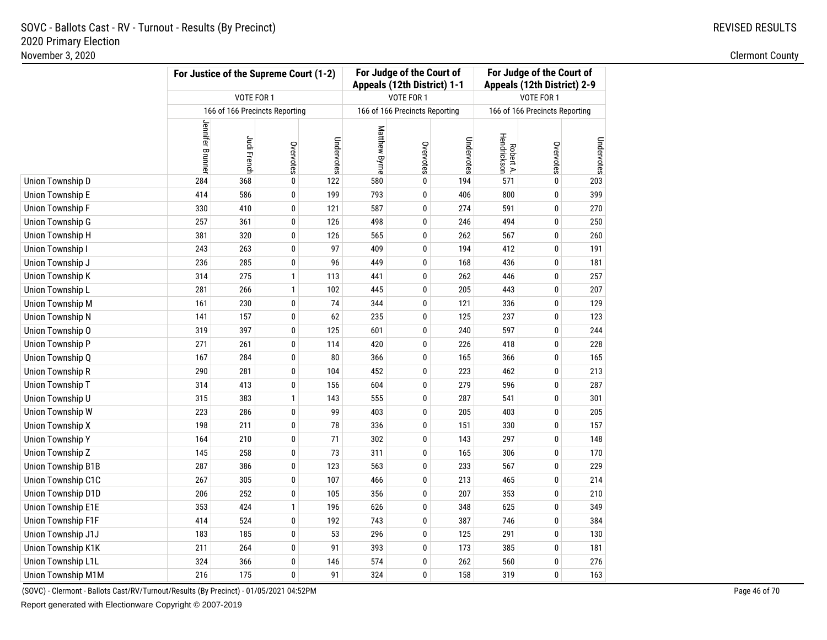### **For Judge of the Court of For Judge of the Court ofFor Justice of the Supreme Court (1-2)Appeals (12th District) 1-1 Appeals (12th District) 2-9**VOTE FOR 1 VOTE FOR 1 VOTE FOR 1 166 of 166 Precincts Reporting166 of 166 Precincts Reporting 166 of 166 Precincts Reporting Jennifer Brunner Jennifer Brunner Matthew Byrne Matthew Byrne Robert A. Hendrickson Judi French Undervotes Undervotes Undervotes Overvotes Overvotes Overvotes Union Township D**D** 284 368 0 122 580 0 194 571 0 203 Union Township E <sup>414</sup> <sup>586</sup> <sup>0</sup> <sup>199</sup> <sup>793</sup> <sup>0</sup> <sup>406</sup> <sup>800</sup> <sup>0</sup> <sup>399</sup> Union Township F**F** 330 410 0 121 587 0 274 591 0 270 Union Township G**G** 257 361 0 126 498 0 246 494 0 250 Union Township HH 381 320 0 126 565 0 262 567 0 260 Union Township I 243 <sup>263</sup> <sup>0</sup> <sup>97</sup> <sup>409</sup> <sup>0</sup> <sup>194</sup> <sup>412</sup> <sup>0</sup> <sup>191</sup> Union Township J <sup>236</sup> <sup>285</sup> <sup>0</sup> <sup>96</sup> <sup>449</sup> <sup>0</sup> <sup>168</sup> <sup>436</sup> <sup>0</sup> <sup>181</sup> Union Township K**K** 314 275 1 113 441 0 262 446 0 257 Union Township L $\mathsf{L}$  281 266 1 102 445 0 205 443 0 207 Union Township MM 161 230 0 74 344 0 121 336 0 129 Union Township N**N** 141 157 0 62 235 0 125 237 0 123 Union Township O <sup>319</sup> <sup>397</sup> <sup>0</sup> <sup>125</sup> <sup>601</sup> <sup>0</sup> <sup>240</sup> <sup>597</sup> <sup>0</sup> <sup>244</sup> Union Township PP 271 261 0 114 420 0 226 418 0 228 Union Township QQ 167 284 0 80 366 0 165 366 0 165 Union Township RR 290 281 0 104 452 0 223 462 0 213 Union Township T <sup>314</sup> <sup>413</sup> <sup>0</sup> <sup>156</sup> <sup>604</sup> <sup>0</sup> <sup>279</sup> <sup>596</sup> <sup>0</sup> <sup>287</sup> Union Township UU 315 383 1 143 555 0 287 541 0 301 Union Township WW 223 286 0 99 403 0 205 403 0 205 Union Township X**198 211 0 78 336 0 151 330 0 157 x 157** Union Township Y <sup>164</sup> <sup>210</sup> <sup>0</sup> <sup>71</sup> <sup>302</sup> <sup>0</sup> <sup>143</sup> <sup>297</sup> <sup>0</sup> <sup>148</sup> Union Township Z <sup>145</sup> <sup>258</sup> <sup>0</sup> <sup>73</sup> <sup>311</sup> <sup>0</sup> <sup>165</sup> <sup>306</sup> <sup>0</sup> <sup>170</sup> Union Township B1B**B** 287 386 0 123 563 0 233 567 0 229 Union Township C1C <sup>267</sup> <sup>305</sup> <sup>0</sup> <sup>107</sup> <sup>466</sup> <sup>0</sup> <sup>213</sup> <sup>465</sup> <sup>0</sup> <sup>214</sup> Union Township D1D**D** 206 252 0 105 356 0 207 353 0 210 Union Township E1EE 353 424 1 196 626 0 348 625 0 349 Union Township F1FF 192 743 0 387 746 0 384 Union Township J1J <sup>183</sup> <sup>185</sup> <sup>0</sup> <sup>53</sup> <sup>296</sup> <sup>0</sup> <sup>125</sup> <sup>291</sup> <sup>0</sup> <sup>130</sup> Union Township K1K**K** 211 264 0 91 393 0 173 385 0 181 Union Township L1LL 324 366 0 146 574 0 262 560 0 276 Union Township M1M

**M** 216 216 175 0 91 324 0 158 319 0 163 (SOVC) - Clermont - Ballots Cast/RV/Turnout/Results (By Precinct) - 01/05/2021 04:52PM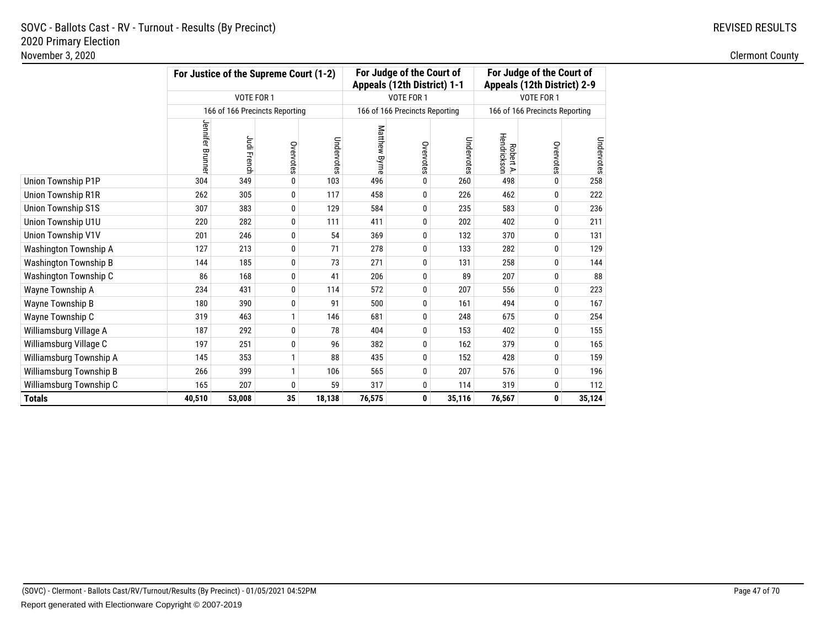# REVISED RESULTS

|                              |                  |             | For Justice of the Supreme Court (1-2) |            |               | For Judge of the Court of<br>Appeals (12th District) 1-1 |            | For Judge of the Court of<br>Appeals (12th District) 2-9 |                                |            |  |
|------------------------------|------------------|-------------|----------------------------------------|------------|---------------|----------------------------------------------------------|------------|----------------------------------------------------------|--------------------------------|------------|--|
|                              |                  | VOTE FOR 1  |                                        |            |               | VOTE FOR 1                                               |            |                                                          | VOTE FOR 1                     |            |  |
|                              |                  |             | 166 of 166 Precincts Reporting         |            |               | 166 of 166 Precincts Reporting                           |            |                                                          | 166 of 166 Precincts Reporting |            |  |
|                              | Jennifer Brunner | Judi French | Overvotes                              | Undervotes | Matthew Byrne | Overvotes                                                | Undervotes | Hendrickson<br>Robert A.                                 | Overvotes                      | Undervotes |  |
| Union Township P1P           | 304              | 349         | 0                                      | 103        | 496           | 0                                                        | 260        | 498                                                      | $\mathbf{0}$                   | 258        |  |
| Union Township R1R           | 262              | 305         | 0                                      | 117        | 458           | 0                                                        | 226        | 462                                                      | 0                              | 222        |  |
| <b>Union Township S1S</b>    | 307              | 383         | 0                                      | 129        | 584           | 0                                                        | 235        | 583                                                      | 0                              | 236        |  |
| Union Township U1U           | 220              | 282         | 0                                      | 111        | 411           | 0                                                        | 202        | 402                                                      | 0                              | 211        |  |
| Union Township V1V           | 201              | 246         | 0                                      | 54         | 369           | 0                                                        | 132        | 370                                                      | 0                              | 131        |  |
| Washington Township A        | 127              | 213         | 0                                      | 71         | 278           | 0                                                        | 133        | 282                                                      | 0                              | 129        |  |
| <b>Washington Township B</b> | 144              | 185         | 0                                      | 73         | 271           | 0                                                        | 131        | 258                                                      | $\mathbf{0}$                   | 144        |  |
| Washington Township C        | 86               | 168         | 0                                      | 41         | 206           | 0                                                        | 89         | 207                                                      | 0                              | 88         |  |
| Wayne Township A             | 234              | 431         | 0                                      | 114        | 572           | 0                                                        | 207        | 556                                                      | 0                              | 223        |  |
| Wayne Township B             | 180              | 390         | $\pmb{0}$                              | 91         | 500           | 0                                                        | 161        | 494                                                      | 0                              | 167        |  |
| Wayne Township C             | 319              | 463         | $\mathbf{1}$                           | 146        | 681           | 0                                                        | 248        | 675                                                      | 0                              | 254        |  |
| Williamsburg Village A       | 187              | 292         | 0                                      | 78         | 404           | 0                                                        | 153        | 402                                                      | 0                              | 155        |  |
| Williamsburg Village C       | 197              | 251         | 0                                      | 96         | 382           | 0                                                        | 162        | 379                                                      | 0                              | 165        |  |
| Williamsburg Township A      | 145              | 353         | $\mathbf{1}$                           | 88         | 435           | 0                                                        | 152        | 428                                                      | 0                              | 159        |  |
| Williamsburg Township B      | 266              | 399         | $\mathbf{1}$                           | 106        | 565           | 0                                                        | 207        | 576                                                      | 0                              | 196        |  |
| Williamsburg Township C      | 165              | 207         | 0                                      | 59         | 317           | 0                                                        | 114        | 319                                                      | 0                              | 112        |  |
| <b>Totals</b>                | 40,510           | 53,008      | 35                                     | 18,138     | 76,575        | 0                                                        | 35,116     | 76,567                                                   | 0                              | 35,124     |  |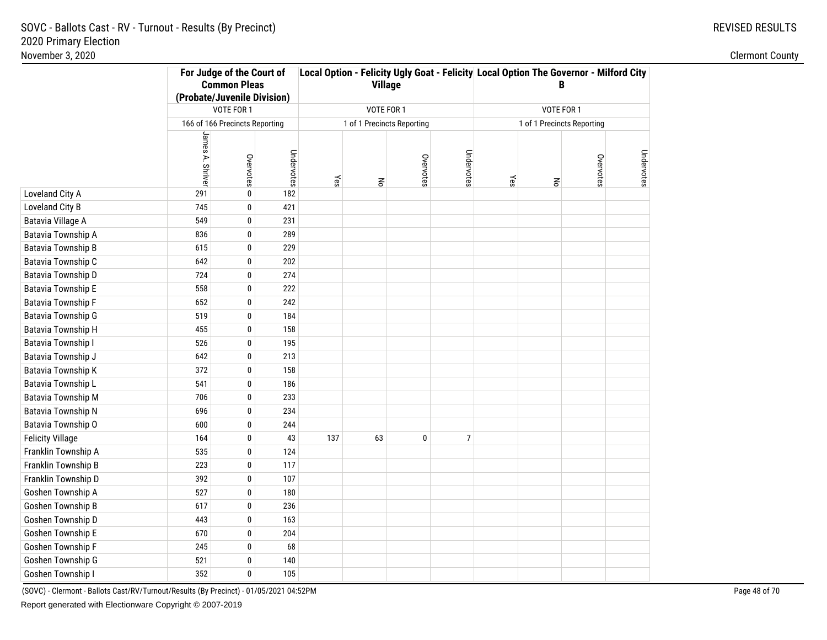|                           |                                | For Judge of the Court of<br><b>Common Pleas</b><br>(Probate/Juvenile Division) |            |     | <b>Village</b>             |           |                | Local Option - Felicity Ugly Goat - Felicity Local Option The Governor - Milford City<br>B |                            |           |            |
|---------------------------|--------------------------------|---------------------------------------------------------------------------------|------------|-----|----------------------------|-----------|----------------|--------------------------------------------------------------------------------------------|----------------------------|-----------|------------|
|                           |                                | VOTE FOR 1                                                                      |            |     | VOTE FOR 1                 |           |                |                                                                                            | VOTE FOR 1                 |           |            |
|                           |                                |                                                                                 |            |     | 1 of 1 Precincts Reporting |           |                |                                                                                            | 1 of 1 Precincts Reporting |           |            |
|                           | 166 of 166 Precincts Reporting |                                                                                 |            |     |                            |           |                |                                                                                            |                            |           |            |
|                           | James A. Shrive                | Overvotes                                                                       | Undervotes | Yes | $\mathop{\mathsf{S}}$      | Overvotes | Undervotes     | Yes                                                                                        | $\mathsf{R}^{\mathsf{c}}$  | Overvotes | Undervotes |
| Loveland City A           | 291                            | $\pmb{0}$                                                                       | 182        |     |                            |           |                |                                                                                            |                            |           |            |
| Loveland City B           | 745                            | $\pmb{0}$                                                                       | 421        |     |                            |           |                |                                                                                            |                            |           |            |
| Batavia Village A         | 549                            | $\pmb{0}$                                                                       | 231        |     |                            |           |                |                                                                                            |                            |           |            |
| Batavia Township A        | 836                            | $\pmb{0}$                                                                       | 289        |     |                            |           |                |                                                                                            |                            |           |            |
| Batavia Township B        | 615                            | $\mathbf 0$                                                                     | 229        |     |                            |           |                |                                                                                            |                            |           |            |
| Batavia Township C        | 642                            | $\pmb{0}$                                                                       | 202        |     |                            |           |                |                                                                                            |                            |           |            |
| Batavia Township D        | 724                            | $\pmb{0}$                                                                       | 274        |     |                            |           |                |                                                                                            |                            |           |            |
| <b>Batavia Township E</b> | 558                            | $\pmb{0}$                                                                       | 222        |     |                            |           |                |                                                                                            |                            |           |            |
| Batavia Township F        | 652                            | $\pmb{0}$                                                                       | 242        |     |                            |           |                |                                                                                            |                            |           |            |
| Batavia Township G        | 519                            | 0                                                                               | 184        |     |                            |           |                |                                                                                            |                            |           |            |
| Batavia Township H        | 455                            | 0                                                                               | 158        |     |                            |           |                |                                                                                            |                            |           |            |
| Batavia Township I        | 526                            | $\pmb{0}$                                                                       | 195        |     |                            |           |                |                                                                                            |                            |           |            |
| Batavia Township J        | 642                            | $\pmb{0}$                                                                       | 213        |     |                            |           |                |                                                                                            |                            |           |            |
| Batavia Township K        | 372                            | $\pmb{0}$                                                                       | 158        |     |                            |           |                |                                                                                            |                            |           |            |
| Batavia Township L        | 541                            | 0                                                                               | 186        |     |                            |           |                |                                                                                            |                            |           |            |
| Batavia Township M        | 706                            | 0                                                                               | 233        |     |                            |           |                |                                                                                            |                            |           |            |
| Batavia Township N        | 696                            | 0                                                                               | 234        |     |                            |           |                |                                                                                            |                            |           |            |
| Batavia Township O        | 600                            | $\pmb{0}$                                                                       | 244        |     |                            |           |                |                                                                                            |                            |           |            |
| <b>Felicity Village</b>   | 164                            | $\pmb{0}$                                                                       | 43         | 137 | 63                         | 0         | $\overline{7}$ |                                                                                            |                            |           |            |
| Franklin Township A       | 535                            | $\pmb{0}$                                                                       | 124        |     |                            |           |                |                                                                                            |                            |           |            |
| Franklin Township B       | 223                            | $\pmb{0}$                                                                       | 117        |     |                            |           |                |                                                                                            |                            |           |            |
| Franklin Township D       | 392                            | $\pmb{0}$                                                                       | 107        |     |                            |           |                |                                                                                            |                            |           |            |
| Goshen Township A         | 527                            | $\pmb{0}$                                                                       | 180        |     |                            |           |                |                                                                                            |                            |           |            |
| Goshen Township B         | 617                            | $\pmb{0}$                                                                       | 236        |     |                            |           |                |                                                                                            |                            |           |            |
| Goshen Township D         | 443                            | $\pmb{0}$                                                                       | 163        |     |                            |           |                |                                                                                            |                            |           |            |
| Goshen Township E         | 670                            | 0                                                                               | 204        |     |                            |           |                |                                                                                            |                            |           |            |
| Goshen Township F         | 245                            | 0                                                                               | 68         |     |                            |           |                |                                                                                            |                            |           |            |
| Goshen Township G         | 521                            | 0                                                                               | 140        |     |                            |           |                |                                                                                            |                            |           |            |
| Goshen Township I         | 352                            | 0                                                                               | 105        |     |                            |           |                |                                                                                            |                            |           |            |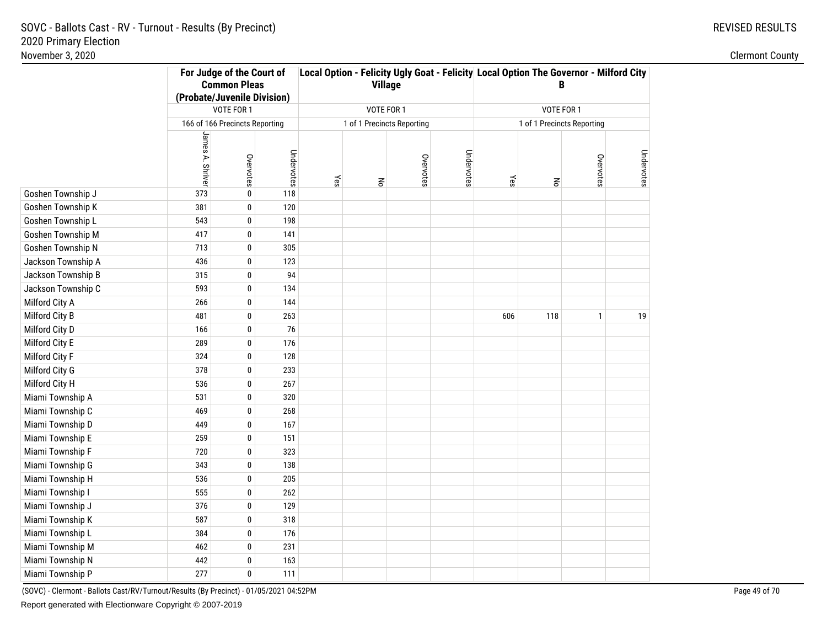|                    | For Judge of the Court of<br><b>Common Pleas</b><br>(Probate/Juvenile Division) |                                |            |     | <b>Village</b>             |           |            | Local Option - Felicity Ugly Goat - Felicity Local Option The Governor - Milford City<br>B |                            |           |            |
|--------------------|---------------------------------------------------------------------------------|--------------------------------|------------|-----|----------------------------|-----------|------------|--------------------------------------------------------------------------------------------|----------------------------|-----------|------------|
|                    |                                                                                 | VOTE FOR 1                     |            |     | VOTE FOR 1                 |           |            |                                                                                            | VOTE FOR 1                 |           |            |
|                    |                                                                                 | 166 of 166 Precincts Reporting |            |     | 1 of 1 Precincts Reporting |           |            |                                                                                            | 1 of 1 Precincts Reporting |           |            |
|                    | James A. Shriver                                                                | Overvotes                      | Undervotes | Yes | $\mathop{\mathsf{S}}$      | Overvotes | Undervotes | Yes                                                                                        | $\mathsf{R}^{\mathsf{S}}$  | Overvotes | Undervotes |
| Goshen Township J  | 373                                                                             | $\pmb{0}$                      | 118        |     |                            |           |            |                                                                                            |                            |           |            |
| Goshen Township K  | 381                                                                             | $\pmb{0}$                      | 120        |     |                            |           |            |                                                                                            |                            |           |            |
| Goshen Township L  | 543                                                                             | $\pmb{0}$                      | 198        |     |                            |           |            |                                                                                            |                            |           |            |
| Goshen Township M  | 417                                                                             | $\bf{0}$                       | 141        |     |                            |           |            |                                                                                            |                            |           |            |
| Goshen Township N  | 713                                                                             | $\pmb{0}$                      | 305        |     |                            |           |            |                                                                                            |                            |           |            |
| Jackson Township A | 436                                                                             | $\pmb{0}$                      | 123        |     |                            |           |            |                                                                                            |                            |           |            |
| Jackson Township B | 315                                                                             | 0                              | 94         |     |                            |           |            |                                                                                            |                            |           |            |
| Jackson Township C | 593                                                                             | $\pmb{0}$                      | 134        |     |                            |           |            |                                                                                            |                            |           |            |
| Milford City A     | 266                                                                             | $\pmb{0}$                      | 144        |     |                            |           |            |                                                                                            |                            |           |            |
| Milford City B     | 481                                                                             | $\pmb{0}$                      | 263        |     |                            |           |            | 606                                                                                        | 118                        | 1         | 19         |
| Milford City D     | 166                                                                             | 0                              | 76         |     |                            |           |            |                                                                                            |                            |           |            |
| Milford City E     | 289                                                                             | 0                              | 176        |     |                            |           |            |                                                                                            |                            |           |            |
| Milford City F     | 324                                                                             | $\pmb{0}$                      | 128        |     |                            |           |            |                                                                                            |                            |           |            |
| Milford City G     | 378                                                                             | 0                              | 233        |     |                            |           |            |                                                                                            |                            |           |            |
| Milford City H     | 536                                                                             | $\bf{0}$                       | 267        |     |                            |           |            |                                                                                            |                            |           |            |
| Miami Township A   | 531                                                                             | $\pmb{0}$                      | 320        |     |                            |           |            |                                                                                            |                            |           |            |
| Miami Township C   | 469                                                                             | $\pmb{0}$                      | 268        |     |                            |           |            |                                                                                            |                            |           |            |
| Miami Township D   | 449                                                                             | 0                              | 167        |     |                            |           |            |                                                                                            |                            |           |            |
| Miami Township E   | 259                                                                             | 0                              | 151        |     |                            |           |            |                                                                                            |                            |           |            |
| Miami Township F   | 720                                                                             | $\pmb{0}$                      | 323        |     |                            |           |            |                                                                                            |                            |           |            |
| Miami Township G   | 343                                                                             | $\bf{0}$                       | 138        |     |                            |           |            |                                                                                            |                            |           |            |
| Miami Township H   | 536                                                                             | 0                              | 205        |     |                            |           |            |                                                                                            |                            |           |            |
| Miami Township I   | 555                                                                             | 0                              | 262        |     |                            |           |            |                                                                                            |                            |           |            |
| Miami Township J   | 376                                                                             | 0                              | 129        |     |                            |           |            |                                                                                            |                            |           |            |
| Miami Township K   | 587                                                                             | 0                              | 318        |     |                            |           |            |                                                                                            |                            |           |            |
| Miami Township L   | 384                                                                             | 0                              | 176        |     |                            |           |            |                                                                                            |                            |           |            |
| Miami Township M   | 462                                                                             | $\pmb{0}$                      | 231        |     |                            |           |            |                                                                                            |                            |           |            |
| Miami Township N   | 442                                                                             | $\bf{0}$                       | 163        |     |                            |           |            |                                                                                            |                            |           |            |
| Miami Township P   | 277                                                                             | $\mathbf 0$                    | 111        |     |                            |           |            |                                                                                            |                            |           |            |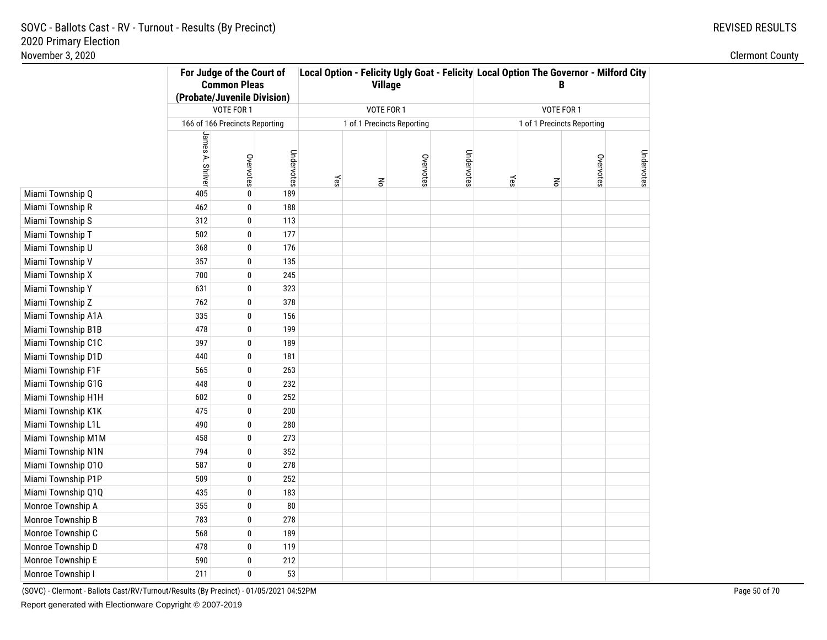|                    | For Judge of the Court of<br><b>Common Pleas</b><br>(Probate/Juvenile Division) |                                |            |     | <b>Village</b>             |           |            | Local Option - Felicity Ugly Goat - Felicity Local Option The Governor - Milford City<br>B |                            |           |            |  |
|--------------------|---------------------------------------------------------------------------------|--------------------------------|------------|-----|----------------------------|-----------|------------|--------------------------------------------------------------------------------------------|----------------------------|-----------|------------|--|
|                    |                                                                                 | VOTE FOR 1                     |            |     | VOTE FOR 1                 |           |            |                                                                                            | VOTE FOR 1                 |           |            |  |
|                    |                                                                                 | 166 of 166 Precincts Reporting |            |     | 1 of 1 Precincts Reporting |           |            |                                                                                            | 1 of 1 Precincts Reporting |           |            |  |
|                    | James A. Shriver                                                                | Overvotes                      | Undervotes | Yes | $\mathsf{S}$               | Overvotes | Undervotes | Yes                                                                                        | $\mathsf{R}^{\mathsf{S}}$  | Overvotes | Undervotes |  |
| Miami Township Q   | 405                                                                             | $\bf{0}$                       | 189        |     |                            |           |            |                                                                                            |                            |           |            |  |
| Miami Township R   | 462                                                                             | 0                              | 188        |     |                            |           |            |                                                                                            |                            |           |            |  |
| Miami Township S   | 312                                                                             | $\mathbf{0}$                   | 113        |     |                            |           |            |                                                                                            |                            |           |            |  |
| Miami Township T   | 502                                                                             | $\bf{0}$                       | 177        |     |                            |           |            |                                                                                            |                            |           |            |  |
| Miami Township U   | 368                                                                             | $\bf{0}$                       | 176        |     |                            |           |            |                                                                                            |                            |           |            |  |
| Miami Township V   | 357                                                                             | $\pmb{0}$                      | 135        |     |                            |           |            |                                                                                            |                            |           |            |  |
| Miami Township X   | 700                                                                             | 0                              | 245        |     |                            |           |            |                                                                                            |                            |           |            |  |
| Miami Township Y   | 631                                                                             | 0                              | 323        |     |                            |           |            |                                                                                            |                            |           |            |  |
| Miami Township Z   | 762                                                                             | $\pmb{0}$                      | 378        |     |                            |           |            |                                                                                            |                            |           |            |  |
| Miami Township A1A | 335                                                                             | $\pmb{0}$                      | 156        |     |                            |           |            |                                                                                            |                            |           |            |  |
| Miami Township B1B | 478                                                                             | $\mathbf 0$                    | 199        |     |                            |           |            |                                                                                            |                            |           |            |  |
| Miami Township C1C | 397                                                                             | 0                              | 189        |     |                            |           |            |                                                                                            |                            |           |            |  |
| Miami Township D1D | 440                                                                             | $\mathbf 0$                    | 181        |     |                            |           |            |                                                                                            |                            |           |            |  |
| Miami Township F1F | 565                                                                             | $\pmb{0}$                      | 263        |     |                            |           |            |                                                                                            |                            |           |            |  |
| Miami Township G1G | 448                                                                             | 0                              | 232        |     |                            |           |            |                                                                                            |                            |           |            |  |
| Miami Township H1H | 602                                                                             | 0                              | 252        |     |                            |           |            |                                                                                            |                            |           |            |  |
| Miami Township K1K | 475                                                                             | 0                              | 200        |     |                            |           |            |                                                                                            |                            |           |            |  |
| Miami Township L1L | 490                                                                             | 0                              | 280        |     |                            |           |            |                                                                                            |                            |           |            |  |
| Miami Township M1M | 458                                                                             | $\bf{0}$                       | 273        |     |                            |           |            |                                                                                            |                            |           |            |  |
| Miami Township N1N | 794                                                                             | $\bf{0}$                       | 352        |     |                            |           |            |                                                                                            |                            |           |            |  |
| Miami Township 010 | 587                                                                             | $\pmb{0}$                      | 278        |     |                            |           |            |                                                                                            |                            |           |            |  |
| Miami Township P1P | 509                                                                             | 0                              | 252        |     |                            |           |            |                                                                                            |                            |           |            |  |
| Miami Township Q1Q | 435                                                                             | 0                              | 183        |     |                            |           |            |                                                                                            |                            |           |            |  |
| Monroe Township A  | 355                                                                             | $\pmb{0}$                      | 80         |     |                            |           |            |                                                                                            |                            |           |            |  |
| Monroe Township B  | 783                                                                             | $\pmb{0}$                      | 278        |     |                            |           |            |                                                                                            |                            |           |            |  |
| Monroe Township C  | 568                                                                             | $\pmb{0}$                      | 189        |     |                            |           |            |                                                                                            |                            |           |            |  |
| Monroe Township D  | 478                                                                             | 0                              | 119        |     |                            |           |            |                                                                                            |                            |           |            |  |
| Monroe Township E  | 590                                                                             | 0                              | 212        |     |                            |           |            |                                                                                            |                            |           |            |  |
| Monroe Township I  | 211                                                                             | 0                              | 53         |     |                            |           |            |                                                                                            |                            |           |            |  |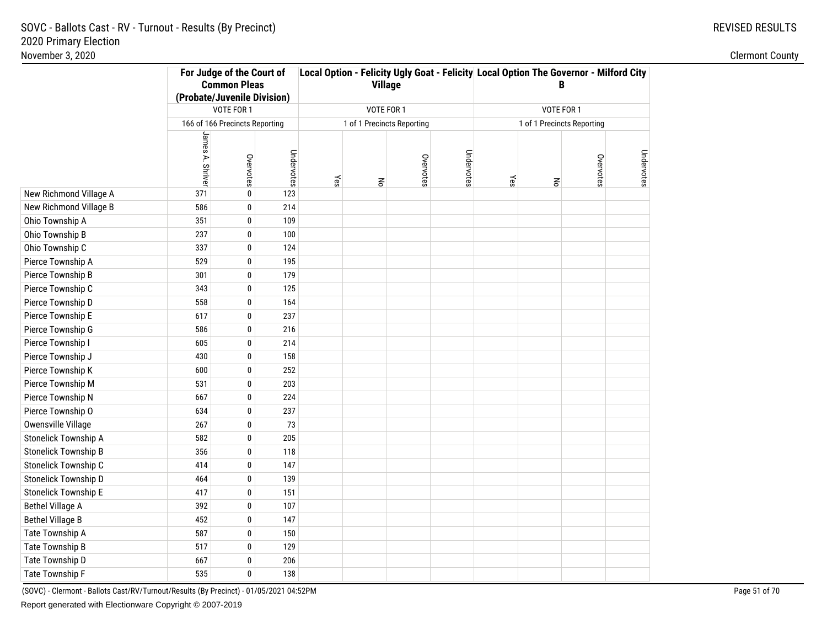|                         | For Judge of the Court of<br><b>Common Pleas</b><br>(Probate/Juvenile Division) |                                |            |     | <b>Village</b>             |           |            | Local Option - Felicity Ugly Goat - Felicity Local Option The Governor - Milford City<br>B |                            |           |            |
|-------------------------|---------------------------------------------------------------------------------|--------------------------------|------------|-----|----------------------------|-----------|------------|--------------------------------------------------------------------------------------------|----------------------------|-----------|------------|
|                         |                                                                                 | VOTE FOR 1                     |            |     | VOTE FOR 1                 |           |            |                                                                                            | VOTE FOR 1                 |           |            |
|                         |                                                                                 | 166 of 166 Precincts Reporting |            |     | 1 of 1 Precincts Reporting |           |            |                                                                                            | 1 of 1 Precincts Reporting |           |            |
|                         | James A. Shriver                                                                | Overvotes                      | Undervotes | Yes | $\mathsf{R}$               | Overvotes | Undervotes | Yes                                                                                        | $\overline{6}$             | Overvotes | Undervotes |
| New Richmond Village A  | 371                                                                             | $\pmb{0}$                      | 123        |     |                            |           |            |                                                                                            |                            |           |            |
| New Richmond Village B  | 586                                                                             | $\mathbf{0}$                   | 214        |     |                            |           |            |                                                                                            |                            |           |            |
| Ohio Township A         | 351                                                                             | 0                              | 109        |     |                            |           |            |                                                                                            |                            |           |            |
| Ohio Township B         | 237                                                                             | 0                              | 100        |     |                            |           |            |                                                                                            |                            |           |            |
| Ohio Township C         | 337                                                                             | 0                              | 124        |     |                            |           |            |                                                                                            |                            |           |            |
| Pierce Township A       | 529                                                                             | 0                              | 195        |     |                            |           |            |                                                                                            |                            |           |            |
| Pierce Township B       | 301                                                                             | 0                              | 179        |     |                            |           |            |                                                                                            |                            |           |            |
| Pierce Township C       | 343                                                                             | 0                              | 125        |     |                            |           |            |                                                                                            |                            |           |            |
| Pierce Township D       | 558                                                                             | 0                              | 164        |     |                            |           |            |                                                                                            |                            |           |            |
| Pierce Township E       | 617                                                                             | 0                              | 237        |     |                            |           |            |                                                                                            |                            |           |            |
| Pierce Township G       | 586                                                                             | 0                              | 216        |     |                            |           |            |                                                                                            |                            |           |            |
| Pierce Township I       | 605                                                                             | 0                              | 214        |     |                            |           |            |                                                                                            |                            |           |            |
| Pierce Township J       | 430                                                                             | 0                              | 158        |     |                            |           |            |                                                                                            |                            |           |            |
| Pierce Township K       | 600                                                                             | 0                              | 252        |     |                            |           |            |                                                                                            |                            |           |            |
| Pierce Township M       | 531                                                                             | 0                              | 203        |     |                            |           |            |                                                                                            |                            |           |            |
| Pierce Township N       | 667                                                                             | $\bf{0}$                       | 224        |     |                            |           |            |                                                                                            |                            |           |            |
| Pierce Township O       | 634                                                                             | $\bf{0}$                       | 237        |     |                            |           |            |                                                                                            |                            |           |            |
| Owensville Village      | 267                                                                             | $\pmb{0}$                      | 73         |     |                            |           |            |                                                                                            |                            |           |            |
| Stonelick Township A    | 582                                                                             | $\pmb{0}$                      | 205        |     |                            |           |            |                                                                                            |                            |           |            |
| Stonelick Township B    | 356                                                                             | $\pmb{0}$                      | 118        |     |                            |           |            |                                                                                            |                            |           |            |
| Stonelick Township C    | 414                                                                             | 0                              | 147        |     |                            |           |            |                                                                                            |                            |           |            |
| Stonelick Township D    | 464                                                                             | 0                              | 139        |     |                            |           |            |                                                                                            |                            |           |            |
| Stonelick Township E    | 417                                                                             | 0                              | 151        |     |                            |           |            |                                                                                            |                            |           |            |
| <b>Bethel Village A</b> | 392                                                                             | $\mathbf{0}$                   | 107        |     |                            |           |            |                                                                                            |                            |           |            |
| <b>Bethel Village B</b> | 452                                                                             | $\bf{0}$                       | 147        |     |                            |           |            |                                                                                            |                            |           |            |
| Tate Township A         | 587                                                                             | $\bf{0}$                       | 150        |     |                            |           |            |                                                                                            |                            |           |            |
| <b>Tate Township B</b>  | 517                                                                             | $\mathbf{0}$                   | 129        |     |                            |           |            |                                                                                            |                            |           |            |
| Tate Township D         | 667                                                                             | 0                              | 206        |     |                            |           |            |                                                                                            |                            |           |            |
| Tate Township F         | 535                                                                             | 0                              | 138        |     |                            |           |            |                                                                                            |                            |           |            |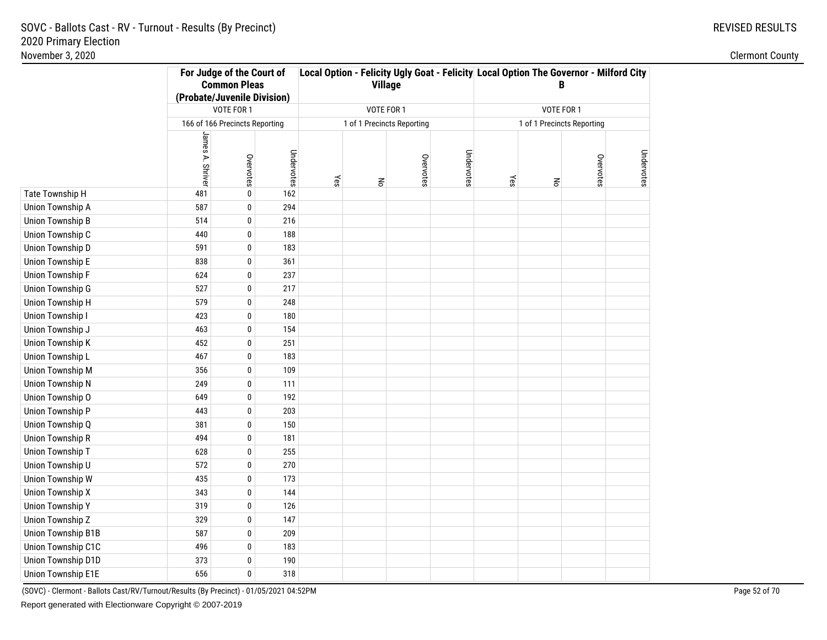|                         | For Judge of the Court of<br><b>Common Pleas</b><br>(Probate/Juvenile Division) |                                |            |     | <b>Village</b>             |           |            | Local Option - Felicity Ugly Goat - Felicity Local Option The Governor - Milford City<br>B |                            |           |            |  |
|-------------------------|---------------------------------------------------------------------------------|--------------------------------|------------|-----|----------------------------|-----------|------------|--------------------------------------------------------------------------------------------|----------------------------|-----------|------------|--|
|                         |                                                                                 | VOTE FOR 1                     |            |     | VOTE FOR 1                 |           |            |                                                                                            | VOTE FOR 1                 |           |            |  |
|                         |                                                                                 | 166 of 166 Precincts Reporting |            |     | 1 of 1 Precincts Reporting |           |            |                                                                                            | 1 of 1 Precincts Reporting |           |            |  |
|                         |                                                                                 |                                |            |     |                            |           |            |                                                                                            |                            |           |            |  |
|                         | James A. Shrive                                                                 | Overvotes                      | Undervotes | Yes | $\mathop{\mathsf{S}}$      | Overvotes | Undervotes | Yes                                                                                        | $\mathsf{R}^{\mathsf{S}}$  | Overvotes | Undervotes |  |
| Tate Township H         | 481                                                                             | $\pmb{0}$                      | 162        |     |                            |           |            |                                                                                            |                            |           |            |  |
| Union Township A        | 587                                                                             | $\mathbf 0$                    | 294        |     |                            |           |            |                                                                                            |                            |           |            |  |
| Union Township B        | 514                                                                             | $\pmb{0}$                      | 216        |     |                            |           |            |                                                                                            |                            |           |            |  |
| Union Township C        | 440                                                                             | $\pmb{0}$                      | 188        |     |                            |           |            |                                                                                            |                            |           |            |  |
| Union Township D        | 591                                                                             | $\mathbf 0$                    | 183        |     |                            |           |            |                                                                                            |                            |           |            |  |
| Union Township E        | 838                                                                             | 0                              | 361        |     |                            |           |            |                                                                                            |                            |           |            |  |
| <b>Union Township F</b> | 624                                                                             | 0                              | 237        |     |                            |           |            |                                                                                            |                            |           |            |  |
| Union Township G        | 527                                                                             | 0                              | 217        |     |                            |           |            |                                                                                            |                            |           |            |  |
| <b>Union Township H</b> | 579                                                                             | $\pmb{0}$                      | 248        |     |                            |           |            |                                                                                            |                            |           |            |  |
| Union Township I        | 423                                                                             | 0                              | 180        |     |                            |           |            |                                                                                            |                            |           |            |  |
| Union Township J        | 463                                                                             | 0                              | 154        |     |                            |           |            |                                                                                            |                            |           |            |  |
| <b>Union Township K</b> | 452                                                                             | 0                              | 251        |     |                            |           |            |                                                                                            |                            |           |            |  |
| Union Township L        | 467                                                                             | $\mathbf 0$                    | 183        |     |                            |           |            |                                                                                            |                            |           |            |  |
| <b>Union Township M</b> | 356                                                                             | $\mathbf 0$                    | 109        |     |                            |           |            |                                                                                            |                            |           |            |  |
| <b>Union Township N</b> | 249                                                                             | 0                              | 111        |     |                            |           |            |                                                                                            |                            |           |            |  |
| Union Township O        | 649                                                                             | $\pmb{0}$                      | 192        |     |                            |           |            |                                                                                            |                            |           |            |  |
| Union Township P        | 443                                                                             | $\pmb{0}$                      | 203        |     |                            |           |            |                                                                                            |                            |           |            |  |
| Union Township Q        | 381                                                                             | $\pmb{0}$                      | 150        |     |                            |           |            |                                                                                            |                            |           |            |  |
| <b>Union Township R</b> | 494                                                                             | $\boldsymbol{0}$               | 181        |     |                            |           |            |                                                                                            |                            |           |            |  |
| Union Township T        | 628                                                                             | $\bf{0}$                       | 255        |     |                            |           |            |                                                                                            |                            |           |            |  |
| Union Township U        | 572                                                                             | $\pmb{0}$                      | 270        |     |                            |           |            |                                                                                            |                            |           |            |  |
| Union Township W        | 435                                                                             | $\pmb{0}$                      | 173        |     |                            |           |            |                                                                                            |                            |           |            |  |
| <b>Union Township X</b> | 343                                                                             | $\pmb{0}$                      | 144        |     |                            |           |            |                                                                                            |                            |           |            |  |
| <b>Union Township Y</b> | 319                                                                             | 0                              | 126        |     |                            |           |            |                                                                                            |                            |           |            |  |
| Union Township Z        | 329                                                                             | 0                              | 147        |     |                            |           |            |                                                                                            |                            |           |            |  |
| Union Township B1B      | 587                                                                             | 0                              | 209        |     |                            |           |            |                                                                                            |                            |           |            |  |
| Union Township C1C      | 496                                                                             | $\bf{0}$                       | 183        |     |                            |           |            |                                                                                            |                            |           |            |  |
| Union Township D1D      | 373                                                                             | 0                              | 190        |     |                            |           |            |                                                                                            |                            |           |            |  |
| Union Township E1E      | 656                                                                             | 0                              | 318        |     |                            |           |            |                                                                                            |                            |           |            |  |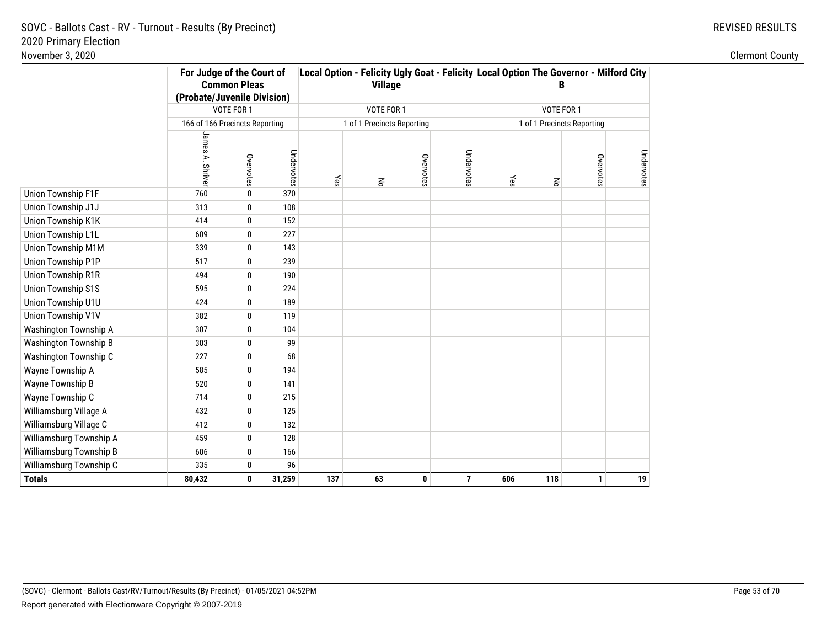|                              | For Judge of the Court of<br><b>Common Pleas</b><br>(Probate/Juvenile Division) |                                |            |     | <b>Village</b>             |           |            | Local Option - Felicity Ugly Goat - Felicity Local Option The Governor - Milford City |                            |           |            |
|------------------------------|---------------------------------------------------------------------------------|--------------------------------|------------|-----|----------------------------|-----------|------------|---------------------------------------------------------------------------------------|----------------------------|-----------|------------|
|                              |                                                                                 | VOTE FOR 1                     |            |     | VOTE FOR 1                 |           |            |                                                                                       | VOTE FOR 1                 |           |            |
|                              |                                                                                 | 166 of 166 Precincts Reporting |            |     | 1 of 1 Precincts Reporting |           |            |                                                                                       | 1 of 1 Precincts Reporting |           |            |
|                              | James A. Shrive                                                                 | Overvotes                      | Undervotes | Yes | $\mathbf{R}^{\mathbf{C}}$  | Overvotes | Undervotes | Yes                                                                                   | $\mathsf{R}^{\mathsf{S}}$  | Overvotes | Undervotes |
| Union Township F1F           | 760                                                                             | 0                              | 370        |     |                            |           |            |                                                                                       |                            |           |            |
| Union Township J1J           | 313                                                                             | 0                              | 108        |     |                            |           |            |                                                                                       |                            |           |            |
| Union Township K1K           | 414                                                                             | 0                              | 152        |     |                            |           |            |                                                                                       |                            |           |            |
| Union Township L1L           | 609                                                                             | 0                              | 227        |     |                            |           |            |                                                                                       |                            |           |            |
| Union Township M1M           | 339                                                                             | 0                              | 143        |     |                            |           |            |                                                                                       |                            |           |            |
| Union Township P1P           | 517                                                                             | 0                              | 239        |     |                            |           |            |                                                                                       |                            |           |            |
| Union Township R1R           | 494                                                                             | 0                              | 190        |     |                            |           |            |                                                                                       |                            |           |            |
| <b>Union Township S1S</b>    | 595                                                                             | 0                              | 224        |     |                            |           |            |                                                                                       |                            |           |            |
| Union Township U1U           | 424                                                                             | 0                              | 189        |     |                            |           |            |                                                                                       |                            |           |            |
| Union Township V1V           | 382                                                                             | 0                              | 119        |     |                            |           |            |                                                                                       |                            |           |            |
| Washington Township A        | 307                                                                             | 0                              | 104        |     |                            |           |            |                                                                                       |                            |           |            |
| <b>Washington Township B</b> | 303                                                                             | 0                              | 99         |     |                            |           |            |                                                                                       |                            |           |            |
| Washington Township C        | 227                                                                             | 0                              | 68         |     |                            |           |            |                                                                                       |                            |           |            |
| Wayne Township A             | 585                                                                             | 0                              | 194        |     |                            |           |            |                                                                                       |                            |           |            |
| Wayne Township B             | 520                                                                             | 0                              | 141        |     |                            |           |            |                                                                                       |                            |           |            |
| Wayne Township C             | 714                                                                             | 0                              | 215        |     |                            |           |            |                                                                                       |                            |           |            |
| Williamsburg Village A       | 432                                                                             | 0                              | 125        |     |                            |           |            |                                                                                       |                            |           |            |
| Williamsburg Village C       | 412                                                                             | 0                              | 132        |     |                            |           |            |                                                                                       |                            |           |            |
| Williamsburg Township A      | 459                                                                             | 0                              | 128        |     |                            |           |            |                                                                                       |                            |           |            |
| Williamsburg Township B      | 606                                                                             | 0                              | 166        |     |                            |           |            |                                                                                       |                            |           |            |
| Williamsburg Township C      | 335                                                                             | 0                              | 96         |     |                            |           |            |                                                                                       |                            |           |            |
| <b>Totals</b>                | 80,432                                                                          | 0                              | 31,259     | 137 | 63                         | 0         | 7          | 606                                                                                   | 118                        | 1         | 19         |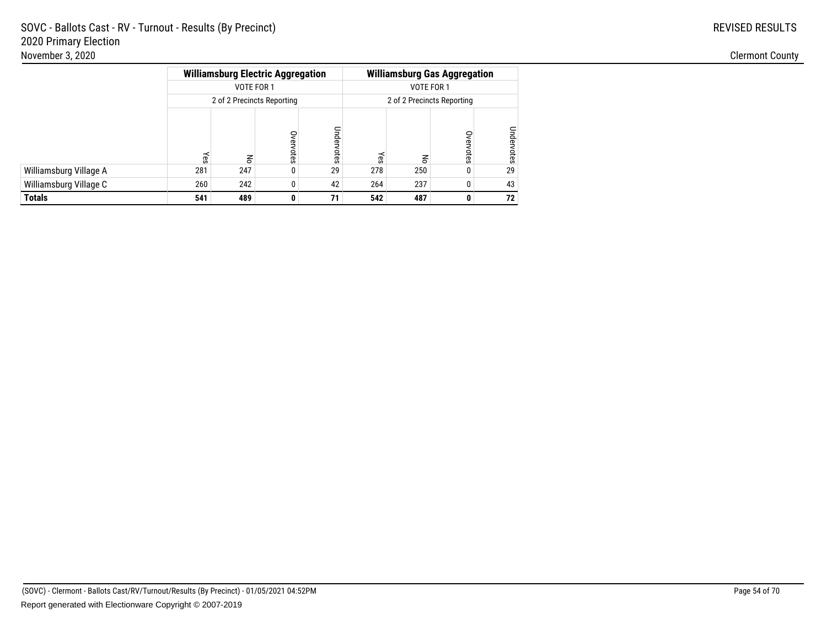|                        |     |            | <b>Williamsburg Electric Aggregation</b> |            |     | <b>Williamsburg Gas Aggregation</b> |               |            |
|------------------------|-----|------------|------------------------------------------|------------|-----|-------------------------------------|---------------|------------|
|                        |     | VOTE FOR 1 |                                          |            |     | VOTE FOR 1                          |               |            |
|                        |     |            | 2 of 2 Precincts Reporting               |            |     | 2 of 2 Precincts Reporting          |               |            |
|                        | Υes | 종          | Overvotes                                | Undervotes | Υes | 종                                   | Over<br>votes | Undervotes |
| Williamsburg Village A | 281 | 247        | 0                                        | 29         | 278 | 250                                 | 0             | 29         |
| Williamsburg Village C | 260 | 242        | 0                                        | 42         | 264 | 237                                 | 0             | 43         |
| Totals                 | 541 | 489        | 0                                        | 71         | 542 | 487                                 | 0             | 72         |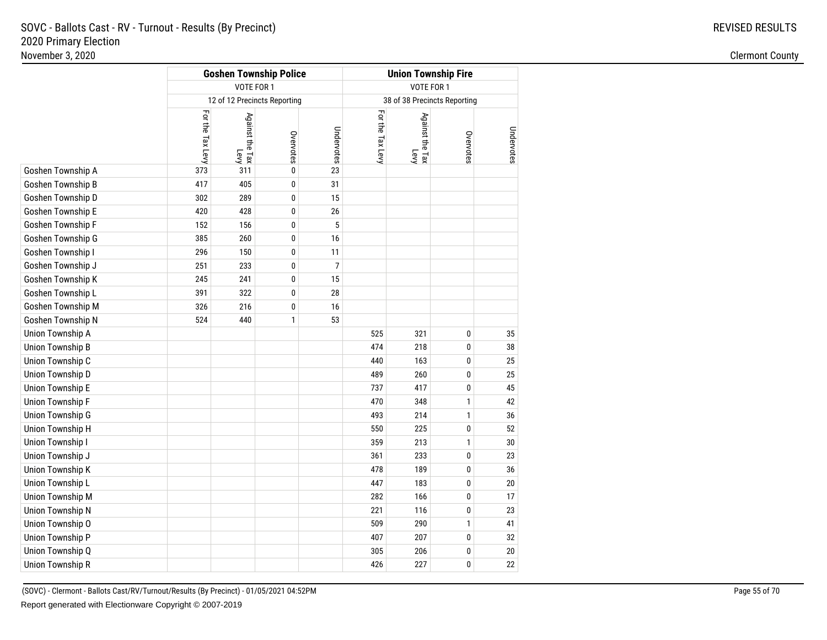|                   |                  | <b>Goshen Township Police</b> |              |            | <b>Union Township Fire</b> |                              |              |            |  |  |  |
|-------------------|------------------|-------------------------------|--------------|------------|----------------------------|------------------------------|--------------|------------|--|--|--|
|                   |                  | VOTE FOR 1                    |              |            | VOTE FOR 1                 |                              |              |            |  |  |  |
|                   |                  | 12 of 12 Precincts Reporting  |              |            |                            | 38 of 38 Precincts Reporting |              |            |  |  |  |
|                   | For the Tax Levy | Against the Tax<br>Levy       | Overvotes    | Undervotes | For the Tax Levy           | Against the Tax<br>Levy      | Overvotes    | Undervotes |  |  |  |
| Goshen Township A | 373              | 311                           | $\mathbf{0}$ | 23         |                            |                              |              |            |  |  |  |
| Goshen Township B | 417              | 405                           | 0            | 31         |                            |                              |              |            |  |  |  |
| Goshen Township D | 302              | 289                           | 0            | 15         |                            |                              |              |            |  |  |  |
| Goshen Township E | 420              | 428                           | 0            | 26         |                            |                              |              |            |  |  |  |
| Goshen Township F | 152              | 156                           | 0            | 5          |                            |                              |              |            |  |  |  |
| Goshen Township G | 385              | 260                           | $\bf{0}$     | $16$       |                            |                              |              |            |  |  |  |
| Goshen Township I | 296              | 150                           | 0            | 11         |                            |                              |              |            |  |  |  |
| Goshen Township J | 251              | 233                           | 0            | 7          |                            |                              |              |            |  |  |  |
| Goshen Township K | 245              | 241                           | 0            | 15         |                            |                              |              |            |  |  |  |
| Goshen Township L | 391              | 322                           | 0            | 28         |                            |                              |              |            |  |  |  |
| Goshen Township M | 326              | 216                           | $\bf{0}$     | $16$       |                            |                              |              |            |  |  |  |
| Goshen Township N | 524              | 440                           | $\mathbf{1}$ | 53         |                            |                              |              |            |  |  |  |
| Union Township A  |                  |                               |              |            | 525                        | 321                          | 0            | 35         |  |  |  |
| Union Township B  |                  |                               |              |            | 474                        | 218                          | 0            | 38         |  |  |  |
| Union Township C  |                  |                               |              |            | 440                        | 163                          | 0            | 25         |  |  |  |
| Union Township D  |                  |                               |              |            | 489                        | 260                          | 0            | 25         |  |  |  |
| Union Township E  |                  |                               |              |            | 737                        | 417                          | 0            | 45         |  |  |  |
| Union Township F  |                  |                               |              |            | 470                        | 348                          | $\mathbf{1}$ | 42         |  |  |  |
| Union Township G  |                  |                               |              |            | 493                        | 214                          | $\mathbf{1}$ | 36         |  |  |  |
| Union Township H  |                  |                               |              |            | 550                        | 225                          | 0            | 52         |  |  |  |
| Union Township I  |                  |                               |              |            | 359                        | 213                          | $\mathbf{1}$ | 30         |  |  |  |
| Union Township J  |                  |                               |              |            | 361                        | 233                          | 0            | 23         |  |  |  |
| Union Township K  |                  |                               |              |            | 478                        | 189                          | 0            | 36         |  |  |  |
| Union Township L  |                  |                               |              |            | 447                        | 183                          | 0            | 20         |  |  |  |
| Union Township M  |                  |                               |              |            | 282                        | 166                          | 0            | 17         |  |  |  |
| Union Township N  |                  |                               |              |            | 221                        | 116                          | 0            | 23         |  |  |  |
| Union Township O  |                  |                               |              |            | 509                        | 290                          | $\mathbf{1}$ | 41         |  |  |  |
| Union Township P  |                  |                               |              |            | 407                        | 207                          | 0            | 32         |  |  |  |
| Union Township Q  |                  |                               |              |            | 305                        | 206                          | 0            | 20         |  |  |  |
| Union Township R  |                  |                               |              |            | 426                        | 227                          | 0            | 22         |  |  |  |
|                   |                  |                               |              |            |                            |                              |              |            |  |  |  |

(SOVC) - Clermont - Ballots Cast/RV/Turnout/Results (By Precinct) - 01/05/2021 04:52PMReport generated with Electionware Copyright © 2007-2019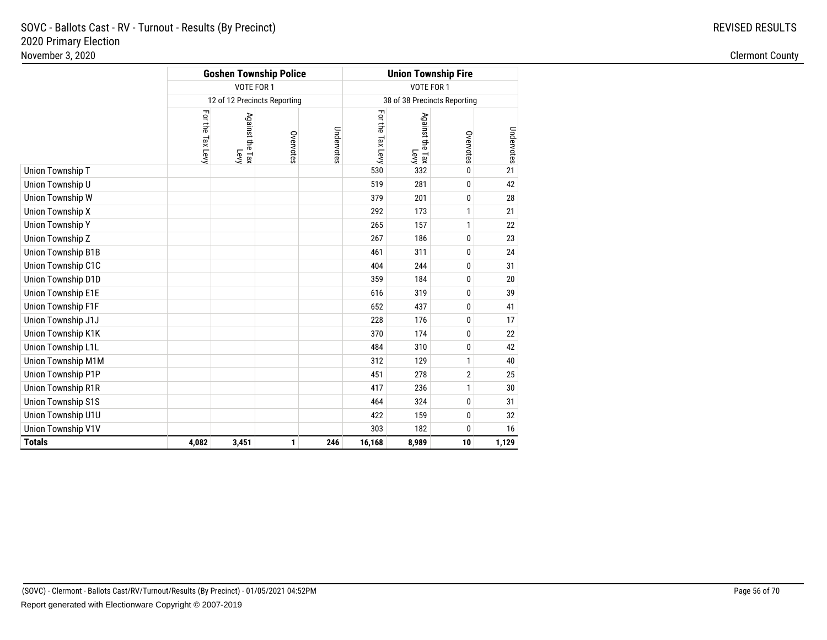|                           |                  |                         | <b>Goshen Township Police</b> |            | <b>Union Township Fire</b> |                                    |                              |            |  |  |
|---------------------------|------------------|-------------------------|-------------------------------|------------|----------------------------|------------------------------------|------------------------------|------------|--|--|
|                           |                  | VOTE FOR 1              |                               |            |                            | VOTE FOR 1                         |                              |            |  |  |
|                           |                  |                         | 12 of 12 Precincts Reporting  |            |                            |                                    | 38 of 38 Precincts Reporting |            |  |  |
|                           | For the Tax Levy | Against the Tax<br>Levy | Overvotes                     | Undervotes | For the Tax Levy           | Against the Tax<br>Against the Tax | Overvotes                    | Undervotes |  |  |
| Union Township T          |                  |                         |                               |            | 530                        | 332                                | $\mathbf{0}$                 | 21         |  |  |
| Union Township U          |                  |                         |                               |            | 519                        | 281                                | 0                            | 42         |  |  |
| Union Township W          |                  |                         |                               | 379        | 201                        | $\mathbf{0}$                       | 28                           |            |  |  |
| <b>Union Township X</b>   |                  |                         |                               | 292        | 173                        | 1                                  | 21                           |            |  |  |
| <b>Union Township Y</b>   |                  |                         |                               | 265        | 157                        | 1                                  | 22                           |            |  |  |
| Union Township Z          |                  |                         |                               |            | 267                        | 186                                | 0                            | 23         |  |  |
| <b>Union Township B1B</b> |                  |                         |                               |            | 461                        | 311                                | $\mathbf{0}$                 | 24         |  |  |
| Union Township C1C        |                  |                         |                               |            | 404                        | 244                                | $\mathbf{0}$                 | 31         |  |  |
| Union Township D1D        |                  |                         |                               |            | 359                        | 184                                | 0                            | 20         |  |  |
| Union Township E1E        |                  |                         |                               |            | 616                        | 319                                | $\mathbf{0}$                 | 39         |  |  |
| Union Township F1F        |                  |                         |                               |            | 652                        | 437                                | $\mathbf{0}$                 | 41         |  |  |
| Union Township J1J        |                  |                         |                               |            | 228                        | 176                                | $\mathbf{0}$                 | 17         |  |  |
| Union Township K1K        |                  |                         |                               |            | 370                        | 174                                | 0                            | 22         |  |  |
| Union Township L1L        |                  |                         |                               |            | 484                        | 310                                | $\mathbf{0}$                 | 42         |  |  |
| Union Township M1M        |                  |                         |                               |            | 312                        | 129                                | 1                            | 40         |  |  |
| Union Township P1P        |                  |                         |                               |            | 451                        | 278                                | 2                            | 25         |  |  |
| <b>Union Township R1R</b> |                  |                         |                               |            | 417                        | 236                                | 1                            | 30         |  |  |
| <b>Union Township S1S</b> |                  |                         |                               |            | 464                        | 324                                | $\mathbf{0}$                 | 31         |  |  |
| Union Township U1U        |                  |                         |                               |            | 422                        | 159                                | $\mathbf{0}$                 | 32         |  |  |
| Union Township V1V        |                  |                         |                               |            | 303                        | 182                                | $\mathbf{0}$                 | 16         |  |  |
| <b>Totals</b>             | 4,082            | 3,451                   | 1                             | 246        | 16,168                     | 8,989                              | 10                           | 1,129      |  |  |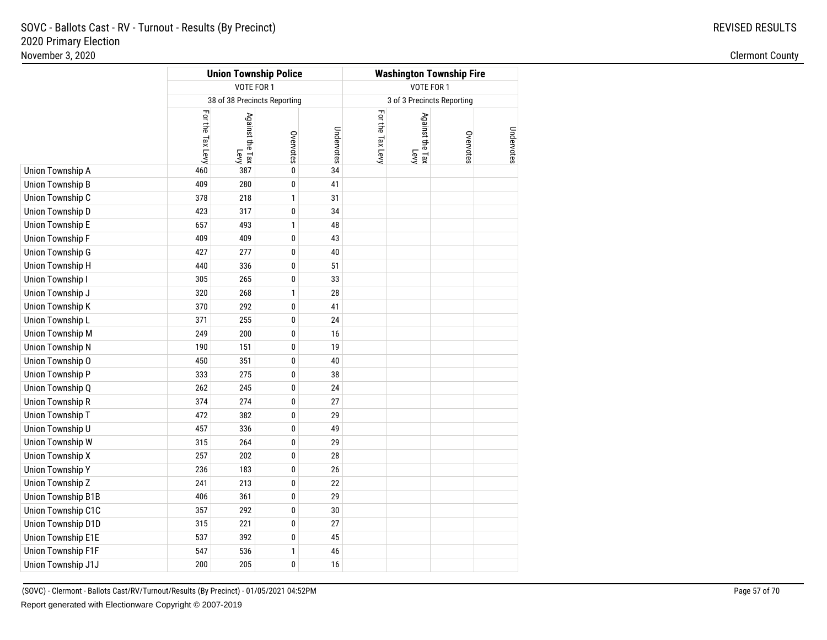| VOTE FOR 1<br>VOTE FOR 1<br>38 of 38 Precincts Reporting<br>3 of 3 Precincts Reporting<br>For the Tax Levy<br>For the Tax Levy<br>Against the Tax<br>Against the Tax<br>Undervotes<br>Overvotes<br>Overvotes<br>Levy<br>Levy<br>34<br>460<br>387<br>0<br>409<br>280<br>0<br>41<br>378<br>218<br>1<br>31<br>423<br>317<br>0<br>34<br>657<br>493<br>1<br>48<br>409<br>409<br>0<br>43<br>427<br>277<br>0<br>40<br>440<br>336<br>0<br>51<br>305<br>265<br>0<br>33<br>320<br>268<br>1<br>28<br>370<br>292<br>0<br>41<br>371<br>255<br>0<br>24<br>249<br>200<br>0<br>16<br>190<br>19<br>151<br>0<br>450<br>351<br>0<br>40<br>333<br>275<br>0<br>38<br>262<br>245<br>0<br>24<br>374<br>274<br>0<br>27<br>472<br>382<br>0<br>29<br>457<br>336<br>0<br>49<br>315<br>264<br>0<br>29<br>257<br>202<br>$\pmb{0}$<br>28<br>236<br>0<br>183<br>26<br>241<br>213<br>0<br>22<br>406<br>361<br>$\pmb{0}$<br>29<br>357<br>292<br>0<br>30<br>315<br>221<br>0<br>27<br>537<br>392<br>0<br>45<br>547<br>536<br>46<br>1<br>200<br>205<br>0<br>16 |                           | <b>Union Township Police</b> |  | <b>Washington Township Fire</b> |  |  |            |  |  |
|----------------------------------------------------------------------------------------------------------------------------------------------------------------------------------------------------------------------------------------------------------------------------------------------------------------------------------------------------------------------------------------------------------------------------------------------------------------------------------------------------------------------------------------------------------------------------------------------------------------------------------------------------------------------------------------------------------------------------------------------------------------------------------------------------------------------------------------------------------------------------------------------------------------------------------------------------------------------------------------------------------------------------|---------------------------|------------------------------|--|---------------------------------|--|--|------------|--|--|
|                                                                                                                                                                                                                                                                                                                                                                                                                                                                                                                                                                                                                                                                                                                                                                                                                                                                                                                                                                                                                            |                           |                              |  |                                 |  |  |            |  |  |
|                                                                                                                                                                                                                                                                                                                                                                                                                                                                                                                                                                                                                                                                                                                                                                                                                                                                                                                                                                                                                            |                           |                              |  |                                 |  |  |            |  |  |
|                                                                                                                                                                                                                                                                                                                                                                                                                                                                                                                                                                                                                                                                                                                                                                                                                                                                                                                                                                                                                            |                           |                              |  |                                 |  |  | Undervotes |  |  |
|                                                                                                                                                                                                                                                                                                                                                                                                                                                                                                                                                                                                                                                                                                                                                                                                                                                                                                                                                                                                                            | Union Township A          |                              |  |                                 |  |  |            |  |  |
|                                                                                                                                                                                                                                                                                                                                                                                                                                                                                                                                                                                                                                                                                                                                                                                                                                                                                                                                                                                                                            | <b>Union Township B</b>   |                              |  |                                 |  |  |            |  |  |
|                                                                                                                                                                                                                                                                                                                                                                                                                                                                                                                                                                                                                                                                                                                                                                                                                                                                                                                                                                                                                            | Union Township C          |                              |  |                                 |  |  |            |  |  |
|                                                                                                                                                                                                                                                                                                                                                                                                                                                                                                                                                                                                                                                                                                                                                                                                                                                                                                                                                                                                                            | Union Township D          |                              |  |                                 |  |  |            |  |  |
|                                                                                                                                                                                                                                                                                                                                                                                                                                                                                                                                                                                                                                                                                                                                                                                                                                                                                                                                                                                                                            | <b>Union Township E</b>   |                              |  |                                 |  |  |            |  |  |
|                                                                                                                                                                                                                                                                                                                                                                                                                                                                                                                                                                                                                                                                                                                                                                                                                                                                                                                                                                                                                            | Union Township F          |                              |  |                                 |  |  |            |  |  |
|                                                                                                                                                                                                                                                                                                                                                                                                                                                                                                                                                                                                                                                                                                                                                                                                                                                                                                                                                                                                                            | Union Township G          |                              |  |                                 |  |  |            |  |  |
|                                                                                                                                                                                                                                                                                                                                                                                                                                                                                                                                                                                                                                                                                                                                                                                                                                                                                                                                                                                                                            | <b>Union Township H</b>   |                              |  |                                 |  |  |            |  |  |
|                                                                                                                                                                                                                                                                                                                                                                                                                                                                                                                                                                                                                                                                                                                                                                                                                                                                                                                                                                                                                            | <b>Union Township I</b>   |                              |  |                                 |  |  |            |  |  |
|                                                                                                                                                                                                                                                                                                                                                                                                                                                                                                                                                                                                                                                                                                                                                                                                                                                                                                                                                                                                                            | Union Township J          |                              |  |                                 |  |  |            |  |  |
|                                                                                                                                                                                                                                                                                                                                                                                                                                                                                                                                                                                                                                                                                                                                                                                                                                                                                                                                                                                                                            | <b>Union Township K</b>   |                              |  |                                 |  |  |            |  |  |
|                                                                                                                                                                                                                                                                                                                                                                                                                                                                                                                                                                                                                                                                                                                                                                                                                                                                                                                                                                                                                            | Union Township L          |                              |  |                                 |  |  |            |  |  |
|                                                                                                                                                                                                                                                                                                                                                                                                                                                                                                                                                                                                                                                                                                                                                                                                                                                                                                                                                                                                                            | <b>Union Township M</b>   |                              |  |                                 |  |  |            |  |  |
|                                                                                                                                                                                                                                                                                                                                                                                                                                                                                                                                                                                                                                                                                                                                                                                                                                                                                                                                                                                                                            | <b>Union Township N</b>   |                              |  |                                 |  |  |            |  |  |
|                                                                                                                                                                                                                                                                                                                                                                                                                                                                                                                                                                                                                                                                                                                                                                                                                                                                                                                                                                                                                            | Union Township O          |                              |  |                                 |  |  |            |  |  |
|                                                                                                                                                                                                                                                                                                                                                                                                                                                                                                                                                                                                                                                                                                                                                                                                                                                                                                                                                                                                                            | Union Township P          |                              |  |                                 |  |  |            |  |  |
|                                                                                                                                                                                                                                                                                                                                                                                                                                                                                                                                                                                                                                                                                                                                                                                                                                                                                                                                                                                                                            | Union Township Q          |                              |  |                                 |  |  |            |  |  |
|                                                                                                                                                                                                                                                                                                                                                                                                                                                                                                                                                                                                                                                                                                                                                                                                                                                                                                                                                                                                                            | <b>Union Township R</b>   |                              |  |                                 |  |  |            |  |  |
|                                                                                                                                                                                                                                                                                                                                                                                                                                                                                                                                                                                                                                                                                                                                                                                                                                                                                                                                                                                                                            | Union Township T          |                              |  |                                 |  |  |            |  |  |
|                                                                                                                                                                                                                                                                                                                                                                                                                                                                                                                                                                                                                                                                                                                                                                                                                                                                                                                                                                                                                            | Union Township U          |                              |  |                                 |  |  |            |  |  |
|                                                                                                                                                                                                                                                                                                                                                                                                                                                                                                                                                                                                                                                                                                                                                                                                                                                                                                                                                                                                                            | Union Township W          |                              |  |                                 |  |  |            |  |  |
|                                                                                                                                                                                                                                                                                                                                                                                                                                                                                                                                                                                                                                                                                                                                                                                                                                                                                                                                                                                                                            | <b>Union Township X</b>   |                              |  |                                 |  |  |            |  |  |
|                                                                                                                                                                                                                                                                                                                                                                                                                                                                                                                                                                                                                                                                                                                                                                                                                                                                                                                                                                                                                            | <b>Union Township Y</b>   |                              |  |                                 |  |  |            |  |  |
|                                                                                                                                                                                                                                                                                                                                                                                                                                                                                                                                                                                                                                                                                                                                                                                                                                                                                                                                                                                                                            | Union Township Z          |                              |  |                                 |  |  |            |  |  |
|                                                                                                                                                                                                                                                                                                                                                                                                                                                                                                                                                                                                                                                                                                                                                                                                                                                                                                                                                                                                                            | Union Township B1B        |                              |  |                                 |  |  |            |  |  |
|                                                                                                                                                                                                                                                                                                                                                                                                                                                                                                                                                                                                                                                                                                                                                                                                                                                                                                                                                                                                                            | Union Township C1C        |                              |  |                                 |  |  |            |  |  |
|                                                                                                                                                                                                                                                                                                                                                                                                                                                                                                                                                                                                                                                                                                                                                                                                                                                                                                                                                                                                                            | Union Township D1D        |                              |  |                                 |  |  |            |  |  |
|                                                                                                                                                                                                                                                                                                                                                                                                                                                                                                                                                                                                                                                                                                                                                                                                                                                                                                                                                                                                                            | Union Township E1E        |                              |  |                                 |  |  |            |  |  |
|                                                                                                                                                                                                                                                                                                                                                                                                                                                                                                                                                                                                                                                                                                                                                                                                                                                                                                                                                                                                                            | <b>Union Township F1F</b> |                              |  |                                 |  |  |            |  |  |
|                                                                                                                                                                                                                                                                                                                                                                                                                                                                                                                                                                                                                                                                                                                                                                                                                                                                                                                                                                                                                            | Union Township J1J        |                              |  |                                 |  |  |            |  |  |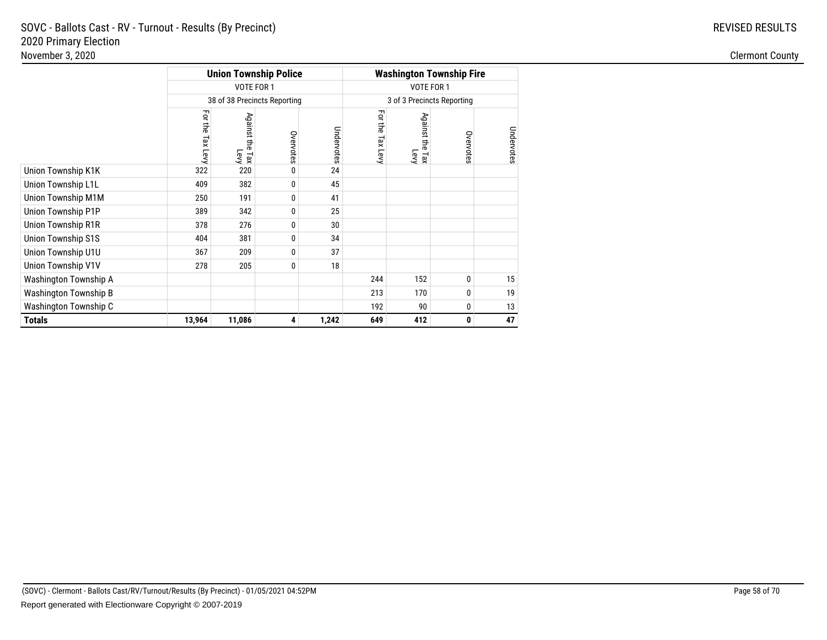|                              |                     |                                | <b>Union Township Police</b> | <b>Washington Township Fire</b> |                     |                              |           |            |
|------------------------------|---------------------|--------------------------------|------------------------------|---------------------------------|---------------------|------------------------------|-----------|------------|
|                              |                     | VOTE FOR 1                     |                              |                                 |                     | VOTE FOR 1                   |           |            |
|                              |                     |                                | 38 of 38 Precincts Reporting |                                 |                     | 3 of 3 Precincts Reporting   |           |            |
|                              | For the<br>Tax Levy | Against the<br>i<br>Lax<br>Tax | Overvotes                    | Undervotes                      | For the<br>Tax Levy | Against the<br>e Tax<br>Levy | Overvotes | Undervotes |
| Union Township K1K           | 322                 | 220                            | 0                            | 24                              |                     |                              |           |            |
| Union Township L1L           | 409                 | 382                            | 0                            | 45                              |                     |                              |           |            |
| Union Township M1M           | 250                 | 191                            | 0                            | 41                              |                     |                              |           |            |
| Union Township P1P           | 389                 | 342                            | 0                            | 25                              |                     |                              |           |            |
| Union Township R1R           | 378                 | 276                            | 0                            | 30                              |                     |                              |           |            |
| Union Township S1S           | 404                 | 381                            | 0                            | 34                              |                     |                              |           |            |
| Union Township U1U           | 367                 | 209                            | 0                            | 37                              |                     |                              |           |            |
| Union Township V1V           | 278                 | 205                            | 0                            | 18                              |                     |                              |           |            |
| Washington Township A        |                     |                                |                              |                                 | 244                 | 152                          | 0         | 15         |
| <b>Washington Township B</b> |                     |                                |                              |                                 | 213                 | 170                          | 0         | 19         |
| Washington Township C        |                     |                                |                              |                                 | 192                 | 90                           | 0         | 13         |
| <b>Totals</b>                | 13,964              | 11,086                         | 4                            | 1,242                           | 649                 | 412                          | 0         | 47         |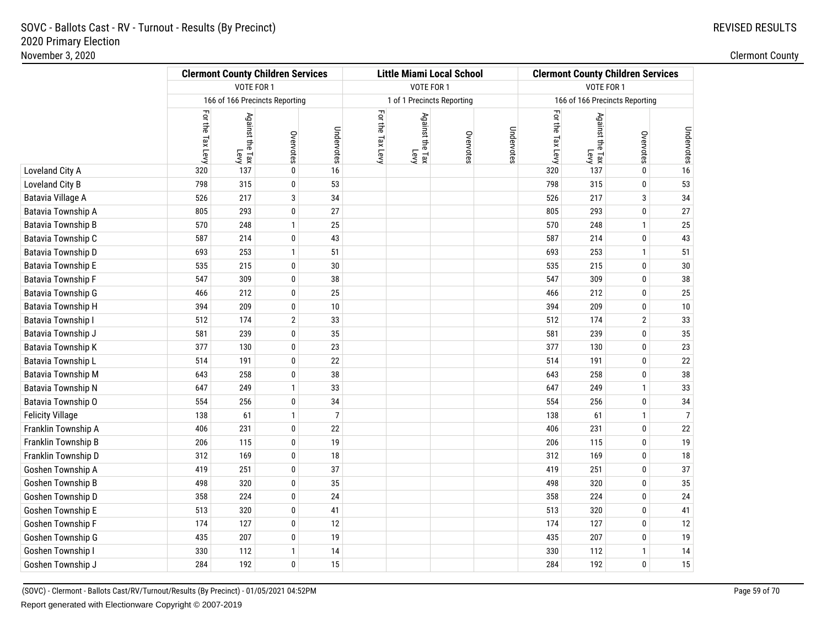|                         | <b>Clermont County Children Services</b> |                                |                |                |                  | <b>Little Miami Local School</b> |           | <b>Clermont County Children Services</b> |                  |                         |                                |                |
|-------------------------|------------------------------------------|--------------------------------|----------------|----------------|------------------|----------------------------------|-----------|------------------------------------------|------------------|-------------------------|--------------------------------|----------------|
|                         |                                          | VOTE FOR 1                     |                |                |                  | VOTE FOR 1                       |           |                                          |                  | VOTE FOR 1              |                                |                |
|                         |                                          | 166 of 166 Precincts Reporting |                |                |                  | 1 of 1 Precincts Reporting       |           |                                          |                  |                         | 166 of 166 Precincts Reporting |                |
|                         | For the Tax Levy                         | Against the Tax<br>Levy        | Overvotes      | Undervotes     | For the Tax Levy | Against the Tax<br>Levy          | Overvotes | Undervotes                               | For the Tax Levy | Against the Tax<br>Levy | Overvotes                      | Undervotes     |
| Loveland City A         | 320                                      | 137                            | 0              | 16             |                  |                                  |           |                                          | 320              | 137                     | 0                              | 16             |
| Loveland City B         | 798                                      | 315                            | $\pmb{0}$      | 53             |                  |                                  |           |                                          | 798              | 315                     | 0                              | 53             |
| Batavia Village A       | 526                                      | 217                            | 3              | 34             |                  |                                  |           |                                          | 526              | 217                     | 3                              | 34             |
| Batavia Township A      | 805                                      | 293                            | 0              | 27             |                  |                                  |           |                                          | 805              | 293                     | 0                              | 27             |
| Batavia Township B      | 570                                      | 248                            | $\mathbf{1}$   | 25             |                  |                                  |           |                                          | 570              | 248                     | $\mathbf{1}$                   | 25             |
| Batavia Township C      | 587                                      | 214                            | 0              | 43             |                  |                                  |           |                                          | 587              | 214                     | 0                              | 43             |
| Batavia Township D      | 693                                      | 253                            | $\mathbf{1}$   | 51             |                  |                                  |           |                                          | 693              | 253                     | $\mathbf{1}$                   | 51             |
| Batavia Township E      | 535                                      | 215                            | 0              | 30             |                  |                                  |           |                                          | 535              | 215                     | 0                              | $30\,$         |
| Batavia Township F      | 547                                      | 309                            | 0              | 38             |                  |                                  |           |                                          | 547              | 309                     | 0                              | $38\,$         |
| Batavia Township G      | 466                                      | 212                            | 0              | 25             |                  |                                  |           |                                          | 466              | 212                     | 0                              | 25             |
| Batavia Township H      | 394                                      | 209                            | $\pmb{0}$      | 10             |                  |                                  |           |                                          | 394              | 209                     | 0                              | $10$           |
| Batavia Township I      | 512                                      | 174                            | $\overline{2}$ | 33             |                  |                                  |           |                                          | 512              | 174                     | $\mathbf{2}$                   | 33             |
| Batavia Township J      | 581                                      | 239                            | 0              | 35             |                  |                                  |           |                                          | 581              | 239                     | 0                              | 35             |
| Batavia Township K      | 377                                      | 130                            | $\pmb{0}$      | 23             |                  |                                  |           |                                          | 377              | 130                     | 0                              | 23             |
| Batavia Township L      | 514                                      | 191                            | 0              | 22             |                  |                                  |           |                                          | 514              | 191                     | 0                              | $22\,$         |
| Batavia Township M      | 643                                      | 258                            | 0              | 38             |                  |                                  |           |                                          | 643              | 258                     | 0                              | $38\,$         |
| Batavia Township N      | 647                                      | 249                            | $\mathbf{1}$   | 33             |                  |                                  |           |                                          | 647              | 249                     | $\mathbf{1}$                   | 33             |
| Batavia Township O      | 554                                      | 256                            | 0              | 34             |                  |                                  |           |                                          | 554              | 256                     | 0                              | 34             |
| <b>Felicity Village</b> | 138                                      | 61                             | $\mathbf{1}$   | $\overline{7}$ |                  |                                  |           |                                          | 138              | 61                      | $\mathbf{1}$                   | $\overline{7}$ |
| Franklin Township A     | 406                                      | 231                            | $\pmb{0}$      | 22             |                  |                                  |           |                                          | 406              | 231                     | 0                              | 22             |
| Franklin Township B     | 206                                      | 115                            | 0              | 19             |                  |                                  |           |                                          | 206              | 115                     | 0                              | 19             |
| Franklin Township D     | 312                                      | 169                            | 0              | 18             |                  |                                  |           |                                          | 312              | 169                     | 0                              | 18             |
| Goshen Township A       | 419                                      | 251                            | $\pmb{0}$      | 37             |                  |                                  |           |                                          | 419              | 251                     | 0                              | 37             |
| Goshen Township B       | 498                                      | 320                            | 0              | 35             |                  |                                  |           |                                          | 498              | 320                     | 0                              | $35\,$         |
| Goshen Township D       | 358                                      | 224                            | 0              | 24             |                  |                                  |           |                                          | 358              | 224                     | 0                              | 24             |
| Goshen Township E       | 513                                      | 320                            | 0              | 41             |                  |                                  |           |                                          | 513              | 320                     | 0                              | 41             |
| Goshen Township F       | 174                                      | 127                            | 0              | 12             |                  |                                  |           |                                          | 174              | 127                     | 0                              | 12             |
| Goshen Township G       | 435                                      | 207                            | 0              | 19             |                  |                                  |           |                                          | 435              | 207                     | 0                              | 19             |
| Goshen Township I       | 330                                      | 112                            | $\mathbf{1}$   | 14             |                  |                                  |           |                                          | 330              | 112                     | $\mathbf{1}$                   | 14             |
| Goshen Township J       | 284                                      | 192                            | 0              | 15             |                  |                                  |           |                                          | 284              | 192                     | $\mathbf{0}$                   | 15             |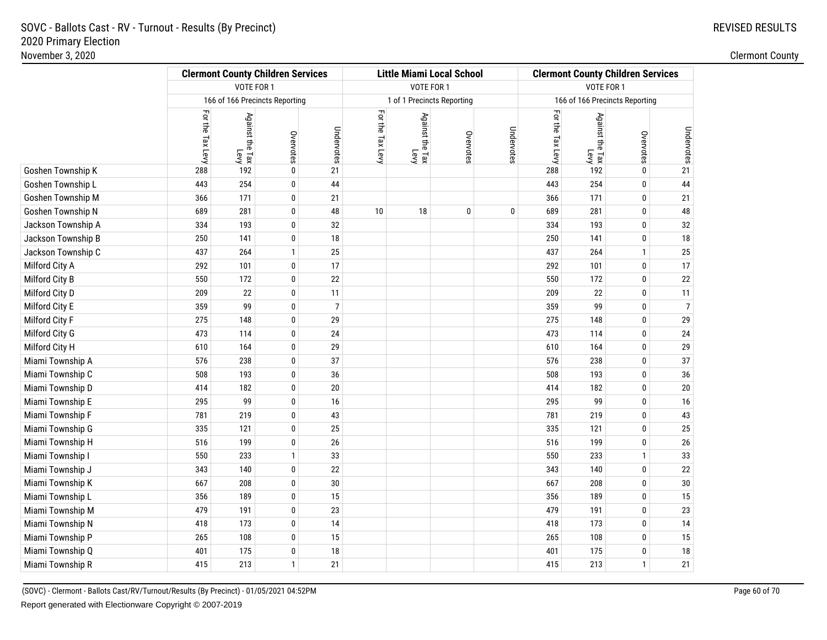|                    | <b>Clermont County Children Services</b> |                         |                                |                |                  |                            | <b>Little Miami Local School</b> |            | <b>Clermont County Children Services</b> |                         |                                |                |
|--------------------|------------------------------------------|-------------------------|--------------------------------|----------------|------------------|----------------------------|----------------------------------|------------|------------------------------------------|-------------------------|--------------------------------|----------------|
|                    |                                          | VOTE FOR 1              |                                |                |                  | VOTE FOR 1                 |                                  |            |                                          | VOTE FOR 1              |                                |                |
|                    |                                          |                         | 166 of 166 Precincts Reporting |                |                  | 1 of 1 Precincts Reporting |                                  |            |                                          |                         | 166 of 166 Precincts Reporting |                |
|                    | For the Tax Levy                         | Against the Tax<br>Levy | Overvotes                      | Undervotes     | For the Tax Levy | Against the Tax<br>Levy    | Overvotes                        | Undervotes | For the Tax Levy                         | Against the Tax<br>Levy | Overvotes                      | Undervotes     |
| Goshen Township K  | 288                                      | 192                     | 0                              | 21             |                  |                            |                                  |            | 288                                      | 192                     | 0                              | 21             |
| Goshen Township L  | 443                                      | 254                     | 0                              | 44             |                  |                            |                                  |            | 443                                      | 254                     | 0                              | 44             |
| Goshen Township M  | 366                                      | 171                     | 0                              | 21             |                  |                            |                                  |            | 366                                      | 171                     | 0                              | 21             |
| Goshen Township N  | 689                                      | 281                     | $\pmb{0}$                      | 48             | 10               | 18                         | $\pmb{0}$                        | 0          | 689                                      | 281                     | 0                              | 48             |
| Jackson Township A | 334                                      | 193                     | 0                              | 32             |                  |                            |                                  |            | 334                                      | 193                     | 0                              | $32\,$         |
| Jackson Township B | 250                                      | 141                     | 0                              | 18             |                  |                            |                                  |            | 250                                      | 141                     | 0                              | 18             |
| Jackson Township C | 437                                      | 264                     | $\mathbf{1}$                   | 25             |                  |                            |                                  |            | 437                                      | 264                     | $\mathbf{1}$                   | 25             |
| Milford City A     | 292                                      | 101                     | 0                              | 17             |                  |                            |                                  |            | 292                                      | 101                     | 0                              | $17$           |
| Milford City B     | 550                                      | 172                     | 0                              | 22             |                  |                            |                                  |            | 550                                      | 172                     | 0                              | 22             |
| Milford City D     | 209                                      | 22                      | $\pmb{0}$                      | 11             |                  |                            |                                  |            | 209                                      | 22                      | 0                              | 11             |
| Milford City E     | 359                                      | 99                      | 0                              | $\overline{7}$ |                  |                            |                                  |            | 359                                      | 99                      | 0                              | $\overline{7}$ |
| Milford City F     | 275                                      | 148                     | 0                              | 29             |                  |                            |                                  |            | 275                                      | 148                     | 0                              | 29             |
| Milford City G     | 473                                      | 114                     | $\pmb{0}$                      | 24             |                  |                            |                                  |            | 473                                      | 114                     | 0                              | 24             |
| Milford City H     | 610                                      | 164                     | 0                              | 29             |                  |                            |                                  |            | 610                                      | 164                     | 0                              | 29             |
| Miami Township A   | 576                                      | 238                     | 0                              | 37             |                  |                            |                                  |            | 576                                      | 238                     | 0                              | 37             |
| Miami Township C   | 508                                      | 193                     | $\pmb{0}$                      | 36             |                  |                            |                                  |            | 508                                      | 193                     | 0                              | $36\,$         |
| Miami Township D   | 414                                      | 182                     | 0                              | 20             |                  |                            |                                  |            | 414                                      | 182                     | 0                              | $20\,$         |
| Miami Township E   | 295                                      | 99                      | $\pmb{0}$                      | 16             |                  |                            |                                  |            | 295                                      | 99                      | $\pmb{0}$                      | 16             |
| Miami Township F   | 781                                      | 219                     | 0                              | 43             |                  |                            |                                  |            | 781                                      | 219                     | 0                              | 43             |
| Miami Township G   | 335                                      | 121                     | 0                              | 25             |                  |                            |                                  |            | 335                                      | 121                     | 0                              | $25\,$         |
| Miami Township H   | 516                                      | 199                     | $\pmb{0}$                      | $26\,$         |                  |                            |                                  |            | 516                                      | 199                     | $\pmb{0}$                      | $26\,$         |
| Miami Township I   | 550                                      | 233                     | $\mathbf{1}$                   | 33             |                  |                            |                                  |            | 550                                      | 233                     | $\mathbf{1}$                   | $33\,$         |
| Miami Township J   | 343                                      | 140                     | 0                              | 22             |                  |                            |                                  |            | 343                                      | 140                     | 0                              | 22             |
| Miami Township K   | 667                                      | 208                     | $\pmb{0}$                      | 30             |                  |                            |                                  |            | 667                                      | 208                     | $\pmb{0}$                      | $30\,$         |
| Miami Township L   | 356                                      | 189                     | 0                              | 15             |                  |                            |                                  |            | 356                                      | 189                     | 0                              | 15             |
| Miami Township M   | 479                                      | 191                     | 0                              | 23             |                  |                            |                                  |            | 479                                      | 191                     | 0                              | 23             |
| Miami Township N   | 418                                      | 173                     | $\pmb{0}$                      | 14             |                  |                            |                                  |            | 418                                      | 173                     | 0                              | 14             |
| Miami Township P   | 265                                      | 108                     | 0                              | 15             |                  |                            |                                  |            | 265                                      | 108                     | 0                              | 15             |
| Miami Township Q   | 401                                      | 175                     | 0                              | 18             |                  |                            |                                  |            | 401                                      | 175                     | 0                              | 18             |
| Miami Township R   | 415                                      | 213                     | $\mathbf{1}$                   | 21             |                  |                            |                                  |            | 415                                      | 213                     | $\mathbf{1}$                   | 21             |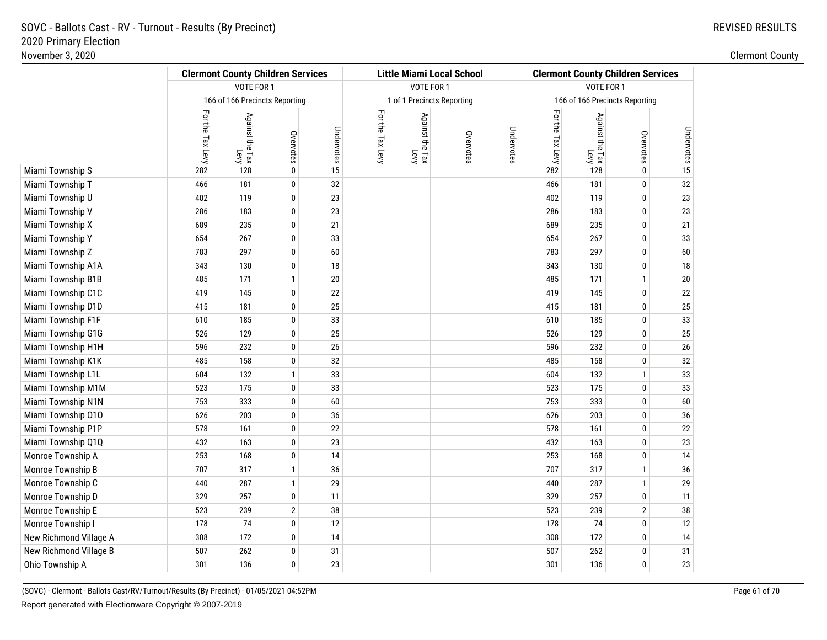|                        |                  | <b>Clermont County Children Services</b> |                |            | <b>Little Miami Local School</b> |                         |                            |            | <b>Clermont County Children Services</b> |                         |                                |            |
|------------------------|------------------|------------------------------------------|----------------|------------|----------------------------------|-------------------------|----------------------------|------------|------------------------------------------|-------------------------|--------------------------------|------------|
|                        |                  | VOTE FOR 1                               |                |            |                                  | VOTE FOR 1              |                            |            | VOTE FOR 1                               |                         |                                |            |
|                        |                  | 166 of 166 Precincts Reporting           |                |            |                                  |                         | 1 of 1 Precincts Reporting |            |                                          |                         | 166 of 166 Precincts Reporting |            |
|                        | For the Tax Levy | Against the Tax<br>Levy                  | Overvotes      | Undervotes | For the Tax Levy                 | Against the Tax<br>Levy | Overvotes                  | Undervotes | For the Tax Levy                         | Against the Tax<br>Levy | Overvotes                      | Undervotes |
| Miami Township S       | 282              | 128                                      | 0              | 15         |                                  |                         |                            |            | 282                                      | 128                     | 0                              | 15         |
| Miami Township T       | 466              | 181                                      | $\pmb{0}$      | 32         |                                  |                         |                            |            | 466                                      | 181                     | $\mathbf 0$                    | 32         |
| Miami Township U       | 402              | 119                                      | 0              | 23         |                                  |                         |                            |            | 402                                      | 119                     | $\pmb{0}$                      | $23\,$     |
| Miami Township V       | 286              | 183                                      | 0              | 23         |                                  |                         |                            |            | 286                                      | 183                     | $\mathbf 0$                    | 23         |
| Miami Township X       | 689              | 235                                      | $\pmb{0}$      | 21         |                                  |                         |                            |            | 689                                      | 235                     | $\pmb{0}$                      | 21         |
| Miami Township Y       | 654              | 267                                      | 0              | 33         |                                  |                         |                            |            | 654                                      | 267                     | $\mathbf 0$                    | 33         |
| Miami Township Z       | 783              | 297                                      | 0              | 60         |                                  |                         |                            |            | 783                                      | 297                     | $\mathbf 0$                    | 60         |
| Miami Township A1A     | 343              | 130                                      | $\pmb{0}$      | 18         |                                  |                         |                            |            | 343                                      | 130                     | $\pmb{0}$                      | $18\,$     |
| Miami Township B1B     | 485              | 171                                      | $\mathbf{1}$   | 20         |                                  |                         |                            |            | 485                                      | 171                     | $\mathbf{1}$                   | $20\,$     |
| Miami Township C1C     | 419              | 145                                      | 0              | 22         |                                  |                         |                            |            | 419                                      | 145                     | $\mathbf 0$                    | 22         |
| Miami Township D1D     | 415              | 181                                      | $\pmb{0}$      | 25         |                                  |                         |                            |            | 415                                      | 181                     | $\mathbf 0$                    | 25         |
| Miami Township F1F     | 610              | 185                                      | 0              | 33         |                                  |                         |                            |            | 610                                      | 185                     | $\pmb{0}$                      | $33\,$     |
| Miami Township G1G     | 526              | 129                                      | 0              | 25         |                                  |                         |                            |            | 526                                      | 129                     | $\mathbf 0$                    | 25         |
| Miami Township H1H     | 596              | 232                                      | $\pmb{0}$      | 26         |                                  |                         |                            |            | 596                                      | 232                     | $\mathbf 0$                    | $26\,$     |
| Miami Township K1K     | 485              | 158                                      | 0              | 32         |                                  |                         |                            |            | 485                                      | 158                     | $\pmb{0}$                      | $32\,$     |
| Miami Township L1L     | 604              | 132                                      | $\mathbf{1}$   | 33         |                                  |                         |                            |            | 604                                      | 132                     | $\mathbf{1}$                   | 33         |
| Miami Township M1M     | 523              | 175                                      | $\pmb{0}$      | 33         |                                  |                         |                            |            | 523                                      | 175                     | $\pmb{0}$                      | 33         |
| Miami Township N1N     | 753              | 333                                      | 0              | 60         |                                  |                         |                            |            | 753                                      | 333                     | $\mathbf 0$                    | $60\,$     |
| Miami Township 010     | 626              | 203                                      | 0              | 36         |                                  |                         |                            |            | 626                                      | 203                     | $\mathbf 0$                    | 36         |
| Miami Township P1P     | 578              | 161                                      | $\pmb{0}$      | 22         |                                  |                         |                            |            | 578                                      | 161                     | $\mathbf 0$                    | $22\,$     |
| Miami Township Q1Q     | 432              | 163                                      | 0              | 23         |                                  |                         |                            |            | 432                                      | 163                     | $\mathbf 0$                    | 23         |
| Monroe Township A      | 253              | 168                                      | 0              | 14         |                                  |                         |                            |            | 253                                      | 168                     | $\mathbf 0$                    | 14         |
| Monroe Township B      | 707              | 317                                      | $\mathbf{1}$   | 36         |                                  |                         |                            |            | 707                                      | 317                     | $\mathbf{1}$                   | 36         |
| Monroe Township C      | 440              | 287                                      | $\mathbf{1}$   | 29         |                                  |                         |                            |            | 440                                      | 287                     | $\mathbf{1}$                   | 29         |
| Monroe Township D      | 329              | 257                                      | 0              | 11         |                                  |                         |                            |            | 329                                      | 257                     | $\mathbf 0$                    | 11         |
| Monroe Township E      | 523              | 239                                      | $\overline{2}$ | 38         |                                  |                         |                            |            | 523                                      | 239                     | $\overline{2}$                 | $38\,$     |
| Monroe Township I      | 178              | 74                                       | 0              | 12         |                                  |                         |                            |            | 178                                      | 74                      | $\pmb{0}$                      | 12         |
| New Richmond Village A | 308              | 172                                      | 0              | 14         |                                  |                         |                            |            | 308                                      | 172                     | $\mathbf 0$                    | 14         |
| New Richmond Village B | 507              | 262                                      | 0              | 31         |                                  |                         |                            |            | 507                                      | 262                     | $\mathbf 0$                    | 31         |
| Ohio Township A        | 301              | 136                                      | 0              | 23         |                                  |                         |                            |            | 301                                      | 136                     | 0                              | 23         |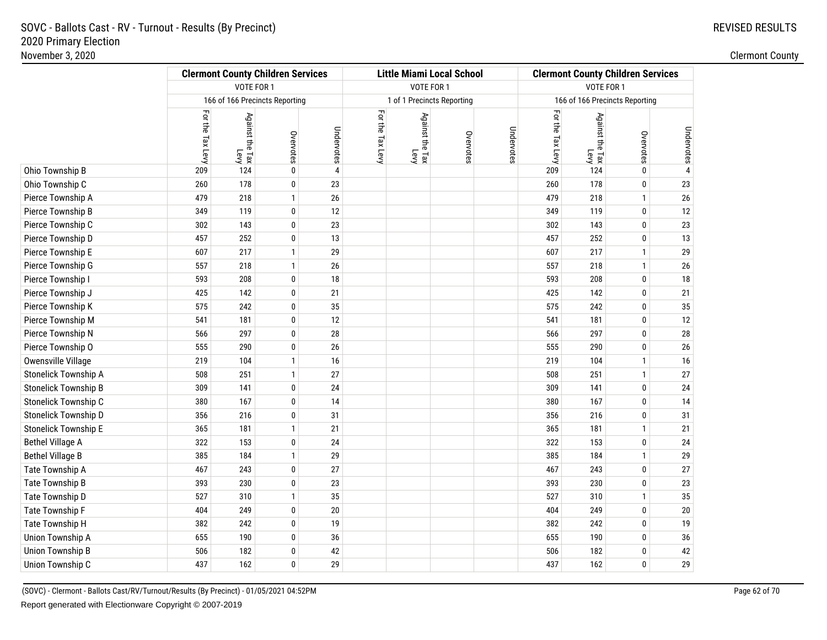|                             |                  | <b>Clermont County Children Services</b> |                                |                | <b>Little Miami Local School</b> |                            |           |            | <b>Clermont County Children Services</b> |                         |                                |                 |
|-----------------------------|------------------|------------------------------------------|--------------------------------|----------------|----------------------------------|----------------------------|-----------|------------|------------------------------------------|-------------------------|--------------------------------|-----------------|
|                             |                  | VOTE FOR 1                               |                                |                |                                  | VOTE FOR 1                 |           |            | VOTE FOR 1                               |                         |                                |                 |
|                             |                  |                                          | 166 of 166 Precincts Reporting |                |                                  | 1 of 1 Precincts Reporting |           |            |                                          |                         | 166 of 166 Precincts Reporting |                 |
|                             | For the Tax Levy | Against the Tax<br>Levy                  | Overvotes                      | Undervotes     | For the Tax Levy                 | Against the Tax<br>Геу     | Overvotes | Undervotes | For the Tax Levy                         | Against the Tax<br>Levy | Overvotes                      | Undervotes      |
| Ohio Township B             | 209              | 124                                      | 0                              | $\overline{4}$ |                                  |                            |           |            | 209                                      | 124                     | 0                              |                 |
| Ohio Township C             | 260              | 178                                      | 0                              | 23             |                                  |                            |           |            | 260                                      | 178                     | 0                              | 23              |
| Pierce Township A           | 479              | 218                                      | $\mathbf{1}$                   | 26             |                                  |                            |           |            | 479                                      | 218                     | $\mathbf{1}$                   | $26\,$          |
| Pierce Township B           | 349              | 119                                      | 0                              | 12             |                                  |                            |           |            | 349                                      | 119                     | 0                              | 12              |
| Pierce Township C           | 302              | 143                                      | 0                              | 23             |                                  |                            |           |            | 302                                      | 143                     | 0                              | 23              |
| Pierce Township D           | 457              | 252                                      | 0                              | 13             |                                  |                            |           |            | 457                                      | 252                     | 0                              | 13              |
| Pierce Township E           | 607              | 217                                      | $\mathbf{1}$                   | 29             |                                  |                            |           |            | 607                                      | 217                     | $\mathbf{1}$                   | 29              |
| Pierce Township G           | 557              | 218                                      | $\mathbf{1}$                   | 26             |                                  |                            |           |            | 557                                      | 218                     | $\mathbf{1}$                   | $26\phantom{.}$ |
| Pierce Township I           | 593              | 208                                      | 0                              | 18             |                                  |                            |           |            | 593                                      | 208                     | 0                              | 18              |
| Pierce Township J           | 425              | 142                                      | $\pmb{0}$                      | 21             |                                  |                            |           |            | 425                                      | 142                     | 0                              | 21              |
| Pierce Township K           | 575              | 242                                      | 0                              | 35             |                                  |                            |           |            | 575                                      | 242                     | 0                              | $35\,$          |
| Pierce Township M           | 541              | 181                                      | 0                              | 12             |                                  |                            |           |            | 541                                      | 181                     | 0                              | 12              |
| Pierce Township N           | 566              | 297                                      | 0                              | 28             |                                  |                            |           |            | 566                                      | 297                     | 0                              | 28              |
| Pierce Township O           | 555              | 290                                      | 0                              | 26             |                                  |                            |           |            | 555                                      | 290                     | 0                              | $26\,$          |
| Owensville Village          | 219              | 104                                      | $\mathbf{1}$                   | 16             |                                  |                            |           |            | 219                                      | 104                     | $\mathbf{1}$                   | 16              |
| Stonelick Township A        | 508              | 251                                      | $\mathbf{1}$                   | 27             |                                  |                            |           |            | 508                                      | 251                     | $\mathbf{1}$                   | 27              |
| <b>Stonelick Township B</b> | 309              | 141                                      | 0                              | 24             |                                  |                            |           |            | 309                                      | 141                     | 0                              | 24              |
| Stonelick Township C        | 380              | 167                                      | 0                              | 14             |                                  |                            |           |            | 380                                      | 167                     | 0                              | 14              |
| Stonelick Township D        | 356              | 216                                      | 0                              | 31             |                                  |                            |           |            | 356                                      | 216                     | 0                              | 31              |
| Stonelick Township E        | 365              | 181                                      | $\mathbf{1}$                   | 21             |                                  |                            |           |            | 365                                      | 181                     | $\mathbf{1}$                   | 21              |
| <b>Bethel Village A</b>     | 322              | 153                                      | 0                              | 24             |                                  |                            |           |            | 322                                      | 153                     | 0                              | 24              |
| <b>Bethel Village B</b>     | 385              | 184                                      | $\mathbf{1}$                   | 29             |                                  |                            |           |            | 385                                      | 184                     | $\mathbf{1}$                   | 29              |
| Tate Township A             | 467              | 243                                      | 0                              | 27             |                                  |                            |           |            | 467                                      | 243                     | 0                              | 27              |
| Tate Township B             | 393              | 230                                      | 0                              | 23             |                                  |                            |           |            | 393                                      | 230                     | 0                              | 23              |
| Tate Township D             | 527              | 310                                      | $\mathbf{1}$                   | 35             |                                  |                            |           |            | 527                                      | 310                     | $\mathbf{1}$                   | $35\,$          |
| Tate Township F             | 404              | 249                                      | 0                              | 20             |                                  |                            |           |            | 404                                      | 249                     | 0                              | $20\,$          |
| Tate Township H             | 382              | 242                                      | 0                              | 19             |                                  |                            |           |            | 382                                      | 242                     | 0                              | 19              |
| Union Township A            | 655              | 190                                      | 0                              | 36             |                                  |                            |           |            | 655                                      | 190                     | 0                              | $36\,$          |
| <b>Union Township B</b>     | 506              | 182                                      | 0                              | 42             |                                  |                            |           |            | 506                                      | 182                     | 0                              | 42              |
| Union Township C            | 437              | 162                                      | 0                              | 29             |                                  |                            |           |            | 437                                      | 162                     | 0                              | 29              |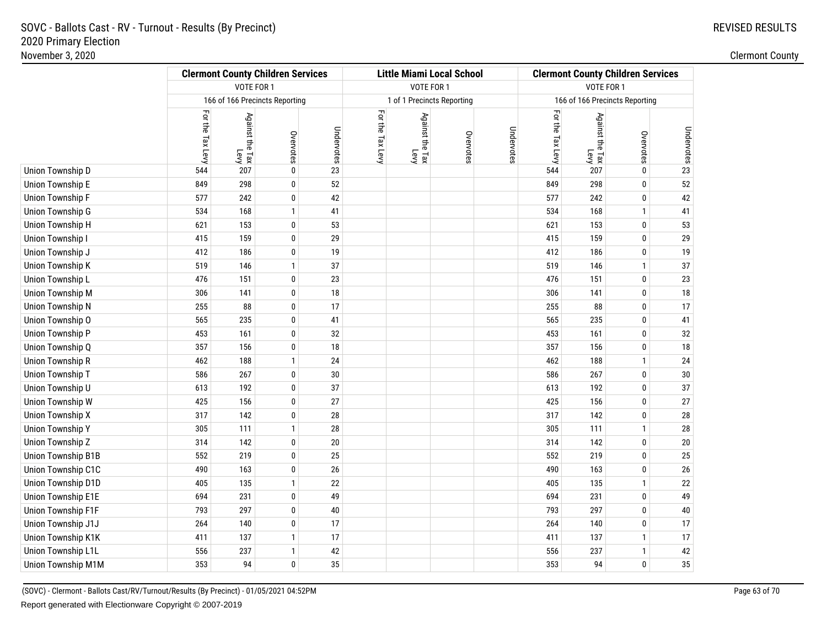|                           | <b>Clermont County Children Services</b> |                                                   |              | <b>Little Miami Local School</b> |                  |                                    |           | <b>Clermont County Children Services</b> |                  |                         |                                |                              |
|---------------------------|------------------------------------------|---------------------------------------------------|--------------|----------------------------------|------------------|------------------------------------|-----------|------------------------------------------|------------------|-------------------------|--------------------------------|------------------------------|
|                           |                                          | VOTE FOR 1                                        |              |                                  |                  | VOTE FOR 1                         |           |                                          | VOTE FOR 1       |                         |                                |                              |
|                           |                                          | 166 of 166 Precincts Reporting                    |              |                                  |                  | 1 of 1 Precincts Reporting         |           |                                          |                  |                         | 166 of 166 Precincts Reporting |                              |
|                           | For the Tax Levy                         | Against the Tax r<br>Against the Tax <sub>'</sub> | Overvotes    | Undervotes                       | For the Tax Levy | Against the Tax<br>Against the Tax | Overvotes | Undervotes                               | For the Tax Levy | Against the Tax<br>Levy | Overvotes                      | Undervotes<br><sub>Sal</sub> |
| Union Township D          | 544                                      | 207                                               | 0            | 23                               |                  |                                    |           |                                          | 544              | 207                     | 0                              |                              |
| Union Township E          | 849                                      | 298                                               | 0            | 52                               |                  |                                    |           |                                          | 849              | 298                     | 0                              | 52                           |
| Union Township F          | 577                                      | 242                                               | 0            | 42                               |                  |                                    |           |                                          | 577              | 242                     | $\pmb{0}$                      | 42                           |
| <b>Union Township G</b>   | 534                                      | 168                                               | $\mathbf{1}$ | 41                               |                  |                                    |           |                                          | 534              | 168                     | $\mathbf{1}$                   | 41                           |
| Union Township H          | 621                                      | 153                                               | 0            | 53                               |                  |                                    |           |                                          | 621              | 153                     | $\mathbf 0$                    | 53                           |
| Union Township I          | 415                                      | 159                                               | 0            | 29                               |                  |                                    |           |                                          | 415              | 159                     | 0                              | 29                           |
| Union Township J          | 412                                      | 186                                               | 0            | 19                               |                  |                                    |           |                                          | 412              | 186                     | 0                              | 19                           |
| Union Township K          | 519                                      | 146                                               | $\mathbf{1}$ | 37                               |                  |                                    |           |                                          | 519              | 146                     | $\mathbf{1}$                   | 37                           |
| Union Township L          | 476                                      | 151                                               | 0            | 23                               |                  |                                    |           |                                          | 476              | 151                     | $\mathbf 0$                    | $23\,$                       |
| <b>Union Township M</b>   | 306                                      | 141                                               | 0            | 18                               |                  |                                    |           |                                          | 306              | 141                     | 0                              | $18\,$                       |
| <b>Union Township N</b>   | 255                                      | 88                                                | 0            | 17                               |                  |                                    |           |                                          | 255              | 88                      | 0                              | 17                           |
| Union Township O          | 565                                      | 235                                               | 0            | 41                               |                  |                                    |           |                                          | 565              | 235                     | 0                              | 41                           |
| Union Township P          | 453                                      | 161                                               | 0            | 32                               |                  |                                    |           |                                          | 453              | 161                     | 0                              | $32\,$                       |
| Union Township Q          | 357                                      | 156                                               | 0            | 18                               |                  |                                    |           |                                          | 357              | 156                     | 0                              | $18\,$                       |
| <b>Union Township R</b>   | 462                                      | 188                                               | $\mathbf{1}$ | 24                               |                  |                                    |           |                                          | 462              | 188                     | $\mathbf{1}$                   | $24\,$                       |
| Union Township T          | 586                                      | 267                                               | 0            | 30                               |                  |                                    |           |                                          | 586              | 267                     | 0                              | $30\,$                       |
| Union Township U          | 613                                      | 192                                               | 0            | 37                               |                  |                                    |           |                                          | 613              | 192                     | 0                              | 37                           |
| Union Township W          | 425                                      | 156                                               | 0            | 27                               |                  |                                    |           |                                          | 425              | 156                     | 0                              | 27                           |
| <b>Union Township X</b>   | 317                                      | 142                                               | 0            | 28                               |                  |                                    |           |                                          | 317              | 142                     | 0                              | $28\,$                       |
| <b>Union Township Y</b>   | 305                                      | 111                                               | $\mathbf{1}$ | 28                               |                  |                                    |           |                                          | 305              | 111                     | $\mathbf{1}$                   | $28\,$                       |
| Union Township Z          | 314                                      | 142                                               | 0            | 20                               |                  |                                    |           |                                          | 314              | 142                     | 0                              | $20\,$                       |
| <b>Union Township B1B</b> | 552                                      | 219                                               | 0            | 25                               |                  |                                    |           |                                          | 552              | 219                     | 0                              | 25                           |
| Union Township C1C        | 490                                      | 163                                               | 0            | 26                               |                  |                                    |           |                                          | 490              | 163                     | 0                              | $26\,$                       |
| Union Township D1D        | 405                                      | 135                                               | $\mathbf{1}$ | 22                               |                  |                                    |           |                                          | 405              | 135                     | $\mathbf{1}$                   | $22\,$                       |
| Union Township E1E        | 694                                      | 231                                               | 0            | 49                               |                  |                                    |           |                                          | 694              | 231                     | $\mathbf 0$                    | 49                           |
| Union Township F1F        | 793                                      | 297                                               | 0            | 40                               |                  |                                    |           |                                          | 793              | 297                     | 0                              | 40                           |
| Union Township J1J        | 264                                      | 140                                               | 0            | 17                               |                  |                                    |           |                                          | 264              | 140                     | 0                              | 17                           |
| Union Township K1K        | 411                                      | 137                                               | $\mathbf{1}$ | 17                               |                  |                                    |           |                                          | 411              | 137                     | $\mathbf{1}$                   | 17                           |
| <b>Union Township L1L</b> | 556                                      | 237                                               | $\mathbf{1}$ | 42                               |                  |                                    |           |                                          | 556              | 237                     | $\mathbf{1}$                   | 42                           |
| Union Township M1M        | 353                                      | 94                                                | 0            | 35                               |                  |                                    |           |                                          | 353              | 94                      | 0                              | 35                           |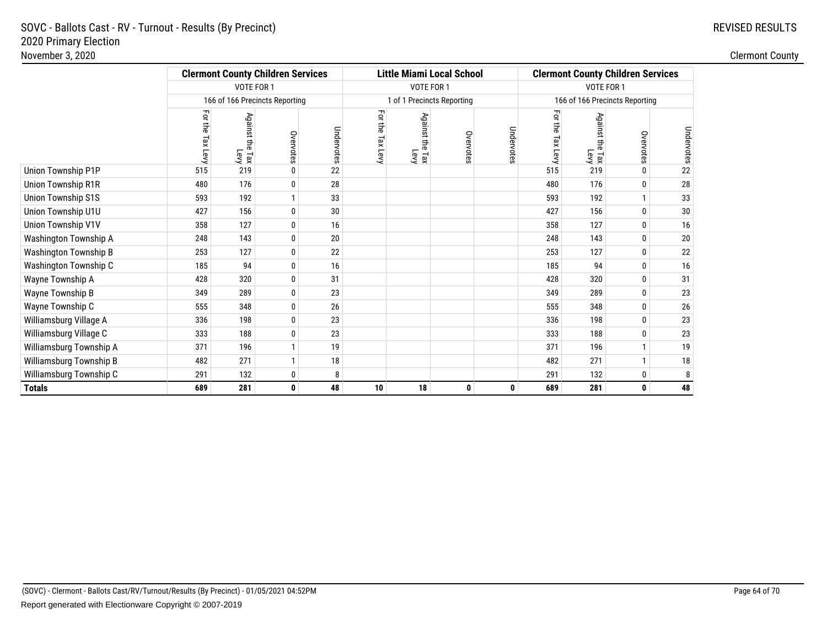|                           |                   | <b>Clermont County Children Services</b>    |              |            |                            |                            | <b>Little Miami Local School</b> |            | <b>Clermont County Children Services</b> |                               |              |            |
|---------------------------|-------------------|---------------------------------------------|--------------|------------|----------------------------|----------------------------|----------------------------------|------------|------------------------------------------|-------------------------------|--------------|------------|
|                           |                   | VOTE FOR 1                                  |              |            |                            | VOTE FOR 1                 |                                  |            | VOTE FOR 1                               |                               |              |            |
|                           |                   | 166 of 166 Precincts Reporting              |              |            | 1 of 1 Precincts Reporting |                            |                                  |            | 166 of 166 Precincts Reporting           |                               |              |            |
|                           | Ę<br>the Tax Levy | Against<br>$\frac{1}{2}$<br>i<br>Lax<br>Nax | Overvotes    | Undervotes | Ę<br>듷<br>Tax Levy         | Against the<br>Eax<br>Levy | Overvotes                        | Undervotes | Ę<br>듷<br>Tax Levy                       | Against the<br>i<br>Lax<br>Su | Overvotes    | Undervotes |
| Union Township P1P        | 515               | 219                                         | $\mathbf 0$  | 22         |                            |                            |                                  |            | 515                                      | 219                           | $\mathbf{0}$ | 22         |
| Union Township R1R        | 480               | 176                                         | $\mathbf 0$  | 28         |                            |                            |                                  |            | 480                                      | 176                           | $\mathbf{0}$ | 28         |
| <b>Union Township S1S</b> | 593               | 192                                         | $\mathbf{1}$ | 33         |                            |                            |                                  |            | 593                                      | 192                           |              | 33         |
| Union Township U1U        | 427               | 156                                         | $\mathbf 0$  | 30         |                            |                            |                                  |            | 427                                      | 156                           | $\mathbf{0}$ | 30         |
| Union Township V1V        | 358               | 127                                         | 0            | 16         |                            |                            |                                  |            | 358                                      | 127                           | $\mathbf 0$  | 16         |
| Washington Township A     | 248               | 143                                         | $\mathbf 0$  | 20         |                            |                            |                                  |            | 248                                      | 143                           | $\mathbf{0}$ | 20         |
| Washington Township B     | 253               | 127                                         | $\mathbf 0$  | 22         |                            |                            |                                  |            | 253                                      | 127                           | $\mathbf{0}$ | 22         |
| Washington Township C     | 185               | 94                                          | $\pmb{0}$    | 16         |                            |                            |                                  |            | 185                                      | 94                            | $\mathbf{0}$ | 16         |
| Wayne Township A          | 428               | 320                                         | 0            | 31         |                            |                            |                                  |            | 428                                      | 320                           | $\mathbf{0}$ | 31         |
| Wayne Township B          | 349               | 289                                         | $\pmb{0}$    | 23         |                            |                            |                                  |            | 349                                      | 289                           | $\mathbf{0}$ | 23         |
| Wayne Township C          | 555               | 348                                         | $\pmb{0}$    | 26         |                            |                            |                                  |            | 555                                      | 348                           | $\mathbf{0}$ | 26         |
| Williamsburg Village A    | 336               | 198                                         | $\pmb{0}$    | 23         |                            |                            |                                  |            | 336                                      | 198                           | $\mathbf{0}$ | 23         |
| Williamsburg Village C    | 333               | 188                                         | $\pmb{0}$    | 23         |                            |                            |                                  |            | 333                                      | 188                           | $\mathbf{0}$ | 23         |
| Williamsburg Township A   | 371               | 196                                         | $\mathbf{1}$ | 19         |                            |                            |                                  |            | 371                                      | 196                           | $\mathbf{1}$ | 19         |
| Williamsburg Township B   | 482               | 271                                         | 1            | 18         |                            |                            |                                  |            | 482                                      | 271                           | $\mathbf{1}$ | 18         |
| Williamsburg Township C   | 291               | 132                                         | $\bf{0}$     | 8          |                            |                            |                                  |            | 291                                      | 132                           | $\mathbf 0$  | 8          |
| <b>Totals</b>             | 689               | 281                                         | 0            | 48         | 10                         | 18                         | 0                                | 0          | 689                                      | 281                           | $\mathbf 0$  | 48         |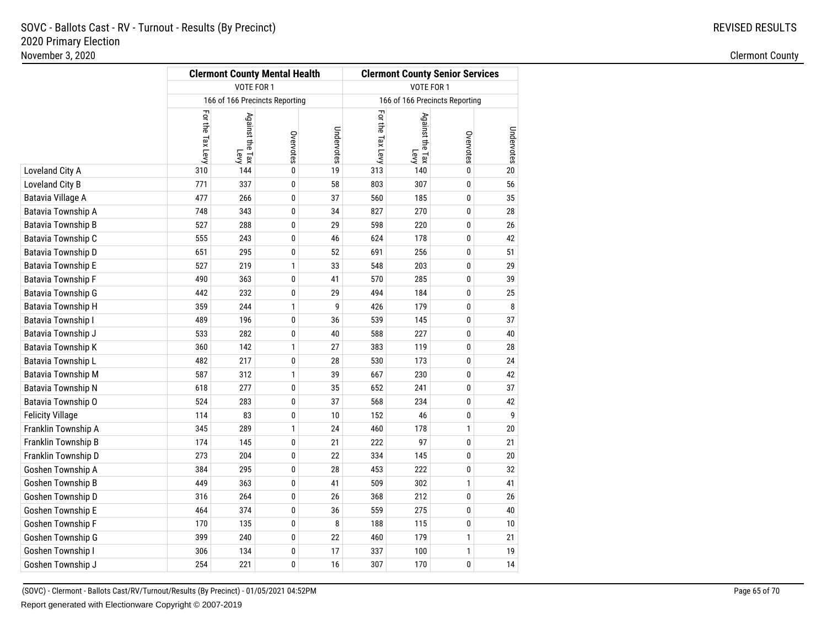|                           |                  |                         | <b>Clermont County Mental Health</b> |            | <b>Clermont County Senior Services</b> |                                |              |            |  |
|---------------------------|------------------|-------------------------|--------------------------------------|------------|----------------------------------------|--------------------------------|--------------|------------|--|
|                           |                  | VOTE FOR 1              |                                      |            | VOTE FOR 1                             |                                |              |            |  |
|                           |                  |                         | 166 of 166 Precincts Reporting       |            |                                        | 166 of 166 Precincts Reporting |              |            |  |
|                           | For the Tax Levy | Against the Tax<br>Levy | Overvotes                            | Undervotes | For the Tax Levy                       | Against the Tax<br>Levy        | Overvotes    | Undervotes |  |
| Loveland City A           | 310              | 144                     | 0                                    | 19         | 313                                    | 140                            | $\pmb{0}$    | 20         |  |
| Loveland City B           | 771              | 337                     | 0                                    | 58         | 803                                    | 307                            | 0            | 56         |  |
| Batavia Village A         | 477              | 266                     | 0                                    | 37         | 560                                    | 185                            | 0            | 35         |  |
| Batavia Township A        | 748              | 343                     | 0                                    | 34         | 827                                    | 270                            | 0            | 28         |  |
| <b>Batavia Township B</b> | 527              | 288                     | 0                                    | 29         | 598                                    | 220                            | 0            | 26         |  |
| Batavia Township C        | 555              | 243                     | 0                                    | 46         | 624                                    | 178                            | 0            | 42         |  |
| Batavia Township D        | 651              | 295                     | 0                                    | 52         | 691                                    | 256                            | 0            | 51         |  |
| Batavia Township E        | 527              | 219                     | 1                                    | 33         | 548                                    | 203                            | 0            | 29         |  |
| <b>Batavia Township F</b> | 490              | 363                     | 0                                    | 41         | 570                                    | 285                            | 0            | 39         |  |
| Batavia Township G        | 442              | 232                     | 0                                    | 29         | 494                                    | 184                            | 0            | 25         |  |
| Batavia Township H        | 359              | 244                     | $\mathbf{1}$                         | 9          | 426                                    | 179                            | 0            | 8          |  |
| Batavia Township I        | 489              | 196                     | 0                                    | 36         | 539                                    | 145                            | 0            | 37         |  |
| Batavia Township J        | 533              | 282                     | 0                                    | 40         | 588                                    | 227                            | 0            | 40         |  |
| <b>Batavia Township K</b> | 360              | 142                     | $\mathbf{1}$                         | 27         | 383                                    | 119                            | 0            | 28         |  |
| Batavia Township L        | 482              | 217                     | 0                                    | 28         | 530                                    | 173                            | 0            | 24         |  |
| <b>Batavia Township M</b> | 587              | 312                     | $\mathbf{1}$                         | 39         | 667                                    | 230                            | 0            | 42         |  |
| Batavia Township N        | 618              | 277                     | 0                                    | 35         | 652                                    | 241                            | 0            | 37         |  |
| Batavia Township O        | 524              | 283                     | 0                                    | 37         | 568                                    | 234                            | 0            | 42         |  |
| <b>Felicity Village</b>   | 114              | 83                      | 0                                    | 10         | 152                                    | 46                             | 0            | 9          |  |
| Franklin Township A       | 345              | 289                     | $\mathbf{1}$                         | 24         | 460                                    | 178                            | $\mathbf{1}$ | 20         |  |
| Franklin Township B       | 174              | 145                     | $\pmb{0}$                            | 21         | 222                                    | 97                             | 0            | 21         |  |
| Franklin Township D       | 273              | 204                     | 0                                    | 22         | 334                                    | 145                            | $\pmb{0}$    | $20\,$     |  |
| Goshen Township A         | 384              | 295                     | $\pmb{0}$                            | 28         | 453                                    | 222                            | 0            | 32         |  |
| Goshen Township B         | 449              | 363                     | 0                                    | 41         | 509                                    | 302                            | $\mathbf{1}$ | 41         |  |
| Goshen Township D         | 316              | 264                     | 0                                    | 26         | 368                                    | 212                            | 0            | 26         |  |
| Goshen Township E         | 464              | 374                     | 0                                    | 36         | 559                                    | 275                            | 0            | 40         |  |
| Goshen Township F         | 170              | 135                     | 0                                    | 8          | 188                                    | 115                            | 0            | 10         |  |
| Goshen Township G         | 399              | 240                     | 0                                    | 22         | 460                                    | 179                            | $\mathbf{1}$ | 21         |  |
| Goshen Township I         | 306              | 134                     | 0                                    | 17         | 337                                    | 100                            | 1            | 19         |  |
| Goshen Township J         | 254              | 221                     | 0                                    | 16         | 307                                    | 170                            | $\pmb{0}$    | 14         |  |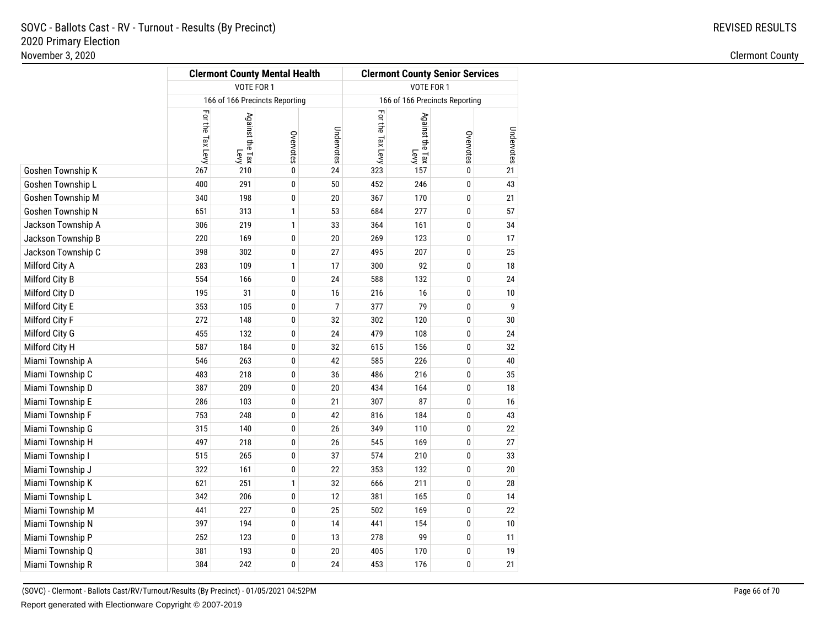|                    |                  | <b>Clermont County Mental Health</b> |           |                | <b>Clermont County Senior Services</b><br>VOTE FOR 1 |                         |                                |            |  |
|--------------------|------------------|--------------------------------------|-----------|----------------|------------------------------------------------------|-------------------------|--------------------------------|------------|--|
|                    |                  | VOTE FOR 1                           |           |                |                                                      |                         |                                |            |  |
|                    |                  | 166 of 166 Precincts Reporting       |           |                |                                                      |                         | 166 of 166 Precincts Reporting |            |  |
|                    | For the Tax Levy | Against the Tax<br>Levy              | Overvotes | Undervotes     | For the Tax Levy                                     | Against the Tax<br>Levy | Overvotes                      | Undervotes |  |
| Goshen Township K  | 267              | 210                                  | 0         | 24             | 323                                                  | 157                     | 0                              | 21         |  |
| Goshen Township L  | 400              | 291                                  | 0         | 50             | 452                                                  | 246                     | 0                              | 43         |  |
| Goshen Township M  | 340              | 198                                  | 0         | 20             | 367                                                  | 170                     | 0                              | 21         |  |
| Goshen Township N  | 651              | 313                                  | 1         | 53             | 684                                                  | 277                     | 0                              | 57         |  |
| Jackson Township A | 306              | 219                                  | 1         | 33             | 364                                                  | 161                     | 0                              | 34         |  |
| Jackson Township B | 220              | 169                                  | 0         | $20\,$         | 269                                                  | 123                     | 0                              | 17         |  |
| Jackson Township C | 398              | 302                                  | 0         | 27             | 495                                                  | 207                     | 0                              | 25         |  |
| Milford City A     | 283              | 109                                  | 1         | 17             | 300                                                  | 92                      | 0                              | 18         |  |
| Milford City B     | 554              | 166                                  | 0         | 24             | 588                                                  | 132                     | 0                              | 24         |  |
| Milford City D     | 195              | 31                                   | 0         | 16             | 216                                                  | 16                      | 0                              | 10         |  |
| Milford City E     | 353              | 105                                  | 0         | $\overline{7}$ | 377                                                  | 79                      | 0                              | 9          |  |
| Milford City F     | 272              | 148                                  | 0         | 32             | 302                                                  | 120                     | 0                              | 30         |  |
| Milford City G     | 455              | 132                                  | 0         | 24             | 479                                                  | 108                     | 0                              | 24         |  |
| Milford City H     | 587              | 184                                  | 0         | 32             | 615                                                  | 156                     | 0                              | 32         |  |
| Miami Township A   | 546              | 263                                  | 0         | 42             | 585                                                  | 226                     | 0                              | 40         |  |
| Miami Township C   | 483              | 218                                  | 0         | 36             | 486                                                  | 216                     | 0                              | 35         |  |
| Miami Township D   | 387              | 209                                  | 0         | 20             | 434                                                  | 164                     | 0                              | 18         |  |
| Miami Township E   | 286              | 103                                  | 0         | 21             | 307                                                  | 87                      | 0                              | 16         |  |
| Miami Township F   | 753              | 248                                  | 0         | 42             | 816                                                  | 184                     | 0                              | 43         |  |
| Miami Township G   | 315              | 140                                  | 0         | 26             | 349                                                  | 110                     | 0                              | 22         |  |
| Miami Township H   | 497              | 218                                  | 0         | 26             | 545                                                  | 169                     | 0                              | 27         |  |
| Miami Township I   | 515              | 265                                  | 0         | 37             | 574                                                  | 210                     | 0                              | 33         |  |
| Miami Township J   | 322              | 161                                  | 0         | 22             | 353                                                  | 132                     | 0                              | 20         |  |
| Miami Township K   | 621              | 251                                  | 1         | 32             | 666                                                  | 211                     | 0                              | 28         |  |
| Miami Township L   | 342              | 206                                  | 0         | 12             | 381                                                  | 165                     | 0                              | 14         |  |
| Miami Township M   | 441              | 227                                  | 0         | 25             | 502                                                  | 169                     | 0                              | 22         |  |
| Miami Township N   | 397              | 194                                  | 0         | 14             | 441                                                  | 154                     | 0                              | 10         |  |
| Miami Township P   | 252              | 123                                  | 0         | 13             | 278                                                  | 99                      | 0                              | 11         |  |
| Miami Township Q   | 381              | 193                                  | 0         | 20             | 405                                                  | 170                     | 0                              | 19         |  |
| Miami Township R   | 384              | 242                                  | 0         | 24             | 453                                                  | 176                     | 0                              | 21         |  |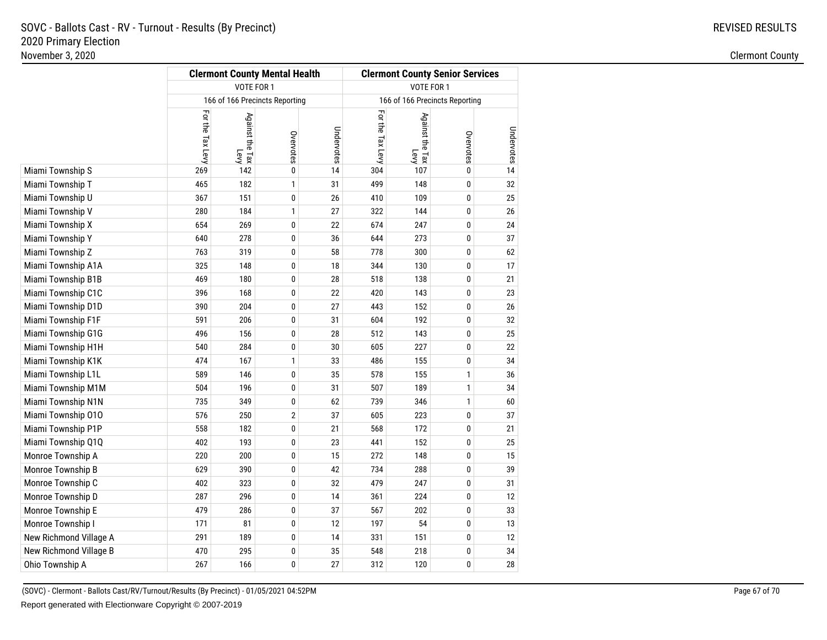|                        |                  |                         | <b>Clermont County Mental Health</b> |            | <b>Clermont County Senior Services</b> |                                |              |            |  |
|------------------------|------------------|-------------------------|--------------------------------------|------------|----------------------------------------|--------------------------------|--------------|------------|--|
|                        |                  | VOTE FOR 1              |                                      |            | VOTE FOR 1                             |                                |              |            |  |
|                        |                  |                         | 166 of 166 Precincts Reporting       |            |                                        | 166 of 166 Precincts Reporting |              |            |  |
|                        | For the Tax Levy | Against the Tax<br>Levy | Overvotes                            | Undervotes | For the Tax Levy                       | Against the Tax<br>Levy        | Overvotes    | Undervotes |  |
| Miami Township S       | 269              | 142                     | 0                                    | 14         | 304                                    | 107                            | 0            | 14         |  |
| Miami Township T       | 465              | 182                     | $\mathbf{1}$                         | 31         | 499                                    | 148                            | 0            | 32         |  |
| Miami Township U       | 367              | 151                     | 0                                    | 26         | 410                                    | 109                            | 0            | 25         |  |
| Miami Township V       | 280              | 184                     | $\mathbf{1}$                         | 27         | 322                                    | 144                            | 0            | 26         |  |
| Miami Township X       | 654              | 269                     | 0                                    | 22         | 674                                    | 247                            | 0            | 24         |  |
| Miami Township Y       | 640              | 278                     | 0                                    | 36         | 644                                    | 273                            | 0            | 37         |  |
| Miami Township Z       | 763              | 319                     | 0                                    | 58         | 778                                    | 300                            | 0            | 62         |  |
| Miami Township A1A     | 325              | 148                     | 0                                    | 18         | 344                                    | 130                            | 0            | 17         |  |
| Miami Township B1B     | 469              | 180                     | 0                                    | 28         | 518                                    | 138                            | 0            | 21         |  |
| Miami Township C1C     | 396              | 168                     | 0                                    | 22         | 420                                    | 143                            | 0            | 23         |  |
| Miami Township D1D     | 390              | 204                     | 0                                    | 27         | 443                                    | 152                            | 0            | 26         |  |
| Miami Township F1F     | 591              | 206                     | 0                                    | 31         | 604                                    | 192                            | 0            | 32         |  |
| Miami Township G1G     | 496              | 156                     | 0                                    | 28         | 512                                    | 143                            | 0            | 25         |  |
| Miami Township H1H     | 540              | 284                     | 0                                    | 30         | 605                                    | 227                            | 0            | 22         |  |
| Miami Township K1K     | 474              | 167                     | $\mathbf{1}$                         | 33         | 486                                    | 155                            | 0            | 34         |  |
| Miami Township L1L     | 589              | 146                     | 0                                    | 35         | 578                                    | 155                            | 1            | 36         |  |
| Miami Township M1M     | 504              | 196                     | 0                                    | 31         | 507                                    | 189                            | 1            | 34         |  |
| Miami Township N1N     | 735              | 349                     | 0                                    | 62         | 739                                    | 346                            | $\mathbf{1}$ | 60         |  |
| Miami Township 010     | 576              | 250                     | $\mathbf{2}$                         | 37         | 605                                    | 223                            | 0            | 37         |  |
| Miami Township P1P     | 558              | 182                     | 0                                    | 21         | 568                                    | 172                            | 0            | 21         |  |
| Miami Township Q1Q     | 402              | 193                     | 0                                    | 23         | 441                                    | 152                            | 0            | 25         |  |
| Monroe Township A      | 220              | 200                     | 0                                    | 15         | 272                                    | 148                            | 0            | 15         |  |
| Monroe Township B      | 629              | 390                     | 0                                    | 42         | 734                                    | 288                            | 0            | 39         |  |
| Monroe Township C      | 402              | 323                     | 0                                    | 32         | 479                                    | 247                            | 0            | 31         |  |
| Monroe Township D      | 287              | 296                     | 0                                    | 14         | 361                                    | 224                            | 0            | 12         |  |
| Monroe Township E      | 479              | 286                     | 0                                    | 37         | 567                                    | 202                            | 0            | 33         |  |
| Monroe Township I      | 171              | 81                      | 0                                    | 12         | 197                                    | 54                             | 0            | 13         |  |
| New Richmond Village A | 291              | 189                     | 0                                    | 14         | 331                                    | 151                            | 0            | 12         |  |
| New Richmond Village B | 470              | 295                     | 0                                    | 35         | 548                                    | 218                            | 0            | 34         |  |
| Ohio Township A        | 267              | 166                     | 0                                    | 27         | 312                                    | 120                            | 0            | 28         |  |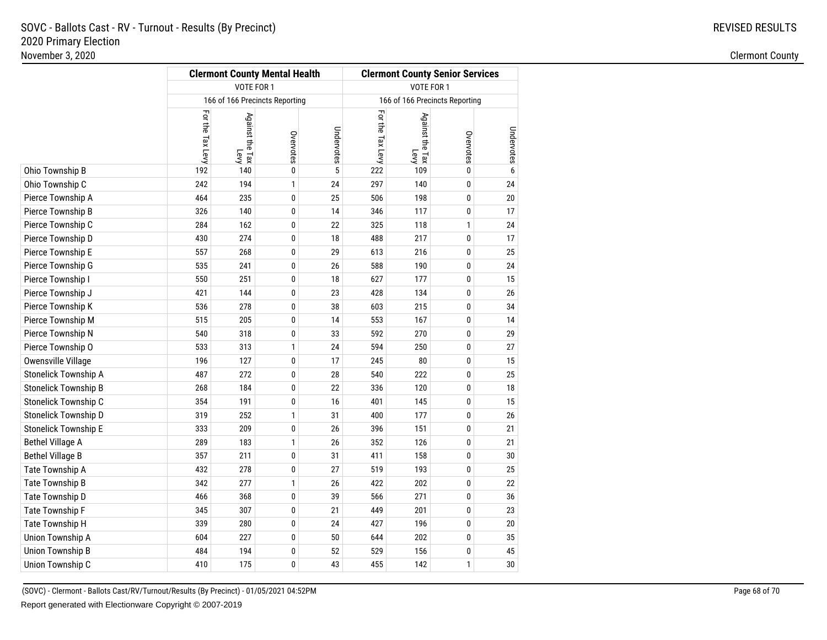|                         |                  | <b>Clermont County Mental Health</b> |              |            | <b>Clermont County Senior Services</b><br>VOTE FOR 1 |                                |              |            |  |
|-------------------------|------------------|--------------------------------------|--------------|------------|------------------------------------------------------|--------------------------------|--------------|------------|--|
|                         |                  | VOTE FOR 1                           |              |            |                                                      |                                |              |            |  |
|                         |                  | 166 of 166 Precincts Reporting       |              |            |                                                      | 166 of 166 Precincts Reporting |              |            |  |
|                         | For the Tax Levy | Against the Tax<br>Levy              | Overvotes    | Undervotes | For the Tax Levy                                     | Against the Tax<br>Levy        | Overvotes    | Undervotes |  |
| Ohio Township B         | 192              | 140                                  | 0            | 5          | 222                                                  | 109                            | $\pmb{0}$    | 6          |  |
| Ohio Township C         | 242              | 194                                  | $\mathbf{1}$ | 24         | 297                                                  | 140                            | 0            | 24         |  |
| Pierce Township A       | 464              | 235                                  | 0            | 25         | 506                                                  | 198                            | 0            | $20\,$     |  |
| Pierce Township B       | 326              | 140                                  | 0            | 14         | 346                                                  | 117                            | 0            | 17         |  |
| Pierce Township C       | 284              | 162                                  | 0            | 22         | 325                                                  | 118                            | 1            | 24         |  |
| Pierce Township D       | 430              | 274                                  | 0            | 18         | 488                                                  | 217                            | 0            | 17         |  |
| Pierce Township E       | 557              | 268                                  | 0            | 29         | 613                                                  | 216                            | 0            | 25         |  |
| Pierce Township G       | 535              | 241                                  | 0            | 26         | 588                                                  | 190                            | 0            | 24         |  |
| Pierce Township I       | 550              | 251                                  | 0            | 18         | 627                                                  | 177                            | 0            | 15         |  |
| Pierce Township J       | 421              | 144                                  | 0            | 23         | 428                                                  | 134                            | 0            | 26         |  |
| Pierce Township K       | 536              | 278                                  | 0            | 38         | 603                                                  | 215                            | 0            | 34         |  |
| Pierce Township M       | 515              | 205                                  | 0            | 14         | 553                                                  | 167                            | 0            | 14         |  |
| Pierce Township N       | 540              | 318                                  | 0            | 33         | 592                                                  | 270                            | 0            | 29         |  |
| Pierce Township O       | 533              | 313                                  | 1            | 24         | 594                                                  | 250                            | 0            | 27         |  |
| Owensville Village      | 196              | 127                                  | 0            | 17         | 245                                                  | 80                             | 0            | 15         |  |
| Stonelick Township A    | 487              | 272                                  | 0            | 28         | 540                                                  | 222                            | 0            | 25         |  |
| Stonelick Township B    | 268              | 184                                  | 0            | 22         | 336                                                  | 120                            | 0            | 18         |  |
| Stonelick Township C    | 354              | 191                                  | 0            | 16         | 401                                                  | 145                            | 0            | 15         |  |
| Stonelick Township D    | 319              | 252                                  | 1            | 31         | 400                                                  | 177                            | 0            | 26         |  |
| Stonelick Township E    | 333              | 209                                  | 0            | 26         | 396                                                  | 151                            | 0            | 21         |  |
| <b>Bethel Village A</b> | 289              | 183                                  | $\mathbf{1}$ | 26         | 352                                                  | 126                            | 0            | 21         |  |
| <b>Bethel Village B</b> | 357              | 211                                  | 0            | 31         | 411                                                  | 158                            | 0            | 30         |  |
| Tate Township A         | 432              | 278                                  | 0            | 27         | 519                                                  | 193                            | 0            | 25         |  |
| Tate Township B         | 342              | 277                                  | $\mathbf{1}$ | 26         | 422                                                  | 202                            | 0            | 22         |  |
| Tate Township D         | 466              | 368                                  | 0            | 39         | 566                                                  | 271                            | 0            | 36         |  |
| Tate Township F         | 345              | 307                                  | 0            | 21         | 449                                                  | 201                            | 0            | 23         |  |
| Tate Township H         | 339              | 280                                  | 0            | 24         | 427                                                  | 196                            | 0            | 20         |  |
| Union Township A        | 604              | 227                                  | 0            | 50         | 644                                                  | 202                            | 0            | 35         |  |
| Union Township B        | 484              | 194                                  | 0            | 52         | 529                                                  | 156                            | 0            | 45         |  |
| Union Township C        | 410              | 175                                  | 0            | 43         | 455                                                  | 142                            | $\mathbf{1}$ | 30         |  |
|                         |                  |                                      |              |            |                                                      |                                |              |            |  |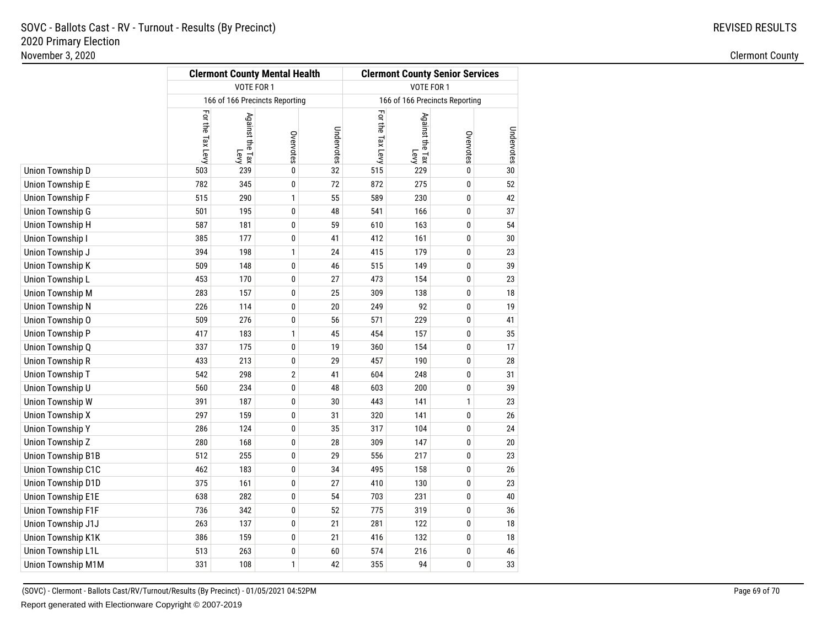|                    |                  | <b>Clermont County Mental Health</b> |              |            | <b>Clermont County Senior Services</b><br>VOTE FOR 1 |                                |           |            |  |
|--------------------|------------------|--------------------------------------|--------------|------------|------------------------------------------------------|--------------------------------|-----------|------------|--|
|                    |                  | VOTE FOR 1                           |              |            |                                                      |                                |           |            |  |
|                    |                  | 166 of 166 Precincts Reporting       |              |            |                                                      | 166 of 166 Precincts Reporting |           |            |  |
|                    | For the Tax Levy | Against the Tax<br>Levy              | Overvotes    | Undervotes | For the Tax Levy                                     | Against the Tax<br>Levy        | Overvotes | Undervotes |  |
| Union Township D   | 503              | 239                                  | 0            | 32         | 515                                                  | 229                            | 0         | 30         |  |
| Union Township E   | 782              | 345                                  | 0            | $72\,$     | 872                                                  | 275                            | 0         | 52         |  |
| Union Township F   | 515              | 290                                  | 1            | 55         | 589                                                  | 230                            | 0         | 42         |  |
| Union Township G   | 501              | 195                                  | 0            | 48         | 541                                                  | 166                            | 0         | 37         |  |
| Union Township H   | 587              | 181                                  | 0            | 59         | 610                                                  | 163                            | 0         | 54         |  |
| Union Township I   | 385              | 177                                  | 0            | 41         | 412                                                  | 161                            | 0         | 30         |  |
| Union Township J   | 394              | 198                                  | $\mathbf{1}$ | 24         | 415                                                  | 179                            | 0         | 23         |  |
| Union Township K   | 509              | 148                                  | 0            | 46         | 515                                                  | 149                            | 0         | 39         |  |
| Union Township L   | 453              | 170                                  | 0            | 27         | 473                                                  | 154                            | 0         | 23         |  |
| Union Township M   | 283              | 157                                  | 0            | 25         | 309                                                  | 138                            | 0         | 18         |  |
| Union Township N   | 226              | 114                                  | 0            | 20         | 249                                                  | 92                             | 0         | 19         |  |
| Union Township O   | 509              | 276                                  | 0            | 56         | 571                                                  | 229                            | 0         | 41         |  |
| Union Township P   | 417              | 183                                  | $\mathbf{1}$ | 45         | 454                                                  | 157                            | 0         | 35         |  |
| Union Township Q   | 337              | 175                                  | 0            | 19         | 360                                                  | 154                            | 0         | 17         |  |
| Union Township R   | 433              | 213                                  | 0            | 29         | 457                                                  | 190                            | 0         | 28         |  |
| Union Township T   | 542              | 298                                  | $\mathbf{2}$ | 41         | 604                                                  | 248                            | 0         | 31         |  |
| Union Township U   | 560              | 234                                  | 0            | 48         | 603                                                  | 200                            | 0         | 39         |  |
| Union Township W   | 391              | 187                                  | 0            | 30         | 443                                                  | 141                            | 1         | 23         |  |
| Union Township X   | 297              | 159                                  | 0            | 31         | 320                                                  | 141                            | 0         | 26         |  |
| Union Township Y   | 286              | 124                                  | 0            | 35         | 317                                                  | 104                            | 0         | 24         |  |
| Union Township Z   | 280              | 168                                  | 0            | 28         | 309                                                  | 147                            | 0         | 20         |  |
| Union Township B1B | 512              | 255                                  | 0            | 29         | 556                                                  | 217                            | 0         | 23         |  |
| Union Township C1C | 462              | 183                                  | 0            | 34         | 495                                                  | 158                            | 0         | 26         |  |
| Union Township D1D | 375              | 161                                  | 0            | 27         | 410                                                  | 130                            | 0         | 23         |  |
| Union Township E1E | 638              | 282                                  | 0            | 54         | 703                                                  | 231                            | 0         | 40         |  |
| Union Township F1F | 736              | 342                                  | 0            | 52         | 775                                                  | 319                            | 0         | 36         |  |
| Union Township J1J | 263              | 137                                  | 0            | 21         | 281                                                  | 122                            | 0         | 18         |  |
| Union Township K1K | 386              | 159                                  | 0            | 21         | 416                                                  | 132                            | 0         | 18         |  |
| Union Township L1L | 513              | 263                                  | 0            | 60         | 574                                                  | 216                            | 0         | 46         |  |
| Union Township M1M | 331              | 108                                  | $\mathbf{1}$ | 42         | 355                                                  | 94                             | 0         | 33         |  |